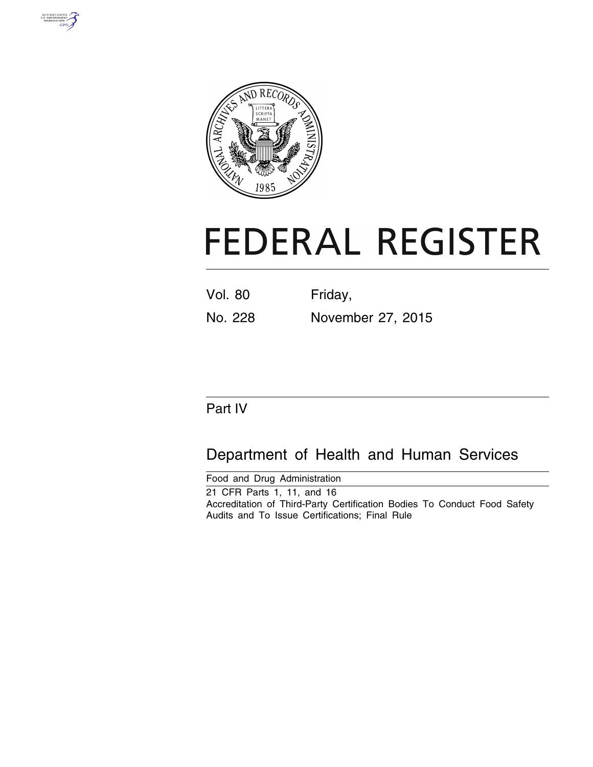



# **FEDERAL REGISTER**

| <b>Vol. 80</b> | Friday,           |
|----------------|-------------------|
| No. 228        | November 27, 2015 |

# Part IV

# Department of Health and Human Services

Food and Drug Administration 21 CFR Parts 1, 11, and 16 Accreditation of Third-Party Certification Bodies To Conduct Food Safety Audits and To Issue Certifications; Final Rule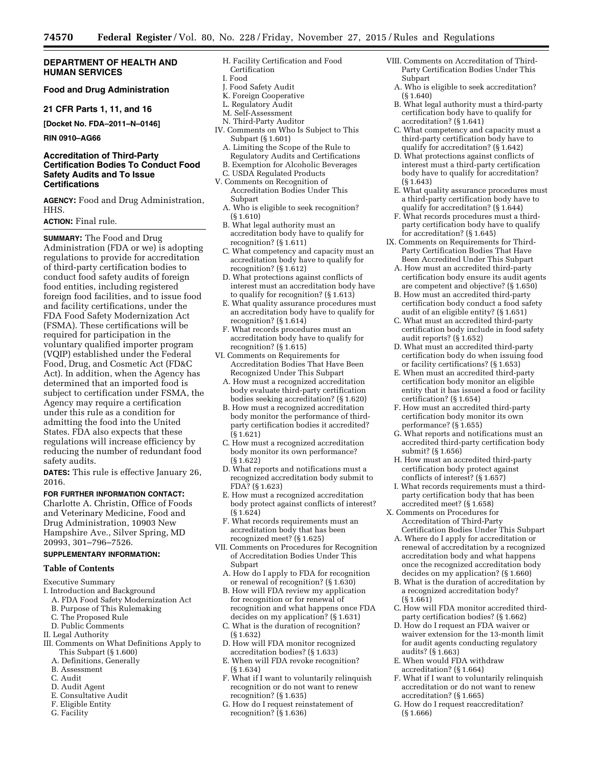# **DEPARTMENT OF HEALTH AND HUMAN SERVICES**

# **Food and Drug Administration**

**21 CFR Parts 1, 11, and 16** 

**[Docket No. FDA–2011–N–0146]** 

# **RIN 0910–AG66**

# **Accreditation of Third-Party Certification Bodies To Conduct Food Safety Audits and To Issue Certifications**

**AGENCY:** Food and Drug Administration, HHS.

# **ACTION:** Final rule.

**SUMMARY:** The Food and Drug Administration (FDA or we) is adopting regulations to provide for accreditation of third-party certification bodies to conduct food safety audits of foreign food entities, including registered foreign food facilities, and to issue food and facility certifications, under the FDA Food Safety Modernization Act (FSMA). These certifications will be required for participation in the voluntary qualified importer program (VQIP) established under the Federal Food, Drug, and Cosmetic Act (FD&C Act). In addition, when the Agency has determined that an imported food is subject to certification under FSMA, the Agency may require a certification under this rule as a condition for admitting the food into the United States. FDA also expects that these regulations will increase efficiency by reducing the number of redundant food safety audits.

**DATES:** This rule is effective January 26, 2016.

#### **FOR FURTHER INFORMATION CONTACT:**

Charlotte A. Christin, Office of Foods and Veterinary Medicine, Food and Drug Administration, 10903 New Hampshire Ave., Silver Spring, MD 20993, 301–796–7526.

# **SUPPLEMENTARY INFORMATION:**

#### **Table of Contents**

Executive Summary

- I. Introduction and Background
- A. FDA Food Safety Modernization Act
- B. Purpose of This Rulemaking
- C. The Proposed Rule
- D. Public Comments
- II. Legal Authority
- III. Comments on What Definitions Apply to This Subpart (§ 1.600)
	- A. Definitions, Generally
	- B. Assessment
	- C. Audit
	- D. Audit Agent
	- E. Consultative Audit
	- F. Eligible Entity
	- G. Facility
- H. Facility Certification and Food Certification
- I. Food
- J. Food Safety Audit
- K. Foreign Cooperative
- L. Regulatory Audit M. Self-Assessment
- N. Third-Party Auditor
- IV. Comments on Who Is Subject to This Subpart (§ 1.601)
	- A. Limiting the Scope of the Rule to Regulatory Audits and Certifications
	- B. Exemption for Alcoholic Beverages
	- C. USDA Regulated Products
- V. Comments on Recognition of Accreditation Bodies Under This Subpart
	- A. Who is eligible to seek recognition? (§ 1.610)
	- B. What legal authority must an accreditation body have to qualify for recognition? (§ 1.611)
	- C. What competency and capacity must an accreditation body have to qualify for recognition? (§ 1.612)
	- D. What protections against conflicts of interest must an accreditation body have to qualify for recognition? (§ 1.613)
	- E. What quality assurance procedures must an accreditation body have to qualify for recognition? (§ 1.614)
	- F. What records procedures must an accreditation body have to qualify for recognition? (§ 1.615)
- VI. Comments on Requirements for Accreditation Bodies That Have Been Recognized Under This Subpart
	- A. How must a recognized accreditation body evaluate third-party certification bodies seeking accreditation? (§ 1.620)
	- B. How must a recognized accreditation body monitor the performance of thirdparty certification bodies it accredited? (§ 1.621)
	- C. How must a recognized accreditation body monitor its own performance? (§ 1.622)
	- D. What reports and notifications must a recognized accreditation body submit to FDA? (§ 1.623)
	- E. How must a recognized accreditation body protect against conflicts of interest? (§ 1.624)
	- F. What records requirements must an accreditation body that has been recognized meet? (§ 1.625)
- VII. Comments on Procedures for Recognition of Accreditation Bodies Under This Subpart
	- A. How do I apply to FDA for recognition or renewal of recognition? (§ 1.630)
	- B. How will FDA review my application for recognition or for renewal of recognition and what happens once FDA decides on my application? (§ 1.631)
	- C. What is the duration of recognition? (§ 1.632)
	- D. How will FDA monitor recognized accreditation bodies? (§ 1.633)
	- E. When will FDA revoke recognition? (§ 1.634)
	- F. What if I want to voluntarily relinquish recognition or do not want to renew recognition? (§ 1.635)
	- G. How do I request reinstatement of recognition? (§ 1.636)
- VIII. Comments on Accreditation of Third-Party Certification Bodies Under This Subpart
	- A. Who is eligible to seek accreditation? (§ 1.640)
	- B. What legal authority must a third-party certification body have to qualify for accreditation? (§ 1.641)
	- C. What competency and capacity must a third-party certification body have to qualify for accreditation? (§ 1.642)
	- D. What protections against conflicts of interest must a third-party certification body have to qualify for accreditation? (§ 1.643)
	- E. What quality assurance procedures must a third-party certification body have to qualify for accreditation? (§ 1.644)
	- F. What records procedures must a thirdparty certification body have to qualify for accreditation? (§ 1.645)
- IX. Comments on Requirements for Third-Party Certification Bodies That Have Been Accredited Under This Subpart
	- A. How must an accredited third-party certification body ensure its audit agents are competent and objective? (§ 1.650)
	- B. How must an accredited third-party certification body conduct a food safety audit of an eligible entity? (§ 1.651)
	- C. What must an accredited third-party certification body include in food safety audit reports? (§ 1.652)
	- D. What must an accredited third-party certification body do when issuing food or facility certifications? (§ 1.653)
	- E. When must an accredited third-party certification body monitor an eligible entity that it has issued a food or facility certification? (§ 1.654)
	- F. How must an accredited third-party certification body monitor its own performance? (§ 1.655)
	- G. What reports and notifications must an accredited third-party certification body submit? (§ 1.656)
	- H. How must an accredited third-party certification body protect against conflicts of interest? (§ 1.657)
- I. What records requirements must a thirdparty certification body that has been accredited meet? (§ 1.658)
- X. Comments on Procedures for Accreditation of Third-Party Certification Bodies Under This Subpart
	- A. Where do I apply for accreditation or renewal of accreditation by a recognized accreditation body and what happens once the recognized accreditation body decides on my application? (§ 1.660)
	- B. What is the duration of accreditation by a recognized accreditation body? (§ 1.661)
	- C. How will FDA monitor accredited thirdparty certification bodies? (§ 1.662)
- D. How do I request an FDA waiver or waiver extension for the 13-month limit for audit agents conducting regulatory audits? (§ 1.663)
- E. When would FDA withdraw accreditation? (§ 1.664)
- F. What if I want to voluntarily relinquish accreditation or do not want to renew accreditation? (§ 1.665)
- G. How do I request reaccreditation? (§ 1.666)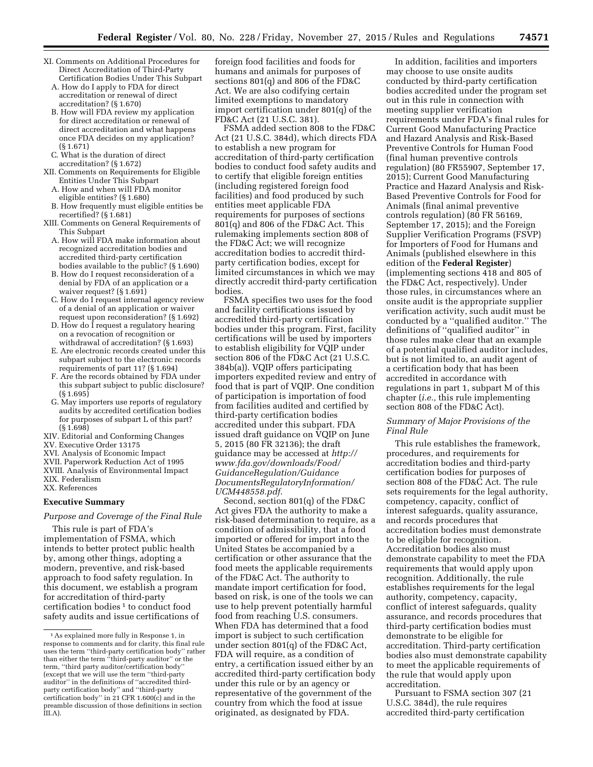- XI. Comments on Additional Procedures for Direct Accreditation of Third-Party Certification Bodies Under This Subpart
	- A. How do I apply to FDA for direct accreditation or renewal of direct accreditation? (§ 1.670)
	- B. How will FDA review my application for direct accreditation or renewal of direct accreditation and what happens once FDA decides on my application? (§ 1.671)
	- C. What is the duration of direct accreditation? (§ 1.672)
- XII. Comments on Requirements for Eligible Entities Under This Subpart
	- A. How and when will FDA monitor eligible entities? (§ 1.680)
	- B. How frequently must eligible entities be recertified? (§ 1.681)
- XIII. Comments on General Requirements of This Subpart
	- A. How will FDA make information about recognized accreditation bodies and accredited third-party certification bodies available to the public? (§ 1.690)
	- B. How do I request reconsideration of a denial by FDA of an application or a waiver request?  $(S1.691)$
	- C. How do I request internal agency review of a denial of an application or waiver request upon reconsideration? (§ 1.692)
	- D. How do I request a regulatory hearing on a revocation of recognition or withdrawal of accreditation? (§ 1.693)
	- E. Are electronic records created under this subpart subject to the electronic records requirements of part 11? (§ 1.694)
	- F. Are the records obtained by FDA under this subpart subject to public disclosure? (§ 1.695)
	- G. May importers use reports of regulatory audits by accredited certification bodies for purposes of subpart L of this part? (§ 1.698)
- XIV. Editorial and Conforming Changes
- XV. Executive Order 13175
- XVI. Analysis of Economic Impact
- XVII. Paperwork Reduction Act of 1995
- XVIII. Analysis of Environmental Impact XIX. Federalism

XX. References

#### **Executive Summary**

#### *Purpose and Coverage of the Final Rule*

This rule is part of FDA's implementation of FSMA, which intends to better protect public health by, among other things, adopting a modern, preventive, and risk-based approach to food safety regulation. In this document, we establish a program for accreditation of third-party certification bodies<sup>1</sup> to conduct food safety audits and issue certifications of foreign food facilities and foods for humans and animals for purposes of sections 801(q) and 806 of the FD&C Act. We are also codifying certain limited exemptions to mandatory import certification under 801(q) of the FD&C Act (21 U.S.C. 381).

FSMA added section 808 to the FD&C Act (21 U.S.C. 384d), which directs FDA to establish a new program for accreditation of third-party certification bodies to conduct food safety audits and to certify that eligible foreign entities (including registered foreign food facilities) and food produced by such entities meet applicable FDA requirements for purposes of sections 801(q) and 806 of the FD&C Act. This rulemaking implements section 808 of the FD&C Act; we will recognize accreditation bodies to accredit thirdparty certification bodies, except for limited circumstances in which we may directly accredit third-party certification bodies.

FSMA specifies two uses for the food and facility certifications issued by accredited third-party certification bodies under this program. First, facility certifications will be used by importers to establish eligibility for VQIP under section 806 of the FD&C Act (21 U.S.C. 384b(a)). VQIP offers participating importers expedited review and entry of food that is part of VQIP. One condition of participation is importation of food from facilities audited and certified by third-party certification bodies accredited under this subpart. FDA issued draft guidance on VQIP on June 5, 2015 (80 FR 32136); the draft guidance may be accessed at *[http://](http://www.fda.gov/downloads/Food/GuidanceRegulation/GuidanceDocumentsRegulatoryInformation/UCM448558.pdf) [www.fda.gov/downloads/Food/](http://www.fda.gov/downloads/Food/GuidanceRegulation/GuidanceDocumentsRegulatoryInformation/UCM448558.pdf) [GuidanceRegulation/Guidance](http://www.fda.gov/downloads/Food/GuidanceRegulation/GuidanceDocumentsRegulatoryInformation/UCM448558.pdf) [DocumentsRegulatoryInformation/](http://www.fda.gov/downloads/Food/GuidanceRegulation/GuidanceDocumentsRegulatoryInformation/UCM448558.pdf) [UCM448558.pdf](http://www.fda.gov/downloads/Food/GuidanceRegulation/GuidanceDocumentsRegulatoryInformation/UCM448558.pdf)*.

Second, section 801(q) of the FD&C Act gives FDA the authority to make a risk-based determination to require, as a condition of admissibility, that a food imported or offered for import into the United States be accompanied by a certification or other assurance that the food meets the applicable requirements of the FD&C Act. The authority to mandate import certification for food, based on risk, is one of the tools we can use to help prevent potentially harmful food from reaching U.S. consumers. When FDA has determined that a food import is subject to such certification under section 801(q) of the FD&C Act, FDA will require, as a condition of entry, a certification issued either by an accredited third-party certification body under this rule or by an agency or representative of the government of the country from which the food at issue originated, as designated by FDA.

In addition, facilities and importers may choose to use onsite audits conducted by third-party certification bodies accredited under the program set out in this rule in connection with meeting supplier verification requirements under FDA's final rules for Current Good Manufacturing Practice and Hazard Analysis and Risk-Based Preventive Controls for Human Food (final human preventive controls regulation) (80 FR55907, September 17, 2015); Current Good Manufacturing Practice and Hazard Analysis and Risk-Based Preventive Controls for Food for Animals (final animal preventive controls regulation) (80 FR 56169, September 17, 2015); and the Foreign Supplier Verification Programs (FSVP) for Importers of Food for Humans and Animals (published elsewhere in this edition of the **Federal Register**) (implementing sections 418 and 805 of the FD&C Act, respectively). Under those rules, in circumstances where an onsite audit is the appropriate supplier verification activity, such audit must be conducted by a ''qualified auditor.'' The definitions of ''qualified auditor'' in those rules make clear that an example of a potential qualified auditor includes, but is not limited to, an audit agent of a certification body that has been accredited in accordance with regulations in part 1, subpart M of this chapter (*i.e.,* this rule implementing section 808 of the FD&C Act).

# *Summary of Major Provisions of the Final Rule*

This rule establishes the framework, procedures, and requirements for accreditation bodies and third-party certification bodies for purposes of section 808 of the FD&C Act. The rule sets requirements for the legal authority, competency, capacity, conflict of interest safeguards, quality assurance, and records procedures that accreditation bodies must demonstrate to be eligible for recognition. Accreditation bodies also must demonstrate capability to meet the FDA requirements that would apply upon recognition. Additionally, the rule establishes requirements for the legal authority, competency, capacity, conflict of interest safeguards, quality assurance, and records procedures that third-party certification bodies must demonstrate to be eligible for accreditation. Third-party certification bodies also must demonstrate capability to meet the applicable requirements of the rule that would apply upon accreditation.

Pursuant to FSMA section 307 (21 U.S.C. 384d), the rule requires accredited third-party certification

<sup>1</sup>As explained more fully in Response 1, in response to comments and for clarity, this final rule uses the term ''third-party certification body'' rather than either the term ''third-party auditor'' or the term, ''third party auditor/certification body'' (except that we will use the term ''third-party auditor'' in the definitions of ''accredited thirdparty certification body'' and ''third-party certification body'' in 21 CFR 1.600(c) and in the preamble discussion of those definitions in section  $\overline{\text{III}}$ .A).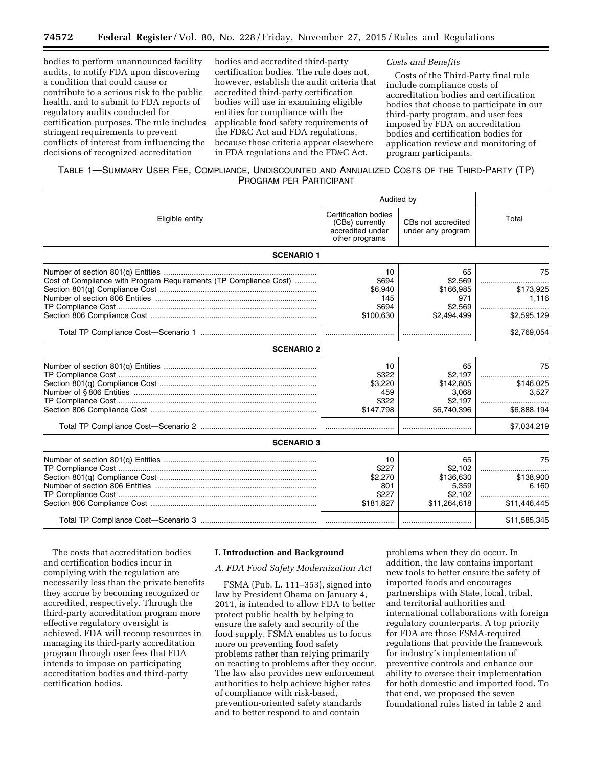bodies to perform unannounced facility audits, to notify FDA upon discovering a condition that could cause or contribute to a serious risk to the public health, and to submit to FDA reports of regulatory audits conducted for certification purposes. The rule includes stringent requirements to prevent conflicts of interest from influencing the decisions of recognized accreditation

bodies and accredited third-party certification bodies. The rule does not, however, establish the audit criteria that accredited third-party certification bodies will use in examining eligible entities for compliance with the applicable food safety requirements of the FD&C Act and FDA regulations, because those criteria appear elsewhere in FDA regulations and the FD&C Act.

#### *Costs and Benefits*

Costs of the Third-Party final rule include compliance costs of accreditation bodies and certification bodies that choose to participate in our third-party program, and user fees imposed by FDA on accreditation bodies and certification bodies for application review and monitoring of program participants.

# TABLE 1—SUMMARY USER FEE, COMPLIANCE, UNDISCOUNTED AND ANNUALIZED COSTS OF THE THIRD-PARTY (TP) PROGRAM PER PARTICIPANT

|                                                                   | Audited by                                                                    |                                         |              |  |
|-------------------------------------------------------------------|-------------------------------------------------------------------------------|-----------------------------------------|--------------|--|
| Eligible entity                                                   | Certification bodies<br>(CBs) currently<br>accredited under<br>other programs | CBs not accredited<br>under any program | Total        |  |
| <b>SCENARIO 1</b>                                                 |                                                                               |                                         |              |  |
|                                                                   | 10                                                                            | 65                                      | 75           |  |
| Cost of Compliance with Program Requirements (TP Compliance Cost) | \$694                                                                         | \$2.569                                 |              |  |
|                                                                   | \$6.940                                                                       | \$166,985                               | \$173,925    |  |
|                                                                   | 145                                                                           | 971                                     | 1,116        |  |
|                                                                   | \$694                                                                         | \$2.569                                 |              |  |
|                                                                   | \$100,630                                                                     | \$2,494,499                             | \$2,595,129  |  |
|                                                                   |                                                                               |                                         | \$2,769,054  |  |
| <b>SCENARIO 2</b>                                                 |                                                                               |                                         |              |  |
|                                                                   | 10                                                                            | 65                                      | 75           |  |
|                                                                   | \$322                                                                         | \$2,197                                 |              |  |
|                                                                   | \$3,220                                                                       | \$142,805                               | \$146,025    |  |
|                                                                   | 459                                                                           | 3,068                                   | 3.527        |  |
|                                                                   | \$322                                                                         | \$2,197                                 |              |  |
|                                                                   | \$147,798                                                                     | \$6,740,396                             | \$6,888,194  |  |
|                                                                   |                                                                               |                                         | \$7,034,219  |  |
| <b>SCENARIO 3</b>                                                 |                                                                               |                                         |              |  |
|                                                                   | 10                                                                            | 65                                      | 75           |  |
|                                                                   | \$227                                                                         | \$2.102                                 |              |  |
|                                                                   | \$2,270                                                                       | \$136,630                               | \$138,900    |  |
|                                                                   | 801                                                                           | 5,359                                   | 6,160        |  |
|                                                                   | \$227                                                                         | \$2.102                                 |              |  |
|                                                                   | \$181,827                                                                     | \$11,264,618                            | \$11,446,445 |  |
|                                                                   |                                                                               |                                         | \$11,585,345 |  |

The costs that accreditation bodies and certification bodies incur in complying with the regulation are necessarily less than the private benefits they accrue by becoming recognized or accredited, respectively. Through the third-party accreditation program more effective regulatory oversight is achieved. FDA will recoup resources in managing its third-party accreditation program through user fees that FDA intends to impose on participating accreditation bodies and third-party certification bodies.

# **I. Introduction and Background**

#### *A. FDA Food Safety Modernization Act*

FSMA (Pub. L. 111–353), signed into law by President Obama on January 4, 2011, is intended to allow FDA to better protect public health by helping to ensure the safety and security of the food supply. FSMA enables us to focus more on preventing food safety problems rather than relying primarily on reacting to problems after they occur. The law also provides new enforcement authorities to help achieve higher rates of compliance with risk-based, prevention-oriented safety standards and to better respond to and contain

problems when they do occur. In addition, the law contains important new tools to better ensure the safety of imported foods and encourages partnerships with State, local, tribal, and territorial authorities and international collaborations with foreign regulatory counterparts. A top priority for FDA are those FSMA-required regulations that provide the framework for industry's implementation of preventive controls and enhance our ability to oversee their implementation for both domestic and imported food. To that end, we proposed the seven foundational rules listed in table 2 and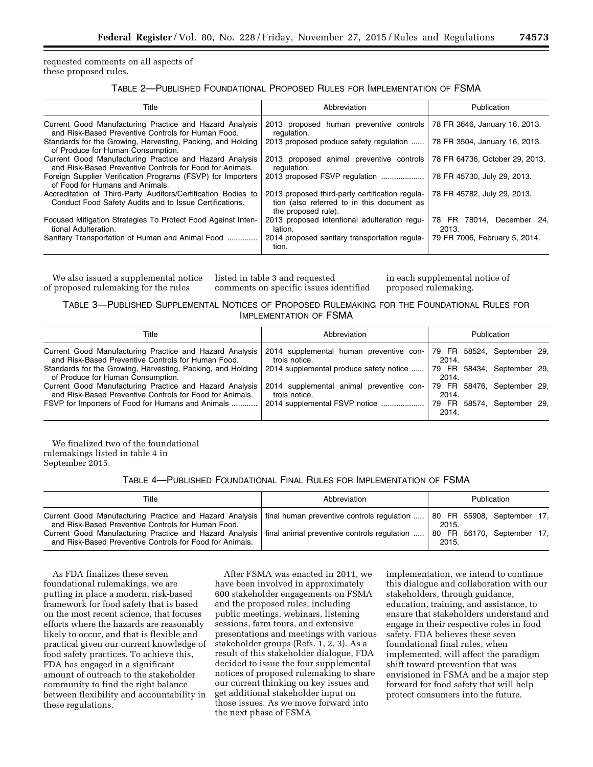requested comments on all aspects of these proposed rules.

TABLE 2—PUBLISHED FOUNDATIONAL PROPOSED RULES FOR IMPLEMENTATION OF FSMA

| Title                                                                                                                    | Abbreviation                                                                                                         | Publication                        |  |
|--------------------------------------------------------------------------------------------------------------------------|----------------------------------------------------------------------------------------------------------------------|------------------------------------|--|
| Current Good Manufacturing Practice and Hazard Analysis<br>and Risk-Based Preventive Controls for Human Food.            | 2013 proposed human preventive controls<br>regulation.                                                               | 78 FR 3646, January 16, 2013.      |  |
| Standards for the Growing, Harvesting, Packing, and Holding<br>of Produce for Human Consumption.                         | 2013 proposed produce safety regulation                                                                              | 78 FR 3504, January 16, 2013.      |  |
| Current Good Manufacturing Practice and Hazard Analysis<br>and Risk-Based Preventive Controls for Food for Animals.      | 2013 proposed animal preventive controls<br>regulation.                                                              | 78 FR 64736, October 29, 2013.     |  |
| Foreign Supplier Verification Programs (FSVP) for Importers<br>of Food for Humans and Animals.                           | 2013 proposed FSVP regulation                                                                                        | 78 FR 45730, July 29, 2013.        |  |
| Accreditation of Third-Party Auditors/Certification Bodies to<br>Conduct Food Safety Audits and to Issue Certifications. | 2013 proposed third-party certification regula-<br>tion (also referred to in this document as<br>the proposed rule). | 78 FR 45782, July 29, 2013.        |  |
| Focused Mitigation Strategies To Protect Food Against Inten-<br>tional Adulteration.                                     | 2013 proposed intentional adulteration regu-<br>lation.                                                              | 78 FR 78014, December 24,<br>2013. |  |
| Sanitary Transportation of Human and Animal Food                                                                         | 2014 proposed sanitary transportation regula-<br>tion.                                                               | 79 FR 7006, February 5, 2014.      |  |

We also issued a supplemental notice of proposed rulemaking for the rules

listed in table 3 and requested comments on specific issues identified

in each supplemental notice of proposed rulemaking.

# TABLE 3—PUBLISHED SUPPLEMENTAL NOTICES OF PROPOSED RULEMAKING FOR THE FOUNDATIONAL RULES FOR IMPLEMENTATION OF FSMA

| Title                                                                                                               | Abbreviation                                              | <b>Publication</b>                  |
|---------------------------------------------------------------------------------------------------------------------|-----------------------------------------------------------|-------------------------------------|
| Current Good Manufacturing Practice and Hazard Analysis<br>and Risk-Based Preventive Controls for Human Food.       | 2014 supplemental human preventive con-<br>trols notice.  | 79 FR 58524, September 29,<br>2014. |
| Standards for the Growing, Harvesting, Packing, and Holding<br>of Produce for Human Consumption.                    | 2014 supplemental produce safety notice                   | 79 FR 58434. September 29.<br>2014. |
| Current Good Manufacturing Practice and Hazard Analysis<br>and Risk-Based Preventive Controls for Food for Animals. | 2014 supplemental animal preventive con-<br>trols notice. | 79 FR 58476, September 29,<br>2014. |
| FSVP for Importers of Food for Humans and Animals                                                                   | 2014 supplemental FSVP notice                             | 79 FR 58574, September 29,<br>2014. |

We finalized two of the foundational rulemakings listed in table 4 in September 2015.

TABLE 4—PUBLISHED FOUNDATIONAL FINAL RULES FOR IMPLEMENTATION OF FSMA

| Title                                                                                                                                                                                                                                                                                                            | Abbreviation                               | <b>Publication</b>                           |  |
|------------------------------------------------------------------------------------------------------------------------------------------------------------------------------------------------------------------------------------------------------------------------------------------------------------------|--------------------------------------------|----------------------------------------------|--|
| Current Good Manufacturing Practice and Hazard Analysis  <br>and Risk-Based Preventive Controls for Human Food.<br>Current Good Manufacturing Practice and Hazard Analysis   final animal preventive controls regulation  80 FR 56170, September 17,<br>and Risk-Based Preventive Controls for Food for Animals. | final human preventive controls regulation | 80 FR 55908, September 17,<br>2015.<br>2015. |  |

As FDA finalizes these seven foundational rulemakings, we are putting in place a modern, risk-based framework for food safety that is based on the most recent science, that focuses efforts where the hazards are reasonably likely to occur, and that is flexible and practical given our current knowledge of food safety practices. To achieve this, FDA has engaged in a significant amount of outreach to the stakeholder community to find the right balance between flexibility and accountability in these regulations.

After FSMA was enacted in 2011, we have been involved in approximately 600 stakeholder engagements on FSMA and the proposed rules, including public meetings, webinars, listening sessions, farm tours, and extensive presentations and meetings with various stakeholder groups (Refs. 1, 2, 3). As a result of this stakeholder dialogue, FDA decided to issue the four supplemental notices of proposed rulemaking to share our current thinking on key issues and get additional stakeholder input on those issues. As we move forward into the next phase of FSMA

implementation, we intend to continue this dialogue and collaboration with our stakeholders, through guidance, education, training, and assistance, to ensure that stakeholders understand and engage in their respective roles in food safety. FDA believes these seven foundational final rules, when implemented, will affect the paradigm shift toward prevention that was envisioned in FSMA and be a major step forward for food safety that will help protect consumers into the future.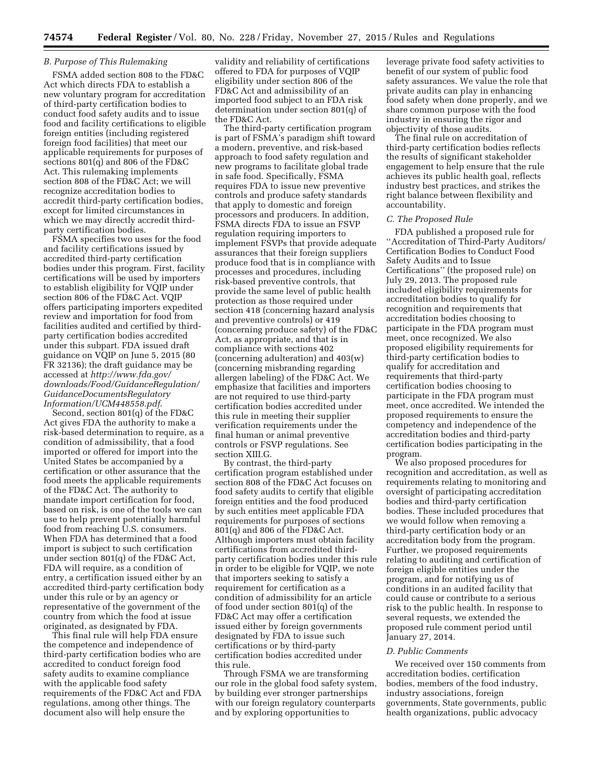## *B. Purpose of This Rulemaking*

FSMA added section 808 to the FD&C Act which directs FDA to establish a new voluntary program for accreditation of third-party certification bodies to conduct food safety audits and to issue food and facility certifications to eligible foreign entities (including registered foreign food facilities) that meet our applicable requirements for purposes of sections 801(q) and 806 of the FD&C Act. This rulemaking implements section 808 of the FD&C Act; we will recognize accreditation bodies to accredit third-party certification bodies, except for limited circumstances in which we may directly accredit thirdparty certification bodies.

FSMA specifies two uses for the food and facility certifications issued by accredited third-party certification bodies under this program. First, facility certifications will be used by importers to establish eligibility for VQIP under section 806 of the FD&C Act. VQIP offers participating importers expedited review and importation for food from facilities audited and certified by thirdparty certification bodies accredited under this subpart. FDA issued draft guidance on VQIP on June 5, 2015 (80 FR 32136); the draft guidance may be accessed at *[http://www.fda.gov/](http://www.fda.gov/downloads/Food/GuidanceRegulation/GuidanceDocumentsRegulatoryInformation/UCM448558.pdf) [downloads/Food/GuidanceRegulation/](http://www.fda.gov/downloads/Food/GuidanceRegulation/GuidanceDocumentsRegulatoryInformation/UCM448558.pdf) [GuidanceDocumentsRegulatory](http://www.fda.gov/downloads/Food/GuidanceRegulation/GuidanceDocumentsRegulatoryInformation/UCM448558.pdf) [Information/UCM448558.pdf](http://www.fda.gov/downloads/Food/GuidanceRegulation/GuidanceDocumentsRegulatoryInformation/UCM448558.pdf)*.

Second, section 801(q) of the FD&C Act gives FDA the authority to make a risk-based determination to require, as a condition of admissibility, that a food imported or offered for import into the United States be accompanied by a certification or other assurance that the food meets the applicable requirements of the FD&C Act. The authority to mandate import certification for food, based on risk, is one of the tools we can use to help prevent potentially harmful food from reaching U.S. consumers. When FDA has determined that a food import is subject to such certification under section 801(q) of the FD&C Act, FDA will require, as a condition of entry, a certification issued either by an accredited third-party certification body under this rule or by an agency or representative of the government of the country from which the food at issue originated, as designated by FDA.

This final rule will help FDA ensure the competence and independence of third-party certification bodies who are accredited to conduct foreign food safety audits to examine compliance with the applicable food safety requirements of the FD&C Act and FDA regulations, among other things. The document also will help ensure the

validity and reliability of certifications offered to FDA for purposes of VQIP eligibility under section 806 of the FD&C Act and admissibility of an imported food subject to an FDA risk determination under section 801(q) of the FD&C Act.

The third-party certification program is part of FSMA's paradigm shift toward a modern, preventive, and risk-based approach to food safety regulation and new programs to facilitate global trade in safe food. Specifically, FSMA requires FDA to issue new preventive controls and produce safety standards that apply to domestic and foreign processors and producers. In addition, FSMA directs FDA to issue an FSVP regulation requiring importers to implement FSVPs that provide adequate assurances that their foreign suppliers produce food that is in compliance with processes and procedures, including risk-based preventive controls, that provide the same level of public health protection as those required under section 418 (concerning hazard analysis and preventive controls) or 419 (concerning produce safety) of the FD&C Act, as appropriate, and that is in compliance with sections 402 (concerning adulteration) and 403(w) (concerning misbranding regarding allergen labeling) of the FD&C Act. We emphasize that facilities and importers are not required to use third-party certification bodies accredited under this rule in meeting their supplier verification requirements under the final human or animal preventive controls or FSVP regulations. See section XIII.G.

By contrast, the third-party certification program established under section 808 of the FD&C Act focuses on food safety audits to certify that eligible foreign entities and the food produced by such entities meet applicable FDA requirements for purposes of sections 801(q) and 806 of the FD&C Act. Although importers must obtain facility certifications from accredited thirdparty certification bodies under this rule in order to be eligible for VQIP, we note that importers seeking to satisfy a requirement for certification as a condition of admissibility for an article of food under section 801(q) of the FD&C Act may offer a certification issued either by foreign governments designated by FDA to issue such certifications or by third-party certification bodies accredited under this rule.

Through FSMA we are transforming our role in the global food safety system, by building ever stronger partnerships with our foreign regulatory counterparts and by exploring opportunities to

leverage private food safety activities to benefit of our system of public food safety assurances. We value the role that private audits can play in enhancing food safety when done properly, and we share common purpose with the food industry in ensuring the rigor and objectivity of those audits.

The final rule on accreditation of third-party certification bodies reflects the results of significant stakeholder engagement to help ensure that the rule achieves its public health goal, reflects industry best practices, and strikes the right balance between flexibility and accountability.

#### *C. The Proposed Rule*

FDA published a proposed rule for ''Accreditation of Third-Party Auditors/ Certification Bodies to Conduct Food Safety Audits and to Issue Certifications'' (the proposed rule) on July 29, 2013. The proposed rule included eligibility requirements for accreditation bodies to qualify for recognition and requirements that accreditation bodies choosing to participate in the FDA program must meet, once recognized. We also proposed eligibility requirements for third-party certification bodies to qualify for accreditation and requirements that third-party certification bodies choosing to participate in the FDA program must meet, once accredited. We intended the proposed requirements to ensure the competency and independence of the accreditation bodies and third-party certification bodies participating in the program.

We also proposed procedures for recognition and accreditation, as well as requirements relating to monitoring and oversight of participating accreditation bodies and third-party certification bodies. These included procedures that we would follow when removing a third-party certification body or an accreditation body from the program. Further, we proposed requirements relating to auditing and certification of foreign eligible entities under the program, and for notifying us of conditions in an audited facility that could cause or contribute to a serious risk to the public health. In response to several requests, we extended the proposed rule comment period until January 27, 2014.

# *D. Public Comments*

We received over 150 comments from accreditation bodies, certification bodies, members of the food industry, industry associations, foreign governments, State governments, public health organizations, public advocacy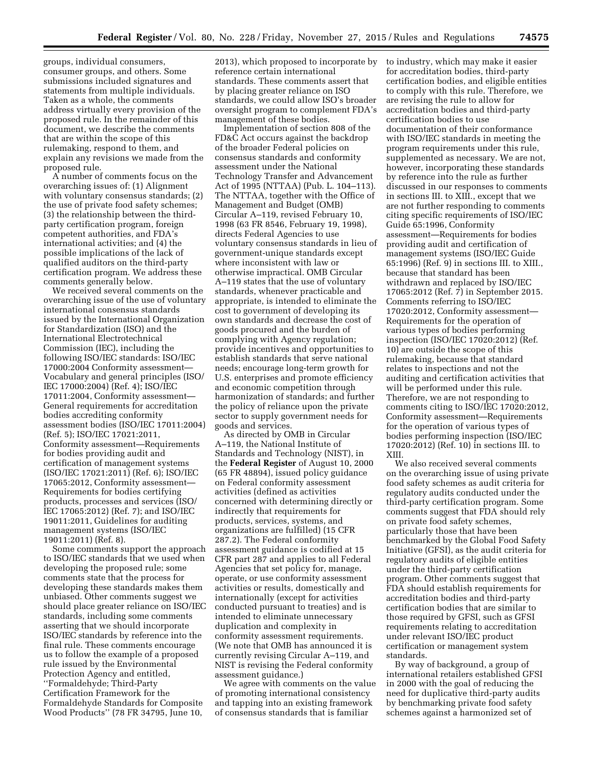groups, individual consumers, consumer groups, and others. Some submissions included signatures and statements from multiple individuals. Taken as a whole, the comments address virtually every provision of the proposed rule. In the remainder of this document, we describe the comments that are within the scope of this rulemaking, respond to them, and explain any revisions we made from the proposed rule.

A number of comments focus on the overarching issues of: (1) Alignment with voluntary consensus standards; (2) the use of private food safety schemes; (3) the relationship between the thirdparty certification program, foreign competent authorities, and FDA's international activities; and (4) the possible implications of the lack of qualified auditors on the third-party certification program. We address these comments generally below.

We received several comments on the overarching issue of the use of voluntary international consensus standards issued by the International Organization for Standardization (ISO) and the International Electrotechnical Commission (IEC), including the following ISO/IEC standards: ISO/IEC 17000:2004 Conformity assessment— Vocabulary and general principles (ISO/ IEC 17000:2004) (Ref. 4); ISO/IEC 17011:2004, Conformity assessment— General requirements for accreditation bodies accrediting conformity assessment bodies (ISO/IEC 17011:2004) (Ref. 5); ISO/IEC 17021:2011, Conformity assessment—Requirements for bodies providing audit and certification of management systems (ISO/IEC 17021:2011) (Ref. 6); ISO/IEC 17065:2012, Conformity assessment— Requirements for bodies certifying products, processes and services (ISO/ IEC 17065:2012) (Ref. 7); and ISO/IEC 19011:2011, Guidelines for auditing management systems (ISO/IEC 19011:2011) (Ref. 8).

Some comments support the approach to ISO/IEC standards that we used when developing the proposed rule; some comments state that the process for developing these standards makes them unbiased. Other comments suggest we should place greater reliance on ISO/IEC standards, including some comments asserting that we should incorporate ISO/IEC standards by reference into the final rule. These comments encourage us to follow the example of a proposed rule issued by the Environmental Protection Agency and entitled, ''Formaldehyde; Third-Party Certification Framework for the Formaldehyde Standards for Composite Wood Products'' (78 FR 34795, June 10,

2013), which proposed to incorporate by reference certain international standards. These comments assert that by placing greater reliance on ISO standards, we could allow ISO's broader oversight program to complement FDA's management of these bodies.

Implementation of section 808 of the FD&C Act occurs against the backdrop of the broader Federal policies on consensus standards and conformity assessment under the National Technology Transfer and Advancement Act of 1995 (NTTAA) (Pub. L. 104–113). The NTTAA, together with the Office of Management and Budget (OMB) Circular A–119, revised February 10, 1998 (63 FR 8546, February 19, 1998), directs Federal Agencies to use voluntary consensus standards in lieu of government-unique standards except where inconsistent with law or otherwise impractical. OMB Circular A–119 states that the use of voluntary standards, whenever practicable and appropriate, is intended to eliminate the cost to government of developing its own standards and decrease the cost of goods procured and the burden of complying with Agency regulation; provide incentives and opportunities to establish standards that serve national needs; encourage long-term growth for U.S. enterprises and promote efficiency and economic competition through harmonization of standards; and further the policy of reliance upon the private sector to supply government needs for goods and services.

As directed by OMB in Circular A–119, the National Institute of Standards and Technology (NIST), in the **Federal Register** of August 10, 2000 (65 FR 48894), issued policy guidance on Federal conformity assessment activities (defined as activities concerned with determining directly or indirectly that requirements for products, services, systems, and organizations are fulfilled) (15 CFR 287.2). The Federal conformity assessment guidance is codified at 15 CFR part 287 and applies to all Federal Agencies that set policy for, manage, operate, or use conformity assessment activities or results, domestically and internationally (except for activities conducted pursuant to treaties) and is intended to eliminate unnecessary duplication and complexity in conformity assessment requirements. (We note that OMB has announced it is currently revising Circular A–119, and NIST is revising the Federal conformity assessment guidance.)

We agree with comments on the value of promoting international consistency and tapping into an existing framework of consensus standards that is familiar

to industry, which may make it easier for accreditation bodies, third-party certification bodies, and eligible entities to comply with this rule. Therefore, we are revising the rule to allow for accreditation bodies and third-party certification bodies to use documentation of their conformance with ISO/IEC standards in meeting the program requirements under this rule, supplemented as necessary. We are not, however, incorporating these standards by reference into the rule as further discussed in our responses to comments in sections III. to XIII., except that we are not further responding to comments citing specific requirements of ISO/IEC Guide 65:1996, Conformity assessment—Requirements for bodies providing audit and certification of management systems (ISO/IEC Guide 65:1996) (Ref. 9) in sections III. to XIII., because that standard has been withdrawn and replaced by ISO/IEC 17065:2012 (Ref. 7) in September 2015. Comments referring to ISO/IEC 17020:2012, Conformity assessment— Requirements for the operation of various types of bodies performing inspection (ISO/IEC 17020:2012) (Ref. 10) are outside the scope of this rulemaking, because that standard relates to inspections and not the auditing and certification activities that will be performed under this rule. Therefore, we are not responding to comments citing to ISO/IEC 17020:2012, Conformity assessment—Requirements for the operation of various types of bodies performing inspection (ISO/IEC 17020:2012) (Ref. 10) in sections III. to XIII.

We also received several comments on the overarching issue of using private food safety schemes as audit criteria for regulatory audits conducted under the third-party certification program. Some comments suggest that FDA should rely on private food safety schemes, particularly those that have been benchmarked by the Global Food Safety Initiative (GFSI), as the audit criteria for regulatory audits of eligible entities under the third-party certification program. Other comments suggest that FDA should establish requirements for accreditation bodies and third-party certification bodies that are similar to those required by GFSI, such as GFSI requirements relating to accreditation under relevant ISO/IEC product certification or management system standards.

By way of background, a group of international retailers established GFSI in 2000 with the goal of reducing the need for duplicative third-party audits by benchmarking private food safety schemes against a harmonized set of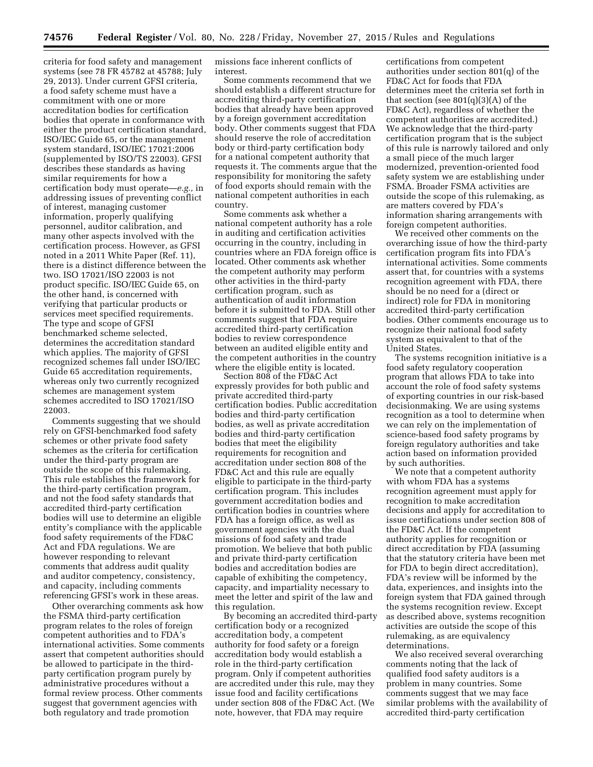criteria for food safety and management systems (see 78 FR 45782 at 45788; July 29, 2013). Under current GFSI criteria, a food safety scheme must have a commitment with one or more accreditation bodies for certification bodies that operate in conformance with either the product certification standard, ISO/IEC Guide 65, or the management system standard, ISO/IEC 17021:2006 (supplemented by ISO/TS 22003). GFSI describes these standards as having similar requirements for how a certification body must operate—*e.g.,* in addressing issues of preventing conflict of interest, managing customer information, properly qualifying personnel, auditor calibration, and many other aspects involved with the certification process. However, as GFSI noted in a 2011 White Paper (Ref. 11), there is a distinct difference between the two. ISO 17021/ISO 22003 is not product specific. ISO/IEC Guide 65, on the other hand, is concerned with verifying that particular products or services meet specified requirements. The type and scope of GFSI benchmarked scheme selected, determines the accreditation standard which applies. The majority of GFSI recognized schemes fall under ISO/IEC Guide 65 accreditation requirements, whereas only two currently recognized schemes are management system schemes accredited to ISO 17021/ISO 22003.

Comments suggesting that we should rely on GFSI-benchmarked food safety schemes or other private food safety schemes as the criteria for certification under the third-party program are outside the scope of this rulemaking. This rule establishes the framework for the third-party certification program, and not the food safety standards that accredited third-party certification bodies will use to determine an eligible entity's compliance with the applicable food safety requirements of the FD&C Act and FDA regulations. We are however responding to relevant comments that address audit quality and auditor competency, consistency, and capacity, including comments referencing GFSI's work in these areas.

Other overarching comments ask how the FSMA third-party certification program relates to the roles of foreign competent authorities and to FDA's international activities. Some comments assert that competent authorities should be allowed to participate in the thirdparty certification program purely by administrative procedures without a formal review process. Other comments suggest that government agencies with both regulatory and trade promotion

missions face inherent conflicts of interest.

Some comments recommend that we should establish a different structure for accrediting third-party certification bodies that already have been approved by a foreign government accreditation body. Other comments suggest that FDA should reserve the role of accreditation body or third-party certification body for a national competent authority that requests it. The comments argue that the responsibility for monitoring the safety of food exports should remain with the national competent authorities in each country.

Some comments ask whether a national competent authority has a role in auditing and certification activities occurring in the country, including in countries where an FDA foreign office is located. Other comments ask whether the competent authority may perform other activities in the third-party certification program, such as authentication of audit information before it is submitted to FDA. Still other comments suggest that FDA require accredited third-party certification bodies to review correspondence between an audited eligible entity and the competent authorities in the country where the eligible entity is located.

Section 808 of the FD&C Act expressly provides for both public and private accredited third-party certification bodies. Public accreditation bodies and third-party certification bodies, as well as private accreditation bodies and third-party certification bodies that meet the eligibility requirements for recognition and accreditation under section 808 of the FD&C Act and this rule are equally eligible to participate in the third-party certification program. This includes government accreditation bodies and certification bodies in countries where FDA has a foreign office, as well as government agencies with the dual missions of food safety and trade promotion. We believe that both public and private third-party certification bodies and accreditation bodies are capable of exhibiting the competency, capacity, and impartiality necessary to meet the letter and spirit of the law and this regulation.

By becoming an accredited third-party certification body or a recognized accreditation body, a competent authority for food safety or a foreign accreditation body would establish a role in the third-party certification program. Only if competent authorities are accredited under this rule, may they issue food and facility certifications under section 808 of the FD&C Act. (We note, however, that FDA may require

certifications from competent authorities under section 801(q) of the FD&C Act for foods that FDA determines meet the criteria set forth in that section (see  $801(q)(3)(A)$  of the FD&C Act), regardless of whether the competent authorities are accredited.) We acknowledge that the third-party certification program that is the subject of this rule is narrowly tailored and only a small piece of the much larger modernized, prevention-oriented food safety system we are establishing under FSMA. Broader FSMA activities are outside the scope of this rulemaking, as are matters covered by FDA's information sharing arrangements with foreign competent authorities.

We received other comments on the overarching issue of how the third-party certification program fits into FDA's international activities. Some comments assert that, for countries with a systems recognition agreement with FDA, there should be no need for a (direct or indirect) role for FDA in monitoring accredited third-party certification bodies. Other comments encourage us to recognize their national food safety system as equivalent to that of the United States.

The systems recognition initiative is a food safety regulatory cooperation program that allows FDA to take into account the role of food safety systems of exporting countries in our risk-based decisionmaking. We are using systems recognition as a tool to determine when we can rely on the implementation of science-based food safety programs by foreign regulatory authorities and take action based on information provided by such authorities.

We note that a competent authority with whom FDA has a systems recognition agreement must apply for recognition to make accreditation decisions and apply for accreditation to issue certifications under section 808 of the FD&C Act. If the competent authority applies for recognition or direct accreditation by FDA (assuming that the statutory criteria have been met for FDA to begin direct accreditation), FDA's review will be informed by the data, experiences, and insights into the foreign system that FDA gained through the systems recognition review. Except as described above, systems recognition activities are outside the scope of this rulemaking, as are equivalency determinations.

We also received several overarching comments noting that the lack of qualified food safety auditors is a problem in many countries. Some comments suggest that we may face similar problems with the availability of accredited third-party certification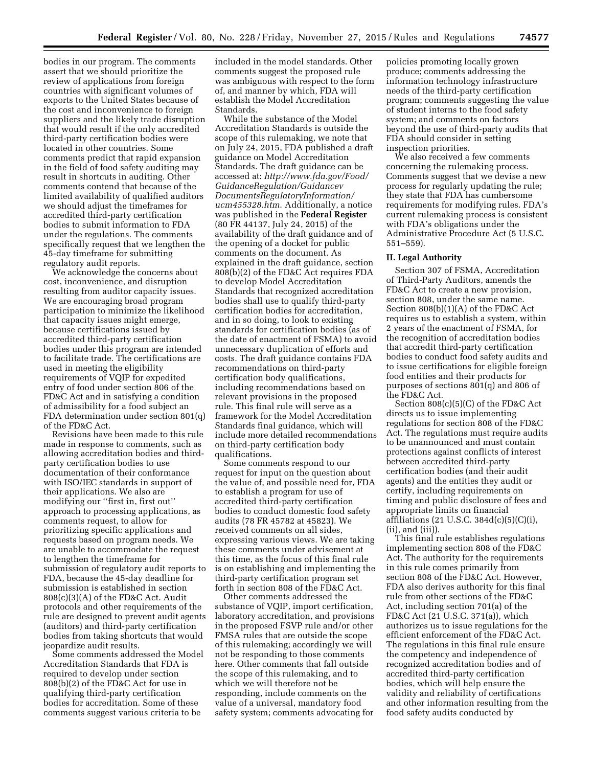bodies in our program. The comments assert that we should prioritize the review of applications from foreign countries with significant volumes of exports to the United States because of the cost and inconvenience to foreign suppliers and the likely trade disruption that would result if the only accredited third-party certification bodies were located in other countries. Some comments predict that rapid expansion in the field of food safety auditing may result in shortcuts in auditing. Other comments contend that because of the limited availability of qualified auditors we should adjust the timeframes for accredited third-party certification bodies to submit information to FDA under the regulations. The comments specifically request that we lengthen the 45-day timeframe for submitting regulatory audit reports.

We acknowledge the concerns about cost, inconvenience, and disruption resulting from auditor capacity issues. We are encouraging broad program participation to minimize the likelihood that capacity issues might emerge, because certifications issued by accredited third-party certification bodies under this program are intended to facilitate trade. The certifications are used in meeting the eligibility requirements of VQIP for expedited entry of food under section 806 of the FD&C Act and in satisfying a condition of admissibility for a food subject an FDA determination under section 801(q) of the FD&C Act.

Revisions have been made to this rule made in response to comments, such as allowing accreditation bodies and thirdparty certification bodies to use documentation of their conformance with ISO/IEC standards in support of their applications. We also are modifying our ''first in, first out'' approach to processing applications, as comments request, to allow for prioritizing specific applications and requests based on program needs. We are unable to accommodate the request to lengthen the timeframe for submission of regulatory audit reports to FDA, because the 45-day deadline for submission is established in section 808(c)(3)(A) of the FD&C Act. Audit protocols and other requirements of the rule are designed to prevent audit agents (auditors) and third-party certification bodies from taking shortcuts that would jeopardize audit results.

Some comments addressed the Model Accreditation Standards that FDA is required to develop under section 808(b)(2) of the FD&C Act for use in qualifying third-party certification bodies for accreditation. Some of these comments suggest various criteria to be

included in the model standards. Other comments suggest the proposed rule was ambiguous with respect to the form of, and manner by which, FDA will establish the Model Accreditation Standards.

While the substance of the Model Accreditation Standards is outside the scope of this rulemaking, we note that on July 24, 2015, FDA published a draft guidance on Model Accreditation Standards. The draft guidance can be accessed at: *[http://www.fda.gov/Food/](http://www.fda.gov/Food/GuidanceRegulation/GuidancevDocumentsRegulatoryInformation/ucm455328.htm) [GuidanceRegulation/Guidancev](http://www.fda.gov/Food/GuidanceRegulation/GuidancevDocumentsRegulatoryInformation/ucm455328.htm) [DocumentsRegulatoryInformation/](http://www.fda.gov/Food/GuidanceRegulation/GuidancevDocumentsRegulatoryInformation/ucm455328.htm) [ucm455328.htm](http://www.fda.gov/Food/GuidanceRegulation/GuidancevDocumentsRegulatoryInformation/ucm455328.htm)*. Additionally, a notice was published in the **Federal Register**  (80 FR 44137, July 24, 2015) of the availability of the draft guidance and of the opening of a docket for public comments on the document. As explained in the draft guidance, section 808(b)(2) of the FD&C Act requires FDA to develop Model Accreditation Standards that recognized accreditation bodies shall use to qualify third-party certification bodies for accreditation, and in so doing, to look to existing standards for certification bodies (as of the date of enactment of FSMA) to avoid unnecessary duplication of efforts and costs. The draft guidance contains FDA recommendations on third-party certification body qualifications, including recommendations based on relevant provisions in the proposed rule. This final rule will serve as a framework for the Model Accreditation Standards final guidance, which will include more detailed recommendations on third-party certification body qualifications.

Some comments respond to our request for input on the question about the value of, and possible need for, FDA to establish a program for use of accredited third-party certification bodies to conduct domestic food safety audits (78 FR 45782 at 45823). We received comments on all sides, expressing various views. We are taking these comments under advisement at this time, as the focus of this final rule is on establishing and implementing the third-party certification program set forth in section 808 of the FD&C Act.

Other comments addressed the substance of VQIP, import certification, laboratory accreditation, and provisions in the proposed FSVP rule and/or other FMSA rules that are outside the scope of this rulemaking; accordingly we will not be responding to those comments here. Other comments that fall outside the scope of this rulemaking, and to which we will therefore not be responding, include comments on the value of a universal, mandatory food safety system; comments advocating for

policies promoting locally grown produce; comments addressing the information technology infrastructure needs of the third-party certification program; comments suggesting the value of student interns to the food safety system; and comments on factors beyond the use of third-party audits that FDA should consider in setting inspection priorities.

We also received a few comments concerning the rulemaking process. Comments suggest that we devise a new process for regularly updating the rule; they state that FDA has cumbersome requirements for modifying rules. FDA's current rulemaking process is consistent with FDA's obligations under the Administrative Procedure Act (5 U.S.C. 551–559).

## **II. Legal Authority**

Section 307 of FSMA, Accreditation of Third-Party Auditors, amends the FD&C Act to create a new provision, section 808, under the same name. Section 808(b)(1)(A) of the FD&C Act requires us to establish a system, within 2 years of the enactment of FSMA, for the recognition of accreditation bodies that accredit third-party certification bodies to conduct food safety audits and to issue certifications for eligible foreign food entities and their products for purposes of sections 801(q) and 806 of the FD&C Act.

Section 808(c)(5)(C) of the FD&C Act directs us to issue implementing regulations for section 808 of the FD&C Act. The regulations must require audits to be unannounced and must contain protections against conflicts of interest between accredited third-party certification bodies (and their audit agents) and the entities they audit or certify, including requirements on timing and public disclosure of fees and appropriate limits on financial affiliations (21 U.S.C. 384 $d(c)(5)(C)(i)$ , (ii), and (iii)).

This final rule establishes regulations implementing section 808 of the FD&C Act. The authority for the requirements in this rule comes primarily from section 808 of the FD&C Act. However, FDA also derives authority for this final rule from other sections of the FD&C Act, including section 701(a) of the FD&C Act (21 U.S.C. 371(a)), which authorizes us to issue regulations for the efficient enforcement of the FD&C Act. The regulations in this final rule ensure the competency and independence of recognized accreditation bodies and of accredited third-party certification bodies, which will help ensure the validity and reliability of certifications and other information resulting from the food safety audits conducted by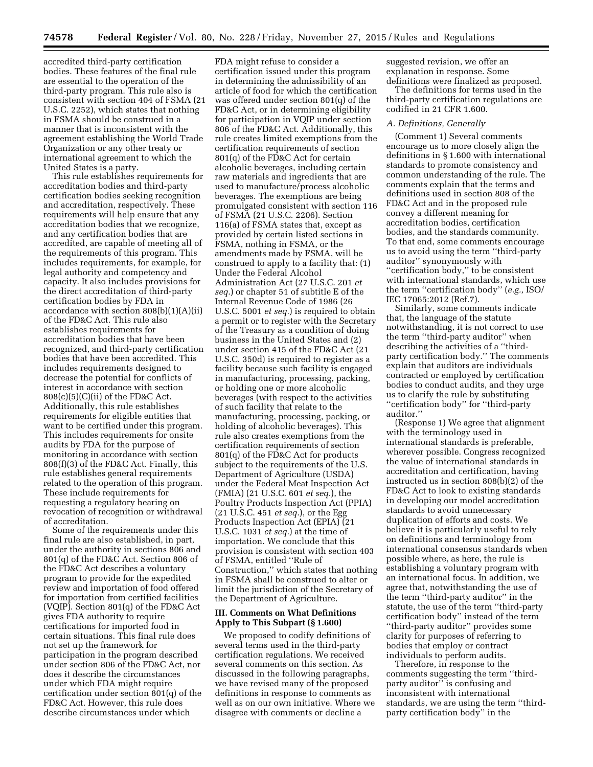accredited third-party certification bodies. These features of the final rule are essential to the operation of the third-party program. This rule also is consistent with section 404 of FSMA (21 U.S.C. 2252), which states that nothing in FSMA should be construed in a manner that is inconsistent with the agreement establishing the World Trade Organization or any other treaty or international agreement to which the United States is a party.

This rule establishes requirements for accreditation bodies and third-party certification bodies seeking recognition and accreditation, respectively. These requirements will help ensure that any accreditation bodies that we recognize, and any certification bodies that are accredited, are capable of meeting all of the requirements of this program. This includes requirements, for example, for legal authority and competency and capacity. It also includes provisions for the direct accreditation of third-party certification bodies by FDA in accordance with section 808(b)(1)(A)(ii) of the FD&C Act. This rule also establishes requirements for accreditation bodies that have been recognized, and third-party certification bodies that have been accredited. This includes requirements designed to decrease the potential for conflicts of interest in accordance with section 808(c)(5)(C)(ii) of the FD&C Act. Additionally, this rule establishes requirements for eligible entities that want to be certified under this program. This includes requirements for onsite audits by FDA for the purpose of monitoring in accordance with section 808(f)(3) of the FD&C Act. Finally, this rule establishes general requirements related to the operation of this program. These include requirements for requesting a regulatory hearing on revocation of recognition or withdrawal of accreditation.

Some of the requirements under this final rule are also established, in part, under the authority in sections 806 and 801(q) of the FD&C Act. Section 806 of the FD&C Act describes a voluntary program to provide for the expedited review and importation of food offered for importation from certified facilities (VQIP). Section 801(q) of the FD&C Act gives FDA authority to require certifications for imported food in certain situations. This final rule does not set up the framework for participation in the program described under section 806 of the FD&C Act, nor does it describe the circumstances under which FDA might require certification under section 801(q) of the FD&C Act. However, this rule does describe circumstances under which

FDA might refuse to consider a certification issued under this program in determining the admissibility of an article of food for which the certification was offered under section 801(q) of the FD&C Act, or in determining eligibility for participation in VQIP under section 806 of the FD&C Act. Additionally, this rule creates limited exemptions from the certification requirements of section 801(q) of the FD&C Act for certain alcoholic beverages, including certain raw materials and ingredients that are used to manufacture/process alcoholic beverages. The exemptions are being promulgated consistent with section 116 of FSMA (21 U.S.C. 2206). Section 116(a) of FSMA states that, except as provided by certain listed sections in FSMA, nothing in FSMA, or the amendments made by FSMA, will be construed to apply to a facility that: (1) Under the Federal Alcohol Administration Act (27 U.S.C. 201 *et seq.*) or chapter 51 of subtitle E of the Internal Revenue Code of 1986 (26 U.S.C. 5001 *et seq.*) is required to obtain a permit or to register with the Secretary of the Treasury as a condition of doing business in the United States and (2) under section 415 of the FD&C Act (21 U.S.C. 350d) is required to register as a facility because such facility is engaged in manufacturing, processing, packing, or holding one or more alcoholic beverages (with respect to the activities of such facility that relate to the manufacturing, processing, packing, or holding of alcoholic beverages). This rule also creates exemptions from the certification requirements of section 801(q) of the FD&C Act for products subject to the requirements of the U.S. Department of Agriculture (USDA) under the Federal Meat Inspection Act (FMIA) (21 U.S.C. 601 *et seq.*), the Poultry Products Inspection Act (PPIA) (21 U.S.C. 451 *et seq.*), or the Egg Products Inspection Act (EPIA) (21 U.S.C. 1031 *et seq.*) at the time of importation. We conclude that this provision is consistent with section 403 of FSMA, entitled ''Rule of Construction,'' which states that nothing in FSMA shall be construed to alter or limit the jurisdiction of the Secretary of the Department of Agriculture.

# **III. Comments on What Definitions Apply to This Subpart (§ 1.600)**

We proposed to codify definitions of several terms used in the third-party certification regulations. We received several comments on this section. As discussed in the following paragraphs, we have revised many of the proposed definitions in response to comments as well as on our own initiative. Where we disagree with comments or decline a

suggested revision, we offer an explanation in response. Some definitions were finalized as proposed.

The definitions for terms used in the third-party certification regulations are codified in 21 CFR 1.600.

#### *A. Definitions, Generally*

(Comment 1) Several comments encourage us to more closely align the definitions in § 1.600 with international standards to promote consistency and common understanding of the rule. The comments explain that the terms and definitions used in section 808 of the FD&C Act and in the proposed rule convey a different meaning for accreditation bodies, certification bodies, and the standards community. To that end, some comments encourage us to avoid using the term ''third-party auditor'' synonymously with ''certification body,'' to be consistent with international standards, which use the term ''certification body'' (*e.g.,* ISO/ IEC 17065:2012 (Ref.7).

Similarly, some comments indicate that, the language of the statute notwithstanding, it is not correct to use the term ''third-party auditor'' when describing the activities of a ''thirdparty certification body.'' The comments explain that auditors are individuals contracted or employed by certification bodies to conduct audits, and they urge us to clarify the rule by substituting ''certification body'' for ''third-party auditor.''

(Response 1) We agree that alignment with the terminology used in international standards is preferable, wherever possible. Congress recognized the value of international standards in accreditation and certification, having instructed us in section 808(b)(2) of the FD&C Act to look to existing standards in developing our model accreditation standards to avoid unnecessary duplication of efforts and costs. We believe it is particularly useful to rely on definitions and terminology from international consensus standards when possible where, as here, the rule is establishing a voluntary program with an international focus. In addition, we agree that, notwithstanding the use of the term ''third-party auditor'' in the statute, the use of the term ''third-party certification body'' instead of the term ''third-party auditor'' provides some clarity for purposes of referring to bodies that employ or contract individuals to perform audits.

Therefore, in response to the comments suggesting the term ''thirdparty auditor" is confusing and inconsistent with international standards, we are using the term ''thirdparty certification body'' in the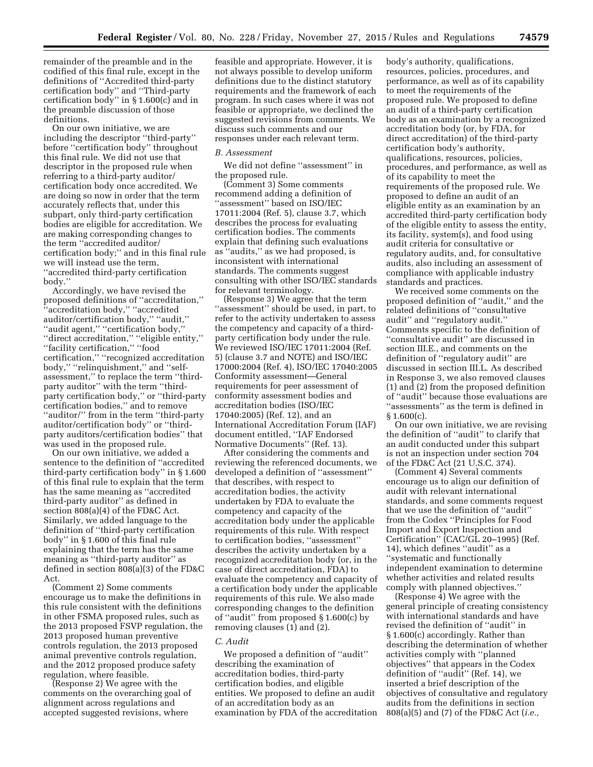remainder of the preamble and in the codified of this final rule, except in the definitions of ''Accredited third-party certification body'' and ''Third-party certification body'' in § 1.600(c) and in the preamble discussion of those definitions.

On our own initiative, we are including the descriptor ''third-party'' before ''certification body'' throughout this final rule. We did not use that descriptor in the proposed rule when referring to a third-party auditor/ certification body once accredited. We are doing so now in order that the term accurately reflects that, under this subpart, only third-party certification bodies are eligible for accreditation. We are making corresponding changes to the term ''accredited auditor/ certification body;'' and in this final rule we will instead use the term, ''accredited third-party certification body.''

Accordingly, we have revised the proposed definitions of ''accreditation,'' ''accreditation body,'' ''accredited auditor/certification body,'' ''audit,'' ''audit agent,'' ''certification body,'' ''direct accreditation,'' ''eligible entity,'' ''facility certification,'' ''food certification,'' ''recognized accreditation body,'' ''relinquishment,'' and ''selfassessment,'' to replace the term ''thirdparty auditor'' with the term ''thirdparty certification body,'' or ''third-party certification bodies,'' and to remove ''auditor/'' from in the term ''third-party auditor/certification body'' or ''thirdparty auditors/certification bodies'' that was used in the proposed rule.

On our own initiative, we added a sentence to the definition of ''accredited third-party certification body'' in § 1.600 of this final rule to explain that the term has the same meaning as ''accredited third-party auditor'' as defined in section 808(a)(4) of the FD&C Act. Similarly, we added language to the definition of ''third-party certification body'' in § 1.600 of this final rule explaining that the term has the same meaning as ''third-party auditor'' as defined in section 808(a)(3) of the FD&C Act.

(Comment 2) Some comments encourage us to make the definitions in this rule consistent with the definitions in other FSMA proposed rules, such as the 2013 proposed FSVP regulation, the 2013 proposed human preventive controls regulation, the 2013 proposed animal preventive controls regulation, and the 2012 proposed produce safety regulation, where feasible.

(Response 2) We agree with the comments on the overarching goal of alignment across regulations and accepted suggested revisions, where

feasible and appropriate. However, it is not always possible to develop uniform definitions due to the distinct statutory requirements and the framework of each program. In such cases where it was not feasible or appropriate, we declined the suggested revisions from comments. We discuss such comments and our responses under each relevant term.

#### *B. Assessment*

We did not define ''assessment'' in the proposed rule.

(Comment 3) Some comments recommend adding a definition of ''assessment'' based on ISO/IEC 17011:2004 (Ref. 5), clause 3.7, which describes the process for evaluating certification bodies. The comments explain that defining such evaluations as ''audits,'' as we had proposed, is inconsistent with international standards. The comments suggest consulting with other ISO/IEC standards for relevant terminology.

(Response 3) We agree that the term "assessment" should be used, in part, to refer to the activity undertaken to assess the competency and capacity of a thirdparty certification body under the rule. We reviewed ISO/IEC 17011:2004 (Ref. 5) (clause 3.7 and NOTE) and ISO/IEC 17000:2004 (Ref. 4), ISO/IEC 17040:2005 Conformity assessment—General requirements for peer assessment of conformity assessment bodies and accreditation bodies (ISO/IEC 17040:2005) (Ref. 12), and an International Accreditation Forum (IAF) document entitled, ''IAF Endorsed Normative Documents'' (Ref. 13).

After considering the comments and reviewing the referenced documents, we developed a definition of ''assessment'' that describes, with respect to accreditation bodies, the activity undertaken by FDA to evaluate the competency and capacity of the accreditation body under the applicable requirements of this rule. With respect to certification bodies, ''assessment'' describes the activity undertaken by a recognized accreditation body (or, in the case of direct accreditation, FDA) to evaluate the competency and capacity of a certification body under the applicable requirements of this rule. We also made corresponding changes to the definition of ''audit'' from proposed § 1.600(c) by removing clauses (1) and (2).

#### *C. Audit*

We proposed a definition of ''audit'' describing the examination of accreditation bodies, third-party certification bodies, and eligible entities. We proposed to define an audit of an accreditation body as an examination by FDA of the accreditation

body's authority, qualifications, resources, policies, procedures, and performance, as well as of its capability to meet the requirements of the proposed rule. We proposed to define an audit of a third-party certification body as an examination by a recognized accreditation body (or, by FDA, for direct accreditation) of the third-party certification body's authority, qualifications, resources, policies, procedures, and performance, as well as of its capability to meet the requirements of the proposed rule. We proposed to define an audit of an eligible entity as an examination by an accredited third-party certification body of the eligible entity to assess the entity, its facility, system(s), and food using audit criteria for consultative or regulatory audits, and, for consultative audits, also including an assessment of compliance with applicable industry standards and practices.

We received some comments on the proposed definition of ''audit,'' and the related definitions of ''consultative audit'' and ''regulatory audit.'' Comments specific to the definition of ''consultative audit'' are discussed in section III.E., and comments on the definition of ''regulatory audit'' are discussed in section III.L. As described in Response 3, we also removed clauses (1) and (2) from the proposed definition of ''audit'' because those evaluations are ''assessments'' as the term is defined in § 1.600(c).

On our own initiative, we are revising the definition of ''audit'' to clarify that an audit conducted under this subpart is not an inspection under section 704 of the FD&C Act (21 U.S.C. 374).

(Comment 4) Several comments encourage us to align our definition of audit with relevant international standards, and some comments request that we use the definition of ''audit'' from the Codex ''Principles for Food Import and Export Inspection and Certification'' (CAC/GL 20–1995) (Ref. 14), which defines ''audit'' as a ''systematic and functionally independent examination to determine whether activities and related results comply with planned objectives.''

(Response 4) We agree with the general principle of creating consistency with international standards and have revised the definition of ''audit'' in § 1.600(c) accordingly. Rather than describing the determination of whether activities comply with ''planned objectives'' that appears in the Codex definition of ''audit'' (Ref. 14), we inserted a brief description of the objectives of consultative and regulatory audits from the definitions in section 808(a)(5) and (7) of the FD&C Act (*i.e.,*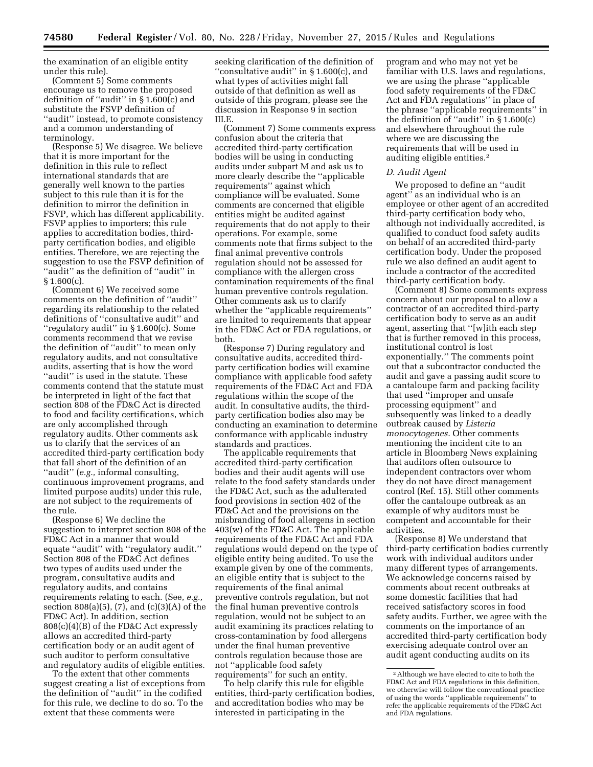the examination of an eligible entity under this rule).

(Comment 5) Some comments encourage us to remove the proposed definition of ''audit'' in § 1.600(c) and substitute the FSVP definition of ''audit'' instead, to promote consistency and a common understanding of terminology.

(Response 5) We disagree. We believe that it is more important for the definition in this rule to reflect international standards that are generally well known to the parties subject to this rule than it is for the definition to mirror the definition in FSVP, which has different applicability. FSVP applies to importers; this rule applies to accreditation bodies, thirdparty certification bodies, and eligible entities. Therefore, we are rejecting the suggestion to use the FSVP definition of ''audit'' as the definition of ''audit'' in § 1.600(c).

(Comment 6) We received some comments on the definition of ''audit'' regarding its relationship to the related definitions of ''consultative audit'' and ''regulatory audit'' in § 1.600(c). Some comments recommend that we revise the definition of ''audit'' to mean only regulatory audits, and not consultative audits, asserting that is how the word ''audit'' is used in the statute. These comments contend that the statute must be interpreted in light of the fact that section 808 of the FD&C Act is directed to food and facility certifications, which are only accomplished through regulatory audits. Other comments ask us to clarify that the services of an accredited third-party certification body that fall short of the definition of an ''audit'' (*e.g.,* informal consulting, continuous improvement programs, and limited purpose audits) under this rule, are not subject to the requirements of the rule.

(Response 6) We decline the suggestion to interpret section 808 of the FD&C Act in a manner that would equate ''audit'' with ''regulatory audit.'' Section 808 of the FD&C Act defines two types of audits used under the program, consultative audits and regulatory audits, and contains requirements relating to each. (See, *e.g.,*  section 808(a)(5), (7), and (c)(3)(A) of the FD&C Act). In addition, section 808(c)(4)(B) of the FD&C Act expressly allows an accredited third-party certification body or an audit agent of such auditor to perform consultative and regulatory audits of eligible entities.

To the extent that other comments suggest creating a list of exceptions from the definition of ''audit'' in the codified for this rule, we decline to do so. To the extent that these comments were

seeking clarification of the definition of ''consultative audit'' in § 1.600(c), and what types of activities might fall outside of that definition as well as outside of this program, please see the discussion in Response 9 in section III.E.

(Comment 7) Some comments express confusion about the criteria that accredited third-party certification bodies will be using in conducting audits under subpart M and ask us to more clearly describe the ''applicable requirements'' against which compliance will be evaluated. Some comments are concerned that eligible entities might be audited against requirements that do not apply to their operations. For example, some comments note that firms subject to the final animal preventive controls regulation should not be assessed for compliance with the allergen cross contamination requirements of the final human preventive controls regulation. Other comments ask us to clarify whether the ''applicable requirements'' are limited to requirements that appear in the FD&C Act or FDA regulations, or both.

(Response 7) During regulatory and consultative audits, accredited thirdparty certification bodies will examine compliance with applicable food safety requirements of the FD&C Act and FDA regulations within the scope of the audit. In consultative audits, the thirdparty certification bodies also may be conducting an examination to determine conformance with applicable industry standards and practices.

The applicable requirements that accredited third-party certification bodies and their audit agents will use relate to the food safety standards under the FD&C Act, such as the adulterated food provisions in section 402 of the FD&C Act and the provisions on the misbranding of food allergens in section 403(w) of the FD&C Act. The applicable requirements of the FD&C Act and FDA regulations would depend on the type of eligible entity being audited. To use the example given by one of the comments, an eligible entity that is subject to the requirements of the final animal preventive controls regulation, but not the final human preventive controls regulation, would not be subject to an audit examining its practices relating to cross-contamination by food allergens under the final human preventive controls regulation because those are not ''applicable food safety requirements'' for such an entity.

To help clarify this rule for eligible entities, third-party certification bodies, and accreditation bodies who may be interested in participating in the

program and who may not yet be familiar with U.S. laws and regulations, we are using the phrase ''applicable food safety requirements of the FD&C Act and FDA regulations'' in place of the phrase ''applicable requirements'' in the definition of ''audit'' in § 1.600(c) and elsewhere throughout the rule where we are discussing the requirements that will be used in auditing eligible entities.2

#### *D. Audit Agent*

We proposed to define an ''audit agent'' as an individual who is an employee or other agent of an accredited third-party certification body who, although not individually accredited, is qualified to conduct food safety audits on behalf of an accredited third-party certification body. Under the proposed rule we also defined an audit agent to include a contractor of the accredited third-party certification body.

(Comment 8) Some comments express concern about our proposal to allow a contractor of an accredited third-party certification body to serve as an audit agent, asserting that ''[w]ith each step that is further removed in this process, institutional control is lost exponentially.'' The comments point out that a subcontractor conducted the audit and gave a passing audit score to a cantaloupe farm and packing facility that used ''improper and unsafe processing equipment'' and subsequently was linked to a deadly outbreak caused by *Listeria monocytogenes*. Other comments mentioning the incident cite to an article in Bloomberg News explaining that auditors often outsource to independent contractors over whom they do not have direct management control (Ref. 15). Still other comments offer the cantaloupe outbreak as an example of why auditors must be competent and accountable for their activities.

(Response 8) We understand that third-party certification bodies currently work with individual auditors under many different types of arrangements. We acknowledge concerns raised by comments about recent outbreaks at some domestic facilities that had received satisfactory scores in food safety audits. Further, we agree with the comments on the importance of an accredited third-party certification body exercising adequate control over an audit agent conducting audits on its

<sup>2</sup>Although we have elected to cite to both the FD&C Act and FDA regulations in this definition, we otherwise will follow the conventional practice of using the words ''applicable requirements'' to refer the applicable requirements of the FD&C Act and FDA regulations.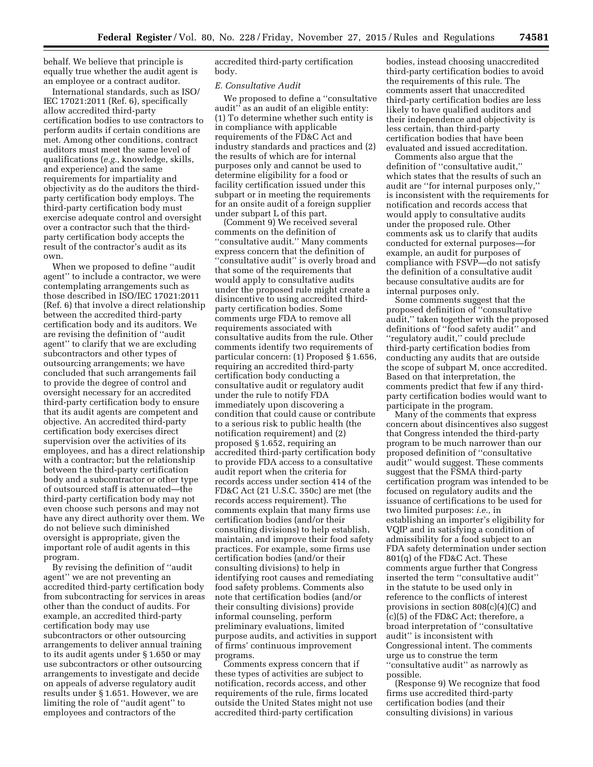behalf. We believe that principle is equally true whether the audit agent is an employee or a contract auditor.

International standards, such as ISO/ IEC 17021:2011 (Ref. 6), specifically allow accredited third-party certification bodies to use contractors to perform audits if certain conditions are met. Among other conditions, contract auditors must meet the same level of qualifications (*e.g.,* knowledge, skills, and experience) and the same requirements for impartiality and objectivity as do the auditors the thirdparty certification body employs. The third-party certification body must exercise adequate control and oversight over a contractor such that the thirdparty certification body accepts the result of the contractor's audit as its own.

When we proposed to define ''audit agent'' to include a contractor, we were contemplating arrangements such as those described in ISO/IEC 17021:2011 (Ref. 6) that involve a direct relationship between the accredited third-party certification body and its auditors. We are revising the definition of ''audit agent'' to clarify that we are excluding subcontractors and other types of outsourcing arrangements; we have concluded that such arrangements fail to provide the degree of control and oversight necessary for an accredited third-party certification body to ensure that its audit agents are competent and objective. An accredited third-party certification body exercises direct supervision over the activities of its employees, and has a direct relationship with a contractor; but the relationship between the third-party certification body and a subcontractor or other type of outsourced staff is attenuated—the third-party certification body may not even choose such persons and may not have any direct authority over them. We do not believe such diminished oversight is appropriate, given the important role of audit agents in this program.

By revising the definition of ''audit agent'' we are not preventing an accredited third-party certification body from subcontracting for services in areas other than the conduct of audits. For example, an accredited third-party certification body may use subcontractors or other outsourcing arrangements to deliver annual training to its audit agents under § 1.650 or may use subcontractors or other outsourcing arrangements to investigate and decide on appeals of adverse regulatory audit results under § 1.651. However, we are limiting the role of ''audit agent'' to employees and contractors of the

accredited third-party certification body.

#### *E. Consultative Audit*

We proposed to define a ''consultative audit'' as an audit of an eligible entity: (1) To determine whether such entity is in compliance with applicable requirements of the FD&C Act and industry standards and practices and (2) the results of which are for internal purposes only and cannot be used to determine eligibility for a food or facility certification issued under this subpart or in meeting the requirements for an onsite audit of a foreign supplier under subpart L of this part.

(Comment 9) We received several comments on the definition of ''consultative audit.'' Many comments express concern that the definition of ''consultative audit'' is overly broad and that some of the requirements that would apply to consultative audits under the proposed rule might create a disincentive to using accredited thirdparty certification bodies. Some comments urge FDA to remove all requirements associated with consultative audits from the rule. Other comments identify two requirements of particular concern: (1) Proposed § 1.656, requiring an accredited third-party certification body conducting a consultative audit or regulatory audit under the rule to notify FDA immediately upon discovering a condition that could cause or contribute to a serious risk to public health (the notification requirement) and (2) proposed § 1.652, requiring an accredited third-party certification body to provide FDA access to a consultative audit report when the criteria for records access under section 414 of the FD&C Act (21 U.S.C. 350c) are met (the records access requirement). The comments explain that many firms use certification bodies (and/or their consulting divisions) to help establish, maintain, and improve their food safety practices. For example, some firms use certification bodies (and/or their consulting divisions) to help in identifying root causes and remediating food safety problems. Comments also note that certification bodies (and/or their consulting divisions) provide informal counseling, perform preliminary evaluations, limited purpose audits, and activities in support of firms' continuous improvement programs.

Comments express concern that if these types of activities are subject to notification, records access, and other requirements of the rule, firms located outside the United States might not use accredited third-party certification

bodies, instead choosing unaccredited third-party certification bodies to avoid the requirements of this rule. The comments assert that unaccredited third-party certification bodies are less likely to have qualified auditors and their independence and objectivity is less certain, than third-party certification bodies that have been evaluated and issued accreditation.

Comments also argue that the definition of ''consultative audit,'' which states that the results of such an audit are ''for internal purposes only,'' is inconsistent with the requirements for notification and records access that would apply to consultative audits under the proposed rule. Other comments ask us to clarify that audits conducted for external purposes—for example, an audit for purposes of compliance with FSVP—do not satisfy the definition of a consultative audit because consultative audits are for internal purposes only.

Some comments suggest that the proposed definition of ''consultative audit,'' taken together with the proposed definitions of ''food safety audit'' and ''regulatory audit,'' could preclude third-party certification bodies from conducting any audits that are outside the scope of subpart M, once accredited. Based on that interpretation, the comments predict that few if any thirdparty certification bodies would want to participate in the program.

Many of the comments that express concern about disincentives also suggest that Congress intended the third-party program to be much narrower than our proposed definition of ''consultative audit'' would suggest. These comments suggest that the FSMA third-party certification program was intended to be focused on regulatory audits and the issuance of certifications to be used for two limited purposes: *i.e.,* in establishing an importer's eligibility for VQIP and in satisfying a condition of admissibility for a food subject to an FDA safety determination under section 801(q) of the FD&C Act. These comments argue further that Congress inserted the term ''consultative audit'' in the statute to be used only in reference to the conflicts of interest provisions in section 808(c)(4)(C) and (c)(5) of the FD&C Act; therefore, a broad interpretation of ''consultative audit'' is inconsistent with Congressional intent. The comments urge us to construe the term ''consultative audit'' as narrowly as possible.

(Response 9) We recognize that food firms use accredited third-party certification bodies (and their consulting divisions) in various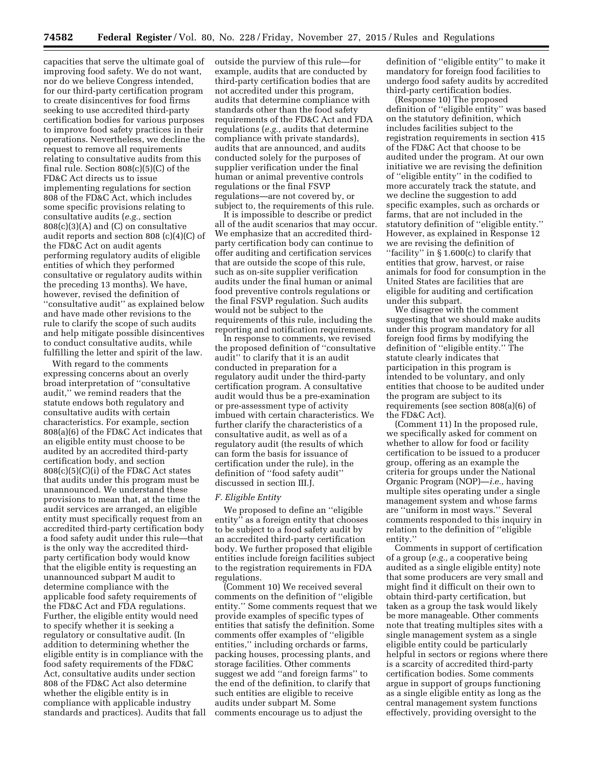capacities that serve the ultimate goal of improving food safety. We do not want, nor do we believe Congress intended, for our third-party certification program to create disincentives for food firms seeking to use accredited third-party certification bodies for various purposes to improve food safety practices in their operations. Nevertheless, we decline the request to remove all requirements relating to consultative audits from this final rule. Section 808(c)(5)(C) of the FD&C Act directs us to issue implementing regulations for section 808 of the FD&C Act, which includes some specific provisions relating to consultative audits (*e.g.,* section 808(c)(3)(A) and (C) on consultative audit reports and section 808 (c)(4)(C) of the FD&C Act on audit agents performing regulatory audits of eligible entities of which they performed consultative or regulatory audits within the preceding 13 months). We have, however, revised the definition of ''consultative audit'' as explained below and have made other revisions to the rule to clarify the scope of such audits and help mitigate possible disincentives to conduct consultative audits, while fulfilling the letter and spirit of the law.

With regard to the comments expressing concerns about an overly broad interpretation of ''consultative audit,'' we remind readers that the statute endows both regulatory and consultative audits with certain characteristics. For example, section 808(a)(6) of the FD&C Act indicates that an eligible entity must choose to be audited by an accredited third-party certification body, and section  $808(c)(5)(C)(i)$  of the FD&C Act states that audits under this program must be unannounced. We understand these provisions to mean that, at the time the audit services are arranged, an eligible entity must specifically request from an accredited third-party certification body a food safety audit under this rule—that is the only way the accredited thirdparty certification body would know that the eligible entity is requesting an unannounced subpart M audit to determine compliance with the applicable food safety requirements of the FD&C Act and FDA regulations. Further, the eligible entity would need to specify whether it is seeking a regulatory or consultative audit. (In addition to determining whether the eligible entity is in compliance with the food safety requirements of the FD&C Act, consultative audits under section 808 of the FD&C Act also determine whether the eligible entity is in compliance with applicable industry standards and practices). Audits that fall outside the purview of this rule—for example, audits that are conducted by third-party certification bodies that are not accredited under this program, audits that determine compliance with standards other than the food safety requirements of the FD&C Act and FDA regulations (*e.g.,* audits that determine compliance with private standards), audits that are announced, and audits conducted solely for the purposes of supplier verification under the final human or animal preventive controls regulations or the final FSVP regulations—are not covered by, or subject to, the requirements of this rule.

It is impossible to describe or predict all of the audit scenarios that may occur. We emphasize that an accredited thirdparty certification body can continue to offer auditing and certification services that are outside the scope of this rule, such as on-site supplier verification audits under the final human or animal food preventive controls regulations or the final FSVP regulation. Such audits would not be subject to the requirements of this rule, including the reporting and notification requirements.

In response to comments, we revised the proposed definition of ''consultative audit'' to clarify that it is an audit conducted in preparation for a regulatory audit under the third-party certification program. A consultative audit would thus be a pre-examination or pre-assessment type of activity imbued with certain characteristics. We further clarify the characteristics of a consultative audit, as well as of a regulatory audit (the results of which can form the basis for issuance of certification under the rule), in the definition of ''food safety audit'' discussed in section III.J.

#### *F. Eligible Entity*

We proposed to define an ''eligible entity'' as a foreign entity that chooses to be subject to a food safety audit by an accredited third-party certification body. We further proposed that eligible entities include foreign facilities subject to the registration requirements in FDA regulations.

(Comment 10) We received several comments on the definition of ''eligible entity.'' Some comments request that we provide examples of specific types of entities that satisfy the definition. Some comments offer examples of ''eligible entities,'' including orchards or farms, packing houses, processing plants, and storage facilities. Other comments suggest we add ''and foreign farms'' to the end of the definition, to clarify that such entities are eligible to receive audits under subpart M. Some comments encourage us to adjust the

definition of ''eligible entity'' to make it mandatory for foreign food facilities to undergo food safety audits by accredited third-party certification bodies.

(Response 10) The proposed definition of ''eligible entity'' was based on the statutory definition, which includes facilities subject to the registration requirements in section 415 of the FD&C Act that choose to be audited under the program. At our own initiative we are revising the definition of ''eligible entity'' in the codified to more accurately track the statute, and we decline the suggestion to add specific examples, such as orchards or farms, that are not included in the statutory definition of ''eligible entity.'' However, as explained in Response 12 we are revising the definition of ''facility'' in § 1.600(c) to clarify that entities that grow, harvest, or raise animals for food for consumption in the United States are facilities that are eligible for auditing and certification under this subpart.

We disagree with the comment suggesting that we should make audits under this program mandatory for all foreign food firms by modifying the definition of ''eligible entity.'' The statute clearly indicates that participation in this program is intended to be voluntary, and only entities that choose to be audited under the program are subject to its requirements (see section 808(a)(6) of the FD&C Act).

(Comment 11) In the proposed rule, we specifically asked for comment on whether to allow for food or facility certification to be issued to a producer group, offering as an example the criteria for groups under the National Organic Program (NOP)—*i.e.,* having multiple sites operating under a single management system and whose farms are ''uniform in most ways.'' Several comments responded to this inquiry in relation to the definition of ''eligible entity.''

Comments in support of certification of a group (*e.g.,* a cooperative being audited as a single eligible entity) note that some producers are very small and might find it difficult on their own to obtain third-party certification, but taken as a group the task would likely be more manageable. Other comments note that treating multiples sites with a single management system as a single eligible entity could be particularly helpful in sectors or regions where there is a scarcity of accredited third-party certification bodies. Some comments argue in support of groups functioning as a single eligible entity as long as the central management system functions effectively, providing oversight to the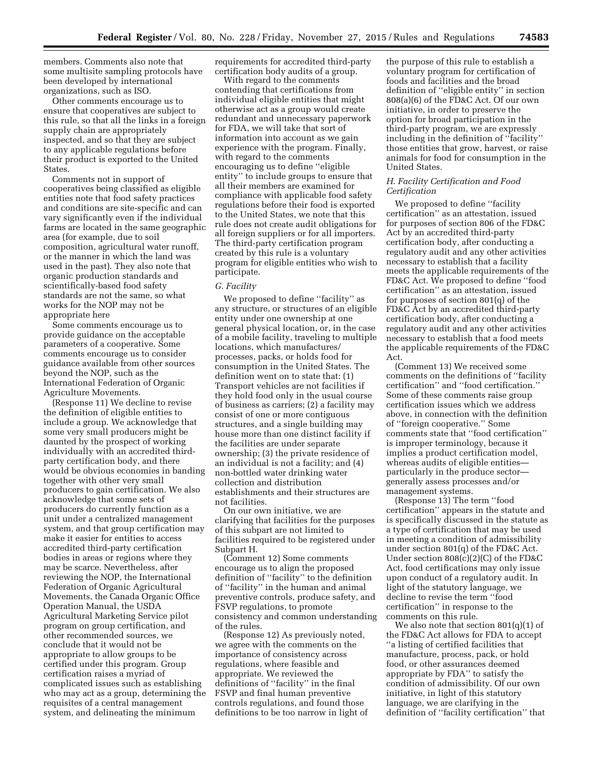members. Comments also note that some multisite sampling protocols have been developed by international organizations, such as ISO.

Other comments encourage us to ensure that cooperatives are subject to this rule, so that all the links in a foreign supply chain are appropriately inspected, and so that they are subject to any applicable regulations before their product is exported to the United States.

Comments not in support of cooperatives being classified as eligible entities note that food safety practices and conditions are site-specific and can vary significantly even if the individual farms are located in the same geographic area (for example, due to soil composition, agricultural water runoff, or the manner in which the land was used in the past). They also note that organic production standards and scientifically-based food safety standards are not the same, so what works for the NOP may not be appropriate here

Some comments encourage us to provide guidance on the acceptable parameters of a cooperative. Some comments encourage us to consider guidance available from other sources beyond the NOP, such as the International Federation of Organic Agriculture Movements.

(Response 11) We decline to revise the definition of eligible entities to include a group. We acknowledge that some very small producers might be daunted by the prospect of working individually with an accredited thirdparty certification body, and there would be obvious economies in banding together with other very small producers to gain certification. We also acknowledge that some sets of producers do currently function as a unit under a centralized management system, and that group certification may make it easier for entities to access accredited third-party certification bodies in areas or regions where they may be scarce. Nevertheless, after reviewing the NOP, the International Federation of Organic Agricultural Movements, the Canada Organic Office Operation Manual, the USDA Agricultural Marketing Service pilot program on group certification, and other recommended sources, we conclude that it would not be appropriate to allow groups to be certified under this program. Group certification raises a myriad of complicated issues such as establishing who may act as a group, determining the requisites of a central management system, and delineating the minimum

requirements for accredited third-party certification body audits of a group.

With regard to the comments contending that certifications from individual eligible entities that might otherwise act as a group would create redundant and unnecessary paperwork for FDA, we will take that sort of information into account as we gain experience with the program. Finally, with regard to the comments encouraging us to define ''eligible entity'' to include groups to ensure that all their members are examined for compliance with applicable food safety regulations before their food is exported to the United States, we note that this rule does not create audit obligations for all foreign suppliers or for all importers. The third-party certification program created by this rule is a voluntary program for eligible entities who wish to participate.

# *G. Facility*

We proposed to define "facility" as any structure, or structures of an eligible entity under one ownership at one general physical location, or, in the case of a mobile facility, traveling to multiple locations, which manufactures/ processes, packs, or holds food for consumption in the United States. The definition went on to state that: (1) Transport vehicles are not facilities if they hold food only in the usual course of business as carriers; (2) a facility may consist of one or more contiguous structures, and a single building may house more than one distinct facility if the facilities are under separate ownership; (3) the private residence of an individual is not a facility; and (4) non-bottled water drinking water collection and distribution establishments and their structures are not facilities.

On our own initiative, we are clarifying that facilities for the purposes of this subpart are not limited to facilities required to be registered under Subpart H.

(Comment 12) Some comments encourage us to align the proposed definition of ''facility'' to the definition of ''facility'' in the human and animal preventive controls, produce safety, and FSVP regulations, to promote consistency and common understanding of the rules.

(Response 12) As previously noted, we agree with the comments on the importance of consistency across regulations, where feasible and appropriate. We reviewed the definitions of ''facility'' in the final FSVP and final human preventive controls regulations, and found those definitions to be too narrow in light of

the purpose of this rule to establish a voluntary program for certification of foods and facilities and the broad definition of ''eligible entity'' in section 808(a)(6) of the FD&C Act. Of our own initiative, in order to preserve the option for broad participation in the third-party program, we are expressly including in the definition of ''facility'' those entities that grow, harvest, or raise animals for food for consumption in the United States.

### *H. Facility Certification and Food Certification*

We proposed to define "facility" certification'' as an attestation, issued for purposes of section 806 of the FD&C Act by an accredited third-party certification body, after conducting a regulatory audit and any other activities necessary to establish that a facility meets the applicable requirements of the FD&C Act. We proposed to define ''food certification'' as an attestation, issued for purposes of section 801(q) of the FD&C Act by an accredited third-party certification body, after conducting a regulatory audit and any other activities necessary to establish that a food meets the applicable requirements of the FD&C Act.

(Comment 13) We received some comments on the definitions of ''facility certification'' and ''food certification.'' Some of these comments raise group certification issues which we address above, in connection with the definition of ''foreign cooperative.'' Some comments state that ''food certification'' is improper terminology, because it implies a product certification model, whereas audits of eligible entities particularly in the produce sector generally assess processes and/or management systems.

(Response 13) The term ''food certification'' appears in the statute and is specifically discussed in the statute as a type of certification that may be used in meeting a condition of admissibility under section 801(q) of the FD&C Act. Under section 808(c)(2)(C) of the FD&C Act, food certifications may only issue upon conduct of a regulatory audit. In light of the statutory language, we decline to revise the term ''food certification'' in response to the comments on this rule.

We also note that section 801(q)(1) of the FD&C Act allows for FDA to accept ''a listing of certified facilities that manufacture, process, pack, or hold food, or other assurances deemed appropriate by FDA'' to satisfy the condition of admissibility. Of our own initiative, in light of this statutory language, we are clarifying in the definition of ''facility certification'' that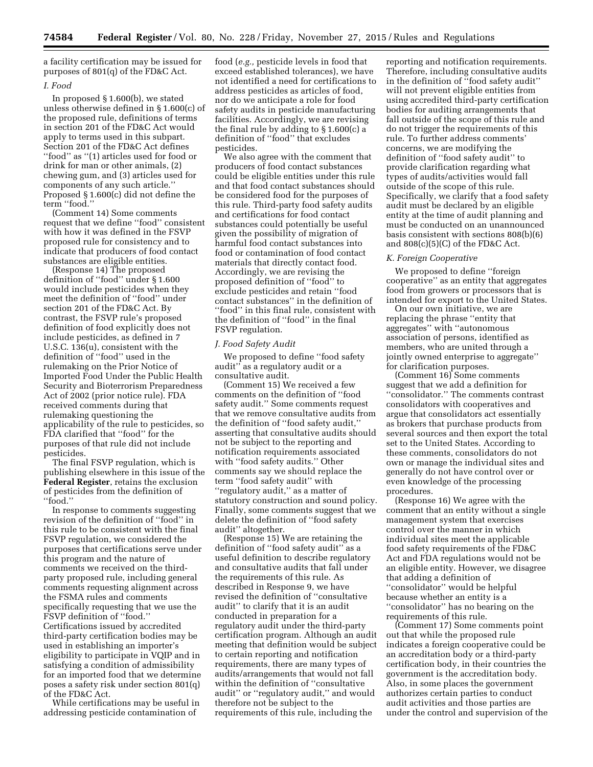a facility certification may be issued for purposes of 801(q) of the FD&C Act.

#### *I. Food*

In proposed § 1.600(b), we stated unless otherwise defined in § 1.600(c) of the proposed rule, definitions of terms in section 201 of the FD&C Act would apply to terms used in this subpart. Section 201 of the FD&C Act defines ''food'' as ''(1) articles used for food or drink for man or other animals, (2) chewing gum, and (3) articles used for components of any such article.'' Proposed § 1.600(c) did not define the term ''food.''

(Comment 14) Some comments request that we define ''food'' consistent with how it was defined in the FSVP proposed rule for consistency and to indicate that producers of food contact substances are eligible entities.

(Response 14) The proposed definition of ''food'' under § 1.600 would include pesticides when they meet the definition of ''food'' under section 201 of the FD&C Act. By contrast, the FSVP rule's proposed definition of food explicitly does not include pesticides, as defined in 7 U.S.C. 136(u), consistent with the definition of ''food'' used in the rulemaking on the Prior Notice of Imported Food Under the Public Health Security and Bioterrorism Preparedness Act of 2002 (prior notice rule). FDA received comments during that rulemaking questioning the applicability of the rule to pesticides, so FDA clarified that ''food'' for the purposes of that rule did not include pesticides.

The final FSVP regulation, which is publishing elsewhere in this issue of the **Federal Register**, retains the exclusion of pesticides from the definition of ''food.''

In response to comments suggesting revision of the definition of ''food'' in this rule to be consistent with the final FSVP regulation, we considered the purposes that certifications serve under this program and the nature of comments we received on the thirdparty proposed rule, including general comments requesting alignment across the FSMA rules and comments specifically requesting that we use the FSVP definition of ''food.'' Certifications issued by accredited third-party certification bodies may be used in establishing an importer's eligibility to participate in VQIP and in satisfying a condition of admissibility for an imported food that we determine poses a safety risk under section 801(q) of the FD&C Act.

While certifications may be useful in addressing pesticide contamination of

food (*e.g.,* pesticide levels in food that exceed established tolerances), we have not identified a need for certifications to address pesticides as articles of food, nor do we anticipate a role for food safety audits in pesticide manufacturing facilities. Accordingly, we are revising the final rule by adding to § 1.600(c) a definition of ''food'' that excludes pesticides.

We also agree with the comment that producers of food contact substances could be eligible entities under this rule and that food contact substances should be considered food for the purposes of this rule. Third-party food safety audits and certifications for food contact substances could potentially be useful given the possibility of migration of harmful food contact substances into food or contamination of food contact materials that directly contact food. Accordingly, we are revising the proposed definition of ''food'' to exclude pesticides and retain ''food contact substances'' in the definition of "food" in this final rule, consistent with the definition of ''food'' in the final FSVP regulation.

#### *J. Food Safety Audit*

We proposed to define ''food safety audit'' as a regulatory audit or a consultative audit.

(Comment 15) We received a few comments on the definition of ''food safety audit.'' Some comments request that we remove consultative audits from the definition of ''food safety audit,'' asserting that consultative audits should not be subject to the reporting and notification requirements associated with ''food safety audits.'' Other comments say we should replace the term ''food safety audit'' with ''regulatory audit,'' as a matter of statutory construction and sound policy. Finally, some comments suggest that we delete the definition of ''food safety audit'' altogether.

(Response 15) We are retaining the definition of ''food safety audit'' as a useful definition to describe regulatory and consultative audits that fall under the requirements of this rule. As described in Response 9, we have revised the definition of ''consultative audit'' to clarify that it is an audit conducted in preparation for a regulatory audit under the third-party certification program. Although an audit meeting that definition would be subject to certain reporting and notification requirements, there are many types of audits/arrangements that would not fall within the definition of ''consultative audit'' or ''regulatory audit,'' and would therefore not be subject to the requirements of this rule, including the

reporting and notification requirements. Therefore, including consultative audits in the definition of ''food safety audit'' will not prevent eligible entities from using accredited third-party certification bodies for auditing arrangements that fall outside of the scope of this rule and do not trigger the requirements of this rule. To further address comments' concerns, we are modifying the definition of ''food safety audit'' to provide clarification regarding what types of audits/activities would fall outside of the scope of this rule. Specifically, we clarify that a food safety audit must be declared by an eligible entity at the time of audit planning and must be conducted on an unannounced basis consistent with sections 808(b)(6) and  $808(c)(5)(C)$  of the FD&C Act.

# *K. Foreign Cooperative*

We proposed to define ''foreign cooperative'' as an entity that aggregates food from growers or processors that is intended for export to the United States.

On our own initiative, we are replacing the phrase ''entity that aggregates'' with ''autonomous association of persons, identified as members, who are united through a jointly owned enterprise to aggregate'' for clarification purposes.

(Comment 16) Some comments suggest that we add a definition for ''consolidator.'' The comments contrast consolidators with cooperatives and argue that consolidators act essentially as brokers that purchase products from several sources and then export the total set to the United States. According to these comments, consolidators do not own or manage the individual sites and generally do not have control over or even knowledge of the processing procedures.

(Response 16) We agree with the comment that an entity without a single management system that exercises control over the manner in which individual sites meet the applicable food safety requirements of the FD&C Act and FDA regulations would not be an eligible entity. However, we disagree that adding a definition of ''consolidator'' would be helpful because whether an entity is a ''consolidator'' has no bearing on the requirements of this rule.

(Comment 17) Some comments point out that while the proposed rule indicates a foreign cooperative could be an accreditation body or a third-party certification body, in their countries the government is the accreditation body. Also, in some places the government authorizes certain parties to conduct audit activities and those parties are under the control and supervision of the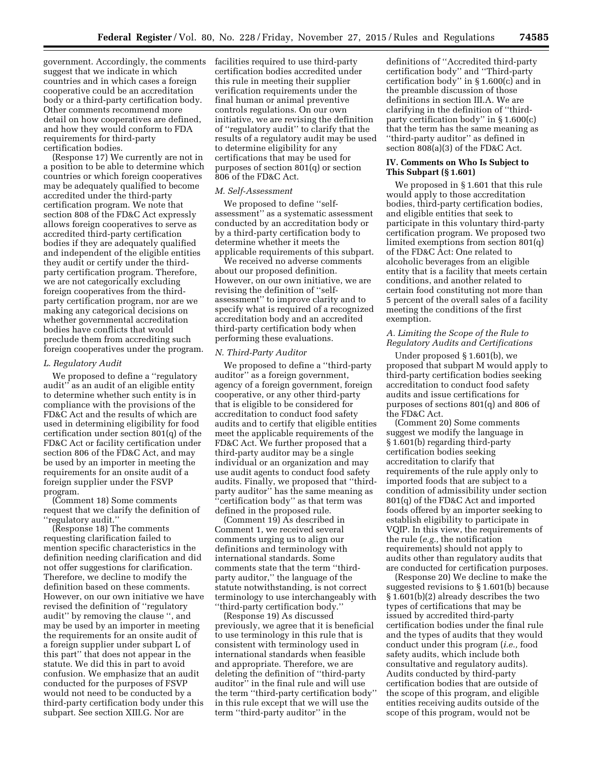government. Accordingly, the comments facilities required to use third-party suggest that we indicate in which countries and in which cases a foreign cooperative could be an accreditation body or a third-party certification body. Other comments recommend more detail on how cooperatives are defined, and how they would conform to FDA requirements for third-party certification bodies.

(Response 17) We currently are not in a position to be able to determine which countries or which foreign cooperatives may be adequately qualified to become accredited under the third-party certification program. We note that section 808 of the FD&C Act expressly allows foreign cooperatives to serve as accredited third-party certification bodies if they are adequately qualified and independent of the eligible entities they audit or certify under the thirdparty certification program. Therefore, we are not categorically excluding foreign cooperatives from the thirdparty certification program, nor are we making any categorical decisions on whether governmental accreditation bodies have conflicts that would preclude them from accrediting such foreign cooperatives under the program.

#### *L. Regulatory Audit*

We proposed to define a "regulatory" audit'' as an audit of an eligible entity to determine whether such entity is in compliance with the provisions of the FD&C Act and the results of which are used in determining eligibility for food certification under section 801(q) of the FD&C Act or facility certification under section 806 of the FD&C Act, and may be used by an importer in meeting the requirements for an onsite audit of a foreign supplier under the FSVP program.

(Comment 18) Some comments request that we clarify the definition of ''regulatory audit.''

(Response 18) The comments requesting clarification failed to mention specific characteristics in the definition needing clarification and did not offer suggestions for clarification. Therefore, we decline to modify the definition based on these comments. However, on our own initiative we have revised the definition of ''regulatory audit'' by removing the clause '', and may be used by an importer in meeting the requirements for an onsite audit of a foreign supplier under subpart L of this part'' that does not appear in the statute. We did this in part to avoid confusion. We emphasize that an audit conducted for the purposes of FSVP would not need to be conducted by a third-party certification body under this subpart. See section XIII.G. Nor are

certification bodies accredited under this rule in meeting their supplier verification requirements under the final human or animal preventive controls regulations. On our own initiative, we are revising the definition of ''regulatory audit'' to clarify that the results of a regulatory audit may be used to determine eligibility for any certifications that may be used for purposes of section 801(q) or section 806 of the FD&C Act.

#### *M. Self-Assessment*

We proposed to define "selfassessment'' as a systematic assessment conducted by an accreditation body or by a third-party certification body to determine whether it meets the applicable requirements of this subpart.

We received no adverse comments about our proposed definition. However, on our own initiative, we are revising the definition of ''selfassessment'' to improve clarity and to specify what is required of a recognized accreditation body and an accredited third-party certification body when performing these evaluations.

#### *N. Third-Party Auditor*

We proposed to define a ''third-party auditor'' as a foreign government, agency of a foreign government, foreign cooperative, or any other third-party that is eligible to be considered for accreditation to conduct food safety audits and to certify that eligible entities meet the applicable requirements of the FD&C Act. We further proposed that a third-party auditor may be a single individual or an organization and may use audit agents to conduct food safety audits. Finally, we proposed that ''thirdparty auditor'' has the same meaning as 'certification body'' as that term was defined in the proposed rule.

(Comment 19) As described in Comment 1, we received several comments urging us to align our definitions and terminology with international standards. Some comments state that the term ''thirdparty auditor,'' the language of the statute notwithstanding, is not correct terminology to use interchangeably with ''third-party certification body.''

(Response 19) As discussed previously, we agree that it is beneficial to use terminology in this rule that is consistent with terminology used in international standards when feasible and appropriate. Therefore, we are deleting the definition of ''third-party auditor<sup>7</sup> in the final rule and will use the term ''third-party certification body'' in this rule except that we will use the term ''third-party auditor'' in the

definitions of ''Accredited third-party certification body'' and ''Third-party certification body'' in § 1.600(c) and in the preamble discussion of those definitions in section III.A. We are clarifying in the definition of ''thirdparty certification body'' in § 1.600(c) that the term has the same meaning as ''third-party auditor'' as defined in section 808(a)(3) of the FD&C Act.

#### **IV. Comments on Who Is Subject to This Subpart (§ 1.601)**

We proposed in § 1.601 that this rule would apply to those accreditation bodies, third-party certification bodies, and eligible entities that seek to participate in this voluntary third-party certification program. We proposed two limited exemptions from section 801(q) of the FD&C Act: One related to alcoholic beverages from an eligible entity that is a facility that meets certain conditions, and another related to certain food constituting not more than 5 percent of the overall sales of a facility meeting the conditions of the first exemption.

# *A. Limiting the Scope of the Rule to Regulatory Audits and Certifications*

Under proposed § 1.601(b), we proposed that subpart M would apply to third-party certification bodies seeking accreditation to conduct food safety audits and issue certifications for purposes of sections 801(q) and 806 of the FD&C Act.

(Comment 20) Some comments suggest we modify the language in § 1.601(b) regarding third-party certification bodies seeking accreditation to clarify that requirements of the rule apply only to imported foods that are subject to a condition of admissibility under section 801(q) of the FD&C Act and imported foods offered by an importer seeking to establish eligibility to participate in VQIP. In this view, the requirements of the rule (*e.g.,* the notification requirements) should not apply to audits other than regulatory audits that are conducted for certification purposes.

(Response 20) We decline to make the suggested revisions to § 1.601(b) because § 1.601(b)(2) already describes the two types of certifications that may be issued by accredited third-party certification bodies under the final rule and the types of audits that they would conduct under this program (*i.e.,* food safety audits, which include both consultative and regulatory audits). Audits conducted by third-party certification bodies that are outside of the scope of this program, and eligible entities receiving audits outside of the scope of this program, would not be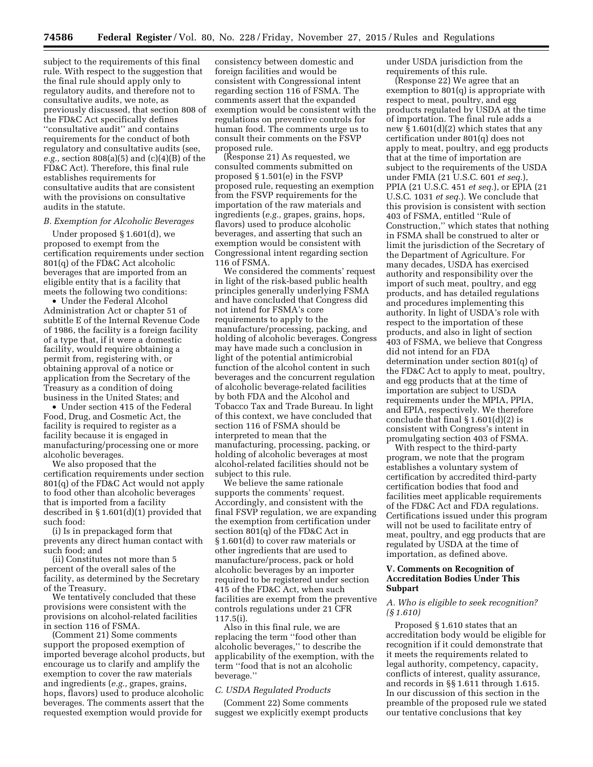subject to the requirements of this final rule. With respect to the suggestion that the final rule should apply only to regulatory audits, and therefore not to consultative audits, we note, as previously discussed, that section 808 of the FD&C Act specifically defines ''consultative audit'' and contains requirements for the conduct of both regulatory and consultative audits (see, *e.g.,* section 808(a)(5) and (c)(4)(B) of the FD&C Act). Therefore, this final rule establishes requirements for consultative audits that are consistent with the provisions on consultative audits in the statute.

#### *B. Exemption for Alcoholic Beverages*

Under proposed § 1.601(d), we proposed to exempt from the certification requirements under section 801(q) of the FD&C Act alcoholic beverages that are imported from an eligible entity that is a facility that meets the following two conditions:

• Under the Federal Alcohol Administration Act or chapter 51 of subtitle E of the Internal Revenue Code of 1986, the facility is a foreign facility of a type that, if it were a domestic facility, would require obtaining a permit from, registering with, or obtaining approval of a notice or application from the Secretary of the Treasury as a condition of doing business in the United States; and

• Under section 415 of the Federal Food, Drug, and Cosmetic Act, the facility is required to register as a facility because it is engaged in manufacturing/processing one or more alcoholic beverages.

We also proposed that the certification requirements under section 801(q) of the FD&C Act would not apply to food other than alcoholic beverages that is imported from a facility described in § 1.601(d)(1) provided that such food:

(i) Is in prepackaged form that prevents any direct human contact with such food; and

(ii) Constitutes not more than 5 percent of the overall sales of the facility, as determined by the Secretary of the Treasury.

We tentatively concluded that these provisions were consistent with the provisions on alcohol-related facilities in section 116 of FSMA.

(Comment 21) Some comments support the proposed exemption of imported beverage alcohol products, but encourage us to clarify and amplify the exemption to cover the raw materials and ingredients (*e.g.,* grapes, grains, hops, flavors) used to produce alcoholic beverages. The comments assert that the requested exemption would provide for

consistency between domestic and foreign facilities and would be consistent with Congressional intent regarding section 116 of FSMA. The comments assert that the expanded exemption would be consistent with the regulations on preventive controls for human food. The comments urge us to consult their comments on the FSVP proposed rule.

(Response 21) As requested, we consulted comments submitted on proposed § 1.501(e) in the FSVP proposed rule, requesting an exemption from the FSVP requirements for the importation of the raw materials and ingredients (*e.g.,* grapes, grains, hops, flavors) used to produce alcoholic beverages, and asserting that such an exemption would be consistent with Congressional intent regarding section 116 of FSMA.

We considered the comments' request in light of the risk-based public health principles generally underlying FSMA and have concluded that Congress did not intend for FSMA's core requirements to apply to the manufacture/processing, packing, and holding of alcoholic beverages. Congress may have made such a conclusion in light of the potential antimicrobial function of the alcohol content in such beverages and the concurrent regulation of alcoholic beverage-related facilities by both FDA and the Alcohol and Tobacco Tax and Trade Bureau. In light of this context, we have concluded that section 116 of FSMA should be interpreted to mean that the manufacturing, processing, packing, or holding of alcoholic beverages at most alcohol-related facilities should not be subject to this rule.

We believe the same rationale supports the comments' request. Accordingly, and consistent with the final FSVP regulation, we are expanding the exemption from certification under section 801(q) of the FD&C Act in § 1.601(d) to cover raw materials or other ingredients that are used to manufacture/process, pack or hold alcoholic beverages by an importer required to be registered under section 415 of the FD&C Act, when such facilities are exempt from the preventive controls regulations under 21 CFR 117.5(i).

Also in this final rule, we are replacing the term ''food other than alcoholic beverages,'' to describe the applicability of the exemption, with the term ''food that is not an alcoholic beverage.''

## *C. USDA Regulated Products*

(Comment 22) Some comments suggest we explicitly exempt products under USDA jurisdiction from the requirements of this rule.

(Response 22) We agree that an exemption to 801(q) is appropriate with respect to meat, poultry, and egg products regulated by USDA at the time of importation. The final rule adds a new § 1.601(d)(2) which states that any certification under 801(q) does not apply to meat, poultry, and egg products that at the time of importation are subject to the requirements of the USDA under FMIA (21 U.S.C. 601 *et seq.*), PPIA (21 U.S.C. 451 *et seq.*), or EPIA (21 U.S.C. 1031 *et seq.*). We conclude that this provision is consistent with section 403 of FSMA, entitled ''Rule of Construction,'' which states that nothing in FSMA shall be construed to alter or limit the jurisdiction of the Secretary of the Department of Agriculture. For many decades, USDA has exercised authority and responsibility over the import of such meat, poultry, and egg products, and has detailed regulations and procedures implementing this authority. In light of USDA's role with respect to the importation of these products, and also in light of section 403 of FSMA, we believe that Congress did not intend for an FDA determination under section 801(q) of the FD&C Act to apply to meat, poultry, and egg products that at the time of importation are subject to USDA requirements under the MPIA, PPIA, and EPIA, respectively. We therefore conclude that final § 1.601(d)(2) is consistent with Congress's intent in promulgating section 403 of FSMA.

With respect to the third-party program, we note that the program establishes a voluntary system of certification by accredited third-party certification bodies that food and facilities meet applicable requirements of the FD&C Act and FDA regulations. Certifications issued under this program will not be used to facilitate entry of meat, poultry, and egg products that are regulated by USDA at the time of importation, as defined above.

# **V. Comments on Recognition of Accreditation Bodies Under This Subpart**

# *A. Who is eligible to seek recognition? (§ 1.610)*

Proposed § 1.610 states that an accreditation body would be eligible for recognition if it could demonstrate that it meets the requirements related to legal authority, competency, capacity, conflicts of interest, quality assurance, and records in §§ 1.611 through 1.615. In our discussion of this section in the preamble of the proposed rule we stated our tentative conclusions that key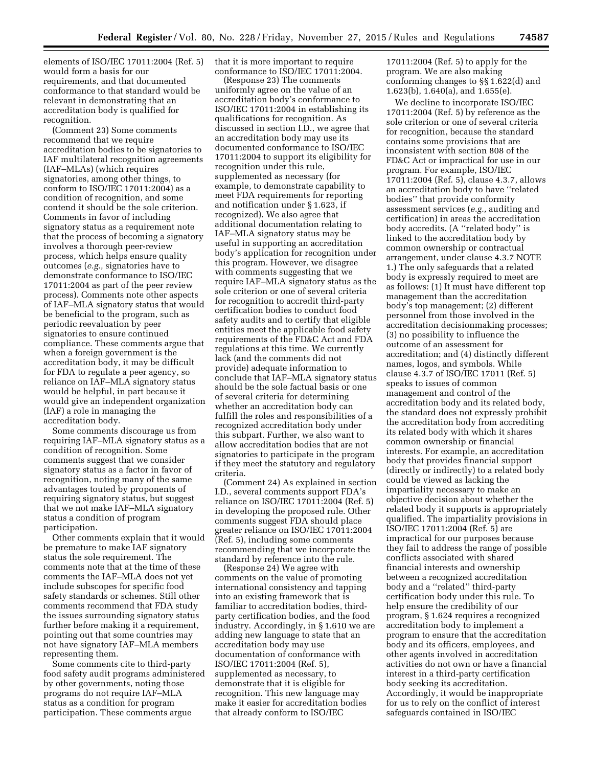elements of ISO/IEC 17011:2004 (Ref. 5) would form a basis for our requirements, and that documented conformance to that standard would be relevant in demonstrating that an accreditation body is qualified for recognition.

(Comment 23) Some comments recommend that we require accreditation bodies to be signatories to IAF multilateral recognition agreements (IAF–MLAs) (which requires signatories, among other things, to conform to ISO/IEC 17011:2004) as a condition of recognition, and some contend it should be the sole criterion. Comments in favor of including signatory status as a requirement note that the process of becoming a signatory involves a thorough peer-review process, which helps ensure quality outcomes (*e.g.,* signatories have to demonstrate conformance to ISO/IEC 17011:2004 as part of the peer review process). Comments note other aspects of IAF–MLA signatory status that would be beneficial to the program, such as periodic reevaluation by peer signatories to ensure continued compliance. These comments argue that when a foreign government is the accreditation body, it may be difficult for FDA to regulate a peer agency, so reliance on IAF–MLA signatory status would be helpful, in part because it would give an independent organization (IAF) a role in managing the accreditation body.

Some comments discourage us from requiring IAF–MLA signatory status as a condition of recognition. Some comments suggest that we consider signatory status as a factor in favor of recognition, noting many of the same advantages touted by proponents of requiring signatory status, but suggest that we not make IAF–MLA signatory status a condition of program participation.

Other comments explain that it would be premature to make IAF signatory status the sole requirement. The comments note that at the time of these comments the IAF–MLA does not yet include subscopes for specific food safety standards or schemes. Still other comments recommend that FDA study the issues surrounding signatory status further before making it a requirement, pointing out that some countries may not have signatory IAF–MLA members representing them.

Some comments cite to third-party food safety audit programs administered by other governments, noting those programs do not require IAF–MLA status as a condition for program participation. These comments argue

that it is more important to require conformance to ISO/IEC 17011:2004.

(Response 23) The comments uniformly agree on the value of an accreditation body's conformance to ISO/IEC 17011:2004 in establishing its qualifications for recognition. As discussed in section I.D., we agree that an accreditation body may use its documented conformance to ISO/IEC 17011:2004 to support its eligibility for recognition under this rule, supplemented as necessary (for example, to demonstrate capability to meet FDA requirements for reporting and notification under § 1.623, if recognized). We also agree that additional documentation relating to IAF–MLA signatory status may be useful in supporting an accreditation body's application for recognition under this program. However, we disagree with comments suggesting that we require IAF–MLA signatory status as the sole criterion or one of several criteria for recognition to accredit third-party certification bodies to conduct food safety audits and to certify that eligible entities meet the applicable food safety requirements of the FD&C Act and FDA regulations at this time. We currently lack (and the comments did not provide) adequate information to conclude that IAF–MLA signatory status should be the sole factual basis or one of several criteria for determining whether an accreditation body can fulfill the roles and responsibilities of a recognized accreditation body under this subpart. Further, we also want to allow accreditation bodies that are not signatories to participate in the program if they meet the statutory and regulatory criteria.

(Comment 24) As explained in section I.D., several comments support FDA's reliance on ISO/IEC 17011:2004 (Ref. 5) in developing the proposed rule. Other comments suggest FDA should place greater reliance on ISO/IEC 17011:2004 (Ref. 5), including some comments recommending that we incorporate the standard by reference into the rule.

(Response 24) We agree with comments on the value of promoting international consistency and tapping into an existing framework that is familiar to accreditation bodies, thirdparty certification bodies, and the food industry. Accordingly, in § 1.610 we are adding new language to state that an accreditation body may use documentation of conformance with ISO/IEC 17011:2004 (Ref. 5), supplemented as necessary, to demonstrate that it is eligible for recognition. This new language may make it easier for accreditation bodies that already conform to ISO/IEC

17011:2004 (Ref. 5) to apply for the program. We are also making conforming changes to §§ 1.622(d) and 1.623(b), 1.640(a), and 1.655(e).

We decline to incorporate ISO/IEC 17011:2004 (Ref. 5) by reference as the sole criterion or one of several criteria for recognition, because the standard contains some provisions that are inconsistent with section 808 of the FD&C Act or impractical for use in our program. For example, ISO/IEC 17011:2004 (Ref. 5), clause 4.3.7, allows an accreditation body to have ''related bodies'' that provide conformity assessment services (*e.g.,* auditing and certification) in areas the accreditation body accredits. (A ''related body'' is linked to the accreditation body by common ownership or contractual arrangement, under clause 4.3.7 NOTE 1.) The only safeguards that a related body is expressly required to meet are as follows: (1) It must have different top management than the accreditation body's top management; (2) different personnel from those involved in the accreditation decisionmaking processes; (3) no possibility to influence the outcome of an assessment for accreditation; and (4) distinctly different names, logos, and symbols. While clause 4.3.7 of ISO/IEC 17011 (Ref. 5) speaks to issues of common management and control of the accreditation body and its related body, the standard does not expressly prohibit the accreditation body from accrediting its related body with which it shares common ownership or financial interests. For example, an accreditation body that provides financial support (directly or indirectly) to a related body could be viewed as lacking the impartiality necessary to make an objective decision about whether the related body it supports is appropriately qualified. The impartiality provisions in ISO/IEC 17011:2004 (Ref. 5) are impractical for our purposes because they fail to address the range of possible conflicts associated with shared financial interests and ownership between a recognized accreditation body and a ''related'' third-party certification body under this rule. To help ensure the credibility of our program, § 1.624 requires a recognized accreditation body to implement a program to ensure that the accreditation body and its officers, employees, and other agents involved in accreditation activities do not own or have a financial interest in a third-party certification body seeking its accreditation. Accordingly, it would be inappropriate for us to rely on the conflict of interest safeguards contained in ISO/IEC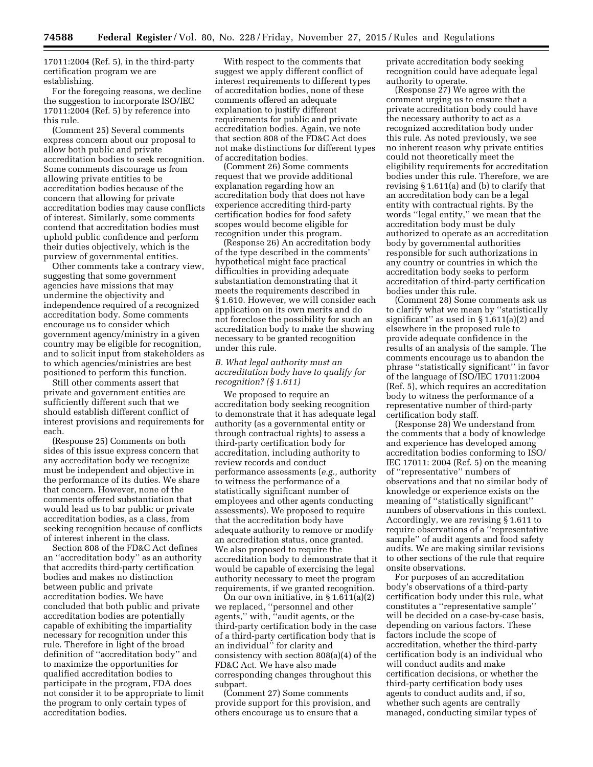17011:2004 (Ref. 5), in the third-party certification program we are establishing.

For the foregoing reasons, we decline the suggestion to incorporate ISO/IEC 17011:2004 (Ref. 5) by reference into this rule.

(Comment 25) Several comments express concern about our proposal to allow both public and private accreditation bodies to seek recognition. Some comments discourage us from allowing private entities to be accreditation bodies because of the concern that allowing for private accreditation bodies may cause conflicts of interest. Similarly, some comments contend that accreditation bodies must uphold public confidence and perform their duties objectively, which is the purview of governmental entities.

Other comments take a contrary view, suggesting that some government agencies have missions that may undermine the objectivity and independence required of a recognized accreditation body. Some comments encourage us to consider which government agency/ministry in a given country may be eligible for recognition, and to solicit input from stakeholders as to which agencies/ministries are best positioned to perform this function.

Still other comments assert that private and government entities are sufficiently different such that we should establish different conflict of interest provisions and requirements for each.

(Response 25) Comments on both sides of this issue express concern that any accreditation body we recognize must be independent and objective in the performance of its duties. We share that concern. However, none of the comments offered substantiation that would lead us to bar public or private accreditation bodies, as a class, from seeking recognition because of conflicts of interest inherent in the class.

Section 808 of the FD&C Act defines an ''accreditation body'' as an authority that accredits third-party certification bodies and makes no distinction between public and private accreditation bodies. We have concluded that both public and private accreditation bodies are potentially capable of exhibiting the impartiality necessary for recognition under this rule. Therefore in light of the broad definition of ''accreditation body'' and to maximize the opportunities for qualified accreditation bodies to participate in the program, FDA does not consider it to be appropriate to limit the program to only certain types of accreditation bodies.

With respect to the comments that suggest we apply different conflict of interest requirements to different types of accreditation bodies, none of these comments offered an adequate explanation to justify different requirements for public and private accreditation bodies. Again, we note that section 808 of the FD&C Act does not make distinctions for different types of accreditation bodies.

(Comment 26) Some comments request that we provide additional explanation regarding how an accreditation body that does not have experience accrediting third-party certification bodies for food safety scopes would become eligible for recognition under this program.

(Response 26) An accreditation body of the type described in the comments' hypothetical might face practical difficulties in providing adequate substantiation demonstrating that it meets the requirements described in § 1.610. However, we will consider each application on its own merits and do not foreclose the possibility for such an accreditation body to make the showing necessary to be granted recognition under this rule.

# *B. What legal authority must an accreditation body have to qualify for recognition? (§ 1.611)*

We proposed to require an accreditation body seeking recognition to demonstrate that it has adequate legal authority (as a governmental entity or through contractual rights) to assess a third-party certification body for accreditation, including authority to review records and conduct performance assessments (*e.g.,* authority to witness the performance of a statistically significant number of employees and other agents conducting assessments). We proposed to require that the accreditation body have adequate authority to remove or modify an accreditation status, once granted. We also proposed to require the accreditation body to demonstrate that it would be capable of exercising the legal authority necessary to meet the program requirements, if we granted recognition.

On our own initiative, in § 1.611(a)(2) we replaced, ''personnel and other agents,'' with, ''audit agents, or the third-party certification body in the case of a third-party certification body that is an individual'' for clarity and consistency with section 808(a)(4) of the FD&C Act. We have also made corresponding changes throughout this subpart.

(Comment 27) Some comments provide support for this provision, and others encourage us to ensure that a

private accreditation body seeking recognition could have adequate legal authority to operate.

(Response 27) We agree with the comment urging us to ensure that a private accreditation body could have the necessary authority to act as a recognized accreditation body under this rule. As noted previously, we see no inherent reason why private entities could not theoretically meet the eligibility requirements for accreditation bodies under this rule. Therefore, we are revising § 1.611(a) and (b) to clarify that an accreditation body can be a legal entity with contractual rights. By the words ''legal entity,'' we mean that the accreditation body must be duly authorized to operate as an accreditation body by governmental authorities responsible for such authorizations in any country or countries in which the accreditation body seeks to perform accreditation of third-party certification bodies under this rule.

(Comment 28) Some comments ask us to clarify what we mean by ''statistically significant'' as used in § 1.611(a)(2) and elsewhere in the proposed rule to provide adequate confidence in the results of an analysis of the sample. The comments encourage us to abandon the phrase ''statistically significant'' in favor of the language of ISO/IEC 17011:2004 (Ref. 5), which requires an accreditation body to witness the performance of a representative number of third-party certification body staff.

(Response 28) We understand from the comments that a body of knowledge and experience has developed among accreditation bodies conforming to ISO/ IEC 17011: 2004 (Ref. 5) on the meaning of ''representative'' numbers of observations and that no similar body of knowledge or experience exists on the meaning of ''statistically significant'' numbers of observations in this context. Accordingly, we are revising § 1.611 to require observations of a ''representative sample'' of audit agents and food safety audits. We are making similar revisions to other sections of the rule that require onsite observations.

For purposes of an accreditation body's observations of a third-party certification body under this rule, what constitutes a ''representative sample'' will be decided on a case-by-case basis, depending on various factors. These factors include the scope of accreditation, whether the third-party certification body is an individual who will conduct audits and make certification decisions, or whether the third-party certification body uses agents to conduct audits and, if so, whether such agents are centrally managed, conducting similar types of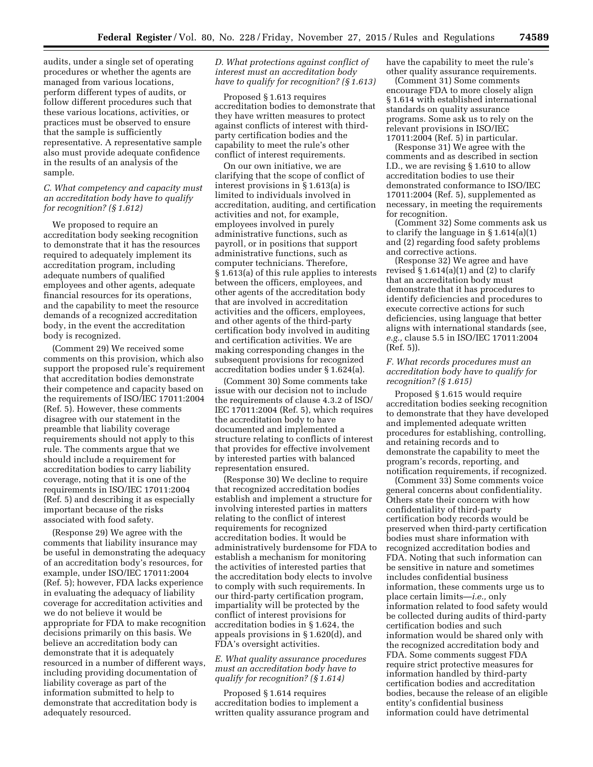audits, under a single set of operating procedures or whether the agents are managed from various locations, perform different types of audits, or follow different procedures such that these various locations, activities, or practices must be observed to ensure that the sample is sufficiently representative. A representative sample also must provide adequate confidence in the results of an analysis of the sample.

# *C. What competency and capacity must an accreditation body have to qualify for recognition? (§ 1.612)*

We proposed to require an accreditation body seeking recognition to demonstrate that it has the resources required to adequately implement its accreditation program, including adequate numbers of qualified employees and other agents, adequate financial resources for its operations, and the capability to meet the resource demands of a recognized accreditation body, in the event the accreditation body is recognized.

(Comment 29) We received some comments on this provision, which also support the proposed rule's requirement that accreditation bodies demonstrate their competence and capacity based on the requirements of ISO/IEC 17011:2004 (Ref. 5). However, these comments disagree with our statement in the preamble that liability coverage requirements should not apply to this rule. The comments argue that we should include a requirement for accreditation bodies to carry liability coverage, noting that it is one of the requirements in ISO/IEC 17011:2004 (Ref. 5) and describing it as especially important because of the risks associated with food safety.

(Response 29) We agree with the comments that liability insurance may be useful in demonstrating the adequacy of an accreditation body's resources, for example, under ISO/IEC 17011:2004 (Ref. 5); however, FDA lacks experience in evaluating the adequacy of liability coverage for accreditation activities and we do not believe it would be appropriate for FDA to make recognition decisions primarily on this basis. We believe an accreditation body can demonstrate that it is adequately resourced in a number of different ways, including providing documentation of liability coverage as part of the information submitted to help to demonstrate that accreditation body is adequately resourced.

*D. What protections against conflict of interest must an accreditation body have to qualify for recognition? (§ 1.613)* 

Proposed § 1.613 requires accreditation bodies to demonstrate that they have written measures to protect against conflicts of interest with thirdparty certification bodies and the capability to meet the rule's other conflict of interest requirements.

On our own initiative, we are clarifying that the scope of conflict of interest provisions in § 1.613(a) is limited to individuals involved in accreditation, auditing, and certification activities and not, for example, employees involved in purely administrative functions, such as payroll, or in positions that support administrative functions, such as computer technicians. Therefore, § 1.613(a) of this rule applies to interests between the officers, employees, and other agents of the accreditation body that are involved in accreditation activities and the officers, employees, and other agents of the third-party certification body involved in auditing and certification activities. We are making corresponding changes in the subsequent provisions for recognized accreditation bodies under § 1.624(a).

(Comment 30) Some comments take issue with our decision not to include the requirements of clause 4.3.2 of ISO/ IEC 17011:2004 (Ref. 5), which requires the accreditation body to have documented and implemented a structure relating to conflicts of interest that provides for effective involvement by interested parties with balanced representation ensured.

(Response 30) We decline to require that recognized accreditation bodies establish and implement a structure for involving interested parties in matters relating to the conflict of interest requirements for recognized accreditation bodies. It would be administratively burdensome for FDA to establish a mechanism for monitoring the activities of interested parties that the accreditation body elects to involve to comply with such requirements. In our third-party certification program, impartiality will be protected by the conflict of interest provisions for accreditation bodies in § 1.624, the appeals provisions in § 1.620(d), and FDA's oversight activities.

# *E. What quality assurance procedures must an accreditation body have to qualify for recognition? (§ 1.614)*

Proposed § 1.614 requires accreditation bodies to implement a written quality assurance program and have the capability to meet the rule's other quality assurance requirements.

(Comment 31) Some comments encourage FDA to more closely align § 1.614 with established international standards on quality assurance programs. Some ask us to rely on the relevant provisions in ISO/IEC 17011:2004 (Ref. 5) in particular.

(Response 31) We agree with the comments and as described in section I.D., we are revising § 1.610 to allow accreditation bodies to use their demonstrated conformance to ISO/IEC 17011:2004 (Ref. 5), supplemented as necessary, in meeting the requirements for recognition.

(Comment 32) Some comments ask us to clarify the language in § 1.614(a)(1) and (2) regarding food safety problems and corrective actions.

(Response 32) We agree and have revised  $\S 1.614(a)(1)$  and (2) to clarify that an accreditation body must demonstrate that it has procedures to identify deficiencies and procedures to execute corrective actions for such deficiencies, using language that better aligns with international standards (see, *e.g.,* clause 5.5 in ISO/IEC 17011:2004 (Ref. 5)).

# *F. What records procedures must an accreditation body have to qualify for recognition? (§ 1.615)*

Proposed § 1.615 would require accreditation bodies seeking recognition to demonstrate that they have developed and implemented adequate written procedures for establishing, controlling, and retaining records and to demonstrate the capability to meet the program's records, reporting, and notification requirements, if recognized.

(Comment 33) Some comments voice general concerns about confidentiality. Others state their concern with how confidentiality of third-party certification body records would be preserved when third-party certification bodies must share information with recognized accreditation bodies and FDA. Noting that such information can be sensitive in nature and sometimes includes confidential business information, these comments urge us to place certain limits—*i.e.,* only information related to food safety would be collected during audits of third-party certification bodies and such information would be shared only with the recognized accreditation body and FDA. Some comments suggest FDA require strict protective measures for information handled by third-party certification bodies and accreditation bodies, because the release of an eligible entity's confidential business information could have detrimental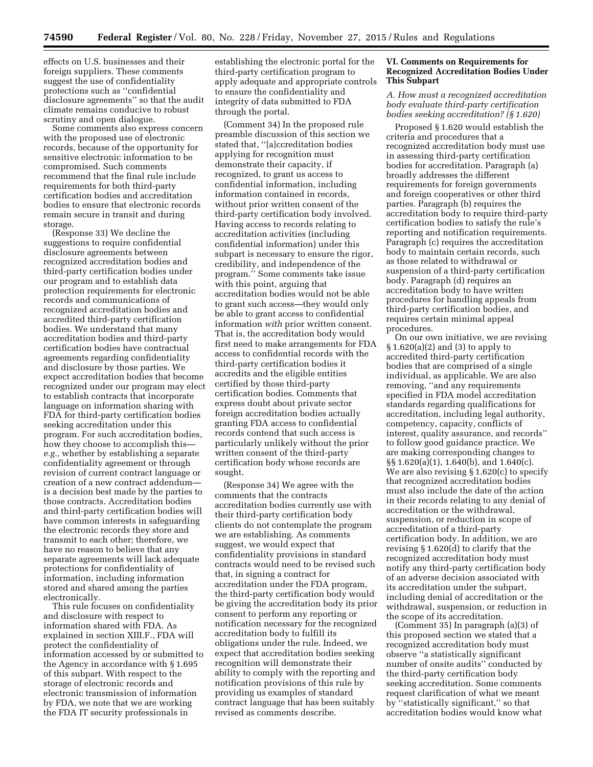effects on U.S. businesses and their foreign suppliers. These comments suggest the use of confidentiality protections such as ''confidential disclosure agreements'' so that the audit climate remains conducive to robust scrutiny and open dialogue.

Some comments also express concern with the proposed use of electronic records, because of the opportunity for sensitive electronic information to be compromised. Such comments recommend that the final rule include requirements for both third-party certification bodies and accreditation bodies to ensure that electronic records remain secure in transit and during storage.

(Response 33) We decline the suggestions to require confidential disclosure agreements between recognized accreditation bodies and third-party certification bodies under our program and to establish data protection requirements for electronic records and communications of recognized accreditation bodies and accredited third-party certification bodies. We understand that many accreditation bodies and third-party certification bodies have contractual agreements regarding confidentiality and disclosure by those parties. We expect accreditation bodies that become recognized under our program may elect to establish contracts that incorporate language on information sharing with FDA for third-party certification bodies seeking accreditation under this program. For such accreditation bodies, how they choose to accomplish this *e.g.,* whether by establishing a separate confidentiality agreement or through revision of current contract language or creation of a new contract addendum is a decision best made by the parties to those contracts. Accreditation bodies and third-party certification bodies will have common interests in safeguarding the electronic records they store and transmit to each other; therefore, we have no reason to believe that any separate agreements will lack adequate protections for confidentiality of information, including information stored and shared among the parties electronically.

This rule focuses on confidentiality and disclosure with respect to information shared with FDA. As explained in section XIII.F., FDA will protect the confidentiality of information accessed by or submitted to the Agency in accordance with § 1.695 of this subpart. With respect to the storage of electronic records and electronic transmission of information by FDA, we note that we are working the FDA IT security professionals in

establishing the electronic portal for the third-party certification program to apply adequate and appropriate controls to ensure the confidentiality and integrity of data submitted to FDA through the portal.

(Comment 34) In the proposed rule preamble discussion of this section we stated that, ''[a]ccreditation bodies applying for recognition must demonstrate their capacity, if recognized, to grant us access to confidential information, including information contained in records, without prior written consent of the third-party certification body involved. Having access to records relating to accreditation activities (including confidential information) under this subpart is necessary to ensure the rigor, credibility, and independence of the program.'' Some comments take issue with this point, arguing that accreditation bodies would not be able to grant such access—they would only be able to grant access to confidential information *with* prior written consent. That is, the accreditation body would first need to make arrangements for FDA access to confidential records with the third-party certification bodies it accredits and the eligible entities certified by those third-party certification bodies. Comments that express doubt about private sector foreign accreditation bodies actually granting FDA access to confidential records contend that such access is particularly unlikely without the prior written consent of the third-party certification body whose records are sought.

(Response 34) We agree with the comments that the contracts accreditation bodies currently use with their third-party certification body clients do not contemplate the program we are establishing. As comments suggest, we would expect that confidentiality provisions in standard contracts would need to be revised such that, in signing a contract for accreditation under the FDA program, the third-party certification body would be giving the accreditation body its prior consent to perform any reporting or notification necessary for the recognized accreditation body to fulfill its obligations under the rule. Indeed, we expect that accreditation bodies seeking recognition will demonstrate their ability to comply with the reporting and notification provisions of this rule by providing us examples of standard contract language that has been suitably revised as comments describe.

# **VI. Comments on Requirements for Recognized Accreditation Bodies Under This Subpart**

# *A. How must a recognized accreditation body evaluate third-party certification bodies seeking accreditation? (§ 1.620)*

Proposed § 1.620 would establish the criteria and procedures that a recognized accreditation body must use in assessing third-party certification bodies for accreditation. Paragraph (a) broadly addresses the different requirements for foreign governments and foreign cooperatives or other third parties. Paragraph (b) requires the accreditation body to require third-party certification bodies to satisfy the rule's reporting and notification requirements. Paragraph (c) requires the accreditation body to maintain certain records, such as those related to withdrawal or suspension of a third-party certification body. Paragraph (d) requires an accreditation body to have written procedures for handling appeals from third-party certification bodies, and requires certain minimal appeal procedures.

On our own initiative, we are revising § 1.620(a)(2) and (3) to apply to accredited third-party certification bodies that are comprised of a single individual, as applicable. We are also removing, ''and any requirements specified in FDA model accreditation standards regarding qualifications for accreditation, including legal authority, competency, capacity, conflicts of interest, quality assurance, and records'' to follow good guidance practice. We are making corresponding changes to §§ 1.620(a)(1), 1.640(b), and 1.640(c). We are also revising § 1.620(c) to specify that recognized accreditation bodies must also include the date of the action in their records relating to any denial of accreditation or the withdrawal, suspension, or reduction in scope of accreditation of a third-party certification body. In addition, we are revising § 1.620(d) to clarify that the recognized accreditation body must notify any third-party certification body of an adverse decision associated with its accreditation under the subpart, including denial of accreditation or the withdrawal, suspension, or reduction in the scope of its accreditation.

(Comment 35) In paragraph (a)(3) of this proposed section we stated that a recognized accreditation body must observe ''a statistically significant number of onsite audits'' conducted by the third-party certification body seeking accreditation. Some comments request clarification of what we meant by ''statistically significant,'' so that accreditation bodies would know what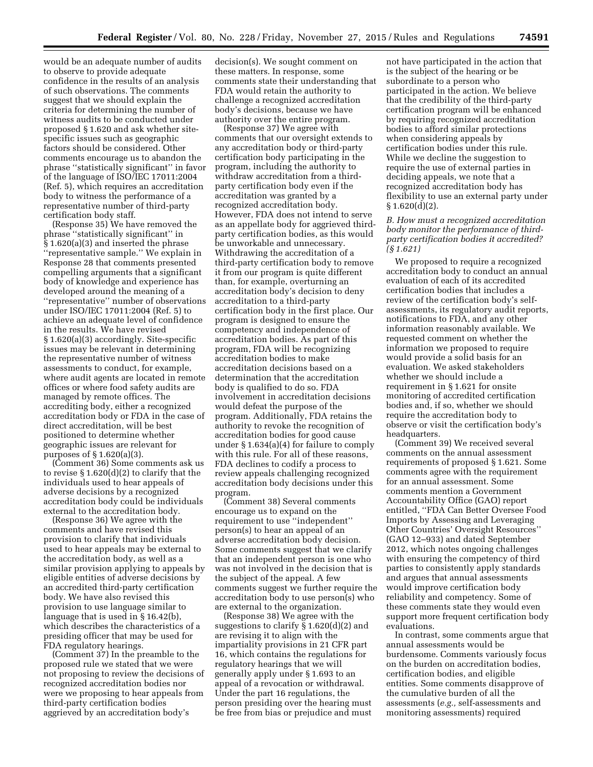would be an adequate number of audits to observe to provide adequate confidence in the results of an analysis of such observations. The comments suggest that we should explain the criteria for determining the number of witness audits to be conducted under proposed § 1.620 and ask whether sitespecific issues such as geographic factors should be considered. Other comments encourage us to abandon the phrase ''statistically significant'' in favor of the language of ISO/IEC 17011:2004 (Ref. 5), which requires an accreditation body to witness the performance of a representative number of third-party certification body staff.

(Response 35) We have removed the phrase ''statistically significant'' in § 1.620(a)(3) and inserted the phrase ''representative sample.'' We explain in Response 28 that comments presented compelling arguments that a significant body of knowledge and experience has developed around the meaning of a ''representative'' number of observations under ISO/IEC 17011:2004 (Ref. 5) to achieve an adequate level of confidence in the results. We have revised § 1.620(a)(3) accordingly. Site-specific issues may be relevant in determining the representative number of witness assessments to conduct, for example, where audit agents are located in remote offices or where food safety audits are managed by remote offices. The accrediting body, either a recognized accreditation body or FDA in the case of direct accreditation, will be best positioned to determine whether geographic issues are relevant for purposes of § 1.620(a)(3).

(Comment 36) Some comments ask us to revise § 1.620(d)(2) to clarify that the individuals used to hear appeals of adverse decisions by a recognized accreditation body could be individuals external to the accreditation body.

(Response 36) We agree with the comments and have revised this provision to clarify that individuals used to hear appeals may be external to the accreditation body, as well as a similar provision applying to appeals by eligible entities of adverse decisions by an accredited third-party certification body. We have also revised this provision to use language similar to language that is used in § 16.42(b), which describes the characteristics of a presiding officer that may be used for FDA regulatory hearings.

(Comment 37) In the preamble to the proposed rule we stated that we were not proposing to review the decisions of recognized accreditation bodies nor were we proposing to hear appeals from third-party certification bodies aggrieved by an accreditation body's

decision(s). We sought comment on these matters. In response, some comments state their understanding that FDA would retain the authority to challenge a recognized accreditation body's decisions, because we have authority over the entire program.

(Response 37) We agree with comments that our oversight extends to any accreditation body or third-party certification body participating in the program, including the authority to withdraw accreditation from a thirdparty certification body even if the accreditation was granted by a recognized accreditation body. However, FDA does not intend to serve as an appellate body for aggrieved thirdparty certification bodies, as this would be unworkable and unnecessary. Withdrawing the accreditation of a third-party certification body to remove it from our program is quite different than, for example, overturning an accreditation body's decision to deny accreditation to a third-party certification body in the first place. Our program is designed to ensure the competency and independence of accreditation bodies. As part of this program, FDA will be recognizing accreditation bodies to make accreditation decisions based on a determination that the accreditation body is qualified to do so. FDA involvement in accreditation decisions would defeat the purpose of the program. Additionally, FDA retains the authority to revoke the recognition of accreditation bodies for good cause under § 1.634(a)(4) for failure to comply with this rule. For all of these reasons, FDA declines to codify a process to review appeals challenging recognized accreditation body decisions under this program.

(Comment 38) Several comments encourage us to expand on the requirement to use ''independent'' person(s) to hear an appeal of an adverse accreditation body decision. Some comments suggest that we clarify that an independent person is one who was not involved in the decision that is the subject of the appeal. A few comments suggest we further require the accreditation body to use person(s) who are external to the organization.

(Response 38) We agree with the suggestions to clarify § 1.620(d)(2) and are revising it to align with the impartiality provisions in 21 CFR part 16, which contains the regulations for regulatory hearings that we will generally apply under § 1.693 to an appeal of a revocation or withdrawal. Under the part 16 regulations, the person presiding over the hearing must be free from bias or prejudice and must

not have participated in the action that is the subject of the hearing or be subordinate to a person who participated in the action. We believe that the credibility of the third-party certification program will be enhanced by requiring recognized accreditation bodies to afford similar protections when considering appeals by certification bodies under this rule. While we decline the suggestion to require the use of external parties in deciding appeals, we note that a recognized accreditation body has flexibility to use an external party under  $§ 1.620(d)(2).$ 

*B. How must a recognized accreditation body monitor the performance of thirdparty certification bodies it accredited? (§ 1.621)* 

We proposed to require a recognized accreditation body to conduct an annual evaluation of each of its accredited certification bodies that includes a review of the certification body's selfassessments, its regulatory audit reports, notifications to FDA, and any other information reasonably available. We requested comment on whether the information we proposed to require would provide a solid basis for an evaluation. We asked stakeholders whether we should include a requirement in § 1.621 for onsite monitoring of accredited certification bodies and, if so, whether we should require the accreditation body to observe or visit the certification body's headquarters.

(Comment 39) We received several comments on the annual assessment requirements of proposed § 1.621. Some comments agree with the requirement for an annual assessment. Some comments mention a Government Accountability Office (GAO) report entitled, ''FDA Can Better Oversee Food Imports by Assessing and Leveraging Other Countries' Oversight Resources'' (GAO 12–933) and dated September 2012, which notes ongoing challenges with ensuring the competency of third parties to consistently apply standards and argues that annual assessments would improve certification body reliability and competency. Some of these comments state they would even support more frequent certification body evaluations.

In contrast, some comments argue that annual assessments would be burdensome. Comments variously focus on the burden on accreditation bodies, certification bodies, and eligible entities. Some comments disapprove of the cumulative burden of all the assessments (*e.g.,* self-assessments and monitoring assessments) required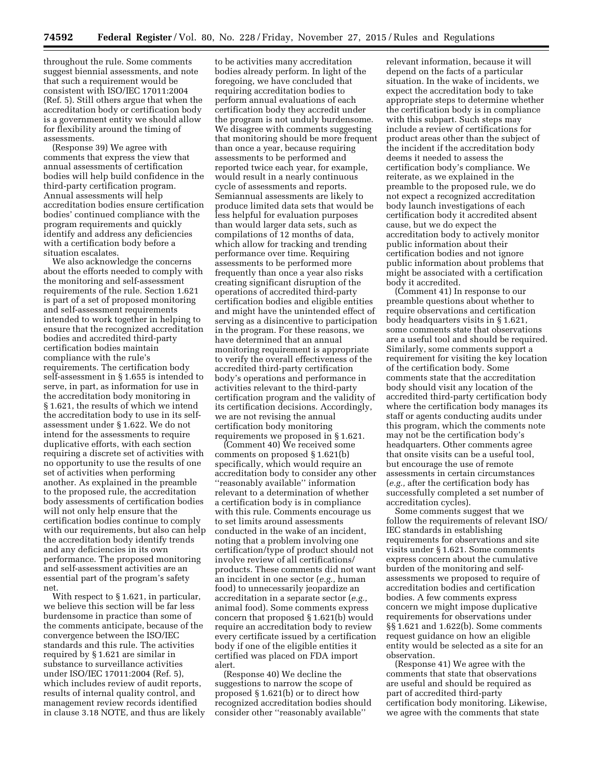throughout the rule. Some comments suggest biennial assessments, and note that such a requirement would be consistent with ISO/IEC 17011:2004 (Ref. 5). Still others argue that when the accreditation body or certification body is a government entity we should allow for flexibility around the timing of assessments.

(Response 39) We agree with comments that express the view that annual assessments of certification bodies will help build confidence in the third-party certification program. Annual assessments will help accreditation bodies ensure certification bodies' continued compliance with the program requirements and quickly identify and address any deficiencies with a certification body before a situation escalates.

We also acknowledge the concerns about the efforts needed to comply with the monitoring and self-assessment requirements of the rule. Section 1.621 is part of a set of proposed monitoring and self-assessment requirements intended to work together in helping to ensure that the recognized accreditation bodies and accredited third-party certification bodies maintain compliance with the rule's requirements. The certification body self-assessment in § 1.655 is intended to serve, in part, as information for use in the accreditation body monitoring in § 1.621, the results of which we intend the accreditation body to use in its selfassessment under § 1.622. We do not intend for the assessments to require duplicative efforts, with each section requiring a discrete set of activities with no opportunity to use the results of one set of activities when performing another. As explained in the preamble to the proposed rule, the accreditation body assessments of certification bodies will not only help ensure that the certification bodies continue to comply with our requirements, but also can help the accreditation body identify trends and any deficiencies in its own performance. The proposed monitoring and self-assessment activities are an essential part of the program's safety net.

With respect to § 1.621, in particular, we believe this section will be far less burdensome in practice than some of the comments anticipate, because of the convergence between the ISO/IEC standards and this rule. The activities required by § 1.621 are similar in substance to surveillance activities under ISO/IEC 17011:2004 (Ref. 5), which includes review of audit reports, results of internal quality control, and management review records identified in clause 3.18 NOTE, and thus are likely

to be activities many accreditation bodies already perform. In light of the foregoing, we have concluded that requiring accreditation bodies to perform annual evaluations of each certification body they accredit under the program is not unduly burdensome. We disagree with comments suggesting that monitoring should be more frequent than once a year, because requiring assessments to be performed and reported twice each year, for example, would result in a nearly continuous cycle of assessments and reports. Semiannual assessments are likely to produce limited data sets that would be less helpful for evaluation purposes than would larger data sets, such as compilations of 12 months of data, which allow for tracking and trending performance over time. Requiring assessments to be performed more frequently than once a year also risks creating significant disruption of the operations of accredited third-party certification bodies and eligible entities and might have the unintended effect of serving as a disincentive to participation in the program. For these reasons, we have determined that an annual monitoring requirement is appropriate to verify the overall effectiveness of the accredited third-party certification body's operations and performance in activities relevant to the third-party certification program and the validity of its certification decisions. Accordingly, we are not revising the annual certification body monitoring requirements we proposed in § 1.621.

(Comment 40) We received some comments on proposed § 1.621(b) specifically, which would require an accreditation body to consider any other ''reasonably available'' information relevant to a determination of whether a certification body is in compliance with this rule. Comments encourage us to set limits around assessments conducted in the wake of an incident, noting that a problem involving one certification/type of product should not involve review of all certifications/ products. These comments did not want an incident in one sector (*e.g.,* human food) to unnecessarily jeopardize an accreditation in a separate sector (*e.g.,*  animal food). Some comments express concern that proposed § 1.621(b) would require an accreditation body to review every certificate issued by a certification body if one of the eligible entities it certified was placed on FDA import alert.

(Response 40) We decline the suggestions to narrow the scope of proposed § 1.621(b) or to direct how recognized accreditation bodies should consider other ''reasonably available''

relevant information, because it will depend on the facts of a particular situation. In the wake of incidents, we expect the accreditation body to take appropriate steps to determine whether the certification body is in compliance with this subpart. Such steps may include a review of certifications for product areas other than the subject of the incident if the accreditation body deems it needed to assess the certification body's compliance. We reiterate, as we explained in the preamble to the proposed rule, we do not expect a recognized accreditation body launch investigations of each certification body it accredited absent cause, but we do expect the accreditation body to actively monitor public information about their certification bodies and not ignore public information about problems that might be associated with a certification body it accredited.

(Comment 41) In response to our preamble questions about whether to require observations and certification body headquarters visits in § 1.621, some comments state that observations are a useful tool and should be required. Similarly, some comments support a requirement for visiting the key location of the certification body. Some comments state that the accreditation body should visit any location of the accredited third-party certification body where the certification body manages its staff or agents conducting audits under this program, which the comments note may not be the certification body's headquarters. Other comments agree that onsite visits can be a useful tool, but encourage the use of remote assessments in certain circumstances (*e.g.,* after the certification body has successfully completed a set number of accreditation cycles).

Some comments suggest that we follow the requirements of relevant ISO/ IEC standards in establishing requirements for observations and site visits under § 1.621. Some comments express concern about the cumulative burden of the monitoring and selfassessments we proposed to require of accreditation bodies and certification bodies. A few comments express concern we might impose duplicative requirements for observations under §§ 1.621 and 1.622(b). Some comments request guidance on how an eligible entity would be selected as a site for an observation.

(Response 41) We agree with the comments that state that observations are useful and should be required as part of accredited third-party certification body monitoring. Likewise, we agree with the comments that state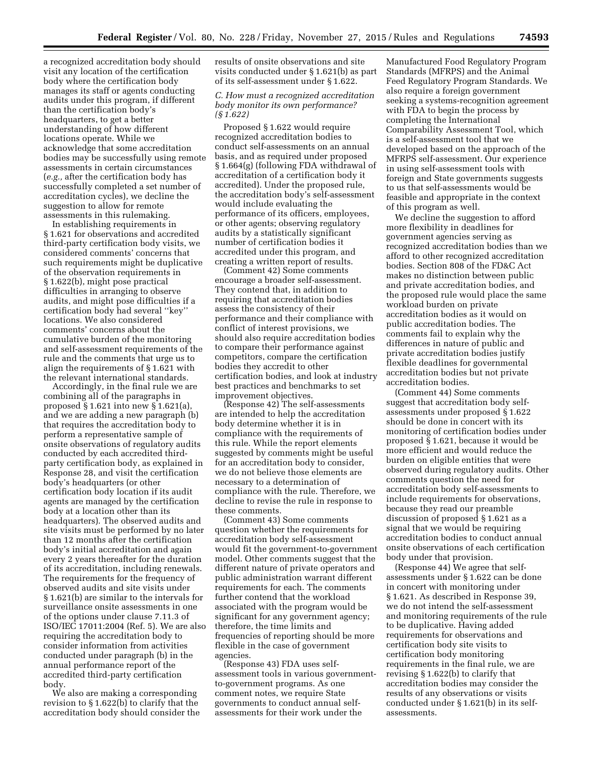a recognized accreditation body should visit any location of the certification body where the certification body manages its staff or agents conducting audits under this program, if different than the certification body's headquarters, to get a better understanding of how different locations operate. While we acknowledge that some accreditation bodies may be successfully using remote assessments in certain circumstances (*e.g.,* after the certification body has successfully completed a set number of accreditation cycles), we decline the suggestion to allow for remote assessments in this rulemaking.

In establishing requirements in § 1.621 for observations and accredited third-party certification body visits, we considered comments' concerns that such requirements might be duplicative of the observation requirements in § 1.622(b), might pose practical difficulties in arranging to observe audits, and might pose difficulties if a certification body had several ''key'' locations. We also considered comments' concerns about the cumulative burden of the monitoring and self-assessment requirements of the rule and the comments that urge us to align the requirements of § 1.621 with the relevant international standards.

Accordingly, in the final rule we are combining all of the paragraphs in proposed § 1.621 into new § 1.621(a), and we are adding a new paragraph (b) that requires the accreditation body to perform a representative sample of onsite observations of regulatory audits conducted by each accredited thirdparty certification body, as explained in Response 28, and visit the certification body's headquarters (or other certification body location if its audit agents are managed by the certification body at a location other than its headquarters). The observed audits and site visits must be performed by no later than 12 months after the certification body's initial accreditation and again every 2 years thereafter for the duration of its accreditation, including renewals. The requirements for the frequency of observed audits and site visits under § 1.621(b) are similar to the intervals for surveillance onsite assessments in one of the options under clause 7.11.3 of ISO/IEC 17011:2004 (Ref. 5). We are also requiring the accreditation body to consider information from activities conducted under paragraph (b) in the annual performance report of the accredited third-party certification body.

We also are making a corresponding revision to § 1.622(b) to clarify that the accreditation body should consider the results of onsite observations and site visits conducted under § 1.621(b) as part of its self-assessment under § 1.622.

# *C. How must a recognized accreditation body monitor its own performance? (§ 1.622)*

Proposed § 1.622 would require recognized accreditation bodies to conduct self-assessments on an annual basis, and as required under proposed § 1.664(g) (following FDA withdrawal of accreditation of a certification body it accredited). Under the proposed rule, the accreditation body's self-assessment would include evaluating the performance of its officers, employees, or other agents; observing regulatory audits by a statistically significant number of certification bodies it accredited under this program, and creating a written report of results.

(Comment 42) Some comments encourage a broader self-assessment. They contend that, in addition to requiring that accreditation bodies assess the consistency of their performance and their compliance with conflict of interest provisions, we should also require accreditation bodies to compare their performance against competitors, compare the certification bodies they accredit to other certification bodies, and look at industry best practices and benchmarks to set improvement objectives.

(Response 42) The self-assessments are intended to help the accreditation body determine whether it is in compliance with the requirements of this rule. While the report elements suggested by comments might be useful for an accreditation body to consider, we do not believe those elements are necessary to a determination of compliance with the rule. Therefore, we decline to revise the rule in response to these comments.

(Comment 43) Some comments question whether the requirements for accreditation body self-assessment would fit the government-to-government model. Other comments suggest that the different nature of private operators and public administration warrant different requirements for each. The comments further contend that the workload associated with the program would be significant for any government agency; therefore, the time limits and frequencies of reporting should be more flexible in the case of government agencies.

(Response 43) FDA uses selfassessment tools in various governmentto-government programs. As one comment notes, we require State governments to conduct annual selfassessments for their work under the

Manufactured Food Regulatory Program Standards (MFRPS) and the Animal Feed Regulatory Program Standards. We also require a foreign government seeking a systems-recognition agreement with FDA to begin the process by completing the International Comparability Assessment Tool, which is a self-assessment tool that we developed based on the approach of the MFRPS self-assessment. Our experience in using self-assessment tools with foreign and State governments suggests to us that self-assessments would be feasible and appropriate in the context of this program as well.

We decline the suggestion to afford more flexibility in deadlines for government agencies serving as recognized accreditation bodies than we afford to other recognized accreditation bodies. Section 808 of the FD&C Act makes no distinction between public and private accreditation bodies, and the proposed rule would place the same workload burden on private accreditation bodies as it would on public accreditation bodies. The comments fail to explain why the differences in nature of public and private accreditation bodies justify flexible deadlines for governmental accreditation bodies but not private accreditation bodies.

(Comment 44) Some comments suggest that accreditation body selfassessments under proposed § 1.622 should be done in concert with its monitoring of certification bodies under proposed § 1.621, because it would be more efficient and would reduce the burden on eligible entities that were observed during regulatory audits. Other comments question the need for accreditation body self-assessments to include requirements for observations, because they read our preamble discussion of proposed § 1.621 as a signal that we would be requiring accreditation bodies to conduct annual onsite observations of each certification body under that provision.

(Response 44) We agree that selfassessments under § 1.622 can be done in concert with monitoring under § 1.621. As described in Response 39, we do not intend the self-assessment and monitoring requirements of the rule to be duplicative. Having added requirements for observations and certification body site visits to certification body monitoring requirements in the final rule, we are revising § 1.622(b) to clarify that accreditation bodies may consider the results of any observations or visits conducted under § 1.621(b) in its selfassessments.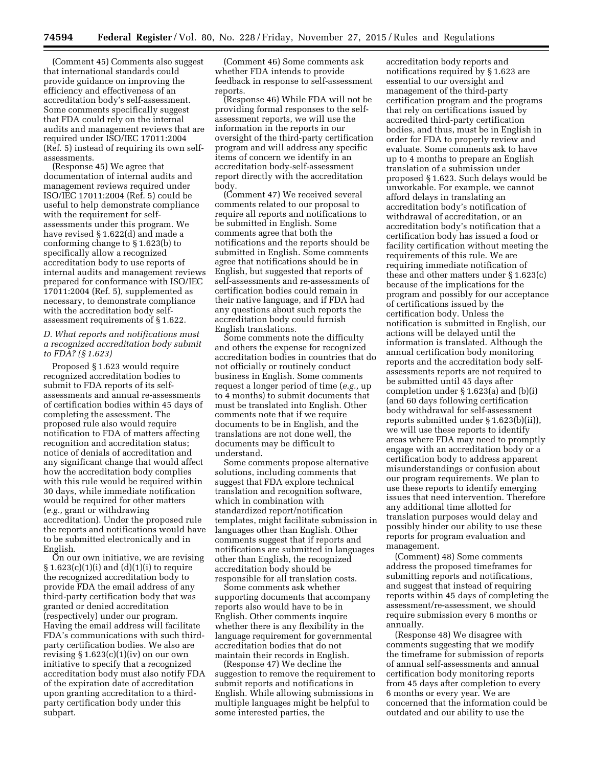(Comment 45) Comments also suggest that international standards could provide guidance on improving the efficiency and effectiveness of an accreditation body's self-assessment. Some comments specifically suggest that FDA could rely on the internal audits and management reviews that are required under ISO/IEC 17011:2004 (Ref. 5) instead of requiring its own selfassessments.

(Response 45) We agree that documentation of internal audits and management reviews required under ISO/IEC 17011:2004 (Ref. 5) could be useful to help demonstrate compliance with the requirement for selfassessments under this program. We have revised § 1.622(d) and made a conforming change to § 1.623(b) to specifically allow a recognized accreditation body to use reports of internal audits and management reviews prepared for conformance with ISO/IEC 17011:2004 (Ref. 5), supplemented as necessary, to demonstrate compliance with the accreditation body selfassessment requirements of § 1.622.

# *D. What reports and notifications must a recognized accreditation body submit to FDA? (§ 1.623)*

Proposed § 1.623 would require recognized accreditation bodies to submit to FDA reports of its selfassessments and annual re-assessments of certification bodies within 45 days of completing the assessment. The proposed rule also would require notification to FDA of matters affecting recognition and accreditation status; notice of denials of accreditation and any significant change that would affect how the accreditation body complies with this rule would be required within 30 days, while immediate notification would be required for other matters (*e.g.,* grant or withdrawing accreditation). Under the proposed rule the reports and notifications would have to be submitted electronically and in English.

On our own initiative, we are revising  $§ 1.623(c)(1)(i)$  and  $(d)(1)(i)$  to require the recognized accreditation body to provide FDA the email address of any third-party certification body that was granted or denied accreditation (respectively) under our program. Having the email address will facilitate FDA's communications with such thirdparty certification bodies. We also are revising  $§ 1.623(c)(1)(iv)$  on our own initiative to specify that a recognized accreditation body must also notify FDA of the expiration date of accreditation upon granting accreditation to a thirdparty certification body under this subpart.

(Comment 46) Some comments ask whether FDA intends to provide feedback in response to self-assessment reports.

(Response 46) While FDA will not be providing formal responses to the selfassessment reports, we will use the information in the reports in our oversight of the third-party certification program and will address any specific items of concern we identify in an accreditation body-self-assessment report directly with the accreditation body.

(Comment 47) We received several comments related to our proposal to require all reports and notifications to be submitted in English. Some comments agree that both the notifications and the reports should be submitted in English. Some comments agree that notifications should be in English, but suggested that reports of self-assessments and re-assessments of certification bodies could remain in their native language, and if FDA had any questions about such reports the accreditation body could furnish English translations.

Some comments note the difficulty and others the expense for recognized accreditation bodies in countries that do not officially or routinely conduct business in English. Some comments request a longer period of time (*e.g.,* up to 4 months) to submit documents that must be translated into English. Other comments note that if we require documents to be in English, and the translations are not done well, the documents may be difficult to understand.

Some comments propose alternative solutions, including comments that suggest that FDA explore technical translation and recognition software, which in combination with standardized report/notification templates, might facilitate submission in languages other than English. Other comments suggest that if reports and notifications are submitted in languages other than English, the recognized accreditation body should be responsible for all translation costs.

Some comments ask whether supporting documents that accompany reports also would have to be in English. Other comments inquire whether there is any flexibility in the language requirement for governmental accreditation bodies that do not maintain their records in English.

(Response 47) We decline the suggestion to remove the requirement to submit reports and notifications in English. While allowing submissions in multiple languages might be helpful to some interested parties, the

accreditation body reports and notifications required by § 1.623 are essential to our oversight and management of the third-party certification program and the programs that rely on certifications issued by accredited third-party certification bodies, and thus, must be in English in order for FDA to properly review and evaluate. Some comments ask to have up to 4 months to prepare an English translation of a submission under proposed § 1.623. Such delays would be unworkable. For example, we cannot afford delays in translating an accreditation body's notification of withdrawal of accreditation, or an accreditation body's notification that a certification body has issued a food or facility certification without meeting the requirements of this rule. We are requiring immediate notification of these and other matters under § 1.623(c) because of the implications for the program and possibly for our acceptance of certifications issued by the certification body. Unless the notification is submitted in English, our actions will be delayed until the information is translated. Although the annual certification body monitoring reports and the accreditation body selfassessments reports are not required to be submitted until 45 days after completion under § 1.623(a) and (b)(i) (and 60 days following certification body withdrawal for self-assessment reports submitted under § 1.623(b)(ii)), we will use these reports to identify areas where FDA may need to promptly engage with an accreditation body or a certification body to address apparent misunderstandings or confusion about our program requirements. We plan to use these reports to identify emerging issues that need intervention. Therefore any additional time allotted for translation purposes would delay and possibly hinder our ability to use these reports for program evaluation and management.

(Comment) 48) Some comments address the proposed timeframes for submitting reports and notifications, and suggest that instead of requiring reports within 45 days of completing the assessment/re-assessment, we should require submission every 6 months or annually.

(Response 48) We disagree with comments suggesting that we modify the timeframe for submission of reports of annual self-assessments and annual certification body monitoring reports from 45 days after completion to every 6 months or every year. We are concerned that the information could be outdated and our ability to use the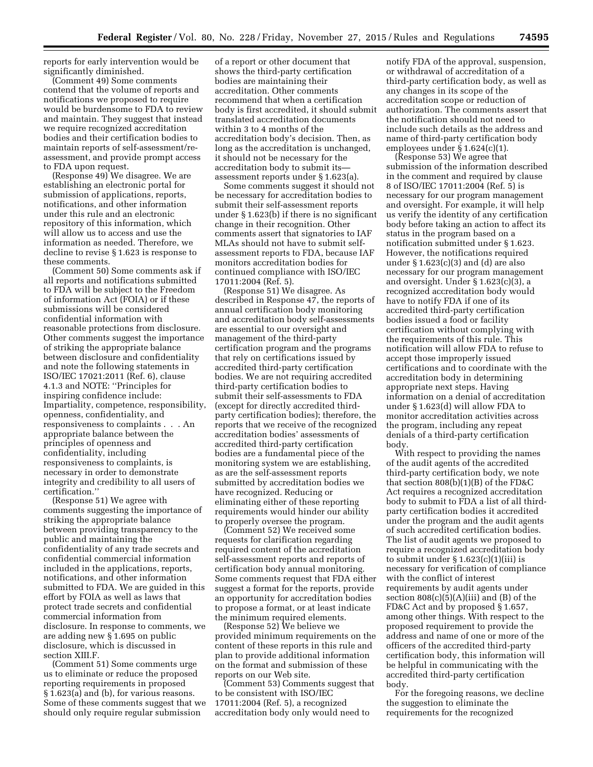reports for early intervention would be significantly diminished.

(Comment 49) Some comments contend that the volume of reports and notifications we proposed to require would be burdensome to FDA to review and maintain. They suggest that instead we require recognized accreditation bodies and their certification bodies to maintain reports of self-assessment/reassessment, and provide prompt access to FDA upon request.

(Response 49) We disagree. We are establishing an electronic portal for submission of applications, reports, notifications, and other information under this rule and an electronic repository of this information, which will allow us to access and use the information as needed. Therefore, we decline to revise § 1.623 is response to these comments.

(Comment 50) Some comments ask if all reports and notifications submitted to FDA will be subject to the Freedom of information Act (FOIA) or if these submissions will be considered confidential information with reasonable protections from disclosure. Other comments suggest the importance of striking the appropriate balance between disclosure and confidentiality and note the following statements in ISO/IEC 17021:2011 (Ref. 6), clause 4.1.3 and NOTE: ''Principles for inspiring confidence include: Impartiality, competence, responsibility, openness, confidentiality, and responsiveness to complaints . . . An appropriate balance between the principles of openness and confidentiality, including responsiveness to complaints, is necessary in order to demonstrate integrity and credibility to all users of certification.''

(Response 51) We agree with comments suggesting the importance of striking the appropriate balance between providing transparency to the public and maintaining the confidentiality of any trade secrets and confidential commercial information included in the applications, reports, notifications, and other information submitted to FDA. We are guided in this effort by FOIA as well as laws that protect trade secrets and confidential commercial information from disclosure. In response to comments, we are adding new § 1.695 on public disclosure, which is discussed in section XIII F

(Comment 51) Some comments urge us to eliminate or reduce the proposed reporting requirements in proposed § 1.623(a) and (b), for various reasons. Some of these comments suggest that we should only require regular submission

of a report or other document that shows the third-party certification bodies are maintaining their accreditation. Other comments recommend that when a certification body is first accredited, it should submit translated accreditation documents within 3 to 4 months of the accreditation body's decision. Then, as long as the accreditation is unchanged, it should not be necessary for the accreditation body to submit its assessment reports under § 1.623(a).

Some comments suggest it should not be necessary for accreditation bodies to submit their self-assessment reports under § 1.623(b) if there is no significant change in their recognition. Other comments assert that signatories to IAF MLAs should not have to submit selfassessment reports to FDA, because IAF monitors accreditation bodies for continued compliance with ISO/IEC 17011:2004 (Ref. 5).

(Response 51) We disagree. As described in Response 47, the reports of annual certification body monitoring and accreditation body self-assessments are essential to our oversight and management of the third-party certification program and the programs that rely on certifications issued by accredited third-party certification bodies. We are not requiring accredited third-party certification bodies to submit their self-assessments to FDA (except for directly accredited thirdparty certification bodies); therefore, the reports that we receive of the recognized accreditation bodies' assessments of accredited third-party certification bodies are a fundamental piece of the monitoring system we are establishing, as are the self-assessment reports submitted by accreditation bodies we have recognized. Reducing or eliminating either of these reporting requirements would hinder our ability to properly oversee the program.

(Comment 52) We received some requests for clarification regarding required content of the accreditation self-assessment reports and reports of certification body annual monitoring. Some comments request that FDA either suggest a format for the reports, provide an opportunity for accreditation bodies to propose a format, or at least indicate the minimum required elements.

(Response 52) We believe we provided minimum requirements on the content of these reports in this rule and plan to provide additional information on the format and submission of these reports on our Web site.

(Comment 53) Comments suggest that to be consistent with ISO/IEC 17011:2004 (Ref. 5), a recognized accreditation body only would need to

notify FDA of the approval, suspension, or withdrawal of accreditation of a third-party certification body, as well as any changes in its scope of the accreditation scope or reduction of authorization. The comments assert that the notification should not need to include such details as the address and name of third-party certification body employees under  $\S 1.624(c)(1)$ .

(Response 53) We agree that submission of the information described in the comment and required by clause 8 of ISO/IEC 17011:2004 (Ref. 5) is necessary for our program management and oversight. For example, it will help us verify the identity of any certification body before taking an action to affect its status in the program based on a notification submitted under § 1.623. However, the notifications required under  $\S 1.623(c)(3)$  and (d) are also necessary for our program management and oversight. Under § 1.623(c)(3), a recognized accreditation body would have to notify FDA if one of its accredited third-party certification bodies issued a food or facility certification without complying with the requirements of this rule. This notification will allow FDA to refuse to accept those improperly issued certifications and to coordinate with the accreditation body in determining appropriate next steps. Having information on a denial of accreditation under § 1.623(d) will allow FDA to monitor accreditation activities across the program, including any repeat denials of a third-party certification body.

With respect to providing the names of the audit agents of the accredited third-party certification body, we note that section 808(b)(1)(B) of the FD&C Act requires a recognized accreditation body to submit to FDA a list of all thirdparty certification bodies it accredited under the program and the audit agents of such accredited certification bodies. The list of audit agents we proposed to require a recognized accreditation body to submit under  $\S 1.623(c)(1)(iii)$  is necessary for verification of compliance with the conflict of interest requirements by audit agents under section  $808(c)(5)(A)(iii)$  and  $(B)$  of the FD&C Act and by proposed § 1.657, among other things. With respect to the proposed requirement to provide the address and name of one or more of the officers of the accredited third-party certification body, this information will be helpful in communicating with the accredited third-party certification body.

For the foregoing reasons, we decline the suggestion to eliminate the requirements for the recognized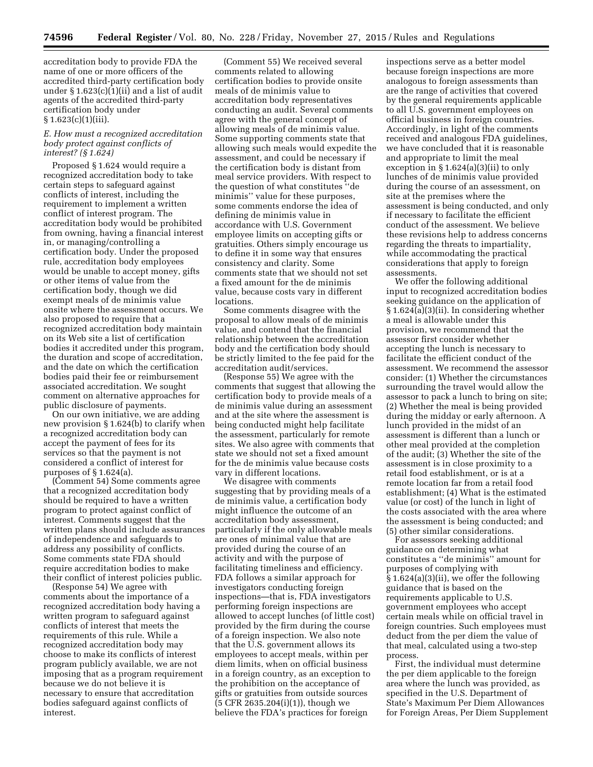accreditation body to provide FDA the name of one or more officers of the accredited third-party certification body under § 1.623(c)(1)(ii) and a list of audit agents of the accredited third-party certification body under  $§ 1.623(c)(1)(iii).$ 

# *E. How must a recognized accreditation body protect against conflicts of interest? (§ 1.624)*

Proposed § 1.624 would require a recognized accreditation body to take certain steps to safeguard against conflicts of interest, including the requirement to implement a written conflict of interest program. The accreditation body would be prohibited from owning, having a financial interest in, or managing/controlling a certification body. Under the proposed rule, accreditation body employees would be unable to accept money, gifts or other items of value from the certification body, though we did exempt meals of de minimis value onsite where the assessment occurs. We also proposed to require that a recognized accreditation body maintain on its Web site a list of certification bodies it accredited under this program, the duration and scope of accreditation, and the date on which the certification bodies paid their fee or reimbursement associated accreditation. We sought comment on alternative approaches for public disclosure of payments.

On our own initiative, we are adding new provision § 1.624(b) to clarify when a recognized accreditation body can accept the payment of fees for its services so that the payment is not considered a conflict of interest for purposes of § 1.624(a).

(Comment 54) Some comments agree that a recognized accreditation body should be required to have a written program to protect against conflict of interest. Comments suggest that the written plans should include assurances of independence and safeguards to address any possibility of conflicts. Some comments state FDA should require accreditation bodies to make their conflict of interest policies public.

(Response 54) We agree with comments about the importance of a recognized accreditation body having a written program to safeguard against conflicts of interest that meets the requirements of this rule. While a recognized accreditation body may choose to make its conflicts of interest program publicly available, we are not imposing that as a program requirement because we do not believe it is necessary to ensure that accreditation bodies safeguard against conflicts of interest.

(Comment 55) We received several comments related to allowing certification bodies to provide onsite meals of de minimis value to accreditation body representatives conducting an audit. Several comments agree with the general concept of allowing meals of de minimis value. Some supporting comments state that allowing such meals would expedite the assessment, and could be necessary if the certification body is distant from meal service providers. With respect to the question of what constitutes ''de minimis'' value for these purposes, some comments endorse the idea of defining de minimis value in accordance with U.S. Government employee limits on accepting gifts or gratuities. Others simply encourage us to define it in some way that ensures consistency and clarity. Some comments state that we should not set a fixed amount for the de minimis value, because costs vary in different **locations** 

Some comments disagree with the proposal to allow meals of de minimis value, and contend that the financial relationship between the accreditation body and the certification body should be strictly limited to the fee paid for the accreditation audit/services.

(Response 55) We agree with the comments that suggest that allowing the certification body to provide meals of a de minimis value during an assessment and at the site where the assessment is being conducted might help facilitate the assessment, particularly for remote sites. We also agree with comments that state we should not set a fixed amount for the de minimis value because costs vary in different locations.

We disagree with comments suggesting that by providing meals of a de minimis value, a certification body might influence the outcome of an accreditation body assessment, particularly if the only allowable meals are ones of minimal value that are provided during the course of an activity and with the purpose of facilitating timeliness and efficiency. FDA follows a similar approach for investigators conducting foreign inspections—that is, FDA investigators performing foreign inspections are allowed to accept lunches (of little cost) provided by the firm during the course of a foreign inspection. We also note that the U.S. government allows its employees to accept meals, within per diem limits, when on official business in a foreign country, as an exception to the prohibition on the acceptance of gifts or gratuities from outside sources (5 CFR 2635.204(i)(1)), though we believe the FDA's practices for foreign

inspections serve as a better model because foreign inspections are more analogous to foreign assessments than are the range of activities that covered by the general requirements applicable to all U.S. government employees on official business in foreign countries. Accordingly, in light of the comments received and analogous FDA guidelines, we have concluded that it is reasonable and appropriate to limit the meal exception in § 1.624(a)(3)(ii) to only lunches of de minimis value provided during the course of an assessment, on site at the premises where the assessment is being conducted, and only if necessary to facilitate the efficient conduct of the assessment. We believe these revisions help to address concerns regarding the threats to impartiality, while accommodating the practical considerations that apply to foreign assessments.

We offer the following additional input to recognized accreditation bodies seeking guidance on the application of § 1.624(a)(3)(ii). In considering whether a meal is allowable under this provision, we recommend that the assessor first consider whether accepting the lunch is necessary to facilitate the efficient conduct of the assessment. We recommend the assessor consider: (1) Whether the circumstances surrounding the travel would allow the assessor to pack a lunch to bring on site; (2) Whether the meal is being provided during the midday or early afternoon. A lunch provided in the midst of an assessment is different than a lunch or other meal provided at the completion of the audit; (3) Whether the site of the assessment is in close proximity to a retail food establishment, or is at a remote location far from a retail food establishment; (4) What is the estimated value (or cost) of the lunch in light of the costs associated with the area where the assessment is being conducted; and (5) other similar considerations.

For assessors seeking additional guidance on determining what constitutes a ''de minimis'' amount for purposes of complying with § 1.624(a)(3)(ii), we offer the following guidance that is based on the requirements applicable to U.S. government employees who accept certain meals while on official travel in foreign countries. Such employees must deduct from the per diem the value of that meal, calculated using a two-step process.

First, the individual must determine the per diem applicable to the foreign area where the lunch was provided, as specified in the U.S. Department of State's Maximum Per Diem Allowances for Foreign Areas, Per Diem Supplement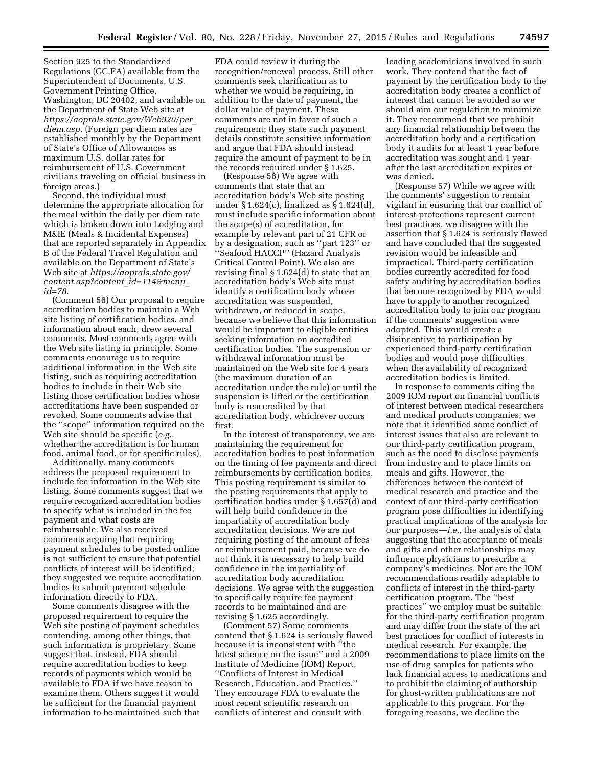Section 925 to the Standardized Regulations (GC,FA) available from the Superintendent of Documents, U.S. Government Printing Office, Washington, DC 20402, and available on the Department of State Web site at *[https://aoprals.state.gov/Web920/per](https://aoprals.state.gov/Web920/per_diem.asp)*\_ *[diem.asp](https://aoprals.state.gov/Web920/per_diem.asp)*. (Foreign per diem rates are established monthly by the Department of State's Office of Allowances as maximum U.S. dollar rates for reimbursement of U.S. Government civilians traveling on official business in foreign areas.)

Second, the individual must determine the appropriate allocation for the meal within the daily per diem rate which is broken down into Lodging and M&IE (Meals & Incidental Expenses) that are reported separately in Appendix B of the Federal Travel Regulation and available on the Department of State's Web site at *[https://aoprals.state.gov/](https://aoprals.state.gov/content.asp?content_id=114&menu_id=78) [content.asp?content](https://aoprals.state.gov/content.asp?content_id=114&menu_id=78)*\_*id=114&menu*\_ *[id=78](https://aoprals.state.gov/content.asp?content_id=114&menu_id=78)*.

(Comment 56) Our proposal to require accreditation bodies to maintain a Web site listing of certification bodies, and information about each, drew several comments. Most comments agree with the Web site listing in principle. Some comments encourage us to require additional information in the Web site listing, such as requiring accreditation bodies to include in their Web site listing those certification bodies whose accreditations have been suspended or revoked. Some comments advise that the ''scope'' information required on the Web site should be specific (*e.g.,*  whether the accreditation is for human food, animal food, or for specific rules).

Additionally, many comments address the proposed requirement to include fee information in the Web site listing. Some comments suggest that we require recognized accreditation bodies to specify what is included in the fee payment and what costs are reimbursable. We also received comments arguing that requiring payment schedules to be posted online is not sufficient to ensure that potential conflicts of interest will be identified; they suggested we require accreditation bodies to submit payment schedule information directly to FDA.

Some comments disagree with the proposed requirement to require the Web site posting of payment schedules contending, among other things, that such information is proprietary. Some suggest that, instead, FDA should require accreditation bodies to keep records of payments which would be available to FDA if we have reason to examine them. Others suggest it would be sufficient for the financial payment information to be maintained such that

FDA could review it during the recognition/renewal process. Still other comments seek clarification as to whether we would be requiring, in addition to the date of payment, the dollar value of payment. These comments are not in favor of such a requirement; they state such payment details constitute sensitive information and argue that FDA should instead require the amount of payment to be in the records required under § 1.625.

(Response 56) We agree with comments that state that an accreditation body's Web site posting under § 1.624(c), finalized as § 1.624(d), must include specific information about the scope(s) of accreditation, for example by relevant part of 21 CFR or by a designation, such as ''part 123'' or ''Seafood HACCP'' (Hazard Analysis Critical Control Point). We also are revising final § 1.624(d) to state that an accreditation body's Web site must identify a certification body whose accreditation was suspended, withdrawn, or reduced in scope, because we believe that this information would be important to eligible entities seeking information on accredited certification bodies. The suspension or withdrawal information must be maintained on the Web site for 4 years (the maximum duration of an accreditation under the rule) or until the suspension is lifted or the certification body is reaccredited by that accreditation body, whichever occurs first.

In the interest of transparency, we are maintaining the requirement for accreditation bodies to post information on the timing of fee payments and direct reimbursements by certification bodies. This posting requirement is similar to the posting requirements that apply to certification bodies under § 1.657(d) and will help build confidence in the impartiality of accreditation body accreditation decisions. We are not requiring posting of the amount of fees or reimbursement paid, because we do not think it is necessary to help build confidence in the impartiality of accreditation body accreditation decisions. We agree with the suggestion to specifically require fee payment records to be maintained and are revising § 1.625 accordingly.

(Comment 57) Some comments contend that § 1.624 is seriously flawed because it is inconsistent with ''the latest science on the issue'' and a 2009 Institute of Medicine (IOM) Report, ''Conflicts of Interest in Medical Research, Education, and Practice.'' They encourage FDA to evaluate the most recent scientific research on conflicts of interest and consult with

leading academicians involved in such work. They contend that the fact of payment by the certification body to the accreditation body creates a conflict of interest that cannot be avoided so we should aim our regulation to minimize it. They recommend that we prohibit any financial relationship between the accreditation body and a certification body it audits for at least 1 year before accreditation was sought and 1 year after the last accreditation expires or was denied.

(Response 57) While we agree with the comments' suggestion to remain vigilant in ensuring that our conflict of interest protections represent current best practices, we disagree with the assertion that § 1.624 is seriously flawed and have concluded that the suggested revision would be infeasible and impractical. Third-party certification bodies currently accredited for food safety auditing by accreditation bodies that become recognized by FDA would have to apply to another recognized accreditation body to join our program if the comments' suggestion were adopted. This would create a disincentive to participation by experienced third-party certification bodies and would pose difficulties when the availability of recognized accreditation bodies is limited.

In response to comments citing the 2009 IOM report on financial conflicts of interest between medical researchers and medical products companies, we note that it identified some conflict of interest issues that also are relevant to our third-party certification program, such as the need to disclose payments from industry and to place limits on meals and gifts. However, the differences between the context of medical research and practice and the context of our third-party certification program pose difficulties in identifying practical implications of the analysis for our purposes—*i.e.,* the analysis of data suggesting that the acceptance of meals and gifts and other relationships may influence physicians to prescribe a company's medicines. Nor are the IOM recommendations readily adaptable to conflicts of interest in the third-party certification program. The ''best practices'' we employ must be suitable for the third-party certification program and may differ from the state of the art best practices for conflict of interests in medical research. For example, the recommendations to place limits on the use of drug samples for patients who lack financial access to medications and to prohibit the claiming of authorship for ghost-written publications are not applicable to this program. For the foregoing reasons, we decline the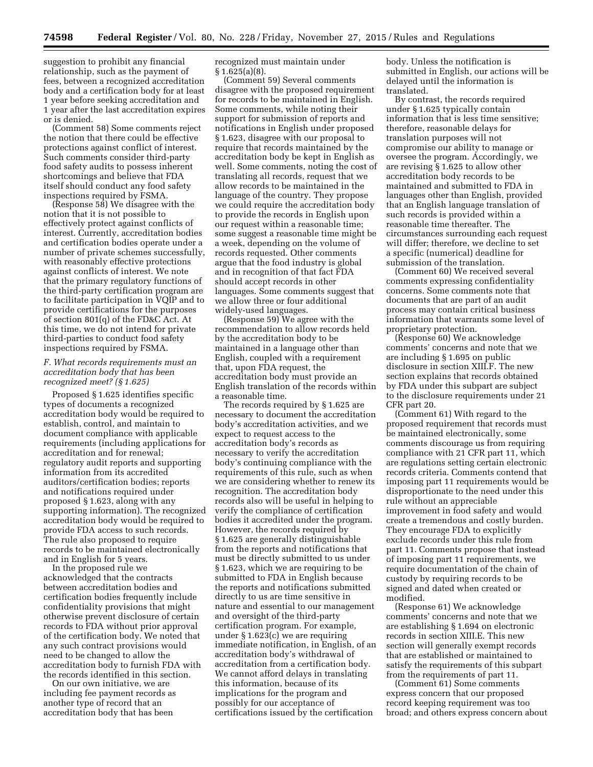suggestion to prohibit any financial relationship, such as the payment of fees, between a recognized accreditation body and a certification body for at least 1 year before seeking accreditation and 1 year after the last accreditation expires or is denied.

(Comment 58) Some comments reject the notion that there could be effective protections against conflict of interest. Such comments consider third-party food safety audits to possess inherent shortcomings and believe that FDA itself should conduct any food safety inspections required by FSMA.

(Response 58) We disagree with the notion that it is not possible to effectively protect against conflicts of interest. Currently, accreditation bodies and certification bodies operate under a number of private schemes successfully, with reasonably effective protections against conflicts of interest. We note that the primary regulatory functions of the third-party certification program are to facilitate participation in VQIP and to provide certifications for the purposes of section 801(q) of the FD&C Act. At this time, we do not intend for private third-parties to conduct food safety inspections required by FSMA.

# *F. What records requirements must an accreditation body that has been recognized meet? (§ 1.625)*

Proposed § 1.625 identifies specific types of documents a recognized accreditation body would be required to establish, control, and maintain to document compliance with applicable requirements (including applications for accreditation and for renewal; regulatory audit reports and supporting information from its accredited auditors/certification bodies; reports and notifications required under proposed § 1.623, along with any supporting information). The recognized accreditation body would be required to provide FDA access to such records. The rule also proposed to require records to be maintained electronically and in English for 5 years.

In the proposed rule we acknowledged that the contracts between accreditation bodies and certification bodies frequently include confidentiality provisions that might otherwise prevent disclosure of certain records to FDA without prior approval of the certification body. We noted that any such contract provisions would need to be changed to allow the accreditation body to furnish FDA with the records identified in this section.

On our own initiative, we are including fee payment records as another type of record that an accreditation body that has been

recognized must maintain under § 1.625(a)(8).

(Comment 59) Several comments disagree with the proposed requirement for records to be maintained in English. Some comments, while noting their support for submission of reports and notifications in English under proposed § 1.623, disagree with our proposal to require that records maintained by the accreditation body be kept in English as well. Some comments, noting the cost of translating all records, request that we allow records to be maintained in the language of the country. They propose we could require the accreditation body to provide the records in English upon our request within a reasonable time; some suggest a reasonable time might be a week, depending on the volume of records requested. Other comments argue that the food industry is global and in recognition of that fact FDA should accept records in other languages. Some comments suggest that we allow three or four additional widely-used languages.

(Response 59) We agree with the recommendation to allow records held by the accreditation body to be maintained in a language other than English, coupled with a requirement that, upon FDA request, the accreditation body must provide an English translation of the records within a reasonable time.

The records required by § 1.625 are necessary to document the accreditation body's accreditation activities, and we expect to request access to the accreditation body's records as necessary to verify the accreditation body's continuing compliance with the requirements of this rule, such as when we are considering whether to renew its recognition. The accreditation body records also will be useful in helping to verify the compliance of certification bodies it accredited under the program. However, the records required by § 1.625 are generally distinguishable from the reports and notifications that must be directly submitted to us under § 1.623, which we are requiring to be submitted to FDA in English because the reports and notifications submitted directly to us are time sensitive in nature and essential to our management and oversight of the third-party certification program. For example, under § 1.623(c) we are requiring immediate notification, in English, of an accreditation body's withdrawal of accreditation from a certification body. We cannot afford delays in translating this information, because of its implications for the program and possibly for our acceptance of certifications issued by the certification

body. Unless the notification is submitted in English, our actions will be delayed until the information is translated.

By contrast, the records required under § 1.625 typically contain information that is less time sensitive; therefore, reasonable delays for translation purposes will not compromise our ability to manage or oversee the program. Accordingly, we are revising § 1.625 to allow other accreditation body records to be maintained and submitted to FDA in languages other than English, provided that an English language translation of such records is provided within a reasonable time thereafter. The circumstances surrounding each request will differ; therefore, we decline to set a specific (numerical) deadline for submission of the translation.

(Comment 60) We received several comments expressing confidentiality concerns. Some comments note that documents that are part of an audit process may contain critical business information that warrants some level of proprietary protection.

(Response 60) We acknowledge comments' concerns and note that we are including § 1.695 on public disclosure in section XIII.F. The new section explains that records obtained by FDA under this subpart are subject to the disclosure requirements under 21 CFR part 20.

(Comment 61) With regard to the proposed requirement that records must be maintained electronically, some comments discourage us from requiring compliance with 21 CFR part 11, which are regulations setting certain electronic records criteria. Comments contend that imposing part 11 requirements would be disproportionate to the need under this rule without an appreciable improvement in food safety and would create a tremendous and costly burden. They encourage FDA to explicitly exclude records under this rule from part 11. Comments propose that instead of imposing part 11 requirements, we require documentation of the chain of custody by requiring records to be signed and dated when created or modified.

(Response 61) We acknowledge comments' concerns and note that we are establishing § 1.694 on electronic records in section XIII.E. This new section will generally exempt records that are established or maintained to satisfy the requirements of this subpart from the requirements of part 11.

(Comment 61) Some comments express concern that our proposed record keeping requirement was too broad; and others express concern about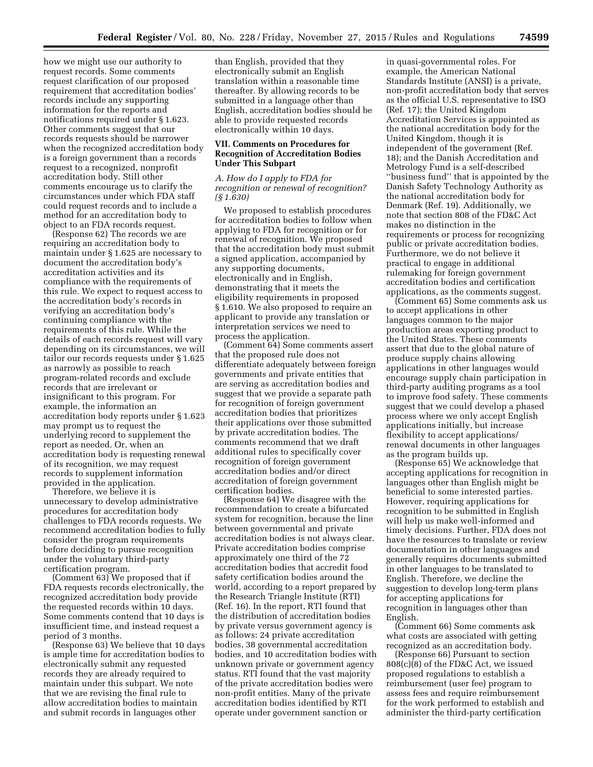how we might use our authority to request records. Some comments request clarification of our proposed requirement that accreditation bodies' records include any supporting information for the reports and notifications required under § 1.623. Other comments suggest that our records requests should be narrower when the recognized accreditation body is a foreign government than a records request to a recognized, nonprofit accreditation body. Still other comments encourage us to clarify the circumstances under which FDA staff could request records and to include a method for an accreditation body to object to an FDA records request.

(Response 62) The records we are requiring an accreditation body to maintain under § 1.625 are necessary to document the accreditation body's accreditation activities and its compliance with the requirements of this rule. We expect to request access to the accreditation body's records in verifying an accreditation body's continuing compliance with the requirements of this rule. While the details of each records request will vary depending on its circumstances, we will tailor our records requests under § 1.625 as narrowly as possible to reach program-related records and exclude records that are irrelevant or insignificant to this program. For example, the information an accreditation body reports under § 1.623 may prompt us to request the underlying record to supplement the report as needed. Or, when an accreditation body is requesting renewal of its recognition, we may request records to supplement information provided in the application.

Therefore, we believe it is unnecessary to develop administrative procedures for accreditation body challenges to FDA records requests. We recommend accreditation bodies to fully consider the program requirements before deciding to pursue recognition under the voluntary third-party certification program.

(Comment 63) We proposed that if FDA requests records electronically, the recognized accreditation body provide the requested records within 10 days. Some comments contend that 10 days is insufficient time, and instead request a period of 3 months.

(Response 63) We believe that 10 days is ample time for accreditation bodies to electronically submit any requested records they are already required to maintain under this subpart. We note that we are revising the final rule to allow accreditation bodies to maintain and submit records in languages other

than English, provided that they electronically submit an English translation within a reasonable time thereafter. By allowing records to be submitted in a language other than English, accreditation bodies should be able to provide requested records electronically within 10 days.

# **VII. Comments on Procedures for Recognition of Accreditation Bodies Under This Subpart**

*A. How do I apply to FDA for recognition or renewal of recognition? (§ 1.630)* 

We proposed to establish procedures for accreditation bodies to follow when applying to FDA for recognition or for renewal of recognition. We proposed that the accreditation body must submit a signed application, accompanied by any supporting documents, electronically and in English, demonstrating that it meets the eligibility requirements in proposed § 1.610. We also proposed to require an applicant to provide any translation or interpretation services we need to process the application.

(Comment 64) Some comments assert that the proposed rule does not differentiate adequately between foreign governments and private entities that are serving as accreditation bodies and suggest that we provide a separate path for recognition of foreign government accreditation bodies that prioritizes their applications over those submitted by private accreditation bodies. The comments recommend that we draft additional rules to specifically cover recognition of foreign government accreditation bodies and/or direct accreditation of foreign government certification bodies.

(Response 64) We disagree with the recommendation to create a bifurcated system for recognition, because the line between governmental and private accreditation bodies is not always clear. Private accreditation bodies comprise approximately one third of the 72 accreditation bodies that accredit food safety certification bodies around the world, according to a report prepared by the Research Triangle Institute (RTI) (Ref. 16). In the report, RTI found that the distribution of accreditation bodies by private versus government agency is as follows: 24 private accreditation bodies, 38 governmental accreditation bodies, and 10 accreditation bodies with unknown private or government agency status. RTI found that the vast majority of the private accreditation bodies were non-profit entities. Many of the private accreditation bodies identified by RTI operate under government sanction or

in quasi-governmental roles. For example, the American National Standards Institute (ANSI) is a private, non-profit accreditation body that serves as the official U.S. representative to ISO (Ref. 17); the United Kingdom Accreditation Services is appointed as the national accreditation body for the United Kingdom, though it is independent of the government (Ref. 18); and the Danish Accreditation and Metrology Fund is a self-described ''business fund'' that is appointed by the Danish Safety Technology Authority as the national accreditation body for Denmark (Ref. 19). Additionally, we note that section 808 of the FD&C Act makes no distinction in the requirements or process for recognizing public or private accreditation bodies. Furthermore, we do not believe it practical to engage in additional rulemaking for foreign government accreditation bodies and certification applications, as the comments suggest.

(Comment 65) Some comments ask us to accept applications in other languages common to the major production areas exporting product to the United States. These comments assert that due to the global nature of produce supply chains allowing applications in other languages would encourage supply chain participation in third-party auditing programs as a tool to improve food safety. These comments suggest that we could develop a phased process where we only accept English applications initially, but increase flexibility to accept applications/ renewal documents in other languages as the program builds up.

(Response 65) We acknowledge that accepting applications for recognition in languages other than English might be beneficial to some interested parties. However, requiring applications for recognition to be submitted in English will help us make well-informed and timely decisions. Further, FDA does not have the resources to translate or review documentation in other languages and generally requires documents submitted in other languages to be translated to English. Therefore, we decline the suggestion to develop long-term plans for accepting applications for recognition in languages other than English.

(Comment 66) Some comments ask what costs are associated with getting recognized as an accreditation body.

(Response 66) Pursuant to section 808(c)(8) of the FD&C Act, we issued proposed regulations to establish a reimbursement (user fee) program to assess fees and require reimbursement for the work performed to establish and administer the third-party certification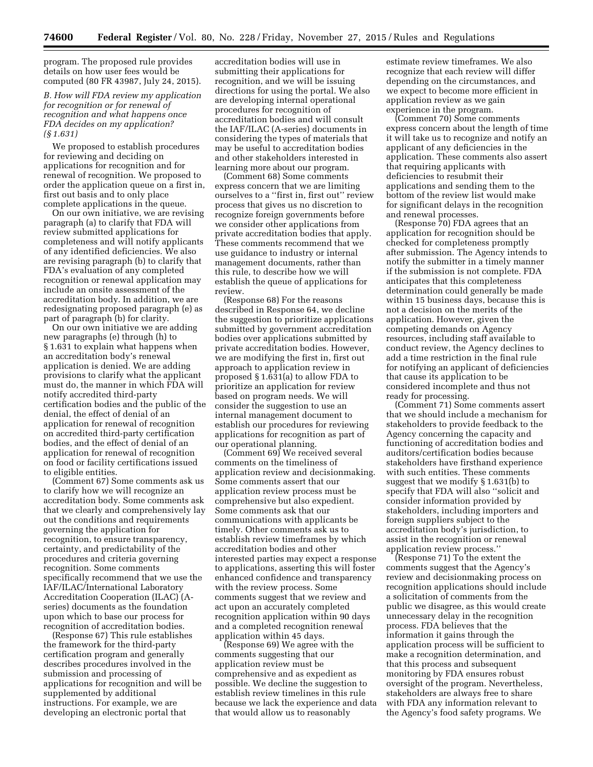program. The proposed rule provides details on how user fees would be computed (80 FR 43987, July 24, 2015).

# *B. How will FDA review my application for recognition or for renewal of recognition and what happens once FDA decides on my application? (§ 1.631)*

We proposed to establish procedures for reviewing and deciding on applications for recognition and for renewal of recognition. We proposed to order the application queue on a first in, first out basis and to only place complete applications in the queue.

On our own initiative, we are revising paragraph (a) to clarify that FDA will review submitted applications for completeness and will notify applicants of any identified deficiencies. We also are revising paragraph (b) to clarify that FDA's evaluation of any completed recognition or renewal application may include an onsite assessment of the accreditation body. In addition, we are redesignating proposed paragraph (e) as part of paragraph (b) for clarity.

On our own initiative we are adding new paragraphs (e) through (h) to § 1.631 to explain what happens when an accreditation body's renewal application is denied. We are adding provisions to clarify what the applicant must do, the manner in which FDA will notify accredited third-party certification bodies and the public of the denial, the effect of denial of an application for renewal of recognition on accredited third-party certification bodies, and the effect of denial of an application for renewal of recognition on food or facility certifications issued to eligible entities.

(Comment 67) Some comments ask us to clarify how we will recognize an accreditation body. Some comments ask that we clearly and comprehensively lay out the conditions and requirements governing the application for recognition, to ensure transparency, certainty, and predictability of the procedures and criteria governing recognition. Some comments specifically recommend that we use the IAF/ILAC/International Laboratory Accreditation Cooperation (ILAC) (Aseries) documents as the foundation upon which to base our process for recognition of accreditation bodies.

(Response 67) This rule establishes the framework for the third-party certification program and generally describes procedures involved in the submission and processing of applications for recognition and will be supplemented by additional instructions. For example, we are developing an electronic portal that

accreditation bodies will use in submitting their applications for recognition, and we will be issuing directions for using the portal. We also are developing internal operational procedures for recognition of accreditation bodies and will consult the IAF/ILAC (A-series) documents in considering the types of materials that may be useful to accreditation bodies and other stakeholders interested in learning more about our program.

(Comment 68) Some comments express concern that we are limiting ourselves to a ''first in, first out'' review process that gives us no discretion to recognize foreign governments before we consider other applications from private accreditation bodies that apply. These comments recommend that we use guidance to industry or internal management documents, rather than this rule, to describe how we will establish the queue of applications for review.

(Response 68) For the reasons described in Response 64, we decline the suggestion to prioritize applications submitted by government accreditation bodies over applications submitted by private accreditation bodies. However, we are modifying the first in, first out approach to application review in proposed § 1.631(a) to allow FDA to prioritize an application for review based on program needs. We will consider the suggestion to use an internal management document to establish our procedures for reviewing applications for recognition as part of our operational planning.

(Comment 69) We received several comments on the timeliness of application review and decisionmaking. Some comments assert that our application review process must be comprehensive but also expedient. Some comments ask that our communications with applicants be timely. Other comments ask us to establish review timeframes by which accreditation bodies and other interested parties may expect a response to applications, asserting this will foster enhanced confidence and transparency with the review process. Some comments suggest that we review and act upon an accurately completed recognition application within 90 days and a completed recognition renewal application within 45 days.

(Response 69) We agree with the comments suggesting that our application review must be comprehensive and as expedient as possible. We decline the suggestion to establish review timelines in this rule because we lack the experience and data that would allow us to reasonably

estimate review timeframes. We also recognize that each review will differ depending on the circumstances, and we expect to become more efficient in application review as we gain experience in the program.

(Comment 70) Some comments express concern about the length of time it will take us to recognize and notify an applicant of any deficiencies in the application. These comments also assert that requiring applicants with deficiencies to resubmit their applications and sending them to the bottom of the review list would make for significant delays in the recognition and renewal processes.

(Response 70) FDA agrees that an application for recognition should be checked for completeness promptly after submission. The Agency intends to notify the submitter in a timely manner if the submission is not complete. FDA anticipates that this completeness determination could generally be made within 15 business days, because this is not a decision on the merits of the application. However, given the competing demands on Agency resources, including staff available to conduct review, the Agency declines to add a time restriction in the final rule for notifying an applicant of deficiencies that cause its application to be considered incomplete and thus not ready for processing.

(Comment 71) Some comments assert that we should include a mechanism for stakeholders to provide feedback to the Agency concerning the capacity and functioning of accreditation bodies and auditors/certification bodies because stakeholders have firsthand experience with such entities. These comments suggest that we modify § 1.631(b) to specify that FDA will also ''solicit and consider information provided by stakeholders, including importers and foreign suppliers subject to the accreditation body's jurisdiction, to assist in the recognition or renewal application review process.''

(Response 71) To the extent the comments suggest that the Agency's review and decisionmaking process on recognition applications should include a solicitation of comments from the public we disagree, as this would create unnecessary delay in the recognition process. FDA believes that the information it gains through the application process will be sufficient to make a recognition determination, and that this process and subsequent monitoring by FDA ensures robust oversight of the program. Nevertheless, stakeholders are always free to share with FDA any information relevant to the Agency's food safety programs. We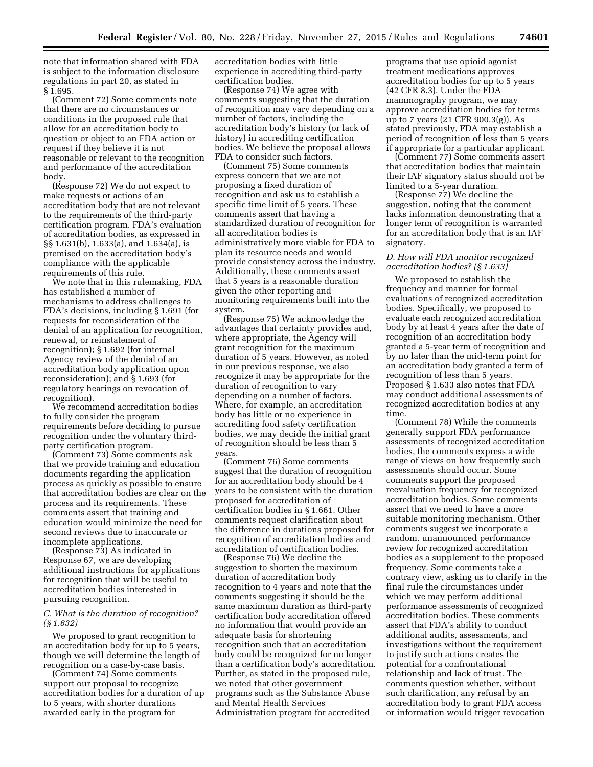note that information shared with FDA is subject to the information disclosure regulations in part 20, as stated in § 1.695.

(Comment 72) Some comments note that there are no circumstances or conditions in the proposed rule that allow for an accreditation body to question or object to an FDA action or request if they believe it is not reasonable or relevant to the recognition and performance of the accreditation body.

(Response 72) We do not expect to make requests or actions of an accreditation body that are not relevant to the requirements of the third-party certification program. FDA's evaluation of accreditation bodies, as expressed in §§ 1.631(b), 1.633(a), and 1.634(a), is premised on the accreditation body's compliance with the applicable requirements of this rule.

We note that in this rulemaking, FDA has established a number of mechanisms to address challenges to FDA's decisions, including § 1.691 (for requests for reconsideration of the denial of an application for recognition, renewal, or reinstatement of recognition); § 1.692 (for internal Agency review of the denial of an accreditation body application upon reconsideration); and § 1.693 (for regulatory hearings on revocation of recognition).

We recommend accreditation bodies to fully consider the program requirements before deciding to pursue recognition under the voluntary thirdparty certification program.

(Comment 73) Some comments ask that we provide training and education documents regarding the application process as quickly as possible to ensure that accreditation bodies are clear on the process and its requirements. These comments assert that training and education would minimize the need for second reviews due to inaccurate or incomplete applications.

(Response 73) As indicated in Response 67, we are developing additional instructions for applications for recognition that will be useful to accreditation bodies interested in pursuing recognition.

# *C. What is the duration of recognition? (§ 1.632)*

We proposed to grant recognition to an accreditation body for up to 5 years, though we will determine the length of recognition on a case-by-case basis.

(Comment 74) Some comments support our proposal to recognize accreditation bodies for a duration of up to 5 years, with shorter durations awarded early in the program for

accreditation bodies with little experience in accrediting third-party certification bodies.

(Response 74) We agree with comments suggesting that the duration of recognition may vary depending on a number of factors, including the accreditation body's history (or lack of history) in accrediting certification bodies. We believe the proposal allows FDA to consider such factors.

(Comment 75) Some comments express concern that we are not proposing a fixed duration of recognition and ask us to establish a specific time limit of 5 years. These comments assert that having a standardized duration of recognition for all accreditation bodies is administratively more viable for FDA to plan its resource needs and would provide consistency across the industry. Additionally, these comments assert that 5 years is a reasonable duration given the other reporting and monitoring requirements built into the system.

(Response 75) We acknowledge the advantages that certainty provides and, where appropriate, the Agency will grant recognition for the maximum duration of 5 years. However, as noted in our previous response, we also recognize it may be appropriate for the duration of recognition to vary depending on a number of factors. Where, for example, an accreditation body has little or no experience in accrediting food safety certification bodies, we may decide the initial grant of recognition should be less than 5 years.

(Comment 76) Some comments suggest that the duration of recognition for an accreditation body should be 4 years to be consistent with the duration proposed for accreditation of certification bodies in § 1.661. Other comments request clarification about the difference in durations proposed for recognition of accreditation bodies and accreditation of certification bodies.

(Response 76) We decline the suggestion to shorten the maximum duration of accreditation body recognition to 4 years and note that the comments suggesting it should be the same maximum duration as third-party certification body accreditation offered no information that would provide an adequate basis for shortening recognition such that an accreditation body could be recognized for no longer than a certification body's accreditation. Further, as stated in the proposed rule, we noted that other government programs such as the Substance Abuse and Mental Health Services Administration program for accredited

programs that use opioid agonist treatment medications approves accreditation bodies for up to 5 years (42 CFR 8.3). Under the FDA mammography program, we may approve accreditation bodies for terms up to 7 years (21 CFR 900.3(g)). As stated previously, FDA may establish a period of recognition of less than 5 years if appropriate for a particular applicant.

(Comment 77) Some comments assert that accreditation bodies that maintain their IAF signatory status should not be limited to a 5-year duration.

(Response 77) We decline the suggestion, noting that the comment lacks information demonstrating that a longer term of recognition is warranted for an accreditation body that is an IAF signatory.

# *D. How will FDA monitor recognized accreditation bodies? (§ 1.633)*

We proposed to establish the frequency and manner for formal evaluations of recognized accreditation bodies. Specifically, we proposed to evaluate each recognized accreditation body by at least 4 years after the date of recognition of an accreditation body granted a 5-year term of recognition and by no later than the mid-term point for an accreditation body granted a term of recognition of less than 5 years. Proposed § 1.633 also notes that FDA may conduct additional assessments of recognized accreditation bodies at any time.

(Comment 78) While the comments generally support FDA performance assessments of recognized accreditation bodies, the comments express a wide range of views on how frequently such assessments should occur. Some comments support the proposed reevaluation frequency for recognized accreditation bodies. Some comments assert that we need to have a more suitable monitoring mechanism. Other comments suggest we incorporate a random, unannounced performance review for recognized accreditation bodies as a supplement to the proposed frequency. Some comments take a contrary view, asking us to clarify in the final rule the circumstances under which we may perform additional performance assessments of recognized accreditation bodies. These comments assert that FDA's ability to conduct additional audits, assessments, and investigations without the requirement to justify such actions creates the potential for a confrontational relationship and lack of trust. The comments question whether, without such clarification, any refusal by an accreditation body to grant FDA access or information would trigger revocation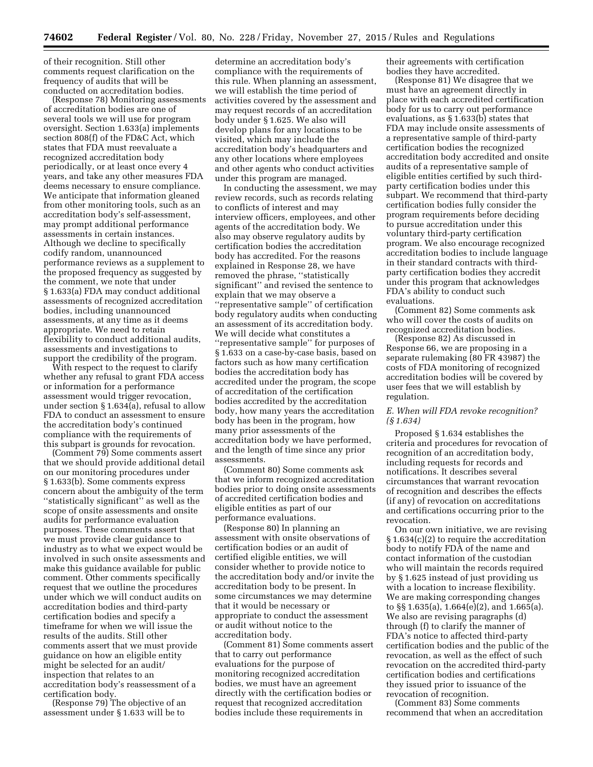of their recognition. Still other comments request clarification on the frequency of audits that will be conducted on accreditation bodies.

(Response 78) Monitoring assessments of accreditation bodies are one of several tools we will use for program oversight. Section 1.633(a) implements section 808(f) of the FD&C Act, which states that FDA must reevaluate a recognized accreditation body periodically, or at least once every 4 years, and take any other measures FDA deems necessary to ensure compliance. We anticipate that information gleaned from other monitoring tools, such as an accreditation body's self-assessment, may prompt additional performance assessments in certain instances. Although we decline to specifically codify random, unannounced performance reviews as a supplement to the proposed frequency as suggested by the comment, we note that under § 1.633(a) FDA may conduct additional assessments of recognized accreditation bodies, including unannounced assessments, at any time as it deems appropriate. We need to retain flexibility to conduct additional audits, assessments and investigations to support the credibility of the program.

With respect to the request to clarify whether any refusal to grant FDA access or information for a performance assessment would trigger revocation, under section § 1.634(a), refusal to allow FDA to conduct an assessment to ensure the accreditation body's continued compliance with the requirements of this subpart is grounds for revocation.

(Comment 79) Some comments assert that we should provide additional detail on our monitoring procedures under § 1.633(b). Some comments express concern about the ambiguity of the term ''statistically significant'' as well as the scope of onsite assessments and onsite audits for performance evaluation purposes. These comments assert that we must provide clear guidance to industry as to what we expect would be involved in such onsite assessments and make this guidance available for public comment. Other comments specifically request that we outline the procedures under which we will conduct audits on accreditation bodies and third-party certification bodies and specify a timeframe for when we will issue the results of the audits. Still other comments assert that we must provide guidance on how an eligible entity might be selected for an audit/ inspection that relates to an accreditation body's reassessment of a certification body.

(Response 79) The objective of an assessment under § 1.633 will be to

determine an accreditation body's compliance with the requirements of this rule. When planning an assessment, we will establish the time period of activities covered by the assessment and may request records of an accreditation body under § 1.625. We also will develop plans for any locations to be visited, which may include the accreditation body's headquarters and any other locations where employees and other agents who conduct activities under this program are managed.

In conducting the assessment, we may review records, such as records relating to conflicts of interest and may interview officers, employees, and other agents of the accreditation body. We also may observe regulatory audits by certification bodies the accreditation body has accredited. For the reasons explained in Response 28, we have removed the phrase, ''statistically significant'' and revised the sentence to explain that we may observe a ''representative sample'' of certification body regulatory audits when conducting an assessment of its accreditation body. We will decide what constitutes a ''representative sample'' for purposes of § 1.633 on a case-by-case basis, based on factors such as how many certification bodies the accreditation body has accredited under the program, the scope of accreditation of the certification bodies accredited by the accreditation body, how many years the accreditation body has been in the program, how many prior assessments of the accreditation body we have performed, and the length of time since any prior assessments.

(Comment 80) Some comments ask that we inform recognized accreditation bodies prior to doing onsite assessments of accredited certification bodies and eligible entities as part of our performance evaluations.

(Response 80) In planning an assessment with onsite observations of certification bodies or an audit of certified eligible entities, we will consider whether to provide notice to the accreditation body and/or invite the accreditation body to be present. In some circumstances we may determine that it would be necessary or appropriate to conduct the assessment or audit without notice to the accreditation body.

(Comment 81) Some comments assert that to carry out performance evaluations for the purpose of monitoring recognized accreditation bodies, we must have an agreement directly with the certification bodies or request that recognized accreditation bodies include these requirements in

their agreements with certification bodies they have accredited.

(Response 81) We disagree that we must have an agreement directly in place with each accredited certification body for us to carry out performance evaluations, as § 1.633(b) states that FDA may include onsite assessments of a representative sample of third-party certification bodies the recognized accreditation body accredited and onsite audits of a representative sample of eligible entities certified by such thirdparty certification bodies under this subpart. We recommend that third-party certification bodies fully consider the program requirements before deciding to pursue accreditation under this voluntary third-party certification program. We also encourage recognized accreditation bodies to include language in their standard contracts with thirdparty certification bodies they accredit under this program that acknowledges FDA's ability to conduct such evaluations.

(Comment 82) Some comments ask who will cover the costs of audits on recognized accreditation bodies.

(Response 82) As discussed in Response 66, we are proposing in a separate rulemaking (80 FR 43987) the costs of FDA monitoring of recognized accreditation bodies will be covered by user fees that we will establish by regulation.

# *E. When will FDA revoke recognition? (§ 1.634)*

Proposed § 1.634 establishes the criteria and procedures for revocation of recognition of an accreditation body, including requests for records and notifications. It describes several circumstances that warrant revocation of recognition and describes the effects (if any) of revocation on accreditations and certifications occurring prior to the revocation.

On our own initiative, we are revising § 1.634(c)(2) to require the accreditation body to notify FDA of the name and contact information of the custodian who will maintain the records required by § 1.625 instead of just providing us with a location to increase flexibility. We are making corresponding changes to §§ 1.635(a), 1.664(e)(2), and 1.665(a). We also are revising paragraphs (d) through (f) to clarify the manner of FDA's notice to affected third-party certification bodies and the public of the revocation, as well as the effect of such revocation on the accredited third-party certification bodies and certifications they issued prior to issuance of the revocation of recognition.

(Comment 83) Some comments recommend that when an accreditation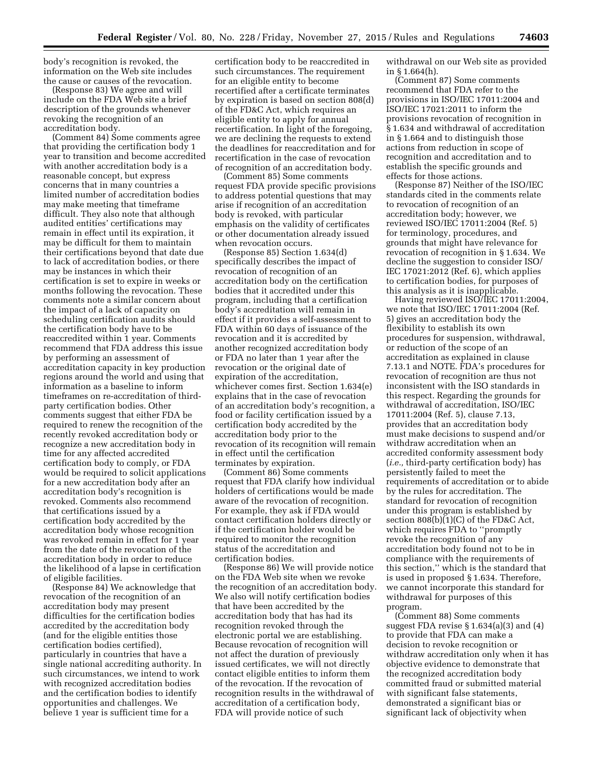body's recognition is revoked, the information on the Web site includes the cause or causes of the revocation.

(Response 83) We agree and will include on the FDA Web site a brief description of the grounds whenever revoking the recognition of an accreditation body.

(Comment 84) Some comments agree that providing the certification body 1 year to transition and become accredited with another accreditation body is a reasonable concept, but express concerns that in many countries a limited number of accreditation bodies may make meeting that timeframe difficult. They also note that although audited entities' certifications may remain in effect until its expiration, it may be difficult for them to maintain their certifications beyond that date due to lack of accreditation bodies, or there may be instances in which their certification is set to expire in weeks or months following the revocation. These comments note a similar concern about the impact of a lack of capacity on scheduling certification audits should the certification body have to be reaccredited within 1 year. Comments recommend that FDA address this issue by performing an assessment of accreditation capacity in key production regions around the world and using that information as a baseline to inform timeframes on re-accreditation of thirdparty certification bodies. Other comments suggest that either FDA be required to renew the recognition of the recently revoked accreditation body or recognize a new accreditation body in time for any affected accredited certification body to comply, or FDA would be required to solicit applications for a new accreditation body after an accreditation body's recognition is revoked. Comments also recommend that certifications issued by a certification body accredited by the accreditation body whose recognition was revoked remain in effect for 1 year from the date of the revocation of the accreditation body in order to reduce the likelihood of a lapse in certification of eligible facilities.

(Response 84) We acknowledge that revocation of the recognition of an accreditation body may present difficulties for the certification bodies accredited by the accreditation body (and for the eligible entities those certification bodies certified), particularly in countries that have a single national accrediting authority. In such circumstances, we intend to work with recognized accreditation bodies and the certification bodies to identify opportunities and challenges. We believe 1 year is sufficient time for a

certification body to be reaccredited in such circumstances. The requirement for an eligible entity to become recertified after a certificate terminates by expiration is based on section 808(d) of the FD&C Act, which requires an eligible entity to apply for annual recertification. In light of the foregoing, we are declining the requests to extend the deadlines for reaccreditation and for recertification in the case of revocation of recognition of an accreditation body.

(Comment 85) Some comments request FDA provide specific provisions to address potential questions that may arise if recognition of an accreditation body is revoked, with particular emphasis on the validity of certificates or other documentation already issued when revocation occurs.

(Response 85) Section 1.634(d) specifically describes the impact of revocation of recognition of an accreditation body on the certification bodies that it accredited under this program, including that a certification body's accreditation will remain in effect if it provides a self-assessment to FDA within 60 days of issuance of the revocation and it is accredited by another recognized accreditation body or FDA no later than 1 year after the revocation or the original date of expiration of the accreditation, whichever comes first. Section 1.634(e) explains that in the case of revocation of an accreditation body's recognition, a food or facility certification issued by a certification body accredited by the accreditation body prior to the revocation of its recognition will remain in effect until the certification terminates by expiration.

(Comment 86) Some comments request that FDA clarify how individual holders of certifications would be made aware of the revocation of recognition. For example, they ask if FDA would contact certification holders directly or if the certification holder would be required to monitor the recognition status of the accreditation and certification bodies.

(Response 86) We will provide notice on the FDA Web site when we revoke the recognition of an accreditation body. We also will notify certification bodies that have been accredited by the accreditation body that has had its recognition revoked through the electronic portal we are establishing. Because revocation of recognition will not affect the duration of previously issued certificates, we will not directly contact eligible entities to inform them of the revocation. If the revocation of recognition results in the withdrawal of accreditation of a certification body, FDA will provide notice of such

withdrawal on our Web site as provided in § 1.664(h).

(Comment 87) Some comments recommend that FDA refer to the provisions in ISO/IEC 17011:2004 and ISO/IEC 17021:2011 to inform the provisions revocation of recognition in § 1.634 and withdrawal of accreditation in § 1.664 and to distinguish those actions from reduction in scope of recognition and accreditation and to establish the specific grounds and effects for those actions.

(Response 87) Neither of the ISO/IEC standards cited in the comments relate to revocation of recognition of an accreditation body; however, we reviewed ISO/IEC 17011:2004 (Ref. 5) for terminology, procedures, and grounds that might have relevance for revocation of recognition in § 1.634. We decline the suggestion to consider ISO/ IEC 17021:2012 (Ref. 6), which applies to certification bodies, for purposes of this analysis as it is inapplicable.

Having reviewed ISO/IEC 17011:2004, we note that ISO/IEC 17011:2004 (Ref. 5) gives an accreditation body the flexibility to establish its own procedures for suspension, withdrawal, or reduction of the scope of an accreditation as explained in clause 7.13.1 and NOTE. FDA's procedures for revocation of recognition are thus not inconsistent with the ISO standards in this respect. Regarding the grounds for withdrawal of accreditation, ISO/IEC 17011:2004 (Ref. 5), clause 7.13, provides that an accreditation body must make decisions to suspend and/or withdraw accreditation when an accredited conformity assessment body (*i.e.,* third-party certification body) has persistently failed to meet the requirements of accreditation or to abide by the rules for accreditation. The standard for revocation of recognition under this program is established by section 808(b)(1)(C) of the FD&C Act, which requires FDA to ''promptly revoke the recognition of any accreditation body found not to be in compliance with the requirements of this section,'' which is the standard that is used in proposed § 1.634. Therefore, we cannot incorporate this standard for withdrawal for purposes of this program.

(Comment 88) Some comments suggest FDA revise § 1.634(a)(3) and (4) to provide that FDA can make a decision to revoke recognition or withdraw accreditation only when it has objective evidence to demonstrate that the recognized accreditation body committed fraud or submitted material with significant false statements, demonstrated a significant bias or significant lack of objectivity when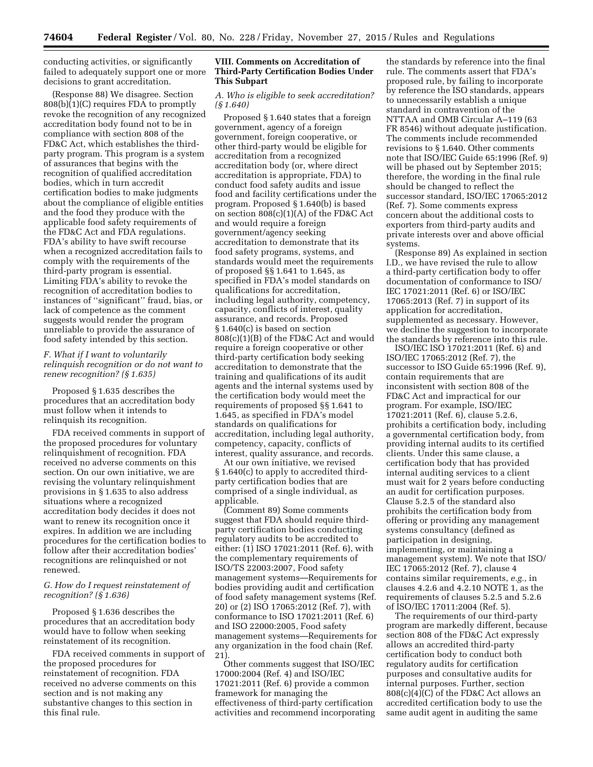conducting activities, or significantly failed to adequately support one or more decisions to grant accreditation.

(Response 88) We disagree. Section 808(b)(1)(C) requires FDA to promptly revoke the recognition of any recognized accreditation body found not to be in compliance with section 808 of the FD&C Act, which establishes the thirdparty program. This program is a system of assurances that begins with the recognition of qualified accreditation bodies, which in turn accredit certification bodies to make judgments about the compliance of eligible entities and the food they produce with the applicable food safety requirements of the FD&C Act and FDA regulations. FDA's ability to have swift recourse when a recognized accreditation fails to comply with the requirements of the third-party program is essential. Limiting FDA's ability to revoke the recognition of accreditation bodies to instances of ''significant'' fraud, bias, or lack of competence as the comment suggests would render the program unreliable to provide the assurance of food safety intended by this section.

# *F. What if I want to voluntarily relinquish recognition or do not want to renew recognition? (§ 1.635)*

Proposed § 1.635 describes the procedures that an accreditation body must follow when it intends to relinquish its recognition.

FDA received comments in support of the proposed procedures for voluntary relinquishment of recognition. FDA received no adverse comments on this section. On our own initiative, we are revising the voluntary relinquishment provisions in § 1.635 to also address situations where a recognized accreditation body decides it does not want to renew its recognition once it expires. In addition we are including procedures for the certification bodies to follow after their accreditation bodies' recognitions are relinquished or not renewed.

# *G. How do I request reinstatement of recognition? (§ 1.636)*

Proposed § 1.636 describes the procedures that an accreditation body would have to follow when seeking reinstatement of its recognition.

FDA received comments in support of the proposed procedures for reinstatement of recognition. FDA received no adverse comments on this section and is not making any substantive changes to this section in this final rule.

# **VIII. Comments on Accreditation of Third-Party Certification Bodies Under This Subpart**

*A. Who is eligible to seek accreditation? (§ 1.640)* 

Proposed § 1.640 states that a foreign government, agency of a foreign government, foreign cooperative, or other third-party would be eligible for accreditation from a recognized accreditation body (or, where direct accreditation is appropriate, FDA) to conduct food safety audits and issue food and facility certifications under the program. Proposed § 1.640(b) is based on section 808(c)(1)(A) of the FD&C Act and would require a foreign government/agency seeking accreditation to demonstrate that its food safety programs, systems, and standards would meet the requirements of proposed §§ 1.641 to 1.645, as specified in FDA's model standards on qualifications for accreditation, including legal authority, competency, capacity, conflicts of interest, quality assurance, and records. Proposed § 1.640(c) is based on section 808(c)(1)(B) of the FD&C Act and would require a foreign cooperative or other third-party certification body seeking accreditation to demonstrate that the training and qualifications of its audit agents and the internal systems used by the certification body would meet the requirements of proposed §§ 1.641 to 1.645, as specified in FDA's model standards on qualifications for accreditation, including legal authority, competency, capacity, conflicts of interest, quality assurance, and records.

At our own initiative, we revised § 1.640(c) to apply to accredited thirdparty certification bodies that are comprised of a single individual, as applicable.

(Comment 89) Some comments suggest that FDA should require thirdparty certification bodies conducting regulatory audits to be accredited to either: (1) ISO 17021:2011 (Ref. 6), with the complementary requirements of ISO/TS 22003:2007, Food safety management systems—Requirements for bodies providing audit and certification of food safety management systems (Ref. 20) or (2) ISO 17065:2012 (Ref. 7), with conformance to ISO 17021:2011 (Ref. 6) and ISO 22000:2005, Food safety management systems—Requirements for any organization in the food chain (Ref. 21).

Other comments suggest that ISO/IEC 17000:2004 (Ref. 4) and ISO/IEC 17021:2011 (Ref. 6) provide a common framework for managing the effectiveness of third-party certification activities and recommend incorporating

the standards by reference into the final rule. The comments assert that FDA's proposed rule, by failing to incorporate by reference the ISO standards, appears to unnecessarily establish a unique standard in contravention of the NTTAA and OMB Circular A–119 (63 FR 8546) without adequate justification. The comments include recommended revisions to § 1.640. Other comments note that ISO/IEC Guide 65:1996 (Ref. 9) will be phased out by September 2015; therefore, the wording in the final rule should be changed to reflect the successor standard, ISO/IEC 17065:2012 (Ref. 7). Some comments express concern about the additional costs to exporters from third-party audits and private interests over and above official systems.

(Response 89) As explained in section I.D., we have revised the rule to allow a third-party certification body to offer documentation of conformance to ISO/ IEC 17021:2011 (Ref. 6) or ISO/IEC 17065:2013 (Ref. 7) in support of its application for accreditation, supplemented as necessary. However, we decline the suggestion to incorporate the standards by reference into this rule.

ISO/IEC ISO 17021:2011 (Ref. 6) and ISO/IEC 17065:2012 (Ref. 7), the successor to ISO Guide 65:1996 (Ref. 9), contain requirements that are inconsistent with section 808 of the FD&C Act and impractical for our program. For example, ISO/IEC 17021:2011 (Ref. 6), clause 5.2.6, prohibits a certification body, including a governmental certification body, from providing internal audits to its certified clients. Under this same clause, a certification body that has provided internal auditing services to a client must wait for 2 years before conducting an audit for certification purposes. Clause 5.2.5 of the standard also prohibits the certification body from offering or providing any management systems consultancy (defined as participation in designing, implementing, or maintaining a management system). We note that ISO/ IEC 17065:2012 (Ref. 7), clause 4 contains similar requirements, *e.g.,* in clauses 4.2.6 and 4.2.10 NOTE 1, as the requirements of clauses 5.2.5 and 5.2.6 of ISO/IEC 17011:2004 (Ref. 5).

The requirements of our third-party program are markedly different, because section 808 of the FD&C Act expressly allows an accredited third-party certification body to conduct both regulatory audits for certification purposes and consultative audits for internal purposes. Further, section 808(c)(4)(C) of the FD&C Act allows an accredited certification body to use the same audit agent in auditing the same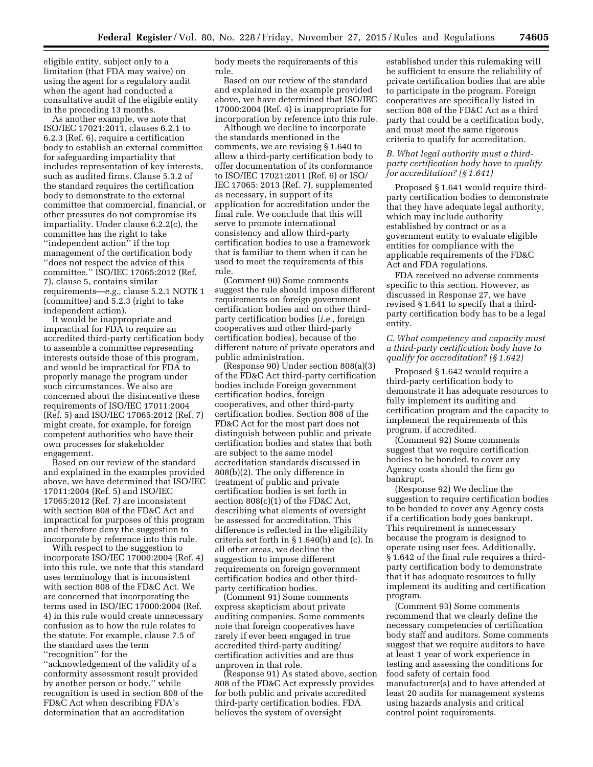eligible entity, subject only to a limitation (that FDA may waive) on using the agent for a regulatory audit when the agent had conducted a consultative audit of the eligible entity in the preceding 13 months.

As another example, we note that ISO/IEC 17021:2011, clauses 6.2.1 to 6.2.3 (Ref. 6), require a certification body to establish an external committee for safeguarding impartiality that includes representation of key interests, such as audited firms. Clause 5.3.2 of the standard requires the certification body to demonstrate to the external committee that commercial, financial, or other pressures do not compromise its impartiality. Under clause 6.2.2(c), the committee has the right to take ''independent action'' if the top management of the certification body ''does not respect the advice of this committee.'' ISO/IEC 17065:2012 (Ref. 7), clause 5, contains similar requirements—*e.g.,* clause 5.2.1 NOTE 1 (committee) and 5.2.3 (right to take independent action).

It would be inappropriate and impractical for FDA to require an accredited third-party certification body to assemble a committee representing interests outside those of this program, and would be impractical for FDA to properly manage the program under such circumstances. We also are concerned about the disincentive these requirements of ISO/IEC 17011:2004 (Ref. 5) and ISO/IEC 17065:2012 (Ref. 7) might create, for example, for foreign competent authorities who have their own processes for stakeholder engagement.

Based on our review of the standard and explained in the examples provided above, we have determined that ISO/IEC 17011:2004 (Ref. 5) and ISO/IEC 17065:2012 (Ref. 7) are inconsistent with section 808 of the FD&C Act and impractical for purposes of this program and therefore deny the suggestion to incorporate by reference into this rule.

With respect to the suggestion to incorporate ISO/IEC 17000:2004 (Ref. 4) into this rule, we note that this standard uses terminology that is inconsistent with section 808 of the FD&C Act. We are concerned that incorporating the terms used in ISO/IEC 17000:2004 (Ref. 4) in this rule would create unnecessary confusion as to how the rule relates to the statute. For example, clause 7.5 of the standard uses the term ''recognition'' for the

''acknowledgement of the validity of a conformity assessment result provided by another person or body,'' while recognition is used in section 808 of the FD&C Act when describing FDA's determination that an accreditation

body meets the requirements of this rule.

Based on our review of the standard and explained in the example provided above, we have determined that ISO/IEC 17000:2004 (Ref. 4) is inappropriate for incorporation by reference into this rule.

Although we decline to incorporate the standards mentioned in the comments, we are revising § 1.640 to allow a third-party certification body to offer documentation of its conformance to ISO/IEC 17021:2011 (Ref. 6) or ISO/ IEC 17065: 2013 (Ref. 7), supplemented as necessary, in support of its application for accreditation under the final rule. We conclude that this will serve to promote international consistency and allow third-party certification bodies to use a framework that is familiar to them when it can be used to meet the requirements of this rule.

(Comment 90) Some comments suggest the rule should impose different requirements on foreign government certification bodies and on other thirdparty certification bodies (*i.e.,* foreign cooperatives and other third-party certification bodies), because of the different nature of private operators and public administration.

(Response 90) Under section 808(a)(3) of the FD&C Act third-party certification bodies include Foreign government certification bodies, foreign cooperatives, and other third-party certification bodies. Section 808 of the FD&C Act for the most part does not distinguish between public and private certification bodies and states that both are subject to the same model accreditation standards discussed in 808(b)(2). The only difference in treatment of public and private certification bodies is set forth in section 808(c)(1) of the FD&C Act, describing what elements of oversight be assessed for accreditation. This difference is reflected in the eligibility criteria set forth in § 1.640(b) and (c). In all other areas, we decline the suggestion to impose different requirements on foreign government certification bodies and other thirdparty certification bodies.

(Comment 91) Some comments express skepticism about private auditing companies. Some comments note that foreign cooperatives have rarely if ever been engaged in true accredited third-party auditing/ certification activities and are thus unproven in that role.

(Response 91) As stated above, section 808 of the FD&C Act expressly provides for both public and private accredited third-party certification bodies. FDA believes the system of oversight

established under this rulemaking will be sufficient to ensure the reliability of private certification bodies that are able to participate in the program. Foreign cooperatives are specifically listed in section 808 of the FD&C Act as a third party that could be a certification body, and must meet the same rigorous criteria to qualify for accreditation.

## *B. What legal authority must a thirdparty certification body have to qualify for accreditation? (§ 1.641)*

Proposed § 1.641 would require thirdparty certification bodies to demonstrate that they have adequate legal authority, which may include authority established by contract or as a government entity to evaluate eligible entities for compliance with the applicable requirements of the FD&C Act and FDA regulations.

FDA received no adverse comments specific to this section. However, as discussed in Response 27, we have revised § 1.641 to specify that a thirdparty certification body has to be a legal entity.

## *C. What competency and capacity must a third-party certification body have to qualify for accreditation? (§ 1.642)*

Proposed § 1.642 would require a third-party certification body to demonstrate it has adequate resources to fully implement its auditing and certification program and the capacity to implement the requirements of this program, if accredited.

(Comment 92) Some comments suggest that we require certification bodies to be bonded, to cover any Agency costs should the firm go bankrupt.

(Response 92) We decline the suggestion to require certification bodies to be bonded to cover any Agency costs if a certification body goes bankrupt. This requirement is unnecessary because the program is designed to operate using user fees. Additionally, § 1.642 of the final rule requires a thirdparty certification body to demonstrate that it has adequate resources to fully implement its auditing and certification program.

(Comment 93) Some comments recommend that we clearly define the necessary competencies of certification body staff and auditors. Some comments suggest that we require auditors to have at least 1 year of work experience in testing and assessing the conditions for food safety of certain food manufacturer(s) and to have attended at least 20 audits for management systems using hazards analysis and critical control point requirements.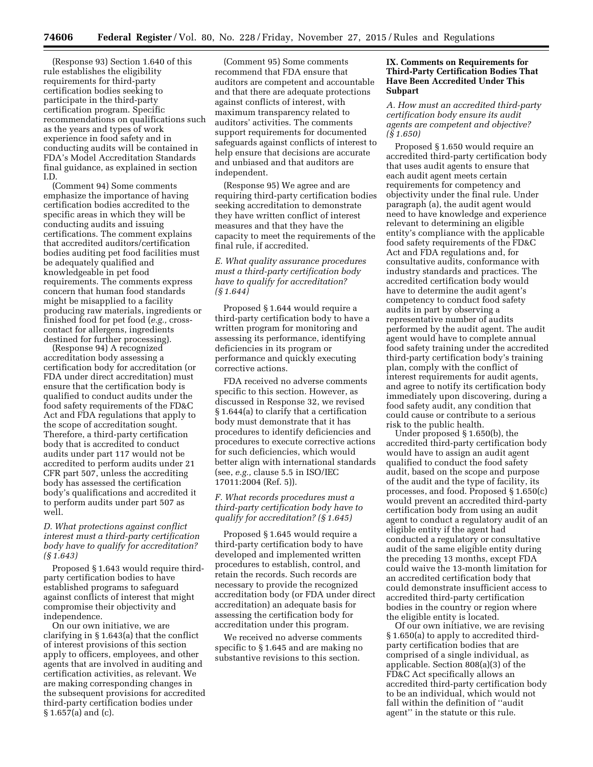(Response 93) Section 1.640 of this rule establishes the eligibility requirements for third-party certification bodies seeking to participate in the third-party certification program. Specific recommendations on qualifications such as the years and types of work experience in food safety and in conducting audits will be contained in FDA's Model Accreditation Standards final guidance, as explained in section I.D.

(Comment 94) Some comments emphasize the importance of having certification bodies accredited to the specific areas in which they will be conducting audits and issuing certifications. The comment explains that accredited auditors/certification bodies auditing pet food facilities must be adequately qualified and knowledgeable in pet food requirements. The comments express concern that human food standards might be misapplied to a facility producing raw materials, ingredients or finished food for pet food (*e.g.,* crosscontact for allergens, ingredients destined for further processing).

(Response 94) A recognized accreditation body assessing a certification body for accreditation (or FDA under direct accreditation) must ensure that the certification body is qualified to conduct audits under the food safety requirements of the FD&C Act and FDA regulations that apply to the scope of accreditation sought. Therefore, a third-party certification body that is accredited to conduct audits under part 117 would not be accredited to perform audits under 21 CFR part 507, unless the accrediting body has assessed the certification body's qualifications and accredited it to perform audits under part 507 as well.

## *D. What protections against conflict interest must a third-party certification body have to qualify for accreditation? (§ 1.643)*

Proposed § 1.643 would require thirdparty certification bodies to have established programs to safeguard against conflicts of interest that might compromise their objectivity and independence.

On our own initiative, we are clarifying in § 1.643(a) that the conflict of interest provisions of this section apply to officers, employees, and other agents that are involved in auditing and certification activities, as relevant. We are making corresponding changes in the subsequent provisions for accredited third-party certification bodies under § 1.657(a) and (c).

(Comment 95) Some comments recommend that FDA ensure that auditors are competent and accountable and that there are adequate protections against conflicts of interest, with maximum transparency related to auditors' activities. The comments support requirements for documented safeguards against conflicts of interest to help ensure that decisions are accurate and unbiased and that auditors are independent.

(Response 95) We agree and are requiring third-party certification bodies seeking accreditation to demonstrate they have written conflict of interest measures and that they have the capacity to meet the requirements of the final rule, if accredited.

## *E. What quality assurance procedures must a third-party certification body have to qualify for accreditation? (§ 1.644)*

Proposed § 1.644 would require a third-party certification body to have a written program for monitoring and assessing its performance, identifying deficiencies in its program or performance and quickly executing corrective actions.

FDA received no adverse comments specific to this section. However, as discussed in Response 32, we revised § 1.644(a) to clarify that a certification body must demonstrate that it has procedures to identify deficiencies and procedures to execute corrective actions for such deficiencies, which would better align with international standards (see, *e.g.,* clause 5.5 in ISO/IEC 17011:2004 (Ref. 5)).

## *F. What records procedures must a third-party certification body have to qualify for accreditation? (§ 1.645)*

Proposed § 1.645 would require a third-party certification body to have developed and implemented written procedures to establish, control, and retain the records. Such records are necessary to provide the recognized accreditation body (or FDA under direct accreditation) an adequate basis for assessing the certification body for accreditation under this program.

We received no adverse comments specific to § 1.645 and are making no substantive revisions to this section.

#### **IX. Comments on Requirements for Third-Party Certification Bodies That Have Been Accredited Under This Subpart**

## *A. How must an accredited third-party certification body ensure its audit agents are competent and objective? (§ 1.650)*

Proposed § 1.650 would require an accredited third-party certification body that uses audit agents to ensure that each audit agent meets certain requirements for competency and objectivity under the final rule. Under paragraph (a), the audit agent would need to have knowledge and experience relevant to determining an eligible entity's compliance with the applicable food safety requirements of the FD&C Act and FDA regulations and, for consultative audits, conformance with industry standards and practices. The accredited certification body would have to determine the audit agent's competency to conduct food safety audits in part by observing a representative number of audits performed by the audit agent. The audit agent would have to complete annual food safety training under the accredited third-party certification body's training plan, comply with the conflict of interest requirements for audit agents, and agree to notify its certification body immediately upon discovering, during a food safety audit, any condition that could cause or contribute to a serious risk to the public health.

Under proposed § 1.650(b), the accredited third-party certification body would have to assign an audit agent qualified to conduct the food safety audit, based on the scope and purpose of the audit and the type of facility, its processes, and food. Proposed § 1.650(c) would prevent an accredited third-party certification body from using an audit agent to conduct a regulatory audit of an eligible entity if the agent had conducted a regulatory or consultative audit of the same eligible entity during the preceding 13 months, except FDA could waive the 13-month limitation for an accredited certification body that could demonstrate insufficient access to accredited third-party certification bodies in the country or region where the eligible entity is located.

Of our own initiative, we are revising § 1.650(a) to apply to accredited thirdparty certification bodies that are comprised of a single individual, as applicable. Section 808(a)(3) of the FD&C Act specifically allows an accredited third-party certification body to be an individual, which would not fall within the definition of ''audit agent'' in the statute or this rule.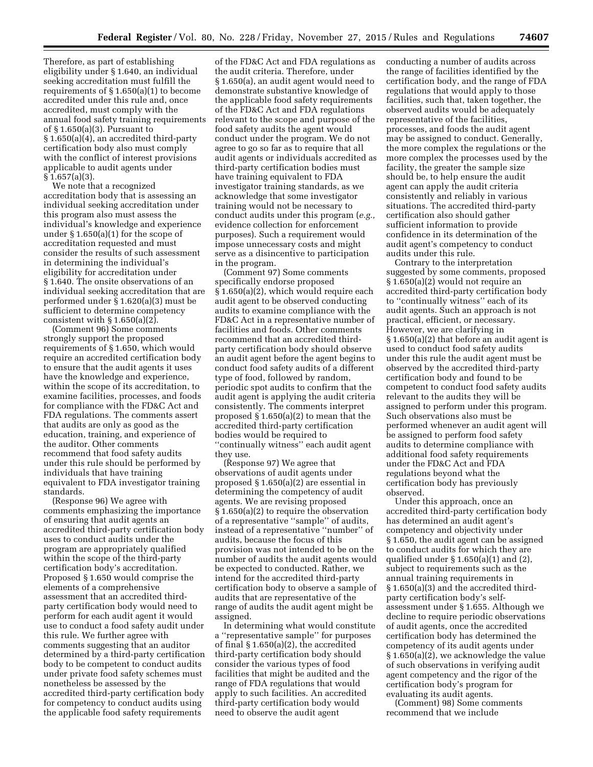Therefore, as part of establishing eligibility under § 1.640, an individual seeking accreditation must fulfill the requirements of § 1.650(a)(1) to become accredited under this rule and, once accredited, must comply with the annual food safety training requirements of § 1.650(a)(3). Pursuant to § 1.650(a)(4), an accredited third-party certification body also must comply with the conflict of interest provisions applicable to audit agents under § 1.657(a)(3).

We note that a recognized accreditation body that is assessing an individual seeking accreditation under this program also must assess the individual's knowledge and experience under § 1.650(a)(1) for the scope of accreditation requested and must consider the results of such assessment in determining the individual's eligibility for accreditation under § 1.640. The onsite observations of an individual seeking accreditation that are performed under § 1.620(a)(3) must be sufficient to determine competency consistent with  $\S 1.650(a)(2)$ .

(Comment 96) Some comments strongly support the proposed requirements of § 1.650, which would require an accredited certification body to ensure that the audit agents it uses have the knowledge and experience, within the scope of its accreditation, to examine facilities, processes, and foods for compliance with the FD&C Act and FDA regulations. The comments assert that audits are only as good as the education, training, and experience of the auditor. Other comments recommend that food safety audits under this rule should be performed by individuals that have training equivalent to FDA investigator training standards.

(Response 96) We agree with comments emphasizing the importance of ensuring that audit agents an accredited third-party certification body uses to conduct audits under the program are appropriately qualified within the scope of the third-party certification body's accreditation. Proposed § 1.650 would comprise the elements of a comprehensive assessment that an accredited thirdparty certification body would need to perform for each audit agent it would use to conduct a food safety audit under this rule. We further agree with comments suggesting that an auditor determined by a third-party certification body to be competent to conduct audits under private food safety schemes must nonetheless be assessed by the accredited third-party certification body for competency to conduct audits using the applicable food safety requirements

of the FD&C Act and FDA regulations as the audit criteria. Therefore, under § 1.650(a), an audit agent would need to demonstrate substantive knowledge of the applicable food safety requirements of the FD&C Act and FDA regulations relevant to the scope and purpose of the food safety audits the agent would conduct under the program. We do not agree to go so far as to require that all audit agents or individuals accredited as third-party certification bodies must have training equivalent to FDA investigator training standards, as we acknowledge that some investigator training would not be necessary to conduct audits under this program (*e.g.,*  evidence collection for enforcement purposes). Such a requirement would impose unnecessary costs and might serve as a disincentive to participation in the program.

(Comment 97) Some comments specifically endorse proposed § 1.650(a)(2), which would require each audit agent to be observed conducting audits to examine compliance with the FD&C Act in a representative number of facilities and foods. Other comments recommend that an accredited thirdparty certification body should observe an audit agent before the agent begins to conduct food safety audits of a different type of food, followed by random, periodic spot audits to confirm that the audit agent is applying the audit criteria consistently. The comments interpret proposed § 1.650(a)(2) to mean that the accredited third-party certification bodies would be required to ''continually witness'' each audit agent they use.

(Response 97) We agree that observations of audit agents under proposed § 1.650(a)(2) are essential in determining the competency of audit agents. We are revising proposed § 1.650(a)(2) to require the observation of a representative ''sample'' of audits, instead of a representative ''number'' of audits, because the focus of this provision was not intended to be on the number of audits the audit agents would be expected to conducted. Rather, we intend for the accredited third-party certification body to observe a sample of audits that are representative of the range of audits the audit agent might be assigned.

In determining what would constitute a ''representative sample'' for purposes of final § 1.650(a)(2), the accredited third-party certification body should consider the various types of food facilities that might be audited and the range of FDA regulations that would apply to such facilities. An accredited third-party certification body would need to observe the audit agent

conducting a number of audits across the range of facilities identified by the certification body, and the range of FDA regulations that would apply to those facilities, such that, taken together, the observed audits would be adequately representative of the facilities, processes, and foods the audit agent may be assigned to conduct. Generally, the more complex the regulations or the more complex the processes used by the facility, the greater the sample size should be, to help ensure the audit agent can apply the audit criteria consistently and reliably in various situations. The accredited third-party certification also should gather sufficient information to provide confidence in its determination of the audit agent's competency to conduct audits under this rule.

Contrary to the interpretation suggested by some comments, proposed § 1.650(a)(2) would not require an accredited third-party certification body to ''continually witness'' each of its audit agents. Such an approach is not practical, efficient, or necessary. However, we are clarifying in § 1.650(a)(2) that before an audit agent is used to conduct food safety audits under this rule the audit agent must be observed by the accredited third-party certification body and found to be competent to conduct food safety audits relevant to the audits they will be assigned to perform under this program. Such observations also must be performed whenever an audit agent will be assigned to perform food safety audits to determine compliance with additional food safety requirements under the FD&C Act and FDA regulations beyond what the certification body has previously observed.

Under this approach, once an accredited third-party certification body has determined an audit agent's competency and objectivity under § 1.650, the audit agent can be assigned to conduct audits for which they are qualified under  $\S 1.650(a)(1)$  and  $(2)$ , subject to requirements such as the annual training requirements in § 1.650(a)(3) and the accredited thirdparty certification body's selfassessment under § 1.655. Although we decline to require periodic observations of audit agents, once the accredited certification body has determined the competency of its audit agents under § 1.650(a)(2), we acknowledge the value of such observations in verifying audit agent competency and the rigor of the certification body's program for evaluating its audit agents.

(Comment) 98) Some comments recommend that we include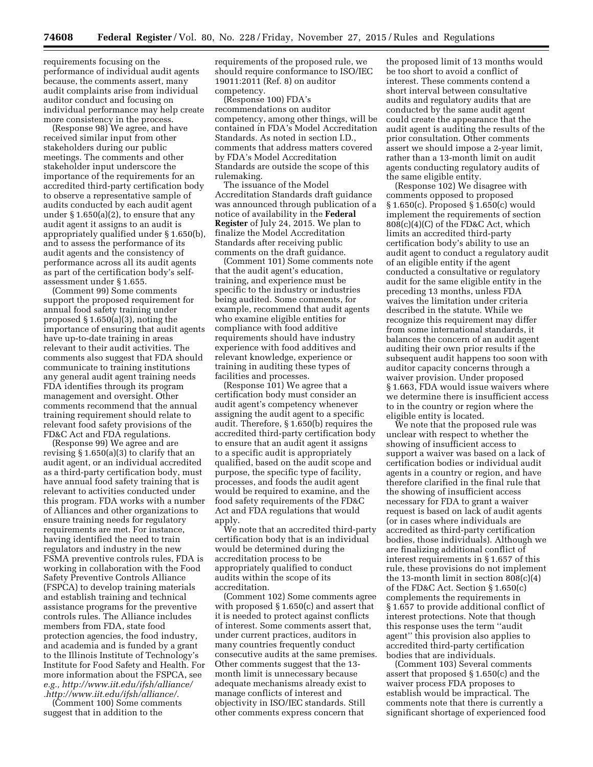requirements focusing on the performance of individual audit agents because, the comments assert, many audit complaints arise from individual auditor conduct and focusing on individual performance may help create more consistency in the process.

(Response 98) We agree, and have received similar input from other stakeholders during our public meetings. The comments and other stakeholder input underscore the importance of the requirements for an accredited third-party certification body to observe a representative sample of audits conducted by each audit agent under § 1.650(a)(2), to ensure that any audit agent it assigns to an audit is appropriately qualified under § 1.650(b), and to assess the performance of its audit agents and the consistency of performance across all its audit agents as part of the certification body's selfassessment under § 1.655.

(Comment 99) Some comments support the proposed requirement for annual food safety training under proposed § 1.650(a)(3), noting the importance of ensuring that audit agents have up-to-date training in areas relevant to their audit activities. The comments also suggest that FDA should communicate to training institutions any general audit agent training needs FDA identifies through its program management and oversight. Other comments recommend that the annual training requirement should relate to relevant food safety provisions of the FD&C Act and FDA regulations.

(Response 99) We agree and are revising § 1.650(a)(3) to clarify that an audit agent, or an individual accredited as a third-party certification body, must have annual food safety training that is relevant to activities conducted under this program. FDA works with a number of Alliances and other organizations to ensure training needs for regulatory requirements are met. For instance, having identified the need to train regulators and industry in the new FSMA preventive controls rules, FDA is working in collaboration with the Food Safety Preventive Controls Alliance (FSPCA) to develop training materials and establish training and technical assistance programs for the preventive controls rules. The Alliance includes members from FDA, state food protection agencies, the food industry, and academia and is funded by a grant to the Illinois Institute of Technology's Institute for Food Safety and Health. For more information about the FSPCA, see *e.g.[, http://www.iit.edu/ifsh/alliance/](http://www.iit.edu/ifsh/alliance/) [.http://www.iit.edu/ifsh/alliance/](http://www.iit.edu/ifsh/alliance/)*.

(Comment 100) Some comments suggest that in addition to the

requirements of the proposed rule, we should require conformance to ISO/IEC 19011:2011 (Ref. 8) on auditor competency.

(Response 100) FDA's recommendations on auditor competency, among other things, will be contained in FDA's Model Accreditation Standards. As noted in section I.D., comments that address matters covered by FDA's Model Accreditation Standards are outside the scope of this rulemaking.

The issuance of the Model Accreditation Standards draft guidance was announced through publication of a notice of availability in the **Federal Register** of July 24, 2015. We plan to finalize the Model Accreditation Standards after receiving public comments on the draft guidance.

(Comment 101) Some comments note that the audit agent's education, training, and experience must be specific to the industry or industries being audited. Some comments, for example, recommend that audit agents who examine eligible entities for compliance with food additive requirements should have industry experience with food additives and relevant knowledge, experience or training in auditing these types of facilities and processes.

(Response 101) We agree that a certification body must consider an audit agent's competency whenever assigning the audit agent to a specific audit. Therefore, § 1.650(b) requires the accredited third-party certification body to ensure that an audit agent it assigns to a specific audit is appropriately qualified, based on the audit scope and purpose, the specific type of facility, processes, and foods the audit agent would be required to examine, and the food safety requirements of the FD&C Act and FDA regulations that would apply.

We note that an accredited third-party certification body that is an individual would be determined during the accreditation process to be appropriately qualified to conduct audits within the scope of its accreditation.

(Comment 102) Some comments agree with proposed § 1.650(c) and assert that it is needed to protect against conflicts of interest. Some comments assert that, under current practices, auditors in many countries frequently conduct consecutive audits at the same premises. Other comments suggest that the 13 month limit is unnecessary because adequate mechanisms already exist to manage conflicts of interest and objectivity in ISO/IEC standards. Still other comments express concern that

the proposed limit of 13 months would be too short to avoid a conflict of interest. These comments contend a short interval between consultative audits and regulatory audits that are conducted by the same audit agent could create the appearance that the audit agent is auditing the results of the prior consultation. Other comments assert we should impose a 2-year limit, rather than a 13-month limit on audit agents conducting regulatory audits of the same eligible entity.

(Response 102) We disagree with comments opposed to proposed § 1.650(c). Proposed § 1.650(c) would implement the requirements of section 808(c)(4)(C) of the FD&C Act, which limits an accredited third-party certification body's ability to use an audit agent to conduct a regulatory audit of an eligible entity if the agent conducted a consultative or regulatory audit for the same eligible entity in the preceding 13 months, unless FDA waives the limitation under criteria described in the statute. While we recognize this requirement may differ from some international standards, it balances the concern of an audit agent auditing their own prior results if the subsequent audit happens too soon with auditor capacity concerns through a waiver provision. Under proposed § 1.663, FDA would issue waivers where we determine there is insufficient access to in the country or region where the eligible entity is located.

We note that the proposed rule was unclear with respect to whether the showing of insufficient access to support a waiver was based on a lack of certification bodies or individual audit agents in a country or region, and have therefore clarified in the final rule that the showing of insufficient access necessary for FDA to grant a waiver request is based on lack of audit agents (or in cases where individuals are accredited as third-party certification bodies, those individuals). Although we are finalizing additional conflict of interest requirements in § 1.657 of this rule, these provisions do not implement the 13-month limit in section 808(c)(4) of the FD&C Act. Section § 1.650(c) complements the requirements in § 1.657 to provide additional conflict of interest protections. Note that though this response uses the term ''audit agent'' this provision also applies to accredited third-party certification bodies that are individuals.

(Comment 103) Several comments assert that proposed § 1.650(c) and the waiver process FDA proposes to establish would be impractical. The comments note that there is currently a significant shortage of experienced food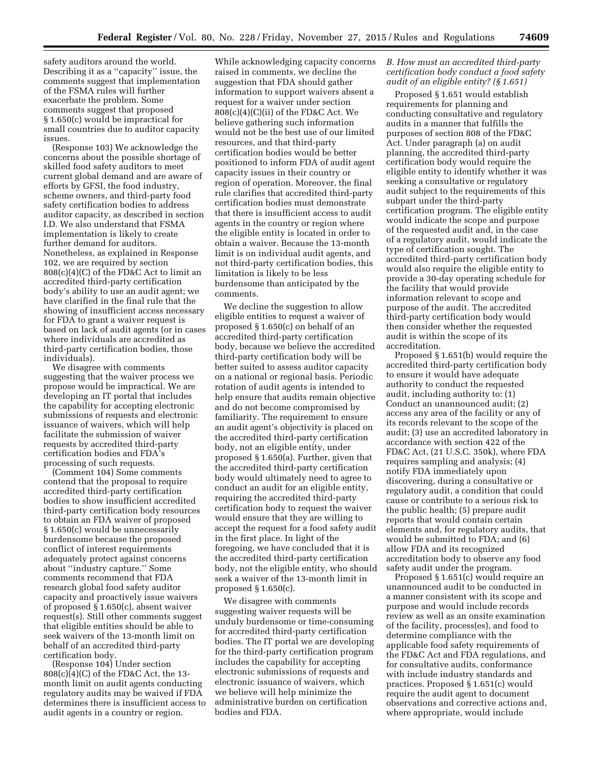safety auditors around the world. Describing it as a ''capacity'' issue, the comments suggest that implementation of the FSMA rules will further exacerbate the problem. Some comments suggest that proposed § 1.650(c) would be impractical for small countries due to auditor capacity issues.

(Response 103) We acknowledge the concerns about the possible shortage of skilled food safety auditors to meet current global demand and are aware of efforts by GFSI, the food industry, scheme owners, and third-party food safety certification bodies to address auditor capacity, as described in section I.D. We also understand that FSMA implementation is likely to create further demand for auditors. Nonetheless, as explained in Response 102, we are required by section 808(c)(4)(C) of the FD&C Act to limit an accredited third-party certification body's ability to use an audit agent; we have clarified in the final rule that the showing of insufficient access necessary for FDA to grant a waiver request is based on lack of audit agents (or in cases where individuals are accredited as third-party certification bodies, those individuals).

We disagree with comments suggesting that the waiver process we propose would be impractical. We are developing an IT portal that includes the capability for accepting electronic submissions of requests and electronic issuance of waivers, which will help facilitate the submission of waiver requests by accredited third-party certification bodies and FDA's processing of such requests.

(Comment 104) Some comments contend that the proposal to require accredited third-party certification bodies to show insufficient accredited third-party certification body resources to obtain an FDA waiver of proposed § 1.650(c) would be unnecessarily burdensome because the proposed conflict of interest requirements adequately protect against concerns about ''industry capture.'' Some comments recommend that FDA research global food safety auditor capacity and proactively issue waivers of proposed § 1.650(c), absent waiver request(s). Still other comments suggest that eligible entities should be able to seek waivers of the 13-month limit on behalf of an accredited third-party certification body.

(Response 104) Under section 808(c)(4)(C) of the FD&C Act, the 13 month limit on audit agents conducting regulatory audits may be waived if FDA determines there is insufficient access to audit agents in a country or region.

While acknowledging capacity concerns raised in comments, we decline the suggestion that FDA should gather information to support waivers absent a request for a waiver under section  $808(c)(4)(C)(ii)$  of the FD&C Act. We believe gathering such information would not be the best use of our limited resources, and that third-party certification bodies would be better positioned to inform FDA of audit agent capacity issues in their country or region of operation. Moreover, the final rule clarifies that accredited third-party certification bodies must demonstrate that there is insufficient access to audit agents in the country or region where the eligible entity is located in order to obtain a waiver. Because the 13-month limit is on individual audit agents, and not third-party certification bodies, this limitation is likely to be less burdensome than anticipated by the comments.

We decline the suggestion to allow eligible entities to request a waiver of proposed § 1.650(c) on behalf of an accredited third-party certification body, because we believe the accredited third-party certification body will be better suited to assess auditor capacity on a national or regional basis. Periodic rotation of audit agents is intended to help ensure that audits remain objective and do not become compromised by familiarity. The requirement to ensure an audit agent's objectivity is placed on the accredited third-party certification body, not an eligible entity, under proposed § 1.650(a). Further, given that the accredited third-party certification body would ultimately need to agree to conduct an audit for an eligible entity, requiring the accredited third-party certification body to request the waiver would ensure that they are willing to accept the request for a food safety audit in the first place. In light of the foregoing, we have concluded that it is the accredited third-party certification body, not the eligible entity, who should seek a waiver of the 13-month limit in proposed § 1.650(c).

We disagree with comments suggesting waiver requests will be unduly burdensome or time-consuming for accredited third-party certification bodies. The IT portal we are developing for the third-party certification program includes the capability for accepting electronic submissions of requests and electronic issuance of waivers, which we believe will help minimize the administrative burden on certification bodies and FDA.

### *B. How must an accredited third-party certification body conduct a food safety audit of an eligible entity? (§ 1.651)*

Proposed § 1.651 would establish requirements for planning and conducting consultative and regulatory audits in a manner that fulfills the purposes of section 808 of the FD&C Act. Under paragraph (a) on audit planning, the accredited third-party certification body would require the eligible entity to identify whether it was seeking a consultative or regulatory audit subject to the requirements of this subpart under the third-party certification program. The eligible entity would indicate the scope and purpose of the requested audit and, in the case of a regulatory audit, would indicate the type of certification sought. The accredited third-party certification body would also require the eligible entity to provide a 30-day operating schedule for the facility that would provide information relevant to scope and purpose of the audit. The accredited third-party certification body would then consider whether the requested audit is within the scope of its accreditation.

Proposed § 1.651(b) would require the accredited third-party certification body to ensure it would have adequate authority to conduct the requested audit, including authority to: (1) Conduct an unannounced audit; (2) access any area of the facility or any of its records relevant to the scope of the audit; (3) use an accredited laboratory in accordance with section 422 of the FD&C Act, (21 U.S.C. 350k), where FDA requires sampling and analysis; (4) notify FDA immediately upon discovering, during a consultative or regulatory audit, a condition that could cause or contribute to a serious risk to the public health; (5) prepare audit reports that would contain certain elements and, for regulatory audits, that would be submitted to FDA; and (6) allow FDA and its recognized accreditation body to observe any food safety audit under the program.

Proposed § 1.651(c) would require an unannounced audit to be conducted in a manner consistent with its scope and purpose and would include records review as well as an onsite examination of the facility, process(es), and food to determine compliance with the applicable food safety requirements of the FD&C Act and FDA regulations, and for consultative audits, conformance with include industry standards and practices. Proposed § 1.651(c) would require the audit agent to document observations and corrective actions and, where appropriate, would include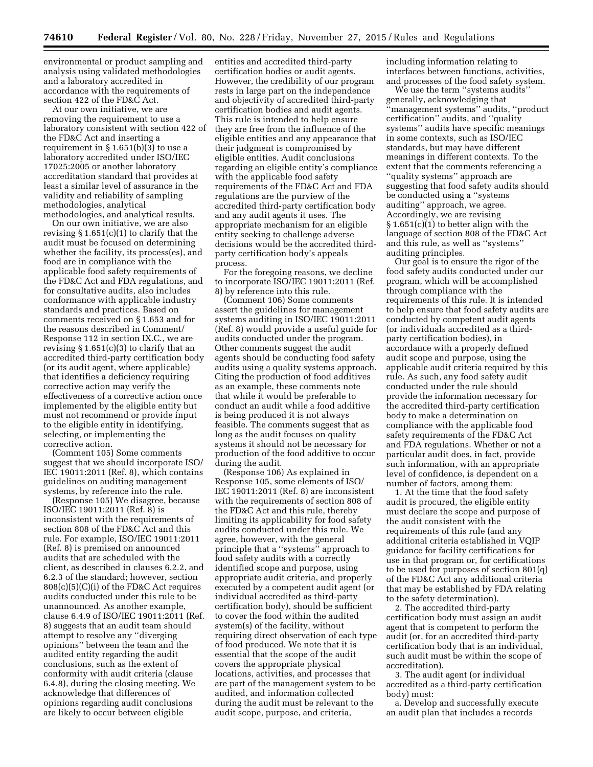environmental or product sampling and analysis using validated methodologies and a laboratory accredited in accordance with the requirements of section 422 of the FD&C Act.

At our own initiative, we are removing the requirement to use a laboratory consistent with section 422 of the FD&C Act and inserting a requirement in  $\S 1.651(b)(3)$  to use a laboratory accredited under ISO/IEC 17025:2005 or another laboratory accreditation standard that provides at least a similar level of assurance in the validity and reliability of sampling methodologies, analytical methodologies, and analytical results.

On our own initiative, we are also revising  $\S 1.651(c)(1)$  to clarify that the audit must be focused on determining whether the facility, its process(es), and food are in compliance with the applicable food safety requirements of the FD&C Act and FDA regulations, and for consultative audits, also includes conformance with applicable industry standards and practices. Based on comments received on § 1.653 and for the reasons described in Comment/ Response 112 in section IX.C., we are revising  $\S 1.651(c)(3)$  to clarify that an accredited third-party certification body (or its audit agent, where applicable) that identifies a deficiency requiring corrective action may verify the effectiveness of a corrective action once implemented by the eligible entity but must not recommend or provide input to the eligible entity in identifying, selecting, or implementing the corrective action.

(Comment 105) Some comments suggest that we should incorporate ISO/ IEC 19011:2011 (Ref. 8), which contains guidelines on auditing management systems, by reference into the rule.

(Response 105) We disagree, because ISO/IEC 19011:2011 (Ref. 8) is inconsistent with the requirements of section 808 of the FD&C Act and this rule. For example, ISO/IEC 19011:2011 (Ref. 8) is premised on announced audits that are scheduled with the client, as described in clauses 6.2.2, and 6.2.3 of the standard; however, section 808(c)(5)(C)(i) of the FD&C Act requires audits conducted under this rule to be unannounced. As another example, clause 6.4.9 of ISO/IEC 19011:2011 (Ref. 8) suggests that an audit team should attempt to resolve any ''diverging opinions'' between the team and the audited entity regarding the audit conclusions, such as the extent of conformity with audit criteria (clause 6.4.8), during the closing meeting. We acknowledge that differences of opinions regarding audit conclusions are likely to occur between eligible

entities and accredited third-party certification bodies or audit agents. However, the credibility of our program rests in large part on the independence and objectivity of accredited third-party certification bodies and audit agents. This rule is intended to help ensure they are free from the influence of the eligible entities and any appearance that their judgment is compromised by eligible entities. Audit conclusions regarding an eligible entity's compliance with the applicable food safety requirements of the FD&C Act and FDA regulations are the purview of the accredited third-party certification body and any audit agents it uses. The appropriate mechanism for an eligible entity seeking to challenge adverse decisions would be the accredited thirdparty certification body's appeals process.

For the foregoing reasons, we decline to incorporate ISO/IEC 19011:2011 (Ref. 8) by reference into this rule.

(Comment 106) Some comments assert the guidelines for management systems auditing in ISO/IEC 19011:2011 (Ref. 8) would provide a useful guide for audits conducted under the program. Other comments suggest the audit agents should be conducting food safety audits using a quality systems approach. Citing the production of food additives as an example, these comments note that while it would be preferable to conduct an audit while a food additive is being produced it is not always feasible. The comments suggest that as long as the audit focuses on quality systems it should not be necessary for production of the food additive to occur during the audit.

(Response 106) As explained in Response 105, some elements of ISO/ IEC 19011:2011 (Ref. 8) are inconsistent with the requirements of section 808 of the FD&C Act and this rule, thereby limiting its applicability for food safety audits conducted under this rule. We agree, however, with the general principle that a ''systems'' approach to food safety audits with a correctly identified scope and purpose, using appropriate audit criteria, and properly executed by a competent audit agent (or individual accredited as third-party certification body), should be sufficient to cover the food within the audited system(s) of the facility, without requiring direct observation of each type of food produced. We note that it is essential that the scope of the audit covers the appropriate physical locations, activities, and processes that are part of the management system to be audited, and information collected during the audit must be relevant to the audit scope, purpose, and criteria,

including information relating to interfaces between functions, activities, and processes of the food safety system.

We use the term ''systems audits'' generally, acknowledging that ''management systems'' audits, ''product certification'' audits, and ''quality systems'' audits have specific meanings in some contexts, such as ISO/IEC standards, but may have different meanings in different contexts. To the extent that the comments referencing a ''quality systems'' approach are suggesting that food safety audits should be conducted using a ''systems auditing'' approach, we agree. Accordingly, we are revising § 1.651(c)(1) to better align with the language of section 808 of the FD&C Act and this rule, as well as ''systems'' auditing principles.

Our goal is to ensure the rigor of the food safety audits conducted under our program, which will be accomplished through compliance with the requirements of this rule. It is intended to help ensure that food safety audits are conducted by competent audit agents (or individuals accredited as a thirdparty certification bodies), in accordance with a properly defined audit scope and purpose, using the applicable audit criteria required by this rule. As such, any food safety audit conducted under the rule should provide the information necessary for the accredited third-party certification body to make a determination on compliance with the applicable food safety requirements of the FD&C Act and FDA regulations. Whether or not a particular audit does, in fact, provide such information, with an appropriate level of confidence, is dependent on a number of factors, among them:

1. At the time that the food safety audit is procured, the eligible entity must declare the scope and purpose of the audit consistent with the requirements of this rule (and any additional criteria established in VQIP guidance for facility certifications for use in that program or, for certifications to be used for purposes of section 801(q) of the FD&C Act any additional criteria that may be established by FDA relating to the safety determination).

2. The accredited third-party certification body must assign an audit agent that is competent to perform the audit (or, for an accredited third-party certification body that is an individual, such audit must be within the scope of accreditation).

3. The audit agent (or individual accredited as a third-party certification body) must:

a. Develop and successfully execute an audit plan that includes a records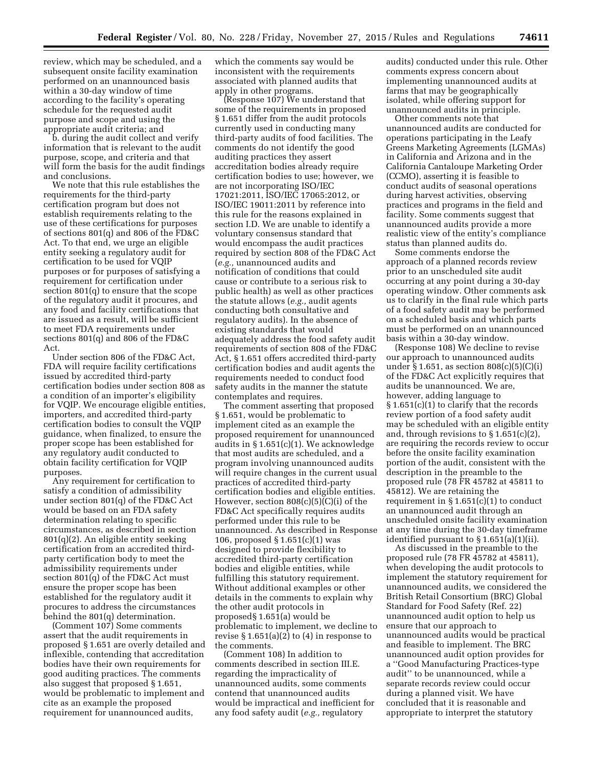review, which may be scheduled, and a subsequent onsite facility examination performed on an unannounced basis within a 30-day window of time according to the facility's operating schedule for the requested audit purpose and scope and using the appropriate audit criteria; and

b. during the audit collect and verify information that is relevant to the audit purpose, scope, and criteria and that will form the basis for the audit findings and conclusions.

We note that this rule establishes the requirements for the third-party certification program but does not establish requirements relating to the use of these certifications for purposes of sections 801(q) and 806 of the FD&C Act. To that end, we urge an eligible entity seeking a regulatory audit for certification to be used for VQIP purposes or for purposes of satisfying a requirement for certification under section 801(q) to ensure that the scope of the regulatory audit it procures, and any food and facility certifications that are issued as a result, will be sufficient to meet FDA requirements under sections 801(q) and 806 of the FD&C Act.

Under section 806 of the FD&C Act, FDA will require facility certifications issued by accredited third-party certification bodies under section 808 as a condition of an importer's eligibility for VQIP. We encourage eligible entities, importers, and accredited third-party certification bodies to consult the VQIP guidance, when finalized, to ensure the proper scope has been established for any regulatory audit conducted to obtain facility certification for VQIP purposes.

Any requirement for certification to satisfy a condition of admissibility under section 801(q) of the FD&C Act would be based on an FDA safety determination relating to specific circumstances, as described in section 801(q)(2). An eligible entity seeking certification from an accredited thirdparty certification body to meet the admissibility requirements under section 801(q) of the FD&C Act must ensure the proper scope has been established for the regulatory audit it procures to address the circumstances behind the 801(q) determination.

(Comment 107) Some comments assert that the audit requirements in proposed § 1.651 are overly detailed and inflexible, contending that accreditation bodies have their own requirements for good auditing practices. The comments also suggest that proposed § 1.651, would be problematic to implement and cite as an example the proposed requirement for unannounced audits,

which the comments say would be inconsistent with the requirements associated with planned audits that apply in other programs.

(Response 107) We understand that some of the requirements in proposed § 1.651 differ from the audit protocols currently used in conducting many third-party audits of food facilities. The comments do not identify the good auditing practices they assert accreditation bodies already require certification bodies to use; however, we are not incorporating ISO/IEC 17021:2011, ISO/IEC 17065:2012, or ISO/IEC 19011:2011 by reference into this rule for the reasons explained in section I.D. We are unable to identify a voluntary consensus standard that would encompass the audit practices required by section 808 of the FD&C Act (*e.g.,* unannounced audits and notification of conditions that could cause or contribute to a serious risk to public health) as well as other practices the statute allows (*e.g.,* audit agents conducting both consultative and regulatory audits). In the absence of existing standards that would adequately address the food safety audit requirements of section 808 of the FD&C Act, § 1.651 offers accredited third-party certification bodies and audit agents the requirements needed to conduct food safety audits in the manner the statute contemplates and requires.

The comment asserting that proposed § 1.651, would be problematic to implement cited as an example the proposed requirement for unannounced audits in § 1.651(c)(1). We acknowledge that most audits are scheduled, and a program involving unannounced audits will require changes in the current usual practices of accredited third-party certification bodies and eligible entities. However, section 808(c)(5)(C)(i) of the FD&C Act specifically requires audits performed under this rule to be unannounced. As described in Response 106, proposed § 1.651(c)(1) was designed to provide flexibility to accredited third-party certification bodies and eligible entities, while fulfilling this statutory requirement. Without additional examples or other details in the comments to explain why the other audit protocols in proposed§ 1.651(a) would be problematic to implement, we decline to revise § 1.651(a)(2) to (4) in response to the comments.

(Comment 108) In addition to comments described in section III.E. regarding the impracticality of unannounced audits, some comments contend that unannounced audits would be impractical and inefficient for any food safety audit (*e.g.,* regulatory

audits) conducted under this rule. Other comments express concern about implementing unannounced audits at farms that may be geographically isolated, while offering support for unannounced audits in principle.

Other comments note that unannounced audits are conducted for operations participating in the Leafy Greens Marketing Agreements (LGMAs) in California and Arizona and in the California Cantaloupe Marketing Order (CCMO), asserting it is feasible to conduct audits of seasonal operations during harvest activities, observing practices and programs in the field and facility. Some comments suggest that unannounced audits provide a more realistic view of the entity's compliance status than planned audits do.

Some comments endorse the approach of a planned records review prior to an unscheduled site audit occurring at any point during a 30-day operating window. Other comments ask us to clarify in the final rule which parts of a food safety audit may be performed on a scheduled basis and which parts must be performed on an unannounced basis within a 30-day window.

(Response 108) We decline to revise our approach to unannounced audits under  $\S 1.651$ , as section  $808(c)(5)(c)(i)$ of the FD&C Act explicitly requires that audits be unannounced. We are, however, adding language to § 1.651(c)(1) to clarify that the records review portion of a food safety audit may be scheduled with an eligible entity and, through revisions to § 1.651(c)(2), are requiring the records review to occur before the onsite facility examination portion of the audit, consistent with the description in the preamble to the proposed rule (78 FR 45782 at 45811 to 45812). We are retaining the requirement in  $\S 1.651(c)(1)$  to conduct an unannounced audit through an unscheduled onsite facility examination at any time during the 30-day timeframe identified pursuant to § 1.651(a)(1)(ii).

As discussed in the preamble to the proposed rule (78 FR 45782 at 45811), when developing the audit protocols to implement the statutory requirement for unannounced audits, we considered the British Retail Consortium (BRC) Global Standard for Food Safety (Ref. 22) unannounced audit option to help us ensure that our approach to unannounced audits would be practical and feasible to implement. The BRC unannounced audit option provides for a ''Good Manufacturing Practices-type audit'' to be unannounced, while a separate records review could occur during a planned visit. We have concluded that it is reasonable and appropriate to interpret the statutory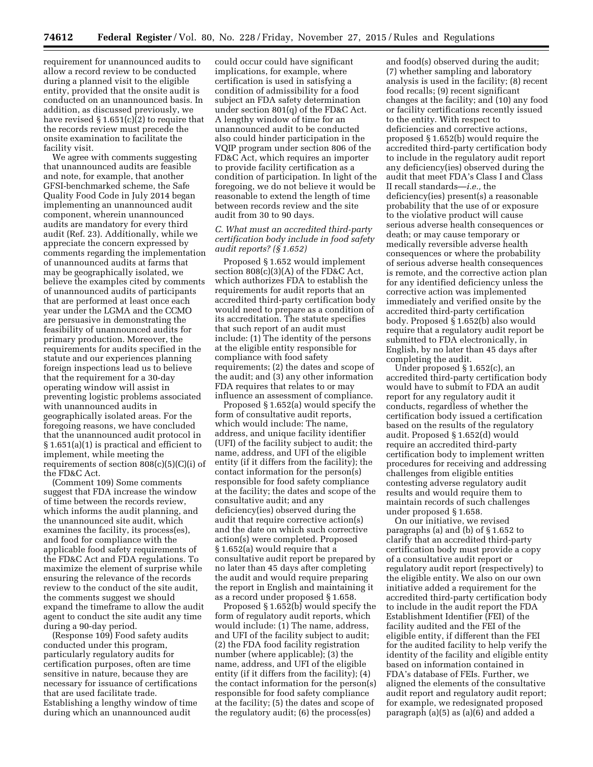requirement for unannounced audits to allow a record review to be conducted during a planned visit to the eligible entity, provided that the onsite audit is conducted on an unannounced basis. In addition, as discussed previously, we have revised § 1.651(c)(2) to require that the records review must precede the onsite examination to facilitate the facility visit.

We agree with comments suggesting that unannounced audits are feasible and note, for example, that another GFSI-benchmarked scheme, the Safe Quality Food Code in July 2014 began implementing an unannounced audit component, wherein unannounced audits are mandatory for every third audit (Ref. 23). Additionally, while we appreciate the concern expressed by comments regarding the implementation of unannounced audits at farms that may be geographically isolated, we believe the examples cited by comments of unannounced audits of participants that are performed at least once each year under the LGMA and the CCMO are persuasive in demonstrating the feasibility of unannounced audits for primary production. Moreover, the requirements for audits specified in the statute and our experiences planning foreign inspections lead us to believe that the requirement for a 30-day operating window will assist in preventing logistic problems associated with unannounced audits in geographically isolated areas. For the foregoing reasons, we have concluded that the unannounced audit protocol in § 1.651(a)(1) is practical and efficient to implement, while meeting the requirements of section 808(c)(5)(C)(i) of the FD&C Act.

(Comment 109) Some comments suggest that FDA increase the window of time between the records review, which informs the audit planning, and the unannounced site audit, which examines the facility, its process(es), and food for compliance with the applicable food safety requirements of the FD&C Act and FDA regulations. To maximize the element of surprise while ensuring the relevance of the records review to the conduct of the site audit, the comments suggest we should expand the timeframe to allow the audit agent to conduct the site audit any time during a 90-day period.

(Response 109) Food safety audits conducted under this program, particularly regulatory audits for certification purposes, often are time sensitive in nature, because they are necessary for issuance of certifications that are used facilitate trade. Establishing a lengthy window of time during which an unannounced audit

could occur could have significant implications, for example, where certification is used in satisfying a condition of admissibility for a food subject an FDA safety determination under section 801(q) of the FD&C Act. A lengthy window of time for an unannounced audit to be conducted also could hinder participation in the VQIP program under section 806 of the FD&C Act, which requires an importer to provide facility certification as a condition of participation. In light of the foregoing, we do not believe it would be reasonable to extend the length of time between records review and the site audit from 30 to 90 days.

## *C. What must an accredited third-party certification body include in food safety audit reports? (§ 1.652)*

Proposed § 1.652 would implement section 808(c)(3)(A) of the FD&C Act, which authorizes FDA to establish the requirements for audit reports that an accredited third-party certification body would need to prepare as a condition of its accreditation. The statute specifies that such report of an audit must include: (1) The identity of the persons at the eligible entity responsible for compliance with food safety requirements; (2) the dates and scope of the audit; and (3) any other information FDA requires that relates to or may influence an assessment of compliance.

Proposed § 1.652(a) would specify the form of consultative audit reports, which would include: The name, address, and unique facility identifier (UFI) of the facility subject to audit; the name, address, and UFI of the eligible entity (if it differs from the facility); the contact information for the person(s) responsible for food safety compliance at the facility; the dates and scope of the consultative audit; and any deficiency(ies) observed during the audit that require corrective action(s) and the date on which such corrective action(s) were completed. Proposed § 1.652(a) would require that a consultative audit report be prepared by no later than 45 days after completing the audit and would require preparing the report in English and maintaining it as a record under proposed § 1.658.

Proposed § 1.652(b) would specify the form of regulatory audit reports, which would include: (1) The name, address, and UFI of the facility subject to audit; (2) the FDA food facility registration number (where applicable); (3) the name, address, and UFI of the eligible entity (if it differs from the facility); (4) the contact information for the person(s) responsible for food safety compliance at the facility; (5) the dates and scope of the regulatory audit; (6) the process(es)

and food(s) observed during the audit; (7) whether sampling and laboratory analysis is used in the facility; (8) recent food recalls; (9) recent significant changes at the facility; and (10) any food or facility certifications recently issued to the entity. With respect to deficiencies and corrective actions, proposed § 1.652(b) would require the accredited third-party certification body to include in the regulatory audit report any deficiency(ies) observed during the audit that meet FDA's Class I and Class II recall standards—*i.e.,* the deficiency(ies) present(s) a reasonable probability that the use of or exposure to the violative product will cause serious adverse health consequences or death; or may cause temporary or medically reversible adverse health consequences or where the probability of serious adverse health consequences is remote, and the corrective action plan for any identified deficiency unless the corrective action was implemented immediately and verified onsite by the accredited third-party certification body. Proposed § 1.652(b) also would require that a regulatory audit report be submitted to FDA electronically, in English, by no later than 45 days after completing the audit.

Under proposed § 1.652(c), an accredited third-party certification body would have to submit to FDA an audit report for any regulatory audit it conducts, regardless of whether the certification body issued a certification based on the results of the regulatory audit. Proposed § 1.652(d) would require an accredited third-party certification body to implement written procedures for receiving and addressing challenges from eligible entities contesting adverse regulatory audit results and would require them to maintain records of such challenges under proposed § 1.658.

On our initiative, we revised paragraphs (a) and (b) of § 1.652 to clarify that an accredited third-party certification body must provide a copy of a consultative audit report or regulatory audit report (respectively) to the eligible entity. We also on our own initiative added a requirement for the accredited third-party certification body to include in the audit report the FDA Establishment Identifier (FEI) of the facility audited and the FEI of the eligible entity, if different than the FEI for the audited facility to help verify the identity of the facility and eligible entity based on information contained in FDA's database of FEIs. Further, we aligned the elements of the consultative audit report and regulatory audit report; for example, we redesignated proposed paragraph (a)(5) as (a)(6) and added a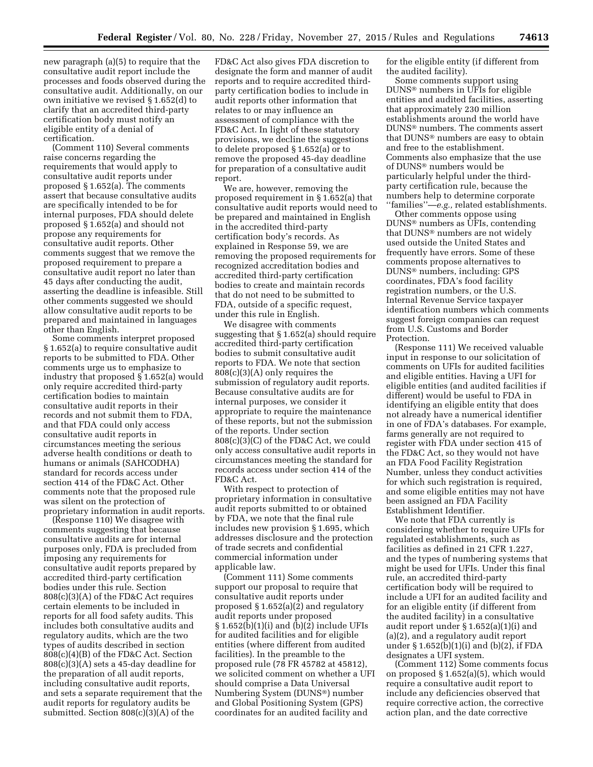new paragraph (a)(5) to require that the consultative audit report include the processes and foods observed during the consultative audit. Additionally, on our own initiative we revised § 1.652(d) to clarify that an accredited third-party certification body must notify an eligible entity of a denial of certification.

(Comment 110) Several comments raise concerns regarding the requirements that would apply to consultative audit reports under proposed § 1.652(a). The comments assert that because consultative audits are specifically intended to be for internal purposes, FDA should delete proposed § 1.652(a) and should not propose any requirements for consultative audit reports. Other comments suggest that we remove the proposed requirement to prepare a consultative audit report no later than 45 days after conducting the audit, asserting the deadline is infeasible. Still other comments suggested we should allow consultative audit reports to be prepared and maintained in languages other than English.

Some comments interpret proposed § 1.652(a) to require consultative audit reports to be submitted to FDA. Other comments urge us to emphasize to industry that proposed § 1.652(a) would only require accredited third-party certification bodies to maintain consultative audit reports in their records and not submit them to FDA, and that FDA could only access consultative audit reports in circumstances meeting the serious adverse health conditions or death to humans or animals (SAHCODHA) standard for records access under section 414 of the FD&C Act. Other comments note that the proposed rule was silent on the protection of proprietary information in audit reports.

(Response 110) We disagree with comments suggesting that because consultative audits are for internal purposes only, FDA is precluded from imposing any requirements for consultative audit reports prepared by accredited third-party certification bodies under this rule. Section 808(c)(3)(A) of the FD&C Act requires certain elements to be included in reports for all food safety audits. This includes both consultative audits and regulatory audits, which are the two types of audits described in section 808(c)(4)(B) of the FD&C Act. Section 808(c)(3)(A) sets a 45-day deadline for the preparation of all audit reports, including consultative audit reports, and sets a separate requirement that the audit reports for regulatory audits be submitted. Section 808(c)(3)(A) of the

FD&C Act also gives FDA discretion to designate the form and manner of audit reports and to require accredited thirdparty certification bodies to include in audit reports other information that relates to or may influence an assessment of compliance with the FD&C Act. In light of these statutory provisions, we decline the suggestions to delete proposed § 1.652(a) or to remove the proposed 45-day deadline for preparation of a consultative audit report.

We are, however, removing the proposed requirement in § 1.652(a) that consultative audit reports would need to be prepared and maintained in English in the accredited third-party certification body's records. As explained in Response 59, we are removing the proposed requirements for recognized accreditation bodies and accredited third-party certification bodies to create and maintain records that do not need to be submitted to FDA, outside of a specific request, under this rule in English.

We disagree with comments suggesting that § 1.652(a) should require accredited third-party certification bodies to submit consultative audit reports to FDA. We note that section 808(c)(3)(A) only requires the submission of regulatory audit reports. Because consultative audits are for internal purposes, we consider it appropriate to require the maintenance of these reports, but not the submission of the reports. Under section 808(c)(3)(C) of the FD&C Act, we could only access consultative audit reports in circumstances meeting the standard for records access under section 414 of the FD&C Act.

With respect to protection of proprietary information in consultative audit reports submitted to or obtained by FDA, we note that the final rule includes new provision § 1.695, which addresses disclosure and the protection of trade secrets and confidential commercial information under applicable law.

(Comment 111) Some comments support our proposal to require that consultative audit reports under proposed  $\S 1.652(a)(2)$  and regulatory audit reports under proposed § 1.652(b)(1)(i) and (b)(2) include UFIs for audited facilities and for eligible entities (where different from audited facilities). In the preamble to the proposed rule (78 FR 45782 at 45812), we solicited comment on whether a UFI should comprise a Data Universal Numbering System (DUNS®) number and Global Positioning System (GPS) coordinates for an audited facility and

for the eligible entity (if different from the audited facility).

Some comments support using DUNS® numbers in UFIs for eligible entities and audited facilities, asserting that approximately 230 million establishments around the world have DUNS® numbers. The comments assert that DUNS® numbers are easy to obtain and free to the establishment. Comments also emphasize that the use of DUNS® numbers would be particularly helpful under the thirdparty certification rule, because the numbers help to determine corporate ''families''—*e.g.,* related establishments.

Other comments oppose using DUNS® numbers as UFIs, contending that DUNS® numbers are not widely used outside the United States and frequently have errors. Some of these comments propose alternatives to DUNS® numbers, including: GPS coordinates, FDA's food facility registration numbers, or the U.S. Internal Revenue Service taxpayer identification numbers which comments suggest foreign companies can request from U.S. Customs and Border Protection.

(Response 111) We received valuable input in response to our solicitation of comments on UFIs for audited facilities and eligible entities. Having a UFI for eligible entities (and audited facilities if different) would be useful to FDA in identifying an eligible entity that does not already have a numerical identifier in one of FDA's databases. For example, farms generally are not required to register with FDA under section 415 of the FD&C Act, so they would not have an FDA Food Facility Registration Number, unless they conduct activities for which such registration is required, and some eligible entities may not have been assigned an FDA Facility Establishment Identifier.

We note that FDA currently is considering whether to require UFIs for regulated establishments, such as facilities as defined in 21 CFR 1.227, and the types of numbering systems that might be used for UFIs. Under this final rule, an accredited third-party certification body will be required to include a UFI for an audited facility and for an eligible entity (if different from the audited facility) in a consultative audit report under § 1.652(a)(1)(i) and (a)(2), and a regulatory audit report under § 1.652(b)(1)(i) and (b)(2), if FDA designates a UFI system.

(Comment 112) Some comments focus on proposed § 1.652(a)(5), which would require a consultative audit report to include any deficiencies observed that require corrective action, the corrective action plan, and the date corrective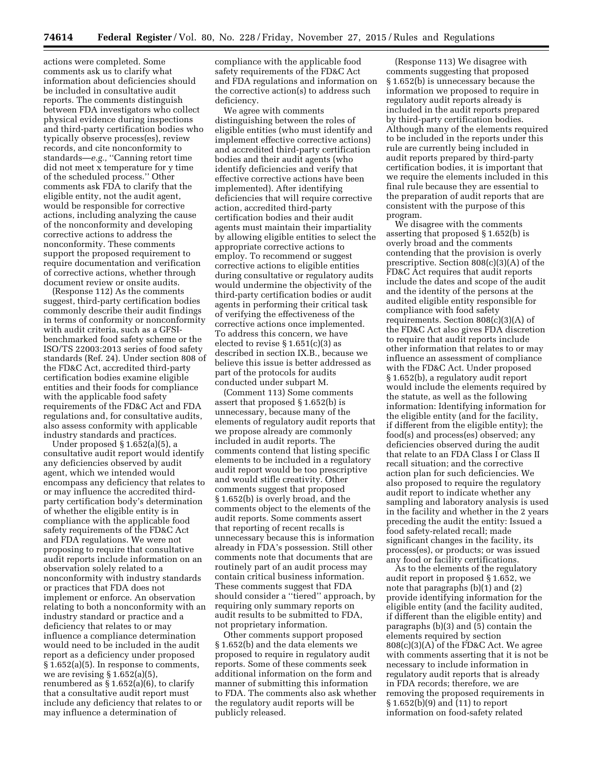actions were completed. Some comments ask us to clarify what information about deficiencies should be included in consultative audit reports. The comments distinguish between FDA investigators who collect physical evidence during inspections and third-party certification bodies who typically observe process(es), review records, and cite nonconformity to standards—*e.g.,* ''Canning retort time did not meet x temperature for y time of the scheduled process.'' Other comments ask FDA to clarify that the eligible entity, not the audit agent, would be responsible for corrective actions, including analyzing the cause of the nonconformity and developing corrective actions to address the nonconformity. These comments support the proposed requirement to require documentation and verification of corrective actions, whether through document review or onsite audits.

(Response 112) As the comments suggest, third-party certification bodies commonly describe their audit findings in terms of conformity or nonconformity with audit criteria, such as a GFSIbenchmarked food safety scheme or the ISO/TS 22003:2013 series of food safety standards (Ref. 24). Under section 808 of the FD&C Act, accredited third-party certification bodies examine eligible entities and their foods for compliance with the applicable food safety requirements of the FD&C Act and FDA regulations and, for consultative audits, also assess conformity with applicable industry standards and practices.

Under proposed § 1.652(a)(5), a consultative audit report would identify any deficiencies observed by audit agent, which we intended would encompass any deficiency that relates to or may influence the accredited thirdparty certification body's determination of whether the eligible entity is in compliance with the applicable food safety requirements of the FD&C Act and FDA regulations. We were not proposing to require that consultative audit reports include information on an observation solely related to a nonconformity with industry standards or practices that FDA does not implement or enforce. An observation relating to both a nonconformity with an industry standard or practice and a deficiency that relates to or may influence a compliance determination would need to be included in the audit report as a deficiency under proposed § 1.652(a)(5). In response to comments, we are revising  $\S 1.652(a)(5)$ , renumbered as  $\S 1.652(a)(6)$ , to clarify that a consultative audit report must include any deficiency that relates to or may influence a determination of

compliance with the applicable food safety requirements of the FD&C Act and FDA regulations and information on the corrective action(s) to address such deficiency.

We agree with comments distinguishing between the roles of eligible entities (who must identify and implement effective corrective actions) and accredited third-party certification bodies and their audit agents (who identify deficiencies and verify that effective corrective actions have been implemented). After identifying deficiencies that will require corrective action, accredited third-party certification bodies and their audit agents must maintain their impartiality by allowing eligible entities to select the appropriate corrective actions to employ. To recommend or suggest corrective actions to eligible entities during consultative or regulatory audits would undermine the objectivity of the third-party certification bodies or audit agents in performing their critical task of verifying the effectiveness of the corrective actions once implemented. To address this concern, we have elected to revise  $\S 1.651(c)(3)$  as described in section IX.B., because we believe this issue is better addressed as part of the protocols for audits conducted under subpart M.

(Comment 113) Some comments assert that proposed § 1.652(b) is unnecessary, because many of the elements of regulatory audit reports that we propose already are commonly included in audit reports. The comments contend that listing specific elements to be included in a regulatory audit report would be too prescriptive and would stifle creativity. Other comments suggest that proposed § 1.652(b) is overly broad, and the comments object to the elements of the audit reports. Some comments assert that reporting of recent recalls is unnecessary because this is information already in FDA's possession. Still other comments note that documents that are routinely part of an audit process may contain critical business information. These comments suggest that FDA should consider a ''tiered'' approach, by requiring only summary reports on audit results to be submitted to FDA, not proprietary information.

Other comments support proposed § 1.652(b) and the data elements we proposed to require in regulatory audit reports. Some of these comments seek additional information on the form and manner of submitting this information to FDA. The comments also ask whether the regulatory audit reports will be publicly released.

(Response 113) We disagree with comments suggesting that proposed § 1.652(b) is unnecessary because the information we proposed to require in regulatory audit reports already is included in the audit reports prepared by third-party certification bodies. Although many of the elements required to be included in the reports under this rule are currently being included in audit reports prepared by third-party certification bodies, it is important that we require the elements included in this final rule because they are essential to the preparation of audit reports that are consistent with the purpose of this program.

We disagree with the comments asserting that proposed § 1.652(b) is overly broad and the comments contending that the provision is overly prescriptive. Section 808(c)(3)(A) of the FD&C Act requires that audit reports include the dates and scope of the audit and the identity of the persons at the audited eligible entity responsible for compliance with food safety requirements. Section 808(c)(3)(A) of the FD&C Act also gives FDA discretion to require that audit reports include other information that relates to or may influence an assessment of compliance with the FD&C Act. Under proposed § 1.652(b), a regulatory audit report would include the elements required by the statute, as well as the following information: Identifying information for the eligible entity (and for the facility, if different from the eligible entity); the food(s) and process(es) observed; any deficiencies observed during the audit that relate to an FDA Class I or Class II recall situation; and the corrective action plan for such deficiencies. We also proposed to require the regulatory audit report to indicate whether any sampling and laboratory analysis is used in the facility and whether in the 2 years preceding the audit the entity: Issued a food safety-related recall; made significant changes in the facility, its process(es), or products; or was issued any food or facility certifications.

As to the elements of the regulatory audit report in proposed § 1.652, we note that paragraphs (b)(1) and (2) provide identifying information for the eligible entity (and the facility audited, if different than the eligible entity) and paragraphs (b)(3) and (5) contain the elements required by section 808(c)(3)(A) of the FD&C Act. We agree with comments asserting that it is not be necessary to include information in regulatory audit reports that is already in FDA records; therefore, we are removing the proposed requirements in § 1.652(b)(9) and (11) to report information on food-safety related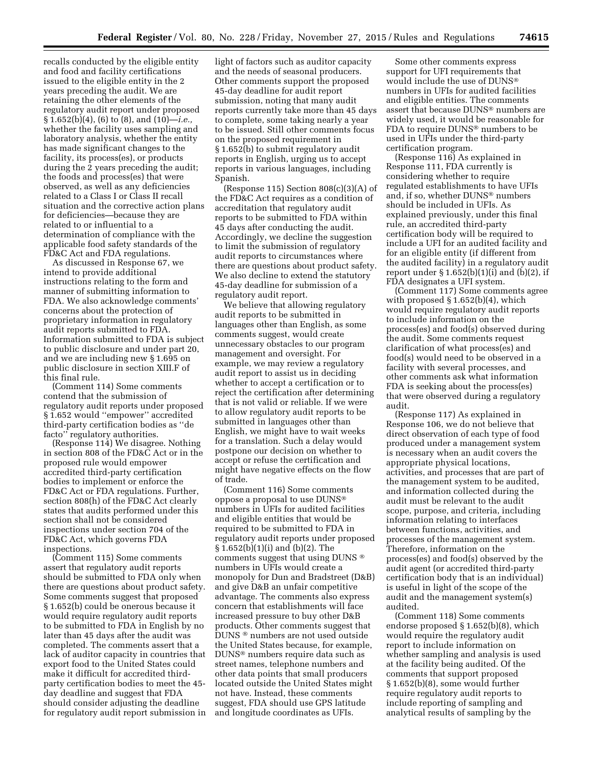recalls conducted by the eligible entity and food and facility certifications issued to the eligible entity in the 2 years preceding the audit. We are retaining the other elements of the regulatory audit report under proposed § 1.652(b)(4), (6) to (8), and (10)—*i.e.,*  whether the facility uses sampling and laboratory analysis, whether the entity has made significant changes to the facility, its process(es), or products during the 2 years preceding the audit; the foods and process(es) that were observed, as well as any deficiencies related to a Class I or Class II recall situation and the corrective action plans for deficiencies—because they are related to or influential to a determination of compliance with the applicable food safety standards of the FD&C Act and FDA regulations.

As discussed in Response 67, we intend to provide additional instructions relating to the form and manner of submitting information to FDA. We also acknowledge comments' concerns about the protection of proprietary information in regulatory audit reports submitted to FDA. Information submitted to FDA is subject to public disclosure and under part 20, and we are including new § 1.695 on public disclosure in section XIII.F of this final rule.

(Comment 114) Some comments contend that the submission of regulatory audit reports under proposed § 1.652 would ''empower'' accredited third-party certification bodies as ''de facto'' regulatory authorities.

(Response 114) We disagree. Nothing in section 808 of the FD&C Act or in the proposed rule would empower accredited third-party certification bodies to implement or enforce the FD&C Act or FDA regulations. Further, section 808(h) of the FD&C Act clearly states that audits performed under this section shall not be considered inspections under section 704 of the FD&C Act, which governs FDA inspections.

(Comment 115) Some comments assert that regulatory audit reports should be submitted to FDA only when there are questions about product safety. Some comments suggest that proposed § 1.652(b) could be onerous because it would require regulatory audit reports to be submitted to FDA in English by no later than 45 days after the audit was completed. The comments assert that a lack of auditor capacity in countries that export food to the United States could make it difficult for accredited thirdparty certification bodies to meet the 45 day deadline and suggest that FDA should consider adjusting the deadline for regulatory audit report submission in light of factors such as auditor capacity and the needs of seasonal producers. Other comments support the proposed 45-day deadline for audit report submission, noting that many audit reports currently take more than 45 days to complete, some taking nearly a year to be issued. Still other comments focus on the proposed requirement in § 1.652(b) to submit regulatory audit reports in English, urging us to accept reports in various languages, including Spanish.

(Response 115) Section 808(c)(3)(A) of the FD&C Act requires as a condition of accreditation that regulatory audit reports to be submitted to FDA within 45 days after conducting the audit. Accordingly, we decline the suggestion to limit the submission of regulatory audit reports to circumstances where there are questions about product safety. We also decline to extend the statutory 45-day deadline for submission of a regulatory audit report.

We believe that allowing regulatory audit reports to be submitted in languages other than English, as some comments suggest, would create unnecessary obstacles to our program management and oversight. For example, we may review a regulatory audit report to assist us in deciding whether to accept a certification or to reject the certification after determining that is not valid or reliable. If we were to allow regulatory audit reports to be submitted in languages other than English, we might have to wait weeks for a translation. Such a delay would postpone our decision on whether to accept or refuse the certification and might have negative effects on the flow of trade.

(Comment 116) Some comments oppose a proposal to use DUNS® numbers in UFIs for audited facilities and eligible entities that would be required to be submitted to FDA in regulatory audit reports under proposed § 1.652(b)(1)(i) and (b)(2). The comments suggest that using DUNS ® numbers in UFIs would create a monopoly for Dun and Bradstreet (D&B) and give D&B an unfair competitive advantage. The comments also express concern that establishments will face increased pressure to buy other D&B products. Other comments suggest that DUNS ® numbers are not used outside the United States because, for example, DUNS® numbers require data such as street names, telephone numbers and other data points that small producers located outside the United States might not have. Instead, these comments suggest, FDA should use GPS latitude and longitude coordinates as UFIs.

Some other comments express support for UFI requirements that would include the use of DUNS® numbers in UFIs for audited facilities and eligible entities. The comments assert that because DUNS® numbers are widely used, it would be reasonable for FDA to require DUNS® numbers to be used in UFIs under the third-party certification program.

(Response 116) As explained in Response 111, FDA currently is considering whether to require regulated establishments to have UFIs and, if so, whether DUNS® numbers should be included in UFIs. As explained previously, under this final rule, an accredited third-party certification body will be required to include a UFI for an audited facility and for an eligible entity (if different from the audited facility) in a regulatory audit report under  $\S 1.652(b)(1)(i)$  and  $(b)(2)$ , if FDA designates a UFI system.

(Comment 117) Some comments agree with proposed § 1.652(b)(4), which would require regulatory audit reports to include information on the process(es) and food(s) observed during the audit. Some comments request clarification of what process(es) and food(s) would need to be observed in a facility with several processes, and other comments ask what information FDA is seeking about the process(es) that were observed during a regulatory audit.

(Response 117) As explained in Response 106, we do not believe that direct observation of each type of food produced under a management system is necessary when an audit covers the appropriate physical locations, activities, and processes that are part of the management system to be audited, and information collected during the audit must be relevant to the audit scope, purpose, and criteria, including information relating to interfaces between functions, activities, and processes of the management system. Therefore, information on the process(es) and food(s) observed by the audit agent (or accredited third-party certification body that is an individual) is useful in light of the scope of the audit and the management system(s) audited.

(Comment 118) Some comments endorse proposed § 1.652(b)(8), which would require the regulatory audit report to include information on whether sampling and analysis is used at the facility being audited. Of the comments that support proposed § 1.652(b)(8), some would further require regulatory audit reports to include reporting of sampling and analytical results of sampling by the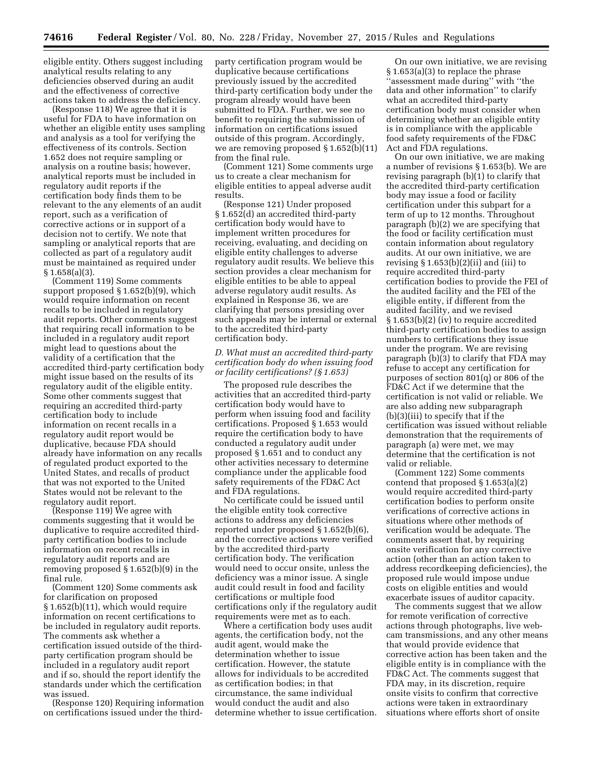eligible entity. Others suggest including analytical results relating to any deficiencies observed during an audit and the effectiveness of corrective actions taken to address the deficiency.

(Response 118) We agree that it is useful for FDA to have information on whether an eligible entity uses sampling and analysis as a tool for verifying the effectiveness of its controls. Section 1.652 does not require sampling or analysis on a routine basis; however, analytical reports must be included in regulatory audit reports if the certification body finds them to be relevant to the any elements of an audit report, such as a verification of corrective actions or in support of a decision not to certify. We note that sampling or analytical reports that are collected as part of a regulatory audit must be maintained as required under  $§ 1.658(a)(3).$ 

(Comment 119) Some comments support proposed § 1.652(b)(9), which would require information on recent recalls to be included in regulatory audit reports. Other comments suggest that requiring recall information to be included in a regulatory audit report might lead to questions about the validity of a certification that the accredited third-party certification body might issue based on the results of its regulatory audit of the eligible entity. Some other comments suggest that requiring an accredited third-party certification body to include information on recent recalls in a regulatory audit report would be duplicative, because FDA should already have information on any recalls of regulated product exported to the United States, and recalls of product that was not exported to the United States would not be relevant to the regulatory audit report.

(Response 119) We agree with comments suggesting that it would be duplicative to require accredited thirdparty certification bodies to include information on recent recalls in regulatory audit reports and are removing proposed § 1.652(b)(9) in the final rule.

(Comment 120) Some comments ask for clarification on proposed § 1.652(b)(11), which would require information on recent certifications to be included in regulatory audit reports. The comments ask whether a certification issued outside of the thirdparty certification program should be included in a regulatory audit report and if so, should the report identify the standards under which the certification was issued.

(Response 120) Requiring information on certifications issued under the third-

party certification program would be duplicative because certifications previously issued by the accredited third-party certification body under the program already would have been submitted to FDA. Further, we see no benefit to requiring the submission of information on certifications issued outside of this program. Accordingly, we are removing proposed § 1.652(b)(11) from the final rule.

(Comment 121) Some comments urge us to create a clear mechanism for eligible entities to appeal adverse audit results.

(Response 121) Under proposed § 1.652(d) an accredited third-party certification body would have to implement written procedures for receiving, evaluating, and deciding on eligible entity challenges to adverse regulatory audit results. We believe this section provides a clear mechanism for eligible entities to be able to appeal adverse regulatory audit results. As explained in Response 36, we are clarifying that persons presiding over such appeals may be internal or external to the accredited third-party certification body.

#### *D. What must an accredited third-party certification body do when issuing food or facility certifications? (§ 1.653)*

The proposed rule describes the activities that an accredited third-party certification body would have to perform when issuing food and facility certifications. Proposed § 1.653 would require the certification body to have conducted a regulatory audit under proposed § 1.651 and to conduct any other activities necessary to determine compliance under the applicable food safety requirements of the FD&C Act and FDA regulations.

No certificate could be issued until the eligible entity took corrective actions to address any deficiencies reported under proposed § 1.652(b)(6), and the corrective actions were verified by the accredited third-party certification body. The verification would need to occur onsite, unless the deficiency was a minor issue. A single audit could result in food and facility certifications or multiple food certifications only if the regulatory audit requirements were met as to each.

Where a certification body uses audit agents, the certification body, not the audit agent, would make the determination whether to issue certification. However, the statute allows for individuals to be accredited as certification bodies; in that circumstance, the same individual would conduct the audit and also determine whether to issue certification.

On our own initiative, we are revising § 1.653(a)(3) to replace the phrase ''assessment made during'' with ''the data and other information'' to clarify what an accredited third-party certification body must consider when determining whether an eligible entity is in compliance with the applicable food safety requirements of the FD&C Act and FDA regulations.

On our own initiative, we are making a number of revisions § 1.653(b). We are revising paragraph (b)(1) to clarify that the accredited third-party certification body may issue a food or facility certification under this subpart for a term of up to 12 months. Throughout paragraph (b)(2) we are specifying that the food or facility certification must contain information about regulatory audits. At our own initiative, we are revising  $\S 1.653(b)(2)(ii)$  and (iii) to require accredited third-party certification bodies to provide the FEI of the audited facility and the FEI of the eligible entity, if different from the audited facility, and we revised § 1.653(b)(2) (iv) to require accredited third-party certification bodies to assign numbers to certifications they issue under the program. We are revising paragraph  $(b)(3)$  to clarify that FDA may refuse to accept any certification for purposes of section 801(q) or 806 of the FD&C Act if we determine that the certification is not valid or reliable. We are also adding new subparagraph (b)(3)(iii) to specify that if the certification was issued without reliable demonstration that the requirements of paragraph (a) were met, we may determine that the certification is not valid or reliable.

(Comment 122) Some comments contend that proposed § 1.653(a)(2) would require accredited third-party certification bodies to perform onsite verifications of corrective actions in situations where other methods of verification would be adequate. The comments assert that, by requiring onsite verification for any corrective action (other than an action taken to address recordkeeping deficiencies), the proposed rule would impose undue costs on eligible entities and would exacerbate issues of auditor capacity.

The comments suggest that we allow for remote verification of corrective actions through photographs, live webcam transmissions, and any other means that would provide evidence that corrective action has been taken and the eligible entity is in compliance with the FD&C Act. The comments suggest that FDA may, in its discretion, require onsite visits to confirm that corrective actions were taken in extraordinary situations where efforts short of onsite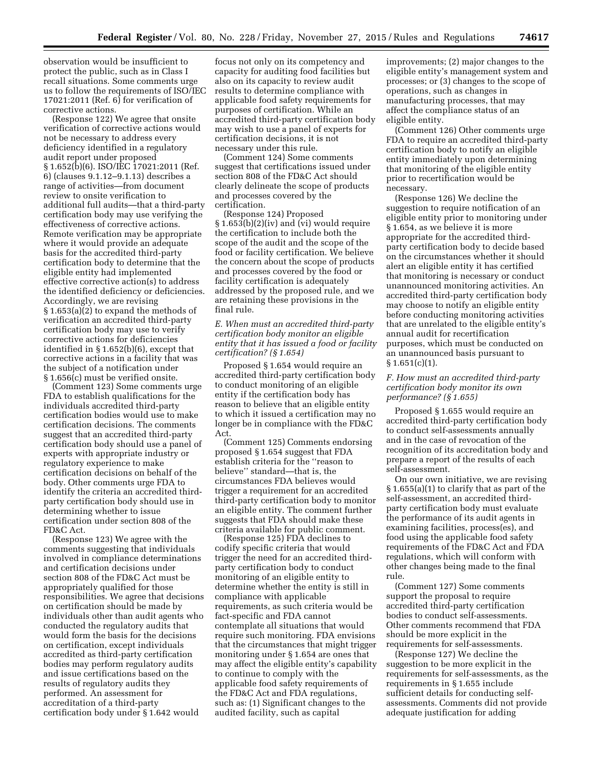observation would be insufficient to protect the public, such as in Class I recall situations. Some comments urge us to follow the requirements of ISO/IEC 17021:2011 (Ref. 6) for verification of corrective actions.

(Response 122) We agree that onsite verification of corrective actions would not be necessary to address every deficiency identified in a regulatory audit report under proposed § 1.652(b)(6). ISO/IEC 17021:2011 (Ref. 6) (clauses 9.1.12–9.1.13) describes a range of activities—from document review to onsite verification to additional full audits—that a third-party certification body may use verifying the effectiveness of corrective actions. Remote verification may be appropriate where it would provide an adequate basis for the accredited third-party certification body to determine that the eligible entity had implemented effective corrective action(s) to address the identified deficiency or deficiencies. Accordingly, we are revising § 1.653(a)(2) to expand the methods of verification an accredited third-party certification body may use to verify corrective actions for deficiencies identified in § 1.652(b)(6), except that corrective actions in a facility that was the subject of a notification under § 1.656(c) must be verified onsite.

(Comment 123) Some comments urge FDA to establish qualifications for the individuals accredited third-party certification bodies would use to make certification decisions. The comments suggest that an accredited third-party certification body should use a panel of experts with appropriate industry or regulatory experience to make certification decisions on behalf of the body. Other comments urge FDA to identify the criteria an accredited thirdparty certification body should use in determining whether to issue certification under section 808 of the FD&C Act.

(Response 123) We agree with the comments suggesting that individuals involved in compliance determinations and certification decisions under section 808 of the FD&C Act must be appropriately qualified for those responsibilities. We agree that decisions on certification should be made by individuals other than audit agents who conducted the regulatory audits that would form the basis for the decisions on certification, except individuals accredited as third-party certification bodies may perform regulatory audits and issue certifications based on the results of regulatory audits they performed. An assessment for accreditation of a third-party certification body under § 1.642 would

focus not only on its competency and capacity for auditing food facilities but also on its capacity to review audit results to determine compliance with applicable food safety requirements for purposes of certification. While an accredited third-party certification body may wish to use a panel of experts for certification decisions, it is not necessary under this rule.

(Comment 124) Some comments suggest that certifications issued under section 808 of the FD&C Act should clearly delineate the scope of products and processes covered by the certification.

(Response 124) Proposed § 1.653(b)(2)(iv) and (vi) would require the certification to include both the scope of the audit and the scope of the food or facility certification. We believe the concern about the scope of products and processes covered by the food or facility certification is adequately addressed by the proposed rule, and we are retaining these provisions in the final rule.

*E. When must an accredited third-party certification body monitor an eligible entity that it has issued a food or facility certification? (§ 1.654)* 

Proposed § 1.654 would require an accredited third-party certification body to conduct monitoring of an eligible entity if the certification body has reason to believe that an eligible entity to which it issued a certification may no longer be in compliance with the FD&C Act.

(Comment 125) Comments endorsing proposed § 1.654 suggest that FDA establish criteria for the ''reason to believe'' standard—that is, the circumstances FDA believes would trigger a requirement for an accredited third-party certification body to monitor an eligible entity. The comment further suggests that FDA should make these criteria available for public comment.

(Response 125) FDA declines to codify specific criteria that would trigger the need for an accredited thirdparty certification body to conduct monitoring of an eligible entity to determine whether the entity is still in compliance with applicable requirements, as such criteria would be fact-specific and FDA cannot contemplate all situations that would require such monitoring. FDA envisions that the circumstances that might trigger monitoring under § 1.654 are ones that may affect the eligible entity's capability to continue to comply with the applicable food safety requirements of the FD&C Act and FDA regulations, such as: (1) Significant changes to the audited facility, such as capital

improvements; (2) major changes to the eligible entity's management system and processes; or (3) changes to the scope of operations, such as changes in manufacturing processes, that may affect the compliance status of an eligible entity.

(Comment 126) Other comments urge FDA to require an accredited third-party certification body to notify an eligible entity immediately upon determining that monitoring of the eligible entity prior to recertification would be necessary.

(Response 126) We decline the suggestion to require notification of an eligible entity prior to monitoring under § 1.654, as we believe it is more appropriate for the accredited thirdparty certification body to decide based on the circumstances whether it should alert an eligible entity it has certified that monitoring is necessary or conduct unannounced monitoring activities. An accredited third-party certification body may choose to notify an eligible entity before conducting monitoring activities that are unrelated to the eligible entity's annual audit for recertification purposes, which must be conducted on an unannounced basis pursuant to  $§ 1.651(c)(1).$ 

## *F. How must an accredited third-party certification body monitor its own performance? (§ 1.655)*

Proposed § 1.655 would require an accredited third-party certification body to conduct self-assessments annually and in the case of revocation of the recognition of its accreditation body and prepare a report of the results of each self-assessment.

On our own initiative, we are revising § 1.655(a)(1) to clarify that as part of the self-assessment, an accredited thirdparty certification body must evaluate the performance of its audit agents in examining facilities, process(es), and food using the applicable food safety requirements of the FD&C Act and FDA regulations, which will conform with other changes being made to the final rule.

(Comment 127) Some comments support the proposal to require accredited third-party certification bodies to conduct self-assessments. Other comments recommend that FDA should be more explicit in the requirements for self-assessments.

(Response 127) We decline the suggestion to be more explicit in the requirements for self-assessments, as the requirements in § 1.655 include sufficient details for conducting selfassessments. Comments did not provide adequate justification for adding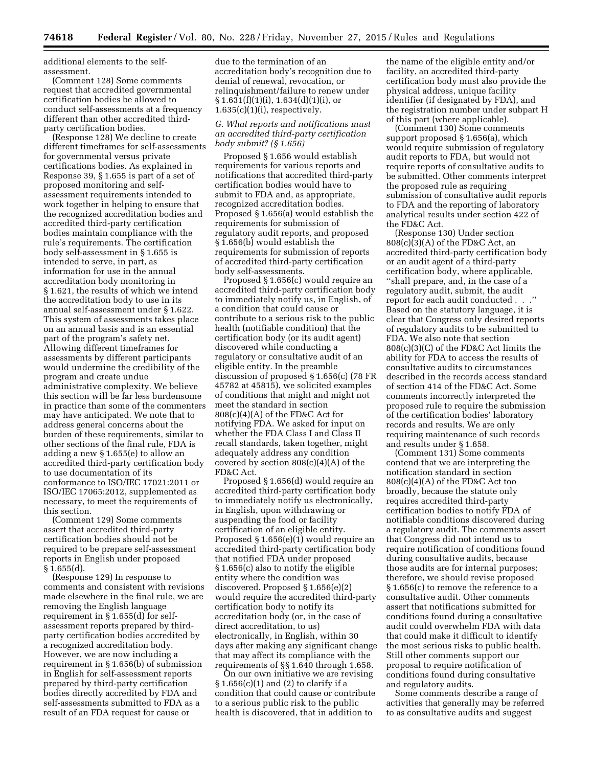additional elements to the selfassessment.

(Comment 128) Some comments request that accredited governmental certification bodies be allowed to conduct self-assessments at a frequency different than other accredited thirdparty certification bodies.

(Response 128) We decline to create different timeframes for self-assessments for governmental versus private certifications bodies. As explained in Response 39, § 1.655 is part of a set of proposed monitoring and selfassessment requirements intended to work together in helping to ensure that the recognized accreditation bodies and accredited third-party certification bodies maintain compliance with the rule's requirements. The certification body self-assessment in § 1.655 is intended to serve, in part, as information for use in the annual accreditation body monitoring in § 1.621, the results of which we intend the accreditation body to use in its annual self-assessment under § 1.622. This system of assessments takes place on an annual basis and is an essential part of the program's safety net. Allowing different timeframes for assessments by different participants would undermine the credibility of the program and create undue administrative complexity. We believe this section will be far less burdensome in practice than some of the commenters may have anticipated. We note that to address general concerns about the burden of these requirements, similar to other sections of the final rule, FDA is adding a new § 1.655(e) to allow an accredited third-party certification body to use documentation of its conformance to ISO/IEC 17021:2011 or ISO/IEC 17065:2012, supplemented as necessary, to meet the requirements of this section.

(Comment 129) Some comments assert that accredited third-party certification bodies should not be required to be prepare self-assessment reports in English under proposed § 1.655(d).

(Response 129) In response to comments and consistent with revisions made elsewhere in the final rule, we are removing the English language requirement in § 1.655(d) for selfassessment reports prepared by thirdparty certification bodies accredited by a recognized accreditation body. However, we are now including a requirement in § 1.656(b) of submission in English for self-assessment reports prepared by third-party certification bodies directly accredited by FDA and self-assessments submitted to FDA as a result of an FDA request for cause or

due to the termination of an accreditation body's recognition due to denial of renewal, revocation, or relinquishment/failure to renew under  $§ 1.631(f)(1)(i), 1.634(d)(1)(i), or$  $1.635(c)(1)(i)$ , respectively.

### *G. What reports and notifications must an accredited third-party certification body submit? (§ 1.656)*

Proposed § 1.656 would establish requirements for various reports and notifications that accredited third-party certification bodies would have to submit to FDA and, as appropriate, recognized accreditation bodies. Proposed § 1.656(a) would establish the requirements for submission of regulatory audit reports, and proposed § 1.656(b) would establish the requirements for submission of reports of accredited third-party certification body self-assessments.

Proposed § 1.656(c) would require an accredited third-party certification body to immediately notify us, in English, of a condition that could cause or contribute to a serious risk to the public health (notifiable condition) that the certification body (or its audit agent) discovered while conducting a regulatory or consultative audit of an eligible entity. In the preamble discussion of proposed § 1.656(c) (78 FR 45782 at 45815), we solicited examples of conditions that might and might not meet the standard in section 808(c)(4)(A) of the FD&C Act for notifying FDA. We asked for input on whether the FDA Class I and Class II recall standards, taken together, might adequately address any condition covered by section  $808(c)(4)(A)$  of the FD&C Act.

Proposed § 1.656(d) would require an accredited third-party certification body to immediately notify us electronically, in English, upon withdrawing or suspending the food or facility certification of an eligible entity. Proposed § 1.656(e)(1) would require an accredited third-party certification body that notified FDA under proposed § 1.656(c) also to notify the eligible entity where the condition was discovered. Proposed § 1.656(e)(2) would require the accredited third-party certification body to notify its accreditation body (or, in the case of direct accreditation, to us) electronically, in English, within 30 days after making any significant change that may affect its compliance with the requirements of §§ 1.640 through 1.658.

On our own initiative we are revising § 1.656(c)(1) and (2) to clarify if a condition that could cause or contribute to a serious public risk to the public health is discovered, that in addition to

the name of the eligible entity and/or facility, an accredited third-party certification body must also provide the physical address, unique facility identifier (if designated by FDA), and the registration number under subpart H of this part (where applicable).

(Comment 130) Some comments support proposed § 1.656(a), which would require submission of regulatory audit reports to FDA, but would not require reports of consultative audits to be submitted. Other comments interpret the proposed rule as requiring submission of consultative audit reports to FDA and the reporting of laboratory analytical results under section 422 of the FD&C Act.

(Response 130) Under section  $808(c)(3)(A)$  of the FD&C Act, an accredited third-party certification body or an audit agent of a third-party certification body, where applicable, ''shall prepare, and, in the case of a regulatory audit, submit, the audit report for each audit conducted . . .'' Based on the statutory language, it is clear that Congress only desired reports of regulatory audits to be submitted to FDA. We also note that section 808(c)(3)(C) of the FD&C Act limits the ability for FDA to access the results of consultative audits to circumstances described in the records access standard of section 414 of the FD&C Act. Some comments incorrectly interpreted the proposed rule to require the submission of the certification bodies' laboratory records and results. We are only requiring maintenance of such records and results under § 1.658.

(Comment 131) Some comments contend that we are interpreting the notification standard in section 808(c)(4)(A) of the FD&C Act too broadly, because the statute only requires accredited third-party certification bodies to notify FDA of notifiable conditions discovered during a regulatory audit. The comments assert that Congress did not intend us to require notification of conditions found during consultative audits, because those audits are for internal purposes; therefore, we should revise proposed § 1.656(c) to remove the reference to a consultative audit. Other comments assert that notifications submitted for conditions found during a consultative audit could overwhelm FDA with data that could make it difficult to identify the most serious risks to public health. Still other comments support our proposal to require notification of conditions found during consultative and regulatory audits.

Some comments describe a range of activities that generally may be referred to as consultative audits and suggest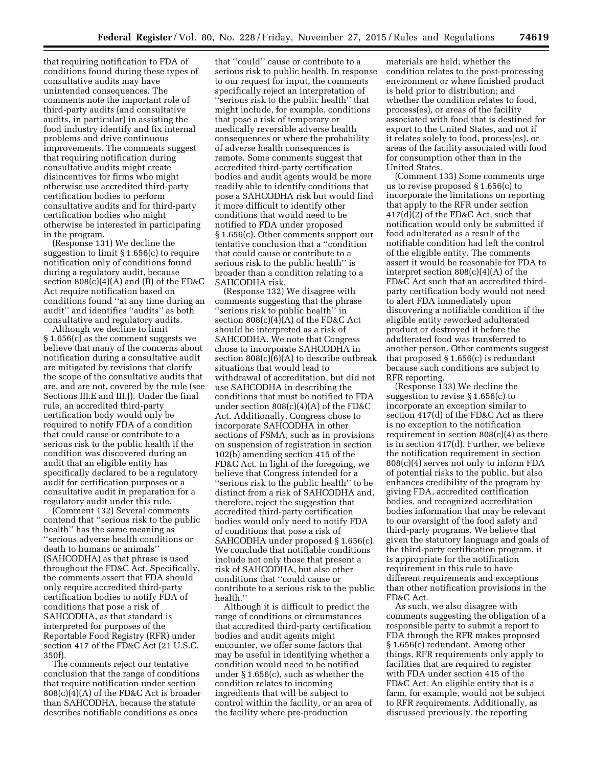that requiring notification to FDA of conditions found during these types of consultative audits may have unintended consequences. The comments note the important role of third-party audits (and consultative audits, in particular) in assisting the food industry identify and fix internal problems and drive continuous improvements. The comments suggest that requiring notification during consultative audits might create disincentives for firms who might otherwise use accredited third-party certification bodies to perform consultative audits and for third-party certification bodies who might otherwise be interested in participating in the program.

(Response 131) We decline the suggestion to limit § 1.656(c) to require notification only of conditions found during a regulatory audit, because section  $808(c)(4)(A)$  and  $(B)$  of the FD&C Act require notification based on conditions found ''at any time during an audit'' and identifies ''audits'' as both consultative and regulatory audits.

Although we decline to limit § 1.656(c) as the comment suggests we believe that many of the concerns about notification during a consultative audit are mitigated by revisions that clarify the scope of the consultative audits that are, and are not, covered by the rule (see Sections III.E and III.J). Under the final rule, an accredited third-party certification body would only be required to notify FDA of a condition that could cause or contribute to a serious risk to the public health if the condition was discovered during an audit that an eligible entity has specifically declared to be a regulatory audit for certification purposes or a consultative audit in preparation for a regulatory audit under this rule.

(Comment 132) Several comments contend that ''serious risk to the public health'' has the same meaning as ''serious adverse health conditions or death to humans or animals'' (SAHCODHA) as that phrase is used throughout the FD&C Act. Specifically, the comments assert that FDA should only require accredited third-party certification bodies to notify FDA of conditions that pose a risk of SAHCODHA, as that standard is interpreted for purposes of the Reportable Food Registry (RFR) under section 417 of the FD&C Act (21 U.S.C. 350f).

The comments reject our tentative conclusion that the range of conditions that require notification under section 808(c)(4)(A) of the FD&C Act is broader than SAHCODHA, because the statute describes notifiable conditions as ones

that ''could'' cause or contribute to a serious risk to public health. In response to our request for input, the comments specifically reject an interpretation of ''serious risk to the public health'' that might include, for example, conditions that pose a risk of temporary or medically reversible adverse health consequences or where the probability of adverse health consequences is remote. Some comments suggest that accredited third-party certification bodies and audit agents would be more readily able to identify conditions that pose a SAHCODHA risk but would find it more difficult to identify other conditions that would need to be notified to FDA under proposed § 1.656(c). Other comments support our tentative conclusion that a ''condition that could cause or contribute to a serious risk to the public health'' is broader than a condition relating to a SAHCODHA risk.

(Response 132) We disagree with comments suggesting that the phrase ''serious risk to public health'' in section  $808(c)(4)(A)$  of the FD&C Act should be interpreted as a risk of SAHCODHA. We note that Congress chose to incorporate SAHCODHA in section  $808(c)(6)(A)$  to describe outbreak situations that would lead to withdrawal of accreditation, but did not use SAHCODHA in describing the conditions that must be notified to FDA under section 808(c)(4)(A) of the FD&C Act. Additionally, Congress chose to incorporate SAHCODHA in other sections of FSMA, such as in provisions on suspension of registration in section 102(b) amending section 415 of the FD&C Act. In light of the foregoing, we believe that Congress intended for a ''serious risk to the public health'' to be distinct from a risk of SAHCODHA and, therefore, reject the suggestion that accredited third-party certification bodies would only need to notify FDA of conditions that pose a risk of SAHCODHA under proposed § 1.656(c). We conclude that notifiable conditions include not only those that present a risk of SAHCODHA, but also other conditions that ''could cause or contribute to a serious risk to the public health.''

Although it is difficult to predict the range of conditions or circumstances that accredited third-party certification bodies and audit agents might encounter, we offer some factors that may be useful in identifying whether a condition would need to be notified under § 1.656(c), such as whether the condition relates to incoming ingredients that will be subject to control within the facility, or an area of the facility where pre-production

materials are held; whether the condition relates to the post-processing environment or where finished product is held prior to distribution; and whether the condition relates to food, process(es), or areas of the facility associated with food that is destined for export to the United States, and not if it relates solely to food, process(es), or areas of the facility associated with food for consumption other than in the United States.

(Comment 133) Some comments urge us to revise proposed § 1.656(c) to incorporate the limitations on reporting that apply to the RFR under section 417(d)(2) of the FD&C Act, such that notification would only be submitted if food adulterated as a result of the notifiable condition had left the control of the eligible entity. The comments assert it would be reasonable for FDA to interpret section 808(c)(4)(A) of the FD&C Act such that an accredited thirdparty certification body would not need to alert FDA immediately upon discovering a notifiable condition if the eligible entity reworked adulterated product or destroyed it before the adulterated food was transferred to another person. Other comments suggest that proposed § 1.656(c) is redundant because such conditions are subject to RFR reporting.

(Response 133) We decline the suggestion to revise § 1.656(c) to incorporate an exception similar to section 417(d) of the FD&C Act as there is no exception to the notification requirement in section 808(c)(4) as there is in section 417(d). Further, we believe the notification requirement in section 808(c)(4) serves not only to inform FDA of potential risks to the public, but also enhances credibility of the program by giving FDA, accredited certification bodies, and recognized accreditation bodies information that may be relevant to our oversight of the food safety and third-party programs. We believe that given the statutory language and goals of the third-party certification program, it is appropriate for the notification requirement in this rule to have different requirements and exceptions than other notification provisions in the FD&C Act.

As such, we also disagree with comments suggesting the obligation of a responsible party to submit a report to FDA through the RFR makes proposed § 1.656(c) redundant. Among other things, RFR requirements only apply to facilities that are required to register with FDA under section 415 of the FD&C Act. An eligible entity that is a farm, for example, would not be subject to RFR requirements. Additionally, as discussed previously, the reporting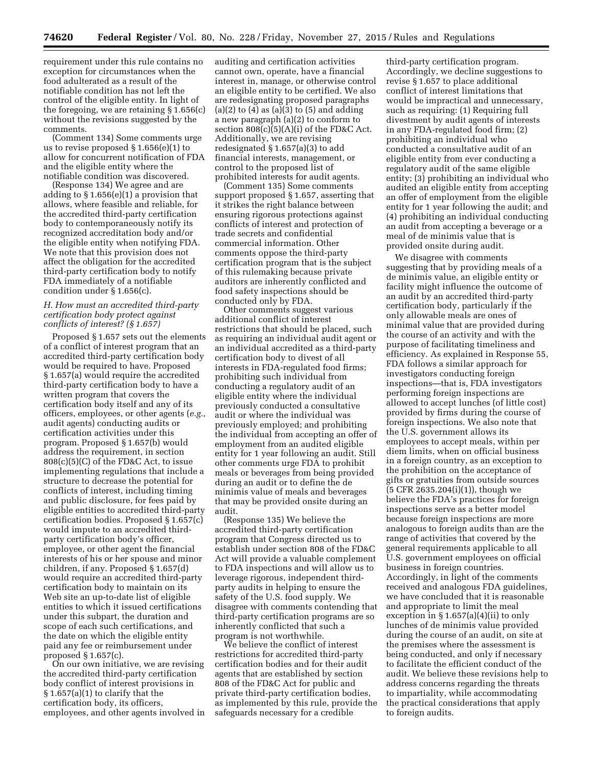requirement under this rule contains no exception for circumstances when the food adulterated as a result of the notifiable condition has not left the control of the eligible entity. In light of the foregoing, we are retaining § 1.656(c) without the revisions suggested by the comments.

(Comment 134) Some comments urge us to revise proposed § 1.656(e)(1) to allow for concurrent notification of FDA and the eligible entity where the notifiable condition was discovered.

(Response 134) We agree and are adding to § 1.656(e)(1) a provision that allows, where feasible and reliable, for the accredited third-party certification body to contemporaneously notify its recognized accreditation body and/or the eligible entity when notifying FDA. We note that this provision does not affect the obligation for the accredited third-party certification body to notify FDA immediately of a notifiable condition under § 1.656(c).

#### *H. How must an accredited third-party certification body protect against conflicts of interest? (§ 1.657)*

Proposed § 1.657 sets out the elements of a conflict of interest program that an accredited third-party certification body would be required to have. Proposed § 1.657(a) would require the accredited third-party certification body to have a written program that covers the certification body itself and any of its officers, employees, or other agents (*e.g.,*  audit agents) conducting audits or certification activities under this program. Proposed § 1.657(b) would address the requirement, in section  $808(c)(5)(C)$  of the FD&C Act, to issue implementing regulations that include a structure to decrease the potential for conflicts of interest, including timing and public disclosure, for fees paid by eligible entities to accredited third-party certification bodies. Proposed § 1.657(c) would impute to an accredited thirdparty certification body's officer, employee, or other agent the financial interests of his or her spouse and minor children, if any. Proposed § 1.657(d) would require an accredited third-party certification body to maintain on its Web site an up-to-date list of eligible entities to which it issued certifications under this subpart, the duration and scope of each such certifications, and the date on which the eligible entity paid any fee or reimbursement under proposed § 1.657(c).

On our own initiative, we are revising the accredited third-party certification body conflict of interest provisions in § 1.657(a)(1) to clarify that the certification body, its officers, employees, and other agents involved in

auditing and certification activities cannot own, operate, have a financial interest in, manage, or otherwise control an eligible entity to be certified. We also are redesignating proposed paragraphs  $(a)(2)$  to  $(4)$  as  $(a)(3)$  to  $(5)$  and adding a new paragraph (a)(2) to conform to section 808(c)(5)(A)(i) of the FD&C Act. Additionally, we are revising redesignated § 1.657(a)(3) to add financial interests, management, or control to the proposed list of prohibited interests for audit agents.

(Comment 135) Some comments support proposed § 1.657, asserting that it strikes the right balance between ensuring rigorous protections against conflicts of interest and protection of trade secrets and confidential commercial information. Other comments oppose the third-party certification program that is the subject of this rulemaking because private auditors are inherently conflicted and food safety inspections should be conducted only by FDA.

Other comments suggest various additional conflict of interest restrictions that should be placed, such as requiring an individual audit agent or an individual accredited as a third-party certification body to divest of all interests in FDA-regulated food firms; prohibiting such individual from conducting a regulatory audit of an eligible entity where the individual previously conducted a consultative audit or where the individual was previously employed; and prohibiting the individual from accepting an offer of employment from an audited eligible entity for 1 year following an audit. Still other comments urge FDA to prohibit meals or beverages from being provided during an audit or to define the de minimis value of meals and beverages that may be provided onsite during an audit.

(Response 135) We believe the accredited third-party certification program that Congress directed us to establish under section 808 of the FD&C Act will provide a valuable complement to FDA inspections and will allow us to leverage rigorous, independent thirdparty audits in helping to ensure the safety of the U.S. food supply. We disagree with comments contending that third-party certification programs are so inherently conflicted that such a program is not worthwhile.

We believe the conflict of interest restrictions for accredited third-party certification bodies and for their audit agents that are established by section 808 of the FD&C Act for public and private third-party certification bodies, as implemented by this rule, provide the safeguards necessary for a credible

third-party certification program. Accordingly, we decline suggestions to revise § 1.657 to place additional conflict of interest limitations that would be impractical and unnecessary, such as requiring: (1) Requiring full divestment by audit agents of interests in any FDA-regulated food firm; (2) prohibiting an individual who conducted a consultative audit of an eligible entity from ever conducting a regulatory audit of the same eligible entity; (3) prohibiting an individual who audited an eligible entity from accepting an offer of employment from the eligible entity for 1 year following the audit; and (4) prohibiting an individual conducting an audit from accepting a beverage or a meal of de minimis value that is provided onsite during audit.

We disagree with comments suggesting that by providing meals of a de minimis value, an eligible entity or facility might influence the outcome of an audit by an accredited third-party certification body, particularly if the only allowable meals are ones of minimal value that are provided during the course of an activity and with the purpose of facilitating timeliness and efficiency. As explained in Response 55, FDA follows a similar approach for investigators conducting foreign inspections—that is, FDA investigators performing foreign inspections are allowed to accept lunches (of little cost) provided by firms during the course of foreign inspections. We also note that the U.S. government allows its employees to accept meals, within per diem limits, when on official business in a foreign country, as an exception to the prohibition on the acceptance of gifts or gratuities from outside sources (5 CFR 2635.204(i)(1)), though we believe the FDA's practices for foreign inspections serve as a better model because foreign inspections are more analogous to foreign audits than are the range of activities that covered by the general requirements applicable to all U.S. government employees on official business in foreign countries. Accordingly, in light of the comments received and analogous FDA guidelines, we have concluded that it is reasonable and appropriate to limit the meal exception in  $\S 1.657(a)(4)(ii)$  to only lunches of de minimis value provided during the course of an audit, on site at the premises where the assessment is being conducted, and only if necessary to facilitate the efficient conduct of the audit. We believe these revisions help to address concerns regarding the threats to impartiality, while accommodating the practical considerations that apply to foreign audits.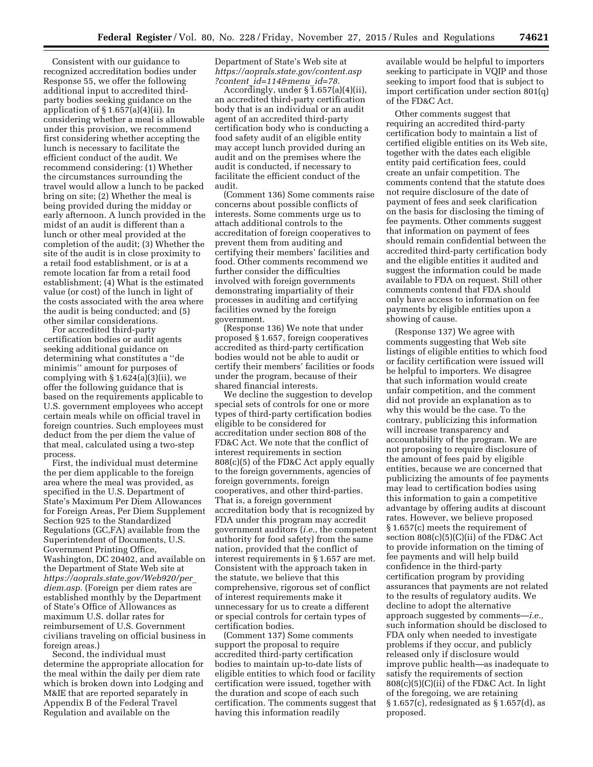Consistent with our guidance to recognized accreditation bodies under Response 55, we offer the following additional input to accredited thirdparty bodies seeking guidance on the application of  $\S 1.657(a)(4)(ii)$ . In considering whether a meal is allowable under this provision, we recommend first considering whether accepting the lunch is necessary to facilitate the efficient conduct of the audit. We recommend considering: (1) Whether the circumstances surrounding the travel would allow a lunch to be packed bring on site; (2) Whether the meal is being provided during the midday or early afternoon. A lunch provided in the midst of an audit is different than a lunch or other meal provided at the completion of the audit; (3) Whether the site of the audit is in close proximity to a retail food establishment, or is at a remote location far from a retail food establishment; (4) What is the estimated value (or cost) of the lunch in light of the costs associated with the area where the audit is being conducted; and (5) other similar considerations.

For accredited third-party certification bodies or audit agents seeking additional guidance on determining what constitutes a ''de minimis'' amount for purposes of complying with  $\S 1.624(a)(3)(ii)$ , we offer the following guidance that is based on the requirements applicable to U.S. government employees who accept certain meals while on official travel in foreign countries. Such employees must deduct from the per diem the value of that meal, calculated using a two-step process.

First, the individual must determine the per diem applicable to the foreign area where the meal was provided, as specified in the U.S. Department of State's Maximum Per Diem Allowances for Foreign Areas, Per Diem Supplement Section 925 to the Standardized Regulations (GC,FA) available from the Superintendent of Documents, U.S. Government Printing Office, Washington, DC 20402, and available on the Department of State Web site at *[https://aoprals.state.gov/Web920/per](https://aoprals.state.gov/Web920/per_diem.asp)*\_ *[diem.asp](https://aoprals.state.gov/Web920/per_diem.asp)*. (Foreign per diem rates are established monthly by the Department of State's Office of Allowances as maximum U.S. dollar rates for reimbursement of U.S. Government civilians traveling on official business in foreign areas.)

Second, the individual must determine the appropriate allocation for the meal within the daily per diem rate which is broken down into Lodging and M&IE that are reported separately in Appendix B of the Federal Travel Regulation and available on the

Department of State's Web site at *[https://aoprals.state.gov/content.asp](https://aoprals.state.gov/content.asp?content_id=114&menu_id=78) ?content*\_*[id=114&menu](https://aoprals.state.gov/content.asp?content_id=114&menu_id=78)*\_*id=78*.

Accordingly, under  $\overline{51.657(a)(4)(ii)}$ , an accredited third-party certification body that is an individual or an audit agent of an accredited third-party certification body who is conducting a food safety audit of an eligible entity may accept lunch provided during an audit and on the premises where the audit is conducted, if necessary to facilitate the efficient conduct of the audit.

(Comment 136) Some comments raise concerns about possible conflicts of interests. Some comments urge us to attach additional controls to the accreditation of foreign cooperatives to prevent them from auditing and certifying their members' facilities and food. Other comments recommend we further consider the difficulties involved with foreign governments demonstrating impartiality of their processes in auditing and certifying facilities owned by the foreign government.

(Response 136) We note that under proposed § 1.657, foreign cooperatives accredited as third-party certification bodies would not be able to audit or certify their members' facilities or foods under the program, because of their shared financial interests.

We decline the suggestion to develop special sets of controls for one or more types of third-party certification bodies eligible to be considered for accreditation under section 808 of the FD&C Act. We note that the conflict of interest requirements in section 808(c)(5) of the FD&C Act apply equally to the foreign governments, agencies of foreign governments, foreign cooperatives, and other third-parties. That is, a foreign government accreditation body that is recognized by FDA under this program may accredit government auditors (*i.e.,* the competent authority for food safety) from the same nation, provided that the conflict of interest requirements in § 1.657 are met. Consistent with the approach taken in the statute, we believe that this comprehensive, rigorous set of conflict of interest requirements make it unnecessary for us to create a different or special controls for certain types of certification bodies.

(Comment 137) Some comments support the proposal to require accredited third-party certification bodies to maintain up-to-date lists of eligible entities to which food or facility certification were issued, together with the duration and scope of each such certification. The comments suggest that having this information readily

available would be helpful to importers seeking to participate in VQIP and those seeking to import food that is subject to import certification under section 801(q) of the FD&C Act.

Other comments suggest that requiring an accredited third-party certification body to maintain a list of certified eligible entities on its Web site, together with the dates each eligible entity paid certification fees, could create an unfair competition. The comments contend that the statute does not require disclosure of the date of payment of fees and seek clarification on the basis for disclosing the timing of fee payments. Other comments suggest that information on payment of fees should remain confidential between the accredited third-party certification body and the eligible entities it audited and suggest the information could be made available to FDA on request. Still other comments contend that FDA should only have access to information on fee payments by eligible entities upon a showing of cause.

(Response 137) We agree with comments suggesting that Web site listings of eligible entities to which food or facility certification were issued will be helpful to importers. We disagree that such information would create unfair competition, and the comment did not provide an explanation as to why this would be the case. To the contrary, publicizing this information will increase transparency and accountability of the program. We are not proposing to require disclosure of the amount of fees paid by eligible entities, because we are concerned that publicizing the amounts of fee payments may lead to certification bodies using this information to gain a competitive advantage by offering audits at discount rates. However, we believe proposed § 1.657(c) meets the requirement of section 808(c)(5)(C)(ii) of the FD&C Act to provide information on the timing of fee payments and will help build confidence in the third-party certification program by providing assurances that payments are not related to the results of regulatory audits. We decline to adopt the alternative approach suggested by comments—*i.e.,*  such information should be disclosed to FDA only when needed to investigate problems if they occur, and publicly released only if disclosure would improve public health—as inadequate to satisfy the requirements of section 808(c)(5)(C)(ii) of the FD&C Act. In light of the foregoing, we are retaining § 1.657(c), redesignated as § 1.657(d), as proposed.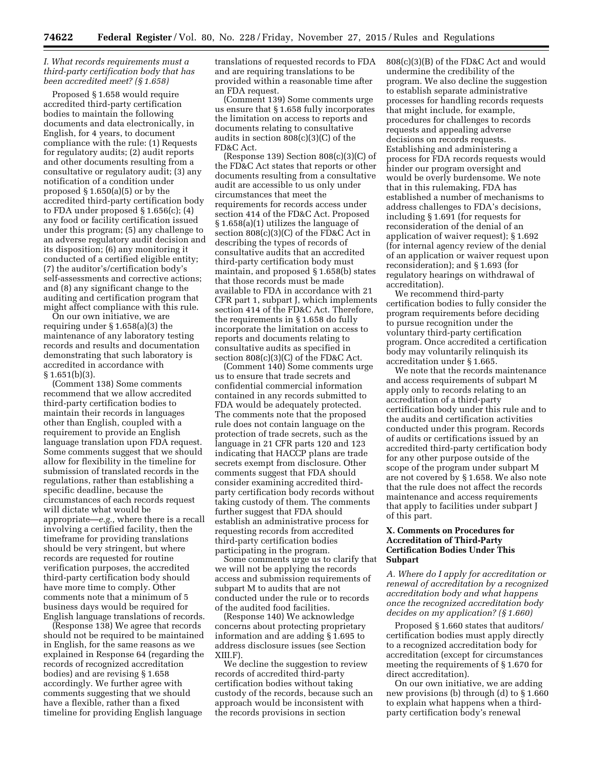### *I. What records requirements must a third-party certification body that has been accredited meet? (§ 1.658)*

Proposed § 1.658 would require accredited third-party certification bodies to maintain the following documents and data electronically, in English, for 4 years, to document compliance with the rule: (1) Requests for regulatory audits; (2) audit reports and other documents resulting from a consultative or regulatory audit; (3) any notification of a condition under proposed § 1.650(a)(5) or by the accredited third-party certification body to FDA under proposed  $\S 1.656(c)$ ; (4) any food or facility certification issued under this program; (5) any challenge to an adverse regulatory audit decision and its disposition; (6) any monitoring it conducted of a certified eligible entity; (7) the auditor's/certification body's self-assessments and corrective actions; and (8) any significant change to the auditing and certification program that might affect compliance with this rule.

On our own initiative, we are requiring under § 1.658(a)(3) the maintenance of any laboratory testing records and results and documentation demonstrating that such laboratory is accredited in accordance with  $§ 1.651(b)(3).$ 

(Comment 138) Some comments recommend that we allow accredited third-party certification bodies to maintain their records in languages other than English, coupled with a requirement to provide an English language translation upon FDA request. Some comments suggest that we should allow for flexibility in the timeline for submission of translated records in the regulations, rather than establishing a specific deadline, because the circumstances of each records request will dictate what would be appropriate—*e.g.,* where there is a recall involving a certified facility, then the timeframe for providing translations should be very stringent, but where records are requested for routine verification purposes, the accredited third-party certification body should have more time to comply. Other comments note that a minimum of 5 business days would be required for English language translations of records.

(Response 138) We agree that records should not be required to be maintained in English, for the same reasons as we explained in Response 64 (regarding the records of recognized accreditation bodies) and are revising § 1.658 accordingly. We further agree with comments suggesting that we should have a flexible, rather than a fixed timeline for providing English language

translations of requested records to FDA and are requiring translations to be provided within a reasonable time after an FDA request.

(Comment 139) Some comments urge us ensure that § 1.658 fully incorporates the limitation on access to reports and documents relating to consultative audits in section 808(c)(3)(C) of the FD&C Act.

(Response 139) Section  $808(c)(3)(C)$  of the FD&C Act states that reports or other documents resulting from a consultative audit are accessible to us only under circumstances that meet the requirements for records access under section 414 of the FD&C Act. Proposed § 1.658(a)(1) utilizes the language of section  $808(c)(3)(C)$  of the FD&C Act in describing the types of records of consultative audits that an accredited third-party certification body must maintain, and proposed § 1.658(b) states that those records must be made available to FDA in accordance with 21 CFR part 1, subpart J, which implements section 414 of the FD&C Act. Therefore, the requirements in § 1.658 do fully incorporate the limitation on access to reports and documents relating to consultative audits as specified in section  $808(c)(3)(C)$  of the FD&C Act.

(Comment 140) Some comments urge us to ensure that trade secrets and confidential commercial information contained in any records submitted to FDA would be adequately protected. The comments note that the proposed rule does not contain language on the protection of trade secrets, such as the language in 21 CFR parts 120 and 123 indicating that HACCP plans are trade secrets exempt from disclosure. Other comments suggest that FDA should consider examining accredited thirdparty certification body records without taking custody of them. The comments further suggest that FDA should establish an administrative process for requesting records from accredited third-party certification bodies participating in the program.

Some comments urge us to clarify that we will not be applying the records access and submission requirements of subpart M to audits that are not conducted under the rule or to records of the audited food facilities.

(Response 140) We acknowledge concerns about protecting proprietary information and are adding § 1.695 to address disclosure issues (see Section XIII.F).

We decline the suggestion to review records of accredited third-party certification bodies without taking custody of the records, because such an approach would be inconsistent with the records provisions in section

808(c)(3)(B) of the FD&C Act and would undermine the credibility of the program. We also decline the suggestion to establish separate administrative processes for handling records requests that might include, for example, procedures for challenges to records requests and appealing adverse decisions on records requests. Establishing and administering a process for FDA records requests would hinder our program oversight and would be overly burdensome. We note that in this rulemaking, FDA has established a number of mechanisms to address challenges to FDA's decisions, including § 1.691 (for requests for reconsideration of the denial of an application of waiver request); § 1.692 (for internal agency review of the denial of an application or waiver request upon reconsideration); and § 1.693 (for regulatory hearings on withdrawal of accreditation).

We recommend third-party certification bodies to fully consider the program requirements before deciding to pursue recognition under the voluntary third-party certification program. Once accredited a certification body may voluntarily relinquish its accreditation under § 1.665.

We note that the records maintenance and access requirements of subpart M apply only to records relating to an accreditation of a third-party certification body under this rule and to the audits and certification activities conducted under this program. Records of audits or certifications issued by an accredited third-party certification body for any other purpose outside of the scope of the program under subpart M are not covered by § 1.658. We also note that the rule does not affect the records maintenance and access requirements that apply to facilities under subpart J of this part.

#### **X. Comments on Procedures for Accreditation of Third-Party Certification Bodies Under This Subpart**

*A. Where do I apply for accreditation or renewal of accreditation by a recognized accreditation body and what happens once the recognized accreditation body decides on my application? (§ 1.660)* 

Proposed § 1.660 states that auditors/ certification bodies must apply directly to a recognized accreditation body for accreditation (except for circumstances meeting the requirements of § 1.670 for direct accreditation).

On our own initiative, we are adding new provisions (b) through (d) to § 1.660 to explain what happens when a thirdparty certification body's renewal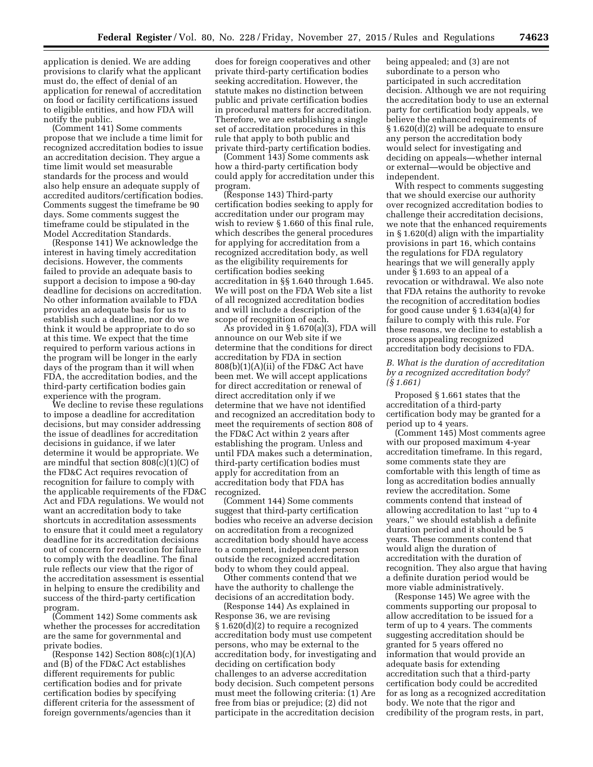application is denied. We are adding provisions to clarify what the applicant must do, the effect of denial of an application for renewal of accreditation on food or facility certifications issued to eligible entities, and how FDA will notify the public.

(Comment 141) Some comments propose that we include a time limit for recognized accreditation bodies to issue an accreditation decision. They argue a time limit would set measurable standards for the process and would also help ensure an adequate supply of accredited auditors/certification bodies. Comments suggest the timeframe be 90 days. Some comments suggest the timeframe could be stipulated in the Model Accreditation Standards.

(Response 141) We acknowledge the interest in having timely accreditation decisions. However, the comments failed to provide an adequate basis to support a decision to impose a 90-day deadline for decisions on accreditation. No other information available to FDA provides an adequate basis for us to establish such a deadline, nor do we think it would be appropriate to do so at this time. We expect that the time required to perform various actions in the program will be longer in the early days of the program than it will when FDA, the accreditation bodies, and the third-party certification bodies gain experience with the program.

We decline to revise these regulations to impose a deadline for accreditation decisions, but may consider addressing the issue of deadlines for accreditation decisions in guidance, if we later determine it would be appropriate. We are mindful that section  $808(c)(1)(C)$  of the FD&C Act requires revocation of recognition for failure to comply with the applicable requirements of the FD&C Act and FDA regulations. We would not want an accreditation body to take shortcuts in accreditation assessments to ensure that it could meet a regulatory deadline for its accreditation decisions out of concern for revocation for failure to comply with the deadline. The final rule reflects our view that the rigor of the accreditation assessment is essential in helping to ensure the credibility and success of the third-party certification program.

(Comment 142) Some comments ask whether the processes for accreditation are the same for governmental and private bodies.

(Response 142) Section  $808(c)(1)(A)$ and (B) of the FD&C Act establishes different requirements for public certification bodies and for private certification bodies by specifying different criteria for the assessment of foreign governments/agencies than it

does for foreign cooperatives and other private third-party certification bodies seeking accreditation. However, the statute makes no distinction between public and private certification bodies in procedural matters for accreditation. Therefore, we are establishing a single set of accreditation procedures in this rule that apply to both public and private third-party certification bodies.

(Comment 143) Some comments ask how a third-party certification body could apply for accreditation under this program.

(Response 143) Third-party certification bodies seeking to apply for accreditation under our program may wish to review § 1.660 of this final rule, which describes the general procedures for applying for accreditation from a recognized accreditation body, as well as the eligibility requirements for certification bodies seeking accreditation in §§ 1.640 through 1.645. We will post on the FDA Web site a list of all recognized accreditation bodies and will include a description of the scope of recognition of each.

As provided in § 1.670(a)(3), FDA will announce on our Web site if we determine that the conditions for direct accreditation by FDA in section  $808(b)(1)(A)(ii)$  of the FD&C Act have been met. We will accept applications for direct accreditation or renewal of direct accreditation only if we determine that we have not identified and recognized an accreditation body to meet the requirements of section 808 of the FD&C Act within 2 years after establishing the program. Unless and until FDA makes such a determination, third-party certification bodies must apply for accreditation from an accreditation body that FDA has recognized.

(Comment 144) Some comments suggest that third-party certification bodies who receive an adverse decision on accreditation from a recognized accreditation body should have access to a competent, independent person outside the recognized accreditation body to whom they could appeal.

Other comments contend that we have the authority to challenge the decisions of an accreditation body.

(Response 144) As explained in Response 36, we are revising § 1.620(d)(2) to require a recognized accreditation body must use competent persons, who may be external to the accreditation body, for investigating and deciding on certification body challenges to an adverse accreditation body decision. Such competent persons must meet the following criteria: (1) Are free from bias or prejudice; (2) did not participate in the accreditation decision

being appealed; and (3) are not subordinate to a person who participated in such accreditation decision. Although we are not requiring the accreditation body to use an external party for certification body appeals, we believe the enhanced requirements of § 1.620(d)(2) will be adequate to ensure any person the accreditation body would select for investigating and deciding on appeals—whether internal or external—would be objective and independent.

With respect to comments suggesting that we should exercise our authority over recognized accreditation bodies to challenge their accreditation decisions, we note that the enhanced requirements in § 1.620(d) align with the impartiality provisions in part 16, which contains the regulations for FDA regulatory hearings that we will generally apply under § 1.693 to an appeal of a revocation or withdrawal. We also note that FDA retains the authority to revoke the recognition of accreditation bodies for good cause under § 1.634(a)(4) for failure to comply with this rule. For these reasons, we decline to establish a process appealing recognized accreditation body decisions to FDA.

### *B. What is the duration of accreditation by a recognized accreditation body? (§ 1.661)*

Proposed § 1.661 states that the accreditation of a third-party certification body may be granted for a period up to 4 years.

(Comment 145) Most comments agree with our proposed maximum 4-year accreditation timeframe. In this regard, some comments state they are comfortable with this length of time as long as accreditation bodies annually review the accreditation. Some comments contend that instead of allowing accreditation to last ''up to 4 years,'' we should establish a definite duration period and it should be 5 years. These comments contend that would align the duration of accreditation with the duration of recognition. They also argue that having a definite duration period would be more viable administratively.

(Response 145) We agree with the comments supporting our proposal to allow accreditation to be issued for a term of up to 4 years. The comments suggesting accreditation should be granted for 5 years offered no information that would provide an adequate basis for extending accreditation such that a third-party certification body could be accredited for as long as a recognized accreditation body. We note that the rigor and credibility of the program rests, in part,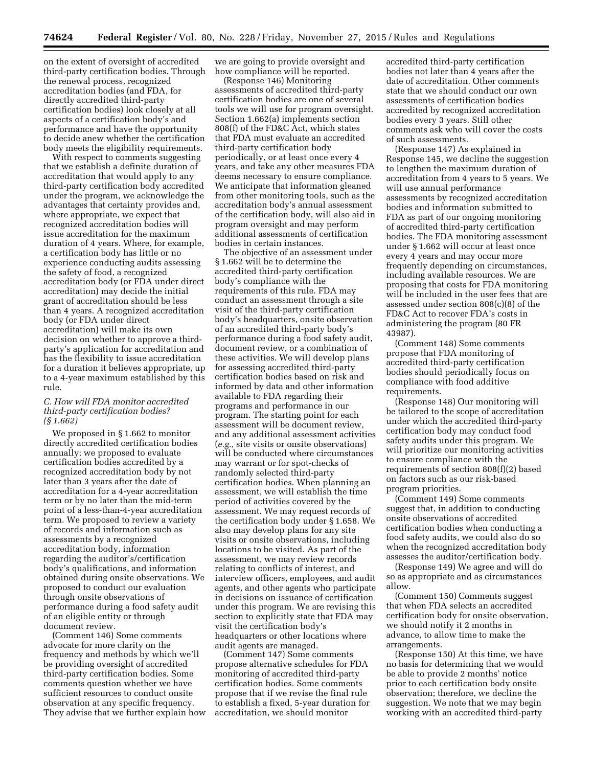on the extent of oversight of accredited third-party certification bodies. Through the renewal process, recognized accreditation bodies (and FDA, for directly accredited third-party certification bodies) look closely at all aspects of a certification body's and performance and have the opportunity to decide anew whether the certification body meets the eligibility requirements.

With respect to comments suggesting that we establish a definite duration of accreditation that would apply to any third-party certification body accredited under the program, we acknowledge the advantages that certainty provides and, where appropriate, we expect that recognized accreditation bodies will issue accreditation for the maximum duration of 4 years. Where, for example, a certification body has little or no experience conducting audits assessing the safety of food, a recognized accreditation body (or FDA under direct accreditation) may decide the initial grant of accreditation should be less than 4 years. A recognized accreditation body (or FDA under direct accreditation) will make its own decision on whether to approve a thirdparty's application for accreditation and has the flexibility to issue accreditation for a duration it believes appropriate, up to a 4-year maximum established by this rule.

### *C. How will FDA monitor accredited third-party certification bodies? (§ 1.662)*

We proposed in § 1.662 to monitor directly accredited certification bodies annually; we proposed to evaluate certification bodies accredited by a recognized accreditation body by not later than 3 years after the date of accreditation for a 4-year accreditation term or by no later than the mid-term point of a less-than-4-year accreditation term. We proposed to review a variety of records and information such as assessments by a recognized accreditation body, information regarding the auditor's/certification body's qualifications, and information obtained during onsite observations. We proposed to conduct our evaluation through onsite observations of performance during a food safety audit of an eligible entity or through document review.

(Comment 146) Some comments advocate for more clarity on the frequency and methods by which we'll be providing oversight of accredited third-party certification bodies. Some comments question whether we have sufficient resources to conduct onsite observation at any specific frequency. They advise that we further explain how we are going to provide oversight and how compliance will be reported.

(Response 146) Monitoring assessments of accredited third-party certification bodies are one of several tools we will use for program oversight. Section 1.662(a) implements section 808(f) of the FD&C Act, which states that FDA must evaluate an accredited third-party certification body periodically, or at least once every 4 years, and take any other measures FDA deems necessary to ensure compliance. We anticipate that information gleaned from other monitoring tools, such as the accreditation body's annual assessment of the certification body, will also aid in program oversight and may perform additional assessments of certification bodies in certain instances.

The objective of an assessment under § 1.662 will be to determine the accredited third-party certification body's compliance with the requirements of this rule. FDA may conduct an assessment through a site visit of the third-party certification body's headquarters, onsite observation of an accredited third-party body's performance during a food safety audit, document review, or a combination of these activities. We will develop plans for assessing accredited third-party certification bodies based on risk and informed by data and other information available to FDA regarding their programs and performance in our program. The starting point for each assessment will be document review, and any additional assessment activities (*e.g.,* site visits or onsite observations) will be conducted where circumstances may warrant or for spot-checks of randomly selected third-party certification bodies. When planning an assessment, we will establish the time period of activities covered by the assessment. We may request records of the certification body under § 1.658. We also may develop plans for any site visits or onsite observations, including locations to be visited. As part of the assessment, we may review records relating to conflicts of interest, and interview officers, employees, and audit agents, and other agents who participate in decisions on issuance of certification under this program. We are revising this section to explicitly state that FDA may visit the certification body's headquarters or other locations where audit agents are managed.

(Comment 147) Some comments propose alternative schedules for FDA monitoring of accredited third-party certification bodies. Some comments propose that if we revise the final rule to establish a fixed, 5-year duration for accreditation, we should monitor

accredited third-party certification bodies not later than 4 years after the date of accreditation. Other comments state that we should conduct our own assessments of certification bodies accredited by recognized accreditation bodies every 3 years. Still other comments ask who will cover the costs of such assessments.

(Response 147) As explained in Response 145, we decline the suggestion to lengthen the maximum duration of accreditation from 4 years to 5 years. We will use annual performance assessments by recognized accreditation bodies and information submitted to FDA as part of our ongoing monitoring of accredited third-party certification bodies. The FDA monitoring assessment under § 1.662 will occur at least once every 4 years and may occur more frequently depending on circumstances, including available resources. We are proposing that costs for FDA monitoring will be included in the user fees that are assessed under section 808(c)(8) of the FD&C Act to recover FDA's costs in administering the program (80 FR 43987).

(Comment 148) Some comments propose that FDA monitoring of accredited third-party certification bodies should periodically focus on compliance with food additive requirements.

(Response 148) Our monitoring will be tailored to the scope of accreditation under which the accredited third-party certification body may conduct food safety audits under this program. We will prioritize our monitoring activities to ensure compliance with the requirements of section 808(f)(2) based on factors such as our risk-based program priorities.

(Comment 149) Some comments suggest that, in addition to conducting onsite observations of accredited certification bodies when conducting a food safety audits, we could also do so when the recognized accreditation body assesses the auditor/certification body.

(Response 149) We agree and will do so as appropriate and as circumstances allow.

(Comment 150) Comments suggest that when FDA selects an accredited certification body for onsite observation, we should notify it 2 months in advance, to allow time to make the arrangements.

(Response 150) At this time, we have no basis for determining that we would be able to provide 2 months' notice prior to each certification body onsite observation; therefore, we decline the suggestion. We note that we may begin working with an accredited third-party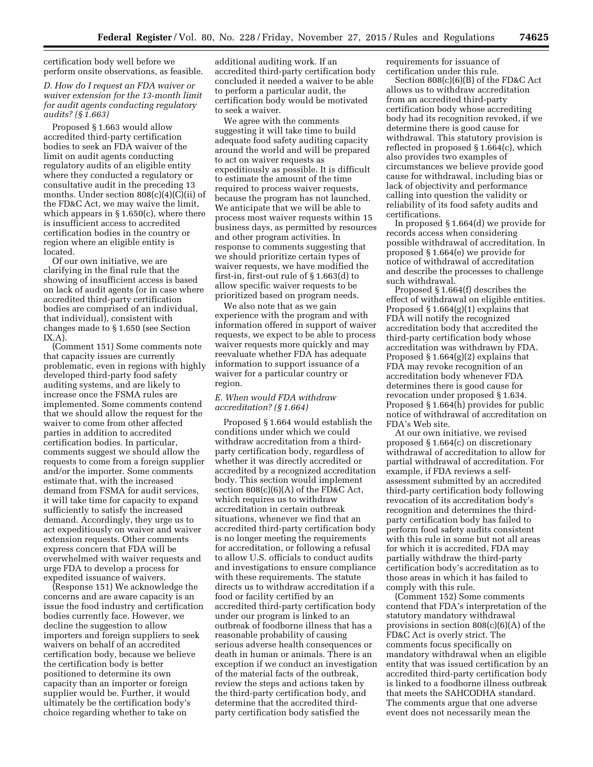certification body well before we perform onsite observations, as feasible.

## *D. How do I request an FDA waiver or waiver extension for the 13-month limit for audit agents conducting regulatory audits? (§ 1.663)*

Proposed § 1.663 would allow accredited third-party certification bodies to seek an FDA waiver of the limit on audit agents conducting regulatory audits of an eligible entity where they conducted a regulatory or consultative audit in the preceding 13 months. Under section  $808(c)(4)(C)(ii)$  of the FD&C Act, we may waive the limit, which appears in § 1.650(c), where there is insufficient access to accredited certification bodies in the country or region where an eligible entity is located.

Of our own initiative, we are clarifying in the final rule that the showing of insufficient access is based on lack of audit agents (or in case where accredited third-party certification bodies are comprised of an individual, that individual), consistent with changes made to § 1.650 (see Section IX.A).

(Comment 151) Some comments note that capacity issues are currently problematic, even in regions with highly developed third-party food safety auditing systems, and are likely to increase once the FSMA rules are implemented. Some comments contend that we should allow the request for the waiver to come from other affected parties in addition to accredited certification bodies. In particular, comments suggest we should allow the requests to come from a foreign supplier and/or the importer. Some comments estimate that, with the increased demand from FSMA for audit services, it will take time for capacity to expand sufficiently to satisfy the increased demand. Accordingly, they urge us to act expeditiously on waiver and waiver extension requests. Other comments express concern that FDA will be overwhelmed with waiver requests and urge FDA to develop a process for expedited issuance of waivers.

(Response 151) We acknowledge the concerns and are aware capacity is an issue the food industry and certification bodies currently face. However, we decline the suggestion to allow importers and foreign suppliers to seek waivers on behalf of an accredited certification body, because we believe the certification body is better positioned to determine its own capacity than an importer or foreign supplier would be. Further, it would ultimately be the certification body's choice regarding whether to take on

additional auditing work. If an accredited third-party certification body concluded it needed a waiver to be able to perform a particular audit, the certification body would be motivated to seek a waiver.

We agree with the comments suggesting it will take time to build adequate food safety auditing capacity around the world and will be prepared to act on waiver requests as expeditiously as possible. It is difficult to estimate the amount of the time required to process waiver requests, because the program has not launched. We anticipate that we will be able to process most waiver requests within 15 business days, as permitted by resources and other program activities. In response to comments suggesting that we should prioritize certain types of waiver requests, we have modified the first-in, first-out rule of § 1.663(d) to allow specific waiver requests to be prioritized based on program needs.

We also note that as we gain experience with the program and with information offered in support of waiver requests, we expect to be able to process waiver requests more quickly and may reevaluate whether FDA has adequate information to support issuance of a waiver for a particular country or region.

#### *E. When would FDA withdraw accreditation? (§ 1.664)*

Proposed § 1.664 would establish the conditions under which we could withdraw accreditation from a thirdparty certification body, regardless of whether it was directly accredited or accredited by a recognized accreditation body. This section would implement section 808(c)(6)(A) of the FD&C Act, which requires us to withdraw accreditation in certain outbreak situations, whenever we find that an accredited third-party certification body is no longer meeting the requirements for accreditation, or following a refusal to allow U.S. officials to conduct audits and investigations to ensure compliance with these requirements. The statute directs us to withdraw accreditation if a food or facility certified by an accredited third-party certification body under our program is linked to an outbreak of foodborne illness that has a reasonable probability of causing serious adverse health consequences or death in human or animals. There is an exception if we conduct an investigation of the material facts of the outbreak, review the steps and actions taken by the third-party certification body, and determine that the accredited thirdparty certification body satisfied the

requirements for issuance of certification under this rule.

Section 808(c)(6)(B) of the FD&C Act allows us to withdraw accreditation from an accredited third-party certification body whose accrediting body had its recognition revoked, if we determine there is good cause for withdrawal. This statutory provision is reflected in proposed § 1.664(c), which also provides two examples of circumstances we believe provide good cause for withdrawal, including bias or lack of objectivity and performance calling into question the validity or reliability of its food safety audits and certifications.

In proposed § 1.664(d) we provide for records access when considering possible withdrawal of accreditation. In proposed § 1.664(e) we provide for notice of withdrawal of accreditation and describe the processes to challenge such withdrawal.

Proposed § 1.664(f) describes the effect of withdrawal on eligible entities. Proposed  $\S 1.664(g)(1)$  explains that FDA will notify the recognized accreditation body that accredited the third-party certification body whose accreditation was withdrawn by FDA. Proposed § 1.664(g)(2) explains that FDA may revoke recognition of an accreditation body whenever FDA determines there is good cause for revocation under proposed § 1.634. Proposed § 1.664(h) provides for public notice of withdrawal of accreditation on FDA's Web site.

At our own initiative, we revised proposed § 1.664(c) on discretionary withdrawal of accreditation to allow for partial withdrawal of accreditation. For example, if FDA reviews a selfassessment submitted by an accredited third-party certification body following revocation of its accreditation body's recognition and determines the thirdparty certification body has failed to perform food safety audits consistent with this rule in some but not all areas for which it is accredited, FDA may partially withdraw the third-party certification body's accreditation as to those areas in which it has failed to comply with this rule.

(Comment 152) Some comments contend that FDA's interpretation of the statutory mandatory withdrawal provisions in section 808(c)(6)(A) of the FD&C Act is overly strict. The comments focus specifically on mandatory withdrawal when an eligible entity that was issued certification by an accredited third-party certification body is linked to a foodborne illness outbreak that meets the SAHCODHA standard. The comments argue that one adverse event does not necessarily mean the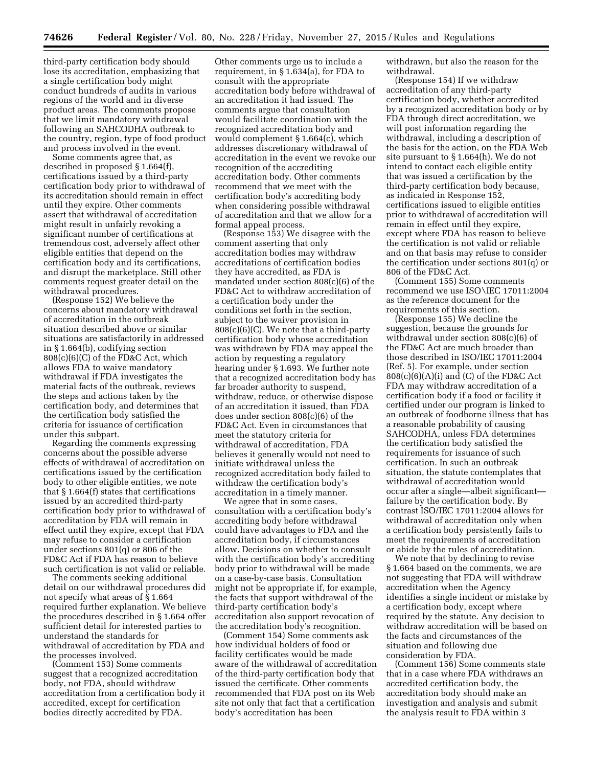third-party certification body should lose its accreditation, emphasizing that a single certification body might conduct hundreds of audits in various regions of the world and in diverse product areas. The comments propose that we limit mandatory withdrawal following an SAHCODHA outbreak to the country, region, type of food product and process involved in the event.

Some comments agree that, as described in proposed § 1.664(f), certifications issued by a third-party certification body prior to withdrawal of its accreditation should remain in effect until they expire. Other comments assert that withdrawal of accreditation might result in unfairly revoking a significant number of certifications at tremendous cost, adversely affect other eligible entities that depend on the certification body and its certifications, and disrupt the marketplace. Still other comments request greater detail on the withdrawal procedures.

(Response 152) We believe the concerns about mandatory withdrawal of accreditation in the outbreak situation described above or similar situations are satisfactorily in addressed in § 1.664(b), codifying section 808(c)(6)(C) of the FD&C Act, which allows FDA to waive mandatory withdrawal if FDA investigates the material facts of the outbreak, reviews the steps and actions taken by the certification body, and determines that the certification body satisfied the criteria for issuance of certification under this subpart.

Regarding the comments expressing concerns about the possible adverse effects of withdrawal of accreditation on certifications issued by the certification body to other eligible entities, we note that § 1.664(f) states that certifications issued by an accredited third-party certification body prior to withdrawal of accreditation by FDA will remain in effect until they expire, except that FDA may refuse to consider a certification under sections 801(q) or 806 of the FD&C Act if FDA has reason to believe such certification is not valid or reliable.

The comments seeking additional detail on our withdrawal procedures did not specify what areas of § 1.664 required further explanation. We believe the procedures described in § 1.664 offer sufficient detail for interested parties to understand the standards for withdrawal of accreditation by FDA and the processes involved.

(Comment 153) Some comments suggest that a recognized accreditation body, not FDA, should withdraw accreditation from a certification body it accredited, except for certification bodies directly accredited by FDA.

Other comments urge us to include a requirement, in § 1.634(a), for FDA to consult with the appropriate accreditation body before withdrawal of an accreditation it had issued. The comments argue that consultation would facilitate coordination with the recognized accreditation body and would complement § 1.664(c), which addresses discretionary withdrawal of accreditation in the event we revoke our recognition of the accrediting accreditation body. Other comments recommend that we meet with the certification body's accrediting body when considering possible withdrawal of accreditation and that we allow for a formal appeal process.

(Response 153) We disagree with the comment asserting that only accreditation bodies may withdraw accreditations of certification bodies they have accredited, as FDA is mandated under section 808(c)(6) of the FD&C Act to withdraw accreditation of a certification body under the conditions set forth in the section, subject to the waiver provision in  $808(c)(6)(C)$ . We note that a third-party certification body whose accreditation was withdrawn by FDA may appeal the action by requesting a regulatory hearing under § 1.693. We further note that a recognized accreditation body has far broader authority to suspend, withdraw, reduce, or otherwise dispose of an accreditation it issued, than FDA does under section 808(c)(6) of the FD&C Act. Even in circumstances that meet the statutory criteria for withdrawal of accreditation, FDA believes it generally would not need to initiate withdrawal unless the recognized accreditation body failed to withdraw the certification body's accreditation in a timely manner.

We agree that in some cases, consultation with a certification body's accrediting body before withdrawal could have advantages to FDA and the accreditation body, if circumstances allow. Decisions on whether to consult with the certification body's accrediting body prior to withdrawal will be made on a case-by-case basis. Consultation might not be appropriate if, for example, the facts that support withdrawal of the third-party certification body's accreditation also support revocation of the accreditation body's recognition.

(Comment 154) Some comments ask how individual holders of food or facility certificates would be made aware of the withdrawal of accreditation of the third-party certification body that issued the certificate. Other comments recommended that FDA post on its Web site not only that fact that a certification body's accreditation has been

withdrawn, but also the reason for the withdrawal.

(Response 154) If we withdraw accreditation of any third-party certification body, whether accredited by a recognized accreditation body or by FDA through direct accreditation, we will post information regarding the withdrawal, including a description of the basis for the action, on the FDA Web site pursuant to § 1.664(h). We do not intend to contact each eligible entity that was issued a certification by the third-party certification body because, as indicated in Response 152, certifications issued to eligible entities prior to withdrawal of accreditation will remain in effect until they expire, except where FDA has reason to believe the certification is not valid or reliable and on that basis may refuse to consider the certification under sections 801(q) or 806 of the FD&C Act.

(Comment 155) Some comments recommend we use ISO\IEC 17011:2004 as the reference document for the requirements of this section.

(Response 155) We decline the suggestion, because the grounds for withdrawal under section 808(c)(6) of the FD&C Act are much broader than those described in ISO/IEC 17011:2004 (Ref. 5). For example, under section  $808(c)(6)(A)(i)$  and  $(C)$  of the FD&C Act FDA may withdraw accreditation of a certification body if a food or facility it certified under our program is linked to an outbreak of foodborne illness that has a reasonable probability of causing SAHCODHA, unless FDA determines the certification body satisfied the requirements for issuance of such certification. In such an outbreak situation, the statute contemplates that withdrawal of accreditation would occur after a single—albeit significant failure by the certification body. By contrast ISO/IEC 17011:2004 allows for withdrawal of accreditation only when a certification body persistently fails to meet the requirements of accreditation or abide by the rules of accreditation.

We note that by declining to revise § 1.664 based on the comments, we are not suggesting that FDA will withdraw accreditation when the Agency identifies a single incident or mistake by a certification body, except where required by the statute. Any decision to withdraw accreditation will be based on the facts and circumstances of the situation and following due consideration by FDA.

(Comment 156) Some comments state that in a case where FDA withdraws an accredited certification body, the accreditation body should make an investigation and analysis and submit the analysis result to FDA within 3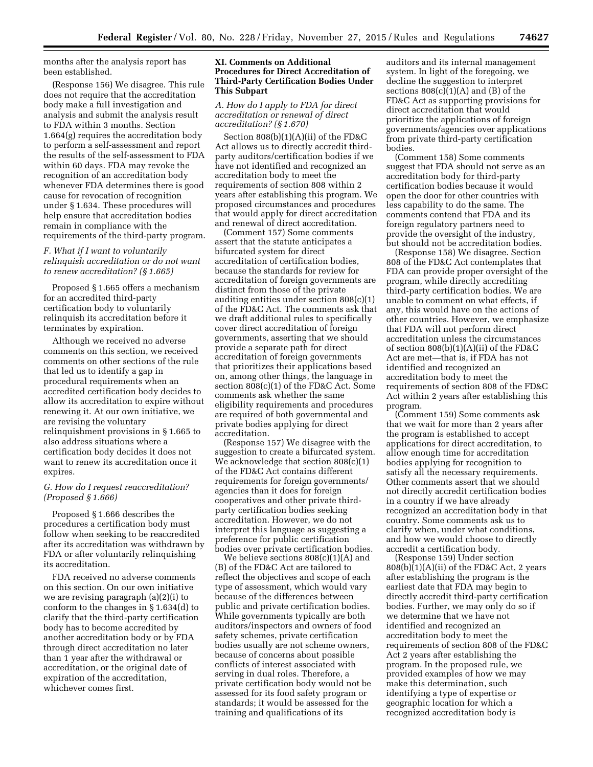months after the analysis report has been established.

(Response 156) We disagree. This rule does not require that the accreditation body make a full investigation and analysis and submit the analysis result to FDA within 3 months. Section 1.664(g) requires the accreditation body to perform a self-assessment and report the results of the self-assessment to FDA within 60 days. FDA may revoke the recognition of an accreditation body whenever FDA determines there is good cause for revocation of recognition under § 1.634. These procedures will help ensure that accreditation bodies remain in compliance with the requirements of the third-party program.

## *F. What if I want to voluntarily relinquish accreditation or do not want to renew accreditation? (§ 1.665)*

Proposed § 1.665 offers a mechanism for an accredited third-party certification body to voluntarily relinquish its accreditation before it terminates by expiration.

Although we received no adverse comments on this section, we received comments on other sections of the rule that led us to identify a gap in procedural requirements when an accredited certification body decides to allow its accreditation to expire without renewing it. At our own initiative, we are revising the voluntary relinquishment provisions in § 1.665 to also address situations where a certification body decides it does not want to renew its accreditation once it expires.

#### *G. How do I request reaccreditation? (Proposed § 1.666)*

Proposed § 1.666 describes the procedures a certification body must follow when seeking to be reaccredited after its accreditation was withdrawn by FDA or after voluntarily relinquishing its accreditation.

FDA received no adverse comments on this section. On our own initiative we are revising paragraph (a)(2)(i) to conform to the changes in § 1.634(d) to clarify that the third-party certification body has to become accredited by another accreditation body or by FDA through direct accreditation no later than 1 year after the withdrawal or accreditation, or the original date of expiration of the accreditation, whichever comes first.

## **XI. Comments on Additional Procedures for Direct Accreditation of Third-Party Certification Bodies Under This Subpart**

## *A. How do I apply to FDA for direct accreditation or renewal of direct accreditation? (§ 1.670)*

Section 808(b)(1)(A)(ii) of the FD&C Act allows us to directly accredit thirdparty auditors/certification bodies if we have not identified and recognized an accreditation body to meet the requirements of section 808 within 2 years after establishing this program. We proposed circumstances and procedures that would apply for direct accreditation and renewal of direct accreditation.

(Comment 157) Some comments assert that the statute anticipates a bifurcated system for direct accreditation of certification bodies, because the standards for review for accreditation of foreign governments are distinct from those of the private auditing entities under section 808(c)(1) of the FD&C Act. The comments ask that we draft additional rules to specifically cover direct accreditation of foreign governments, asserting that we should provide a separate path for direct accreditation of foreign governments that prioritizes their applications based on, among other things, the language in section 808(c)(1) of the FD&C Act. Some comments ask whether the same eligibility requirements and procedures are required of both governmental and private bodies applying for direct accreditation.

(Response 157) We disagree with the suggestion to create a bifurcated system. We acknowledge that section  $808(c)(1)$ of the FD&C Act contains different requirements for foreign governments/ agencies than it does for foreign cooperatives and other private thirdparty certification bodies seeking accreditation. However, we do not interpret this language as suggesting a preference for public certification bodies over private certification bodies.

We believe sections 808(c)(1)(A) and (B) of the FD&C Act are tailored to reflect the objectives and scope of each type of assessment, which would vary because of the differences between public and private certification bodies. While governments typically are both auditors/inspectors and owners of food safety schemes, private certification bodies usually are not scheme owners, because of concerns about possible conflicts of interest associated with serving in dual roles. Therefore, a private certification body would not be assessed for its food safety program or standards; it would be assessed for the training and qualifications of its

auditors and its internal management system. In light of the foregoing, we decline the suggestion to interpret sections  $808(c)(1)(A)$  and  $(B)$  of the FD&C Act as supporting provisions for direct accreditation that would prioritize the applications of foreign governments/agencies over applications from private third-party certification bodies.

(Comment 158) Some comments suggest that FDA should not serve as an accreditation body for third-party certification bodies because it would open the door for other countries with less capability to do the same. The comments contend that FDA and its foreign regulatory partners need to provide the oversight of the industry, but should not be accreditation bodies.

(Response 158) We disagree. Section 808 of the FD&C Act contemplates that FDA can provide proper oversight of the program, while directly accrediting third-party certification bodies. We are unable to comment on what effects, if any, this would have on the actions of other countries. However, we emphasize that FDA will not perform direct accreditation unless the circumstances of section 808(b)(1)(A)(ii) of the FD&C Act are met—that is, if FDA has not identified and recognized an accreditation body to meet the requirements of section 808 of the FD&C Act within 2 years after establishing this program.

(Comment 159) Some comments ask that we wait for more than 2 years after the program is established to accept applications for direct accreditation, to allow enough time for accreditation bodies applying for recognition to satisfy all the necessary requirements. Other comments assert that we should not directly accredit certification bodies in a country if we have already recognized an accreditation body in that country. Some comments ask us to clarify when, under what conditions, and how we would choose to directly accredit a certification body.

(Response 159) Under section  $808(b)(1)(A)(ii)$  of the FD&C Act, 2 years after establishing the program is the earliest date that FDA may begin to directly accredit third-party certification bodies. Further, we may only do so if we determine that we have not identified and recognized an accreditation body to meet the requirements of section 808 of the FD&C Act 2 years after establishing the program. In the proposed rule, we provided examples of how we may make this determination, such identifying a type of expertise or geographic location for which a recognized accreditation body is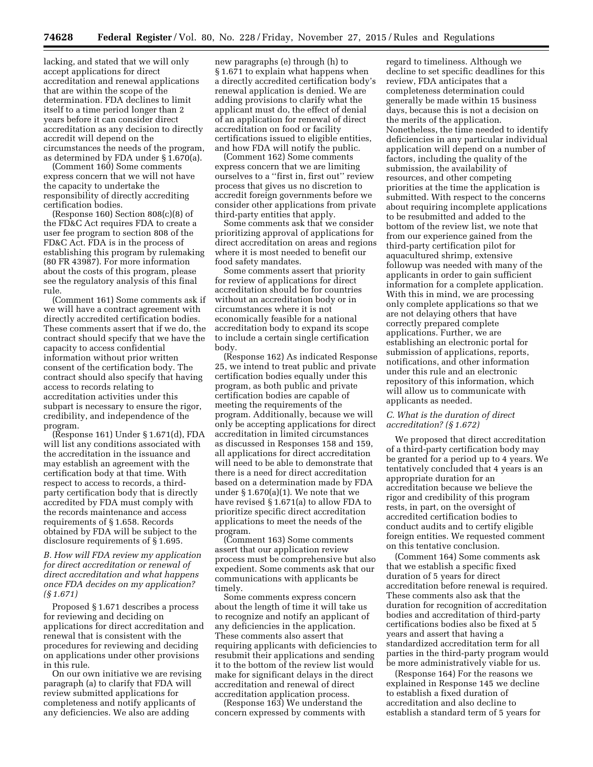lacking, and stated that we will only accept applications for direct accreditation and renewal applications that are within the scope of the determination. FDA declines to limit itself to a time period longer than 2 years before it can consider direct accreditation as any decision to directly accredit will depend on the circumstances the needs of the program, as determined by FDA under § 1.670(a).

(Comment 160) Some comments express concern that we will not have the capacity to undertake the responsibility of directly accrediting certification bodies.

(Response 160) Section 808(c)(8) of the FD&C Act requires FDA to create a user fee program to section 808 of the FD&C Act. FDA is in the process of establishing this program by rulemaking (80 FR 43987). For more information about the costs of this program, please see the regulatory analysis of this final rule.

(Comment 161) Some comments ask if we will have a contract agreement with directly accredited certification bodies. These comments assert that if we do, the contract should specify that we have the capacity to access confidential information without prior written consent of the certification body. The contract should also specify that having access to records relating to accreditation activities under this subpart is necessary to ensure the rigor, credibility, and independence of the program.

(Response 161) Under § 1.671(d), FDA will list any conditions associated with the accreditation in the issuance and may establish an agreement with the certification body at that time. With respect to access to records, a thirdparty certification body that is directly accredited by FDA must comply with the records maintenance and access requirements of § 1.658. Records obtained by FDA will be subject to the disclosure requirements of § 1.695.

*B. How will FDA review my application for direct accreditation or renewal of direct accreditation and what happens once FDA decides on my application? (§ 1.671)* 

Proposed § 1.671 describes a process for reviewing and deciding on applications for direct accreditation and renewal that is consistent with the procedures for reviewing and deciding on applications under other provisions in this rule.

On our own initiative we are revising paragraph (a) to clarify that FDA will review submitted applications for completeness and notify applicants of any deficiencies. We also are adding

new paragraphs (e) through (h) to § 1.671 to explain what happens when a directly accredited certification body's renewal application is denied. We are adding provisions to clarify what the applicant must do, the effect of denial of an application for renewal of direct accreditation on food or facility certifications issued to eligible entities, and how FDA will notify the public.

(Comment 162) Some comments express concern that we are limiting ourselves to a ''first in, first out'' review process that gives us no discretion to accredit foreign governments before we consider other applications from private third-party entities that apply.

Some comments ask that we consider prioritizing approval of applications for direct accreditation on areas and regions where it is most needed to benefit our food safety mandates.

Some comments assert that priority for review of applications for direct accreditation should be for countries without an accreditation body or in circumstances where it is not economically feasible for a national accreditation body to expand its scope to include a certain single certification body.

(Response 162) As indicated Response 25, we intend to treat public and private certification bodies equally under this program, as both public and private certification bodies are capable of meeting the requirements of the program. Additionally, because we will only be accepting applications for direct accreditation in limited circumstances as discussed in Responses 158 and 159, all applications for direct accreditation will need to be able to demonstrate that there is a need for direct accreditation based on a determination made by FDA under § 1.670(a)(1). We note that we have revised § 1.671(a) to allow FDA to prioritize specific direct accreditation applications to meet the needs of the program.

(Comment 163) Some comments assert that our application review process must be comprehensive but also expedient. Some comments ask that our communications with applicants be timely.

Some comments express concern about the length of time it will take us to recognize and notify an applicant of any deficiencies in the application. These comments also assert that requiring applicants with deficiencies to resubmit their applications and sending it to the bottom of the review list would make for significant delays in the direct accreditation and renewal of direct accreditation application process.

(Response 163) We understand the concern expressed by comments with regard to timeliness. Although we decline to set specific deadlines for this review, FDA anticipates that a completeness determination could generally be made within 15 business days, because this is not a decision on the merits of the application. Nonetheless, the time needed to identify deficiencies in any particular individual application will depend on a number of factors, including the quality of the submission, the availability of resources, and other competing priorities at the time the application is submitted. With respect to the concerns about requiring incomplete applications to be resubmitted and added to the bottom of the review list, we note that from our experience gained from the third-party certification pilot for aquacultured shrimp, extensive followup was needed with many of the applicants in order to gain sufficient information for a complete application. With this in mind, we are processing only complete applications so that we are not delaying others that have correctly prepared complete applications. Further, we are establishing an electronic portal for submission of applications, reports, notifications, and other information under this rule and an electronic repository of this information, which will allow us to communicate with applicants as needed.

#### *C. What is the duration of direct accreditation? (§ 1.672)*

We proposed that direct accreditation of a third-party certification body may be granted for a period up to 4 years. We tentatively concluded that 4 years is an appropriate duration for an accreditation because we believe the rigor and credibility of this program rests, in part, on the oversight of accredited certification bodies to conduct audits and to certify eligible foreign entities. We requested comment on this tentative conclusion.

(Comment 164) Some comments ask that we establish a specific fixed duration of 5 years for direct accreditation before renewal is required. These comments also ask that the duration for recognition of accreditation bodies and accreditation of third-party certifications bodies also be fixed at 5 years and assert that having a standardized accreditation term for all parties in the third-party program would be more administratively viable for us.

(Response 164) For the reasons we explained in Response 145 we decline to establish a fixed duration of accreditation and also decline to establish a standard term of 5 years for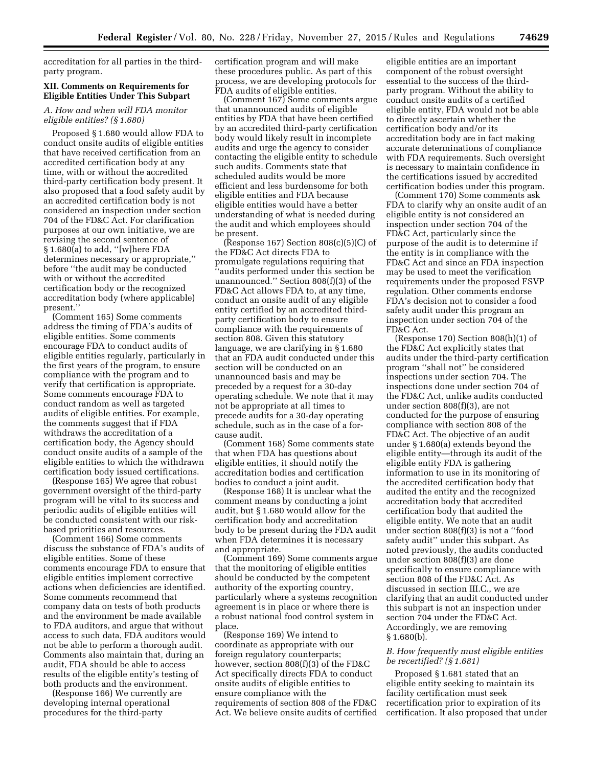accreditation for all parties in the thirdparty program.

#### **XII. Comments on Requirements for Eligible Entities Under This Subpart**

## *A. How and when will FDA monitor eligible entities? (§ 1.680)*

Proposed § 1.680 would allow FDA to conduct onsite audits of eligible entities that have received certification from an accredited certification body at any time, with or without the accredited third-party certification body present. It also proposed that a food safety audit by an accredited certification body is not considered an inspection under section 704 of the FD&C Act. For clarification purposes at our own initiative, we are revising the second sentence of § 1.680(a) to add, "[w]here FDA determines necessary or appropriate,'' before ''the audit may be conducted with or without the accredited certification body or the recognized accreditation body (where applicable) present.''

(Comment 165) Some comments address the timing of FDA's audits of eligible entities. Some comments encourage FDA to conduct audits of eligible entities regularly, particularly in the first years of the program, to ensure compliance with the program and to verify that certification is appropriate. Some comments encourage FDA to conduct random as well as targeted audits of eligible entities. For example, the comments suggest that if FDA withdraws the accreditation of a certification body, the Agency should conduct onsite audits of a sample of the eligible entities to which the withdrawn certification body issued certifications.

(Response 165) We agree that robust government oversight of the third-party program will be vital to its success and periodic audits of eligible entities will be conducted consistent with our riskbased priorities and resources.

(Comment 166) Some comments discuss the substance of FDA's audits of eligible entities. Some of these comments encourage FDA to ensure that eligible entities implement corrective actions when deficiencies are identified. Some comments recommend that company data on tests of both products and the environment be made available to FDA auditors, and argue that without access to such data, FDA auditors would not be able to perform a thorough audit. Comments also maintain that, during an audit, FDA should be able to access results of the eligible entity's testing of both products and the environment.

(Response 166) We currently are developing internal operational procedures for the third-party

certification program and will make these procedures public. As part of this process, we are developing protocols for FDA audits of eligible entities.

(Comment 167) Some comments argue that unannounced audits of eligible entities by FDA that have been certified by an accredited third-party certification body would likely result in incomplete audits and urge the agency to consider contacting the eligible entity to schedule such audits. Comments state that scheduled audits would be more efficient and less burdensome for both eligible entities and FDA because eligible entities would have a better understanding of what is needed during the audit and which employees should be present.

 $($ Response 167) Section 808 $(c)$  $(5)$  $(C)$  of the FD&C Act directs FDA to promulgate regulations requiring that ''audits performed under this section be unannounced.'' Section 808(f)(3) of the FD&C Act allows FDA to, at any time, conduct an onsite audit of any eligible entity certified by an accredited thirdparty certification body to ensure compliance with the requirements of section 808. Given this statutory language, we are clarifying in § 1.680 that an FDA audit conducted under this section will be conducted on an unannounced basis and may be preceded by a request for a 30-day operating schedule. We note that it may not be appropriate at all times to precede audits for a 30-day operating schedule, such as in the case of a forcause audit.

(Comment 168) Some comments state that when FDA has questions about eligible entities, it should notify the accreditation bodies and certification bodies to conduct a joint audit.

(Response 168) It is unclear what the comment means by conducting a joint audit, but § 1.680 would allow for the certification body and accreditation body to be present during the FDA audit when FDA determines it is necessary and appropriate.

(Comment 169) Some comments argue that the monitoring of eligible entities should be conducted by the competent authority of the exporting country, particularly where a systems recognition agreement is in place or where there is a robust national food control system in place.

(Response 169) We intend to coordinate as appropriate with our foreign regulatory counterparts; however, section 808(f)(3) of the FD&C Act specifically directs FDA to conduct onsite audits of eligible entities to ensure compliance with the requirements of section 808 of the FD&C Act. We believe onsite audits of certified

eligible entities are an important component of the robust oversight essential to the success of the thirdparty program. Without the ability to conduct onsite audits of a certified eligible entity, FDA would not be able to directly ascertain whether the certification body and/or its accreditation body are in fact making accurate determinations of compliance with FDA requirements. Such oversight is necessary to maintain confidence in the certifications issued by accredited certification bodies under this program.

(Comment 170) Some comments ask FDA to clarify why an onsite audit of an eligible entity is not considered an inspection under section 704 of the FD&C Act, particularly since the purpose of the audit is to determine if the entity is in compliance with the FD&C Act and since an FDA inspection may be used to meet the verification requirements under the proposed FSVP regulation. Other comments endorse FDA's decision not to consider a food safety audit under this program an inspection under section 704 of the FD&C Act.

(Response 170) Section 808(h)(1) of the FD&C Act explicitly states that audits under the third-party certification program ''shall not'' be considered inspections under section 704. The inspections done under section 704 of the FD&C Act, unlike audits conducted under section 808(f)(3), are not conducted for the purpose of ensuring compliance with section 808 of the FD&C Act. The objective of an audit under § 1.680(a) extends beyond the eligible entity—through its audit of the eligible entity FDA is gathering information to use in its monitoring of the accredited certification body that audited the entity and the recognized accreditation body that accredited certification body that audited the eligible entity. We note that an audit under section 808(f)(3) is not a ''food safety audit'' under this subpart. As noted previously, the audits conducted under section 808(f)(3) are done specifically to ensure compliance with section 808 of the FD&C Act. As discussed in section III.C., we are clarifying that an audit conducted under this subpart is not an inspection under section 704 under the FD&C Act. Accordingly, we are removing § 1.680(b).

#### *B. How frequently must eligible entities be recertified? (§ 1.681)*

Proposed § 1.681 stated that an eligible entity seeking to maintain its facility certification must seek recertification prior to expiration of its certification. It also proposed that under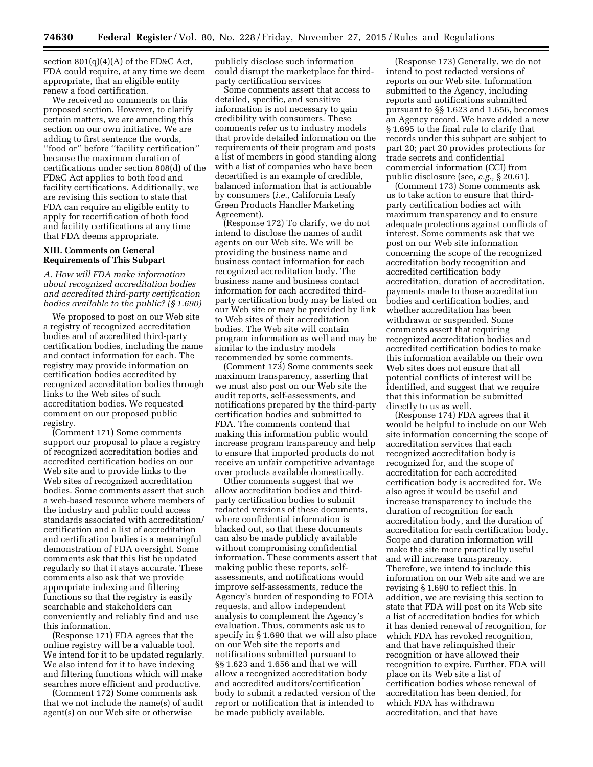section 801(q)(4)(A) of the FD&C Act, FDA could require, at any time we deem appropriate, that an eligible entity renew a food certification.

We received no comments on this proposed section. However, to clarify certain matters, we are amending this section on our own initiative. We are adding to first sentence the words, ''food or'' before ''facility certification'' because the maximum duration of certifications under section 808(d) of the FD&C Act applies to both food and facility certifications. Additionally, we are revising this section to state that FDA can require an eligible entity to apply for recertification of both food and facility certifications at any time that FDA deems appropriate.

#### **XIII. Comments on General Requirements of This Subpart**

*A. How will FDA make information about recognized accreditation bodies and accredited third-party certification bodies available to the public? (§ 1.690)* 

We proposed to post on our Web site a registry of recognized accreditation bodies and of accredited third-party certification bodies, including the name and contact information for each. The registry may provide information on certification bodies accredited by recognized accreditation bodies through links to the Web sites of such accreditation bodies. We requested comment on our proposed public registry.

(Comment 171) Some comments support our proposal to place a registry of recognized accreditation bodies and accredited certification bodies on our Web site and to provide links to the Web sites of recognized accreditation bodies. Some comments assert that such a web-based resource where members of the industry and public could access standards associated with accreditation/ certification and a list of accreditation and certification bodies is a meaningful demonstration of FDA oversight. Some comments ask that this list be updated regularly so that it stays accurate. These comments also ask that we provide appropriate indexing and filtering functions so that the registry is easily searchable and stakeholders can conveniently and reliably find and use this information.

(Response 171) FDA agrees that the online registry will be a valuable tool. We intend for it to be updated regularly. We also intend for it to have indexing and filtering functions which will make searches more efficient and productive.

(Comment 172) Some comments ask that we not include the name(s) of audit agent(s) on our Web site or otherwise

publicly disclose such information could disrupt the marketplace for thirdparty certification services

Some comments assert that access to detailed, specific, and sensitive information is not necessary to gain credibility with consumers. These comments refer us to industry models that provide detailed information on the requirements of their program and posts a list of members in good standing along with a list of companies who have been decertified is an example of credible, balanced information that is actionable by consumers (*i.e.,* California Leafy Green Products Handler Marketing Agreement).

(Response 172) To clarify, we do not intend to disclose the names of audit agents on our Web site. We will be providing the business name and business contact information for each recognized accreditation body. The business name and business contact information for each accredited thirdparty certification body may be listed on our Web site or may be provided by link to Web sites of their accreditation bodies. The Web site will contain program information as well and may be similar to the industry models recommended by some comments.

(Comment 173) Some comments seek maximum transparency, asserting that we must also post on our Web site the audit reports, self-assessments, and notifications prepared by the third-party certification bodies and submitted to FDA. The comments contend that making this information public would increase program transparency and help to ensure that imported products do not receive an unfair competitive advantage over products available domestically.

Other comments suggest that we allow accreditation bodies and thirdparty certification bodies to submit redacted versions of these documents, where confidential information is blacked out, so that these documents can also be made publicly available without compromising confidential information. These comments assert that making public these reports, selfassessments, and notifications would improve self-assessments, reduce the Agency's burden of responding to FOIA requests, and allow independent analysis to complement the Agency's evaluation. Thus, comments ask us to specify in § 1.690 that we will also place on our Web site the reports and notifications submitted pursuant to §§ 1.623 and 1.656 and that we will allow a recognized accreditation body and accredited auditors/certification body to submit a redacted version of the report or notification that is intended to be made publicly available.

(Response 173) Generally, we do not intend to post redacted versions of reports on our Web site. Information submitted to the Agency, including reports and notifications submitted pursuant to §§ 1.623 and 1.656, becomes an Agency record. We have added a new § 1.695 to the final rule to clarify that records under this subpart are subject to part 20; part 20 provides protections for trade secrets and confidential commercial information (CCI) from public disclosure (see, *e.g.,* § 20.61).

(Comment 173) Some comments ask us to take action to ensure that thirdparty certification bodies act with maximum transparency and to ensure adequate protections against conflicts of interest. Some comments ask that we post on our Web site information concerning the scope of the recognized accreditation body recognition and accredited certification body accreditation, duration of accreditation, payments made to those accreditation bodies and certification bodies, and whether accreditation has been withdrawn or suspended. Some comments assert that requiring recognized accreditation bodies and accredited certification bodies to make this information available on their own Web sites does not ensure that all potential conflicts of interest will be identified, and suggest that we require that this information be submitted directly to us as well.

(Response 174) FDA agrees that it would be helpful to include on our Web site information concerning the scope of accreditation services that each recognized accreditation body is recognized for, and the scope of accreditation for each accredited certification body is accredited for. We also agree it would be useful and increase transparency to include the duration of recognition for each accreditation body, and the duration of accreditation for each certification body. Scope and duration information will make the site more practically useful and will increase transparency. Therefore, we intend to include this information on our Web site and we are revising § 1.690 to reflect this. In addition, we are revising this section to state that FDA will post on its Web site a list of accreditation bodies for which it has denied renewal of recognition, for which FDA has revoked recognition, and that have relinquished their recognition or have allowed their recognition to expire. Further, FDA will place on its Web site a list of certification bodies whose renewal of accreditation has been denied, for which FDA has withdrawn accreditation, and that have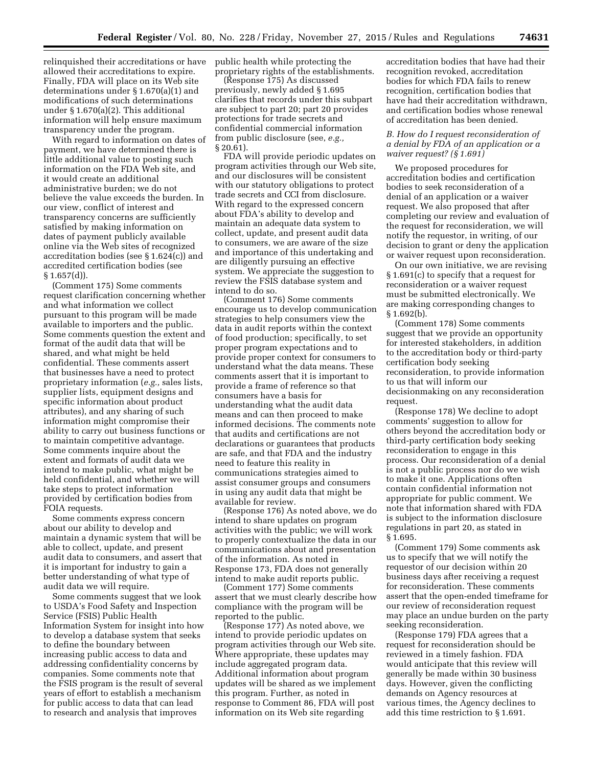relinquished their accreditations or have allowed their accreditations to expire. Finally, FDA will place on its Web site determinations under § 1.670(a)(1) and modifications of such determinations under § 1.670(a)(2). This additional information will help ensure maximum transparency under the program.

With regard to information on dates of payment, we have determined there is little additional value to posting such information on the FDA Web site, and it would create an additional administrative burden; we do not believe the value exceeds the burden. In our view, conflict of interest and transparency concerns are sufficiently satisfied by making information on dates of payment publicly available online via the Web sites of recognized accreditation bodies (see § 1.624(c)) and accredited certification bodies (see  $§ 1.657(d)$ .

(Comment 175) Some comments request clarification concerning whether and what information we collect pursuant to this program will be made available to importers and the public. Some comments question the extent and format of the audit data that will be shared, and what might be held confidential. These comments assert that businesses have a need to protect proprietary information (*e.g.,* sales lists, supplier lists, equipment designs and specific information about product attributes), and any sharing of such information might compromise their ability to carry out business functions or to maintain competitive advantage. Some comments inquire about the extent and formats of audit data we intend to make public, what might be held confidential, and whether we will take steps to protect information provided by certification bodies from FOIA requests.

Some comments express concern about our ability to develop and maintain a dynamic system that will be able to collect, update, and present audit data to consumers, and assert that it is important for industry to gain a better understanding of what type of audit data we will require.

Some comments suggest that we look to USDA's Food Safety and Inspection Service (FSIS) Public Health Information System for insight into how to develop a database system that seeks to define the boundary between increasing public access to data and addressing confidentiality concerns by companies. Some comments note that the FSIS program is the result of several years of effort to establish a mechanism for public access to data that can lead to research and analysis that improves

public health while protecting the proprietary rights of the establishments.

(Response 175) As discussed previously, newly added § 1.695 clarifies that records under this subpart are subject to part 20; part 20 provides protections for trade secrets and confidential commercial information from public disclosure (see, *e.g.,*  § 20.61).

FDA will provide periodic updates on program activities through our Web site, and our disclosures will be consistent with our statutory obligations to protect trade secrets and CCI from disclosure. With regard to the expressed concern about FDA's ability to develop and maintain an adequate data system to collect, update, and present audit data to consumers, we are aware of the size and importance of this undertaking and are diligently pursuing an effective system. We appreciate the suggestion to review the FSIS database system and intend to do so.

(Comment 176) Some comments encourage us to develop communication strategies to help consumers view the data in audit reports within the context of food production; specifically, to set proper program expectations and to provide proper context for consumers to understand what the data means. These comments assert that it is important to provide a frame of reference so that consumers have a basis for understanding what the audit data means and can then proceed to make informed decisions. The comments note that audits and certifications are not declarations or guarantees that products are safe, and that FDA and the industry need to feature this reality in communications strategies aimed to assist consumer groups and consumers in using any audit data that might be available for review.

(Response 176) As noted above, we do intend to share updates on program activities with the public; we will work to properly contextualize the data in our communications about and presentation of the information. As noted in Response 173, FDA does not generally intend to make audit reports public.

(Comment 177) Some comments assert that we must clearly describe how compliance with the program will be reported to the public.

(Response 177) As noted above, we intend to provide periodic updates on program activities through our Web site. Where appropriate, these updates may include aggregated program data. Additional information about program updates will be shared as we implement this program. Further, as noted in response to Comment 86, FDA will post information on its Web site regarding

accreditation bodies that have had their recognition revoked, accreditation bodies for which FDA fails to renew recognition, certification bodies that have had their accreditation withdrawn, and certification bodies whose renewal of accreditation has been denied.

## *B. How do I request reconsideration of a denial by FDA of an application or a waiver request? (§ 1.691)*

We proposed procedures for accreditation bodies and certification bodies to seek reconsideration of a denial of an application or a waiver request. We also proposed that after completing our review and evaluation of the request for reconsideration, we will notify the requestor, in writing, of our decision to grant or deny the application or waiver request upon reconsideration.

On our own initiative, we are revising § 1.691(c) to specify that a request for reconsideration or a waiver request must be submitted electronically. We are making corresponding changes to § 1.692(b).

(Comment 178) Some comments suggest that we provide an opportunity for interested stakeholders, in addition to the accreditation body or third-party certification body seeking reconsideration, to provide information to us that will inform our decisionmaking on any reconsideration request.

(Response 178) We decline to adopt comments' suggestion to allow for others beyond the accreditation body or third-party certification body seeking reconsideration to engage in this process. Our reconsideration of a denial is not a public process nor do we wish to make it one. Applications often contain confidential information not appropriate for public comment. We note that information shared with FDA is subject to the information disclosure regulations in part 20, as stated in § 1.695.

(Comment 179) Some comments ask us to specify that we will notify the requestor of our decision within 20 business days after receiving a request for reconsideration. These comments assert that the open-ended timeframe for our review of reconsideration request may place an undue burden on the party seeking reconsideration.

(Response 179) FDA agrees that a request for reconsideration should be reviewed in a timely fashion. FDA would anticipate that this review will generally be made within 30 business days. However, given the conflicting demands on Agency resources at various times, the Agency declines to add this time restriction to § 1.691.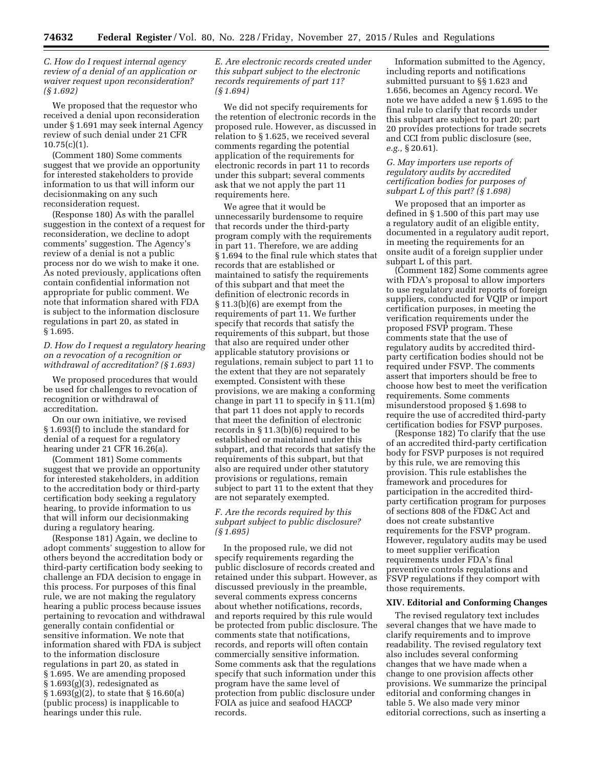*C. How do I request internal agency review of a denial of an application or waiver request upon reconsideration? (§ 1.692)* 

We proposed that the requestor who received a denial upon reconsideration under § 1.691 may seek internal Agency review of such denial under 21 CFR  $10.75(c)(1)$ .

(Comment 180) Some comments suggest that we provide an opportunity for interested stakeholders to provide information to us that will inform our decisionmaking on any such reconsideration request.

(Response 180) As with the parallel suggestion in the context of a request for reconsideration, we decline to adopt comments' suggestion. The Agency's review of a denial is not a public process nor do we wish to make it one. As noted previously, applications often contain confidential information not appropriate for public comment. We note that information shared with FDA is subject to the information disclosure regulations in part 20, as stated in § 1.695.

*D. How do I request a regulatory hearing on a revocation of a recognition or withdrawal of accreditation? (§ 1.693)* 

We proposed procedures that would be used for challenges to revocation of recognition or withdrawal of accreditation.

On our own initiative, we revised § 1.693(f) to include the standard for denial of a request for a regulatory hearing under 21 CFR 16.26(a).

(Comment 181) Some comments suggest that we provide an opportunity for interested stakeholders, in addition to the accreditation body or third-party certification body seeking a regulatory hearing, to provide information to us that will inform our decisionmaking during a regulatory hearing.

(Response 181) Again, we decline to adopt comments' suggestion to allow for others beyond the accreditation body or third-party certification body seeking to challenge an FDA decision to engage in this process. For purposes of this final rule, we are not making the regulatory hearing a public process because issues pertaining to revocation and withdrawal generally contain confidential or sensitive information. We note that information shared with FDA is subject to the information disclosure regulations in part 20, as stated in § 1.695. We are amending proposed  $§ 1.693(g)(3)$ , redesignated as § 1.693(g)(2), to state that § 16.60(a) (public process) is inapplicable to hearings under this rule.

## *E. Are electronic records created under this subpart subject to the electronic records requirements of part 11? (§ 1.694)*

We did not specify requirements for the retention of electronic records in the proposed rule. However, as discussed in relation to § 1.625, we received several comments regarding the potential application of the requirements for electronic records in part 11 to records under this subpart; several comments ask that we not apply the part 11 requirements here.

We agree that it would be unnecessarily burdensome to require that records under the third-party program comply with the requirements in part 11. Therefore, we are adding § 1.694 to the final rule which states that records that are established or maintained to satisfy the requirements of this subpart and that meet the definition of electronic records in § 11.3(b)(6) are exempt from the requirements of part 11. We further specify that records that satisfy the requirements of this subpart, but those that also are required under other applicable statutory provisions or regulations, remain subject to part 11 to the extent that they are not separately exempted. Consistent with these provisions, we are making a conforming change in part 11 to specify in § 11.1(m) that part 11 does not apply to records that meet the definition of electronic records in § 11.3(b)(6) required to be established or maintained under this subpart, and that records that satisfy the requirements of this subpart, but that also are required under other statutory provisions or regulations, remain subject to part 11 to the extent that they are not separately exempted.

## *F. Are the records required by this subpart subject to public disclosure? (§ 1.695)*

In the proposed rule, we did not specify requirements regarding the public disclosure of records created and retained under this subpart. However, as discussed previously in the preamble, several comments express concerns about whether notifications, records, and reports required by this rule would be protected from public disclosure. The comments state that notifications, records, and reports will often contain commercially sensitive information. Some comments ask that the regulations specify that such information under this program have the same level of protection from public disclosure under FOIA as juice and seafood HACCP records.

Information submitted to the Agency, including reports and notifications submitted pursuant to §§ 1.623 and 1.656, becomes an Agency record. We note we have added a new § 1.695 to the final rule to clarify that records under this subpart are subject to part 20; part 20 provides protections for trade secrets and CCI from public disclosure (see, *e.g.,* § 20.61).

#### *G. May importers use reports of regulatory audits by accredited certification bodies for purposes of subpart L of this part? (§ 1.698)*

We proposed that an importer as defined in § 1.500 of this part may use a regulatory audit of an eligible entity, documented in a regulatory audit report, in meeting the requirements for an onsite audit of a foreign supplier under subpart L of this part.

(Comment 182) Some comments agree with FDA's proposal to allow importers to use regulatory audit reports of foreign suppliers, conducted for VQIP or import certification purposes, in meeting the verification requirements under the proposed FSVP program. These comments state that the use of regulatory audits by accredited thirdparty certification bodies should not be required under FSVP. The comments assert that importers should be free to choose how best to meet the verification requirements. Some comments misunderstood proposed § 1.698 to require the use of accredited third-party certification bodies for FSVP purposes.

(Response 182) To clarify that the use of an accredited third-party certification body for FSVP purposes is not required by this rule, we are removing this provision. This rule establishes the framework and procedures for participation in the accredited thirdparty certification program for purposes of sections 808 of the FD&C Act and does not create substantive requirements for the FSVP program. However, regulatory audits may be used to meet supplier verification requirements under FDA's final preventive controls regulations and FSVP regulations if they comport with those requirements.

#### **XIV. Editorial and Conforming Changes**

The revised regulatory text includes several changes that we have made to clarify requirements and to improve readability. The revised regulatory text also includes several conforming changes that we have made when a change to one provision affects other provisions. We summarize the principal editorial and conforming changes in table 5. We also made very minor editorial corrections, such as inserting a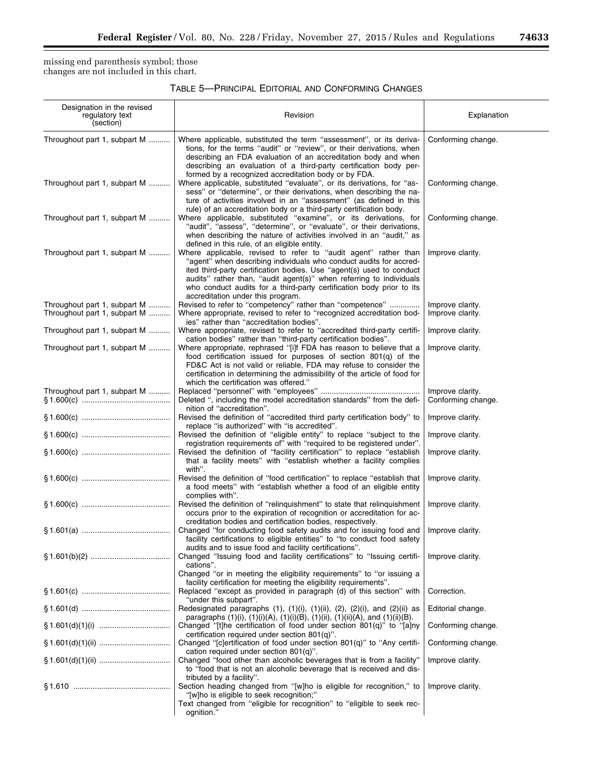$\equiv$ 

missing end parenthesis symbol; those changes are not included in this chart.

| TABLE 5—PRINCIPAL EDITORIAL AND CONFORMING CHANGES |  |
|----------------------------------------------------|--|
|----------------------------------------------------|--|

| Designation in the revised<br>regulatory text<br>(section)   | Revision                                                                                                                                                                                                                                                                                                                                                                                          | Explanation                            |
|--------------------------------------------------------------|---------------------------------------------------------------------------------------------------------------------------------------------------------------------------------------------------------------------------------------------------------------------------------------------------------------------------------------------------------------------------------------------------|----------------------------------------|
| Throughout part 1, subpart M                                 | Where applicable, substituted the term "assessment", or its deriva-<br>tions, for the terms "audit" or "review", or their derivations, when<br>describing an FDA evaluation of an accreditation body and when<br>describing an evaluation of a third-party certification body per-<br>formed by a recognized accreditation body or by FDA.                                                        | Conforming change.                     |
| Throughout part 1, subpart M                                 | Where applicable, substituted "evaluate", or its derivations, for "as-<br>sess" or "determine", or their derivations, when describing the na-<br>ture of activities involved in an "assessment" (as defined in this<br>rule) of an accreditation body or a third-party certification body.                                                                                                        | Conforming change.                     |
| Throughout part 1, subpart M                                 | Where applicable, substituted "examine", or its derivations, for<br>"audit", "assess", "determine", or "evaluate", or their derivations,<br>when describing the nature of activities involved in an "audit," as<br>defined in this rule, of an eligible entity.                                                                                                                                   | Conforming change.                     |
| Throughout part 1, subpart M                                 | Where applicable, revised to refer to "audit agent" rather than<br>"agent" when describing individuals who conduct audits for accred-<br>ited third-party certification bodies. Use "agent(s) used to conduct<br>audits" rather than, "audit agent(s)" when referring to individuals<br>who conduct audits for a third-party certification body prior to its<br>accreditation under this program. | Improve clarity.                       |
| Throughout part 1, subpart M<br>Throughout part 1, subpart M | Revised to refer to "competency" rather than "competence"<br>Where appropriate, revised to refer to "recognized accreditation bod-<br>ies" rather than "accreditation bodies".                                                                                                                                                                                                                    | Improve clarity.<br>Improve clarity.   |
| Throughout part 1, subpart M                                 | Where appropriate, revised to refer to "accredited third-party certifi-<br>cation bodies" rather than "third-party certification bodies".                                                                                                                                                                                                                                                         | Improve clarity.                       |
| Throughout part 1, subpart M                                 | Where appropriate, rephrased "[i]f FDA has reason to believe that a<br>food certification issued for purposes of section 801(q) of the<br>FD&C Act is not valid or reliable, FDA may refuse to consider the<br>certification in determining the admissibility of the article of food for<br>which the certification was offered."                                                                 | Improve clarity.                       |
| Throughout part 1, subpart M                                 | Deleted ", including the model accreditation standards" from the defi-<br>nition of "accreditation".                                                                                                                                                                                                                                                                                              | Improve clarity.<br>Conforming change. |
|                                                              | Revised the definition of "accredited third party certification body" to<br>replace "is authorized" with "is accredited".                                                                                                                                                                                                                                                                         | Improve clarity.                       |
|                                                              | Revised the definition of "eligible entity" to replace "subject to the<br>registration requirements of" with "required to be registered under".                                                                                                                                                                                                                                                   | Improve clarity.                       |
|                                                              | Revised the definition of "facility certification" to replace "establish<br>that a facility meets" with "establish whether a facility complies<br>with".                                                                                                                                                                                                                                          | Improve clarity.                       |
|                                                              | Revised the definition of "food certification" to replace "establish that<br>a food meets" with "establish whether a food of an eligible entity<br>complies with".                                                                                                                                                                                                                                | Improve clarity.                       |
|                                                              | Revised the definition of "relinquishment" to state that relinquishment<br>occurs prior to the expiration of recognition or accreditation for ac-<br>creditation bodies and certification bodies, respectively.                                                                                                                                                                                   | Improve clarity.                       |
|                                                              | Changed "for conducting food safety audits and for issuing food and   Improve clarity.<br>facility certifications to eligible entities" to "to conduct food safety<br>audits and to issue food and facility certifications".                                                                                                                                                                      |                                        |
|                                                              | Changed "Issuing food and facility certifications" to "Issuing certifi-<br>cations".<br>Changed "or in meeting the eligibility requirements" to "or issuing a<br>facility certification for meeting the eligibility requirements".                                                                                                                                                                | Improve clarity.                       |
|                                                              | Replaced "except as provided in paragraph (d) of this section" with<br>"under this subpart".                                                                                                                                                                                                                                                                                                      | Correction.                            |
|                                                              | Redesignated paragraphs $(1)$ , $(1)(i)$ , $(1)(ii)$ , $(2)$ , $(2)(i)$ , and $(2)(ii)$ as<br>paragraphs $(1)(i)$ , $(1)(i)(A)$ , $(1)(i)(B)$ , $(1)(ii)$ , $(1)(ii)(A)$ , and $(1)(ii)(B)$ .                                                                                                                                                                                                     | Editorial change.                      |
|                                                              | Changed "[t]he certification of food under section 801(q)" to "[a]ny<br>certification required under section 801(q)".                                                                                                                                                                                                                                                                             | Conforming change.                     |
|                                                              | Changed "[c]ertification of food under section 801(q)" to "Any certifi-<br>cation required under section $801(q)$ ".                                                                                                                                                                                                                                                                              | Conforming change.                     |
|                                                              | Changed "food other than alcoholic beverages that is from a facility"<br>to "food that is not an alcoholic beverage that is received and dis-<br>tributed by a facility".                                                                                                                                                                                                                         | Improve clarity.                       |
|                                                              | Section heading changed from "[w]ho is eligible for recognition," to<br>"[w]ho is eligible to seek recognition;"<br>Text changed from "eligible for recognition" to "eligible to seek rec-<br>ognition."                                                                                                                                                                                          | Improve clarity.                       |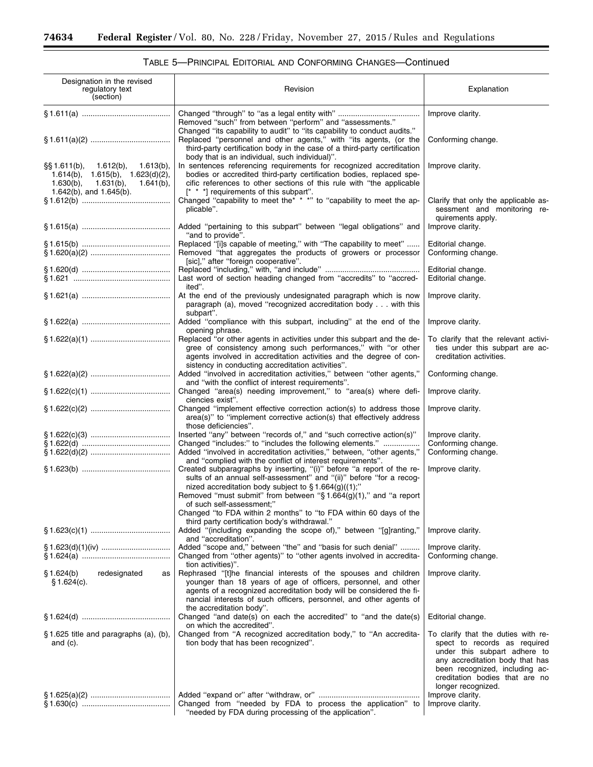-

# TABLE 5—PRINCIPAL EDITORIAL AND CONFORMING CHANGES—Continued

٠

| Designation in the revised<br>regulatory text<br>(section)                                                                                                          | Revision                                                                                                                                                                                                                                                                                                        | Explanation                                                                                                                                                                                                                      |
|---------------------------------------------------------------------------------------------------------------------------------------------------------------------|-----------------------------------------------------------------------------------------------------------------------------------------------------------------------------------------------------------------------------------------------------------------------------------------------------------------|----------------------------------------------------------------------------------------------------------------------------------------------------------------------------------------------------------------------------------|
|                                                                                                                                                                     | Removed "such" from between "perform" and "assessments."                                                                                                                                                                                                                                                        | Improve clarity.                                                                                                                                                                                                                 |
|                                                                                                                                                                     | Changed "its capability to audit" to "its capability to conduct audits."<br>Replaced "personnel and other agents," with "its agents, (or the<br>third-party certification body in the case of a third-party certification                                                                                       | Conforming change.                                                                                                                                                                                                               |
| $\S$ \$ 1.611(b),<br>1.612(b),<br>$1.613(b)$ ,<br>1.614(b), 1.615(b), 1.623(d)(2),<br>$1.630(b)$ ,<br>$1.631(b)$ ,<br>$1.641(b)$ ,<br>$1.642(b)$ , and $1.645(b)$ . | body that is an individual, such individual)".<br>In sentences referencing requirements for recognized accreditation<br>bodies or accredited third-party certification bodies, replaced spe-<br>cific references to other sections of this rule with "the applicable<br>[* * *] requirements of this subpart".  | Improve clarity.                                                                                                                                                                                                                 |
|                                                                                                                                                                     | Changed "capability to meet the* * *" to "capability to meet the ap-<br>plicable".                                                                                                                                                                                                                              | Clarify that only the applicable as-<br>sessment and monitoring re-<br>quirements apply.                                                                                                                                         |
|                                                                                                                                                                     | Added "pertaining to this subpart" between "legal obligations" and<br>"and to provide".                                                                                                                                                                                                                         | Improve clarity.                                                                                                                                                                                                                 |
|                                                                                                                                                                     | Replaced "[i]s capable of meeting," with "The capability to meet"<br>Removed "that aggregates the products of growers or processor<br>[sic]," after "foreign cooperative".                                                                                                                                      | Editorial change.<br>Conforming change.                                                                                                                                                                                          |
|                                                                                                                                                                     | Last word of section heading changed from "accredits" to "accred-<br>ited".                                                                                                                                                                                                                                     | Editorial change.<br>Editorial change.                                                                                                                                                                                           |
|                                                                                                                                                                     | At the end of the previously undesignated paragraph which is now<br>paragraph (a), moved "recognized accreditation body with this<br>subpart".                                                                                                                                                                  | Improve clarity.                                                                                                                                                                                                                 |
|                                                                                                                                                                     | Added "compliance with this subpart, including" at the end of the                                                                                                                                                                                                                                               | Improve clarity.                                                                                                                                                                                                                 |
|                                                                                                                                                                     | opening phrase.<br>Replaced "or other agents in activities under this subpart and the de-<br>gree of consistency among such performances," with "or other<br>agents involved in accreditation activities and the degree of con-<br>sistency in conducting accreditation activities".                            | To clarify that the relevant activi-<br>ties under this subpart are ac-<br>creditation activities.                                                                                                                               |
|                                                                                                                                                                     | Added "involved in accreditation activities," between "other agents,"<br>and "with the conflict of interest requirements".                                                                                                                                                                                      | Conforming change.                                                                                                                                                                                                               |
|                                                                                                                                                                     | Changed "area(s) needing improvement," to "area(s) where defi-<br>ciencies exist".                                                                                                                                                                                                                              | Improve clarity.                                                                                                                                                                                                                 |
|                                                                                                                                                                     | Changed "implement effective correction action(s) to address those<br>area(s)" to "implement corrective action(s) that effectively address                                                                                                                                                                      | Improve clarity.                                                                                                                                                                                                                 |
|                                                                                                                                                                     | those deficiencies".<br>Inserted "any" between "records of," and "such corrective action(s)"<br>Changed "includes:" to "includes the following elements."<br>Added "involved in accreditation activities," between, "other agents,"<br>and "complied with the conflict of interest requirements".               | Improve clarity.<br>Conforming change.<br>Conforming change.                                                                                                                                                                     |
|                                                                                                                                                                     | Created subparagraphs by inserting, "(i)" before "a report of the re-<br>sults of an annual self-assessment" and "(ii)" before "for a recog-<br>nized accreditation body subject to $\S 1.664(g)((1)$ ;"<br>Removed "must submit" from between " $\S 1.664(g)(1)$ ," and "a report<br>of such self-assessment:" | Improve clarity.                                                                                                                                                                                                                 |
|                                                                                                                                                                     | Changed "to FDA within 2 months" to "to FDA within 60 days of the<br>third party certification body's withdrawal."<br>Added "(including expanding the scope of)," between "[g]ranting,"<br>and "accreditation".                                                                                                 | Improve clarity.                                                                                                                                                                                                                 |
|                                                                                                                                                                     | Added "scope and," between "the" and "basis for such denial"<br>Changed from "other agents)" to "other agents involved in accredita-<br>tion activities)".                                                                                                                                                      | Improve clarity.<br>Conforming change.                                                                                                                                                                                           |
| redesignated<br>\$1.624(b)<br>as<br>§ 1.624(c).                                                                                                                     | Rephrased "[t]he financial interests of the spouses and children<br>younger than 18 years of age of officers, personnel, and other<br>agents of a recognized accreditation body will be considered the fi-<br>nancial interests of such officers, personnel, and other agents of<br>the accreditation body".    | Improve clarity.                                                                                                                                                                                                                 |
|                                                                                                                                                                     | Changed "and date(s) on each the accredited" to "and the date(s)                                                                                                                                                                                                                                                | Editorial change.                                                                                                                                                                                                                |
| §1.625 title and paragraphs (a), (b),<br>and $(c)$ .                                                                                                                | on which the accredited".<br>Changed from "A recognized accreditation body," to "An accredita-<br>tion body that has been recognized".                                                                                                                                                                          | To clarify that the duties with re-<br>spect to records as required<br>under this subpart adhere to<br>any accreditation body that has<br>been recognized, including ac-<br>creditation bodies that are no<br>longer recognized. |
|                                                                                                                                                                     | Changed from "needed by FDA to process the application" to<br>"needed by FDA during processing of the application".                                                                                                                                                                                             | Improve clarity.<br>Improve clarity.                                                                                                                                                                                             |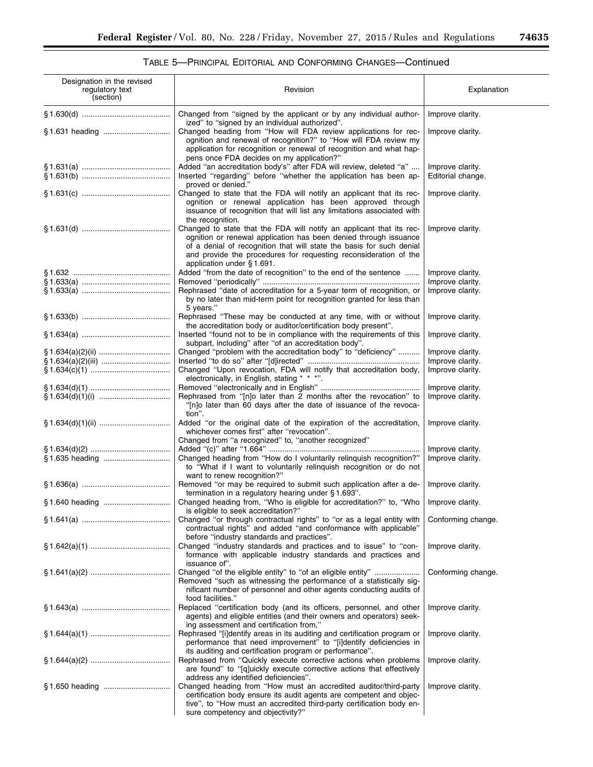۰

| Designation in the revised<br>regulatory text<br>(section) | Revision                                                                                                                                                                                                                                                                                                          | Explanation                           |
|------------------------------------------------------------|-------------------------------------------------------------------------------------------------------------------------------------------------------------------------------------------------------------------------------------------------------------------------------------------------------------------|---------------------------------------|
|                                                            | Changed from "signed by the applicant or by any individual author-<br>ized" to "signed by an individual authorized".                                                                                                                                                                                              | Improve clarity.                      |
|                                                            | Changed heading from "How will FDA review applications for rec-<br>ognition and renewal of recognition?" to "How will FDA review my<br>application for recognition or renewal of recognition and what hap-<br>pens once FDA decides on my application?"                                                           | Improve clarity.                      |
|                                                            | Added "an accreditation body's" after FDA will review, deleted "a"<br>Inserted "regarding" before "whether the application has been ap-<br>proved or denied."                                                                                                                                                     | Improve clarity.<br>Editorial change. |
|                                                            | Changed to state that the FDA will notify an applicant that its rec-<br>ognition or renewal application has been approved through<br>issuance of recognition that will list any limitations associated with<br>the recognition.                                                                                   | Improve clarity.                      |
|                                                            | Changed to state that the FDA will notify an applicant that its rec-<br>ognition or renewal application has been denied through issuance<br>of a denial of recognition that will state the basis for such denial<br>and provide the procedures for requesting reconsideration of the<br>application under §1.691. | Improve clarity.                      |
|                                                            | Added "from the date of recognition" to the end of the sentence                                                                                                                                                                                                                                                   | Improve clarity.                      |
|                                                            |                                                                                                                                                                                                                                                                                                                   | Improve clarity.                      |
|                                                            | Rephrased "date of accreditation for a 5-year term of recognition, or<br>by no later than mid-term point for recognition granted for less than<br>5 years."                                                                                                                                                       | Improve clarity.                      |
|                                                            | Rephrased "These may be conducted at any time, with or without<br>the accreditation body or auditor/certification body present".                                                                                                                                                                                  | Improve clarity.                      |
|                                                            | Inserted "found not to be in compliance with the requirements of this<br>subpart, including" after "of an accreditation body".                                                                                                                                                                                    | Improve clarity.                      |
|                                                            | Changed "problem with the accreditation body" to "deficiency"                                                                                                                                                                                                                                                     | Improve clarity.                      |
|                                                            |                                                                                                                                                                                                                                                                                                                   | Improve clarity.                      |
|                                                            | Changed "Upon revocation, FDA will notify that accreditation body,<br>electronically, in English, stating * * *".                                                                                                                                                                                                 | Improve clarity.                      |
|                                                            |                                                                                                                                                                                                                                                                                                                   | Improve clarity.                      |
|                                                            | Rephrased from "[n]o later than 2 months after the revocation" to<br>"[n]o later than 60 days after the date of issuance of the revoca-<br>tion".                                                                                                                                                                 | Improve clarity.                      |
|                                                            | Added "or the original date of the expiration of the accreditation,<br>whichever comes first" after "revocation".                                                                                                                                                                                                 | Improve clarity.                      |
|                                                            | Changed from "a recognized" to, "another recognized"                                                                                                                                                                                                                                                              |                                       |
|                                                            |                                                                                                                                                                                                                                                                                                                   | Improve clarity.                      |
|                                                            | Changed heading from "How do I voluntarily relinquish recognition?"<br>to "What if I want to voluntarily relinquish recognition or do not<br>want to renew recognition?"                                                                                                                                          | Improve clarity.                      |
|                                                            | Removed "or may be required to submit such application after a de-<br>termination in a regulatory hearing under §1.693".                                                                                                                                                                                          | Improve clarity.                      |
| \$1.640 heading                                            | Changed heading from, "Who is eligible for accreditation?" to, "Who   Improve clarity.<br>is eligible to seek accreditation?"                                                                                                                                                                                     |                                       |
|                                                            | Changed "or through contractual rights" to "or as a legal entity with<br>contractual rights" and added "and conformance with applicable"<br>before "industry standards and practices".                                                                                                                            | Conforming change.                    |
|                                                            | Changed "industry standards and practices and to issue" to "con-<br>formance with applicable industry standards and practices and<br>issuance of".                                                                                                                                                                | Improve clarity.                      |
|                                                            | Changed "of the eligible entity" to "of an eligible entity"<br>Removed "such as witnessing the performance of a statistically sig-<br>nificant number of personnel and other agents conducting audits of<br>food facilities."                                                                                     | Conforming change.                    |
|                                                            | Replaced "certification body (and its officers, personnel, and other<br>agents) and eligible entities (and their owners and operators) seek-<br>ing assessment and certification from,"                                                                                                                           | Improve clarity.                      |
|                                                            | Rephrased "[i]dentify areas in its auditing and certification program or<br>performance that need improvement" to "[i]dentify deficiencies in<br>its auditing and certification program or performance".                                                                                                          | Improve clarity.                      |
|                                                            | Rephrased from "Quickly execute corrective actions when problems<br>are found" to "[q]uickly execute corrective actions that effectively<br>address any identified deficiencies".                                                                                                                                 | Improve clarity.                      |
|                                                            | Changed heading from "How must an accredited auditor/third-party<br>certification body ensure its audit agents are competent and objec-<br>tive", to "How must an accredited third-party certification body en-<br>sure competency and objectivity?"                                                              | Improve clarity.                      |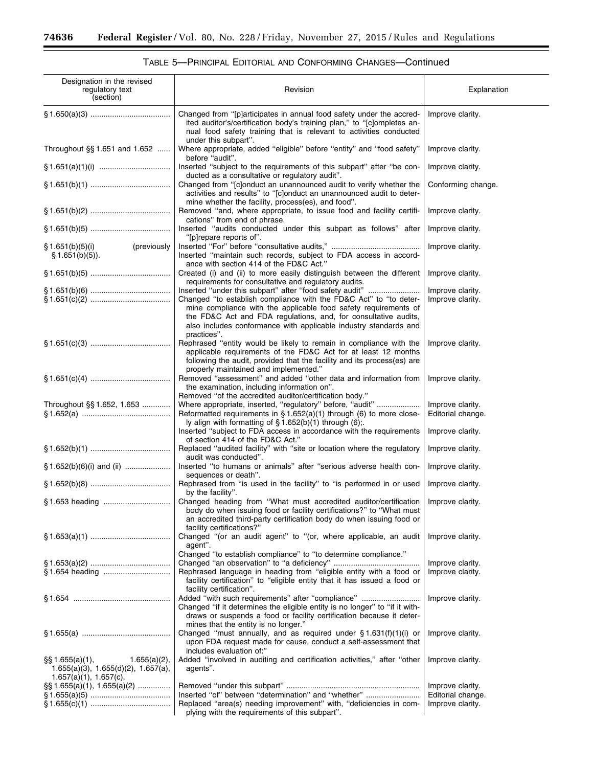$\equiv$ 

| Designation in the revised<br>regulatory text<br>(section)                                                              | Revision                                                                                                                                                                                                                                                         | Explanation                           |
|-------------------------------------------------------------------------------------------------------------------------|------------------------------------------------------------------------------------------------------------------------------------------------------------------------------------------------------------------------------------------------------------------|---------------------------------------|
|                                                                                                                         | Changed from "[p]articipates in annual food safety under the accred-<br>ited auditor's/certification body's training plan," to "[c]ompletes an-<br>nual food safety training that is relevant to activities conducted<br>under this subpart".                    | Improve clarity.                      |
| Throughout §§ 1.651 and 1.652                                                                                           | Where appropriate, added "eligible" before "entity" and "food safety"<br>before "audit".                                                                                                                                                                         | Improve clarity.                      |
|                                                                                                                         | Inserted "subject to the requirements of this subpart" after "be con-<br>ducted as a consultative or regulatory audit".                                                                                                                                          | Improve clarity.                      |
|                                                                                                                         | Changed from "[c]onduct an unannounced audit to verify whether the<br>activities and results" to "[c]onduct an unannounced audit to deter-<br>mine whether the facility, process(es), and food".                                                                 | Conforming change.                    |
|                                                                                                                         | Removed "and, where appropriate, to issue food and facility certifi-<br>cations" from end of phrase.                                                                                                                                                             | Improve clarity.                      |
|                                                                                                                         | Inserted "audits conducted under this subpart as follows" after<br>"[p]repare reports of".                                                                                                                                                                       | Improve clarity.                      |
| (previously<br>§ 1.651(b)(5)(i)<br>§ 1.651(b)(5)).                                                                      | Inserted "maintain such records, subject to FDA access in accord-<br>ance with section 414 of the FD&C Act."                                                                                                                                                     | Improve clarity.                      |
|                                                                                                                         | Created (i) and (ii) to more easily distinguish between the different<br>requirements for consultative and requlatory audits.                                                                                                                                    | Improve clarity.                      |
|                                                                                                                         | Inserted "under this subpart" after "food safety audit"                                                                                                                                                                                                          | Improve clarity.                      |
|                                                                                                                         | Changed "to establish compliance with the FD&C Act" to "to deter-                                                                                                                                                                                                | Improve clarity.                      |
|                                                                                                                         | mine compliance with the applicable food safety requirements of<br>the FD&C Act and FDA regulations, and, for consultative audits,<br>also includes conformance with applicable industry standards and<br>practices".                                            |                                       |
|                                                                                                                         | Rephrased "entity would be likely to remain in compliance with the<br>applicable requirements of the FD&C Act for at least 12 months<br>following the audit, provided that the facility and its process(es) are<br>properly maintained and implemented."         | Improve clarity.                      |
|                                                                                                                         | Removed "assessment" and added "other data and information from<br>the examination, including information on".<br>Removed "of the accredited auditor/certification body."                                                                                        | Improve clarity.                      |
| Throughout §§ 1.652, 1.653                                                                                              | Where appropriate, inserted, "regulatory" before, "audit"<br>Reformatted requirements in $§ 1.652(a)(1)$ through (6) to more close-<br>ly align with formatting of $\S 1.652(b)(1)$ through (6);                                                                 | Improve clarity.<br>Editorial change. |
|                                                                                                                         | Inserted "subject to FDA access in accordance with the requirements<br>of section 414 of the FD&C Act."                                                                                                                                                          | Improve clarity.                      |
|                                                                                                                         | Replaced "audited facility" with "site or location where the regulatory<br>audit was conducted".                                                                                                                                                                 | Improve clarity.                      |
| $\S 1.652(b)(6)(i)$ and (ii)                                                                                            | Inserted "to humans or animals" after "serious adverse health con-<br>sequences or death".                                                                                                                                                                       | Improve clarity.                      |
|                                                                                                                         | Rephrased from "is used in the facility" to "is performed in or used<br>by the facility".                                                                                                                                                                        | Improve clarity.                      |
|                                                                                                                         | Changed heading from "What must accredited auditor/certification   Improve clarity.<br>body do when issuing food or facility certifications?" to "What must<br>an accredited third-party certification body do when issuing food or<br>facility certifications?" |                                       |
|                                                                                                                         | Changed "(or an audit agent" to "(or, where applicable, an audit<br>agent".<br>Changed "to establish compliance" to "to determine compliance."                                                                                                                   | Improve clarity.                      |
|                                                                                                                         |                                                                                                                                                                                                                                                                  | Improve clarity.                      |
|                                                                                                                         | Rephrased language in heading from "eligible entity with a food or<br>facility certification" to "eligible entity that it has issued a food or<br>facility certification".                                                                                       | Improve clarity.                      |
|                                                                                                                         | Added "with such requirements" after "compliance"<br>Changed "if it determines the eligible entity is no longer" to "if it with-<br>draws or suspends a food or facility certification because it deter-<br>mines that the entity is no longer."                 | Improve clarity.                      |
|                                                                                                                         | Changed "must annually, and as required under $\S 1.631(f)(1)(i)$ or<br>upon FDA request made for cause, conduct a self-assessment that<br>includes evaluation of:"                                                                                              | Improve clarity.                      |
| $\S$ \$ 1.655(a)(1),<br>$1.655(a)(2)$ ,<br>$1.655(a)(3)$ , $1.655(d)(2)$ , $1.657(a)$ ,<br>$1.657(a)(1)$ , $1.657(c)$ . | Added "involved in auditing and certification activities," after "other<br>agents".                                                                                                                                                                              | Improve clarity.                      |
| $\S\S 1.655(a)(1), 1.655(a)(2)$                                                                                         |                                                                                                                                                                                                                                                                  | Improve clarity.                      |
|                                                                                                                         | Inserted "of" between "determination" and "whether"                                                                                                                                                                                                              | Editorial change.                     |
|                                                                                                                         | Replaced "area(s) needing improvement" with, "deficiencies in com-<br>plying with the requirements of this subpart".                                                                                                                                             | Improve clarity.                      |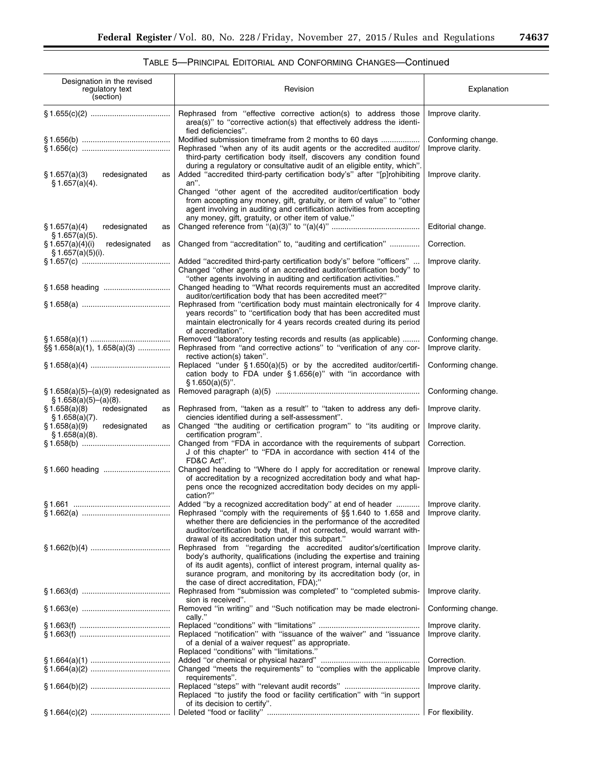▀

| Designation in the revised<br>regulatory text<br>(section)      | Revision                                                                                                                                                                                                                                                                                                                                | Explanation                            |
|-----------------------------------------------------------------|-----------------------------------------------------------------------------------------------------------------------------------------------------------------------------------------------------------------------------------------------------------------------------------------------------------------------------------------|----------------------------------------|
|                                                                 | Rephrased from "effective corrective action(s) to address those<br>area(s)" to "corrective action(s) that effectively address the identi-<br>fied deficiencies".                                                                                                                                                                        | Improve clarity.                       |
|                                                                 | Modified submission timeframe from 2 months to 60 days<br>Rephrased "when any of its audit agents or the accredited auditor/<br>third-party certification body itself, discovers any condition found                                                                                                                                    | Conforming change.<br>Improve clarity. |
| \$1.657(a)(3)<br>redesignated<br>as<br>\$1.657(a)(4).           | during a regulatory or consultative audit of an eligible entity, which".<br>Added "accredited third-party certification body's" after "[p]rohibiting<br>an".<br>Changed "other agent of the accredited auditor/certification body                                                                                                       | Improve clarity.                       |
|                                                                 | from accepting any money, gift, gratuity, or item of value" to "other<br>agent involving in auditing and certification activities from accepting<br>any money, gift, gratuity, or other item of value."                                                                                                                                 |                                        |
| \$1.657(a)(4)<br>redesignated<br>as<br>\$1.657(a)(5).           |                                                                                                                                                                                                                                                                                                                                         | Editorial change.                      |
| \$1.657(a)(4)(i)<br>redesignated<br>as<br>§ 1.657(a)(5)(i).     | Changed from "accreditation" to, "auditing and certification"<br>Added "accredited third-party certification body's" before "officers"                                                                                                                                                                                                  | Correction.<br>Improve clarity.        |
|                                                                 | Changed "other agents of an accredited auditor/certification body" to<br>"other agents involving in auditing and certification activities."                                                                                                                                                                                             |                                        |
|                                                                 | Changed heading to "What records requirements must an accredited<br>auditor/certification body that has been accredited meet?"                                                                                                                                                                                                          | Improve clarity.                       |
|                                                                 | Rephrased from "certification body must maintain electronically for 4<br>years records" to "certification body that has been accredited must<br>maintain electronically for 4 years records created during its period<br>of accreditation".                                                                                             | Improve clarity.                       |
| $\S\S 1.658(a)(1), 1.658(a)(3)$                                 | Removed "laboratory testing records and results (as applicable)<br>Rephrased from "and corrective actions" to "verification of any cor-<br>rective action(s) taken".                                                                                                                                                                    | Conforming change.<br>Improve clarity. |
|                                                                 | Replaced "under $§ 1.650(a)(5)$ or by the accredited auditor/certifi-<br>cation body to FDA under §1.656(e)" with "in accordance with<br>$§ 1.650(a)(5)$ ".                                                                                                                                                                             | Conforming change.                     |
| $§ 1.658(a)(5)–(a)(9)$ redesignated as<br>§ 1.658(a)(5)–(a)(8). |                                                                                                                                                                                                                                                                                                                                         | Conforming change.                     |
| \$1.658(a)(8)<br>redesignated<br>as<br>§ 1.658(a)(7).           | Rephrased from, "taken as a result" to "taken to address any defi-<br>ciencies identified during a self-assessment".                                                                                                                                                                                                                    | Improve clarity.                       |
| redesignated<br>\$1.658(a)(9)<br>as<br>$$1.658(a)(8)$ .         | Changed "the auditing or certification program" to "its auditing or<br>certification program".                                                                                                                                                                                                                                          | Improve clarity.                       |
|                                                                 | Changed from "FDA in accordance with the requirements of subpart<br>J of this chapter" to "FDA in accordance with section 414 of the<br>FD&C Act".                                                                                                                                                                                      | Correction.                            |
|                                                                 | Changed heading to "Where do I apply for accreditation or renewal<br>of accreditation by a recognized accreditation body and what hap-<br>pens once the recognized accreditation body decides on my appli-<br>cation?"                                                                                                                  | Improve clarity.                       |
|                                                                 | Added "by a recognized accreditation body" at end of header<br>Rephrased "comply with the requirements of §§1.640 to 1.658 and<br>whether there are deficiencies in the performance of the accredited<br>auditor/certification body that, if not corrected, would warrant with-<br>drawal of its accreditation under this subpart."     | Improve clarity.<br>Improve clarity.   |
|                                                                 | Rephrased from "regarding the accredited auditor's/certification<br>body's authority, qualifications (including the expertise and training<br>of its audit agents), conflict of interest program, internal quality as-<br>surance program, and monitoring by its accreditation body (or, in<br>the case of direct accreditation, FDA);" | Improve clarity.                       |
|                                                                 | Rephrased from "submission was completed" to "completed submis-<br>sion is received".                                                                                                                                                                                                                                                   | Improve clarity.                       |
|                                                                 | Removed "in writing" and "Such notification may be made electroni-<br>cally."                                                                                                                                                                                                                                                           | Conforming change.                     |
|                                                                 | Replaced "notification" with "issuance of the waiver" and "issuance<br>of a denial of a waiver request" as appropriate.<br>Replaced "conditions" with "limitations."                                                                                                                                                                    | Improve clarity.<br>Improve clarity.   |
|                                                                 | Changed "meets the requirements" to "complies with the applicable                                                                                                                                                                                                                                                                       | Correction.<br>Improve clarity.        |
|                                                                 | requirements".<br>Replaced "to justify the food or facility certification" with "in support                                                                                                                                                                                                                                             | Improve clarity.                       |
|                                                                 | of its decision to certify".                                                                                                                                                                                                                                                                                                            | For flexibility.                       |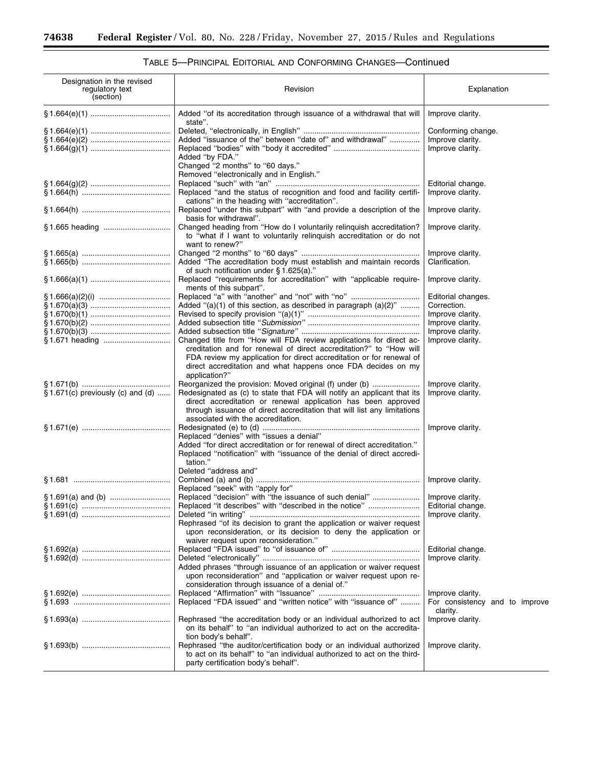$\equiv$ 

| Designation in the revised<br>regulatory text<br>(section) | Revision                                                                                                                                                                                                                                                                                           | Explanation                                        |
|------------------------------------------------------------|----------------------------------------------------------------------------------------------------------------------------------------------------------------------------------------------------------------------------------------------------------------------------------------------------|----------------------------------------------------|
|                                                            | Added "of its accreditation through issuance of a withdrawal that will<br>state".                                                                                                                                                                                                                  | Improve clarity.                                   |
|                                                            | Added "issuance of the" between "date of" and withdrawal"                                                                                                                                                                                                                                          | Conforming change.<br>Improve clarity.             |
|                                                            | Added "by FDA."<br>Changed "2 months" to "60 days."                                                                                                                                                                                                                                                | Improve clarity.                                   |
|                                                            | Removed "electronically and in English."                                                                                                                                                                                                                                                           |                                                    |
|                                                            | Replaced "and the status of recognition and food and facility certifi-                                                                                                                                                                                                                             | Editorial change.<br>Improve clarity.              |
|                                                            | cations" in the heading with "accreditation".<br>Replaced "under this subpart" with "and provide a description of the                                                                                                                                                                              | Improve clarity.                                   |
|                                                            | basis for withdrawal".                                                                                                                                                                                                                                                                             |                                                    |
|                                                            | Changed heading from "How do I voluntarily relinquish accreditation?<br>to "what if I want to voluntarily relinguish accreditation or do not<br>want to renew?"                                                                                                                                    | Improve clarity.                                   |
|                                                            |                                                                                                                                                                                                                                                                                                    | Improve clarity.                                   |
|                                                            | Added "The accreditation body must establish and maintain records<br>of such notification under § 1.625(a)."                                                                                                                                                                                       | Clarification.                                     |
|                                                            | Replaced "requirements for accreditation" with "applicable require-<br>ments of this subpart".                                                                                                                                                                                                     | Improve clarity.                                   |
|                                                            | Added "(a)(1) of this section, as described in paragraph (a)(2)"                                                                                                                                                                                                                                   | Editorial changes.<br>Correction.                  |
|                                                            |                                                                                                                                                                                                                                                                                                    | Improve clarity.                                   |
|                                                            |                                                                                                                                                                                                                                                                                                    | Improve clarity.                                   |
|                                                            |                                                                                                                                                                                                                                                                                                    | Improve clarity.                                   |
|                                                            | Changed title from "How will FDA review applications for direct ac-<br>creditation and for renewal of direct accreditation?" to "How will<br>FDA review my application for direct accreditation or for renewal of<br>direct accreditation and what happens once FDA decides on my<br>application?" | Improve clarity.                                   |
|                                                            |                                                                                                                                                                                                                                                                                                    | Improve clarity.                                   |
| $\S 1.671(c)$ previously (c) and (d)                       | Redesignated as (c) to state that FDA will notify an applicant that its<br>direct accreditation or renewal application has been approved<br>through issuance of direct accreditation that will list any limitations<br>associated with the accreditation.                                          | Improve clarity.                                   |
|                                                            |                                                                                                                                                                                                                                                                                                    | Improve clarity.                                   |
|                                                            | Replaced "denies" with "issues a denial"<br>Added "for direct accreditation or for renewal of direct accreditation."<br>Replaced "notification" with "issuance of the denial of direct accredi-<br>tation."<br>Deleted "address and"                                                               |                                                    |
|                                                            |                                                                                                                                                                                                                                                                                                    | Improve clarity.                                   |
|                                                            | Replaced "seek" with "apply for"                                                                                                                                                                                                                                                                   |                                                    |
|                                                            | Replaced "it describes" with "described in the notice"                                                                                                                                                                                                                                             | Improve clarity.<br>Editorial change.              |
|                                                            |                                                                                                                                                                                                                                                                                                    | Improve clarity.                                   |
|                                                            | Rephrased "of its decision to grant the application or waiver request<br>upon reconsideration, or its decision to deny the application or<br>waiver request upon reconsideration."                                                                                                                 |                                                    |
|                                                            |                                                                                                                                                                                                                                                                                                    | Editorial change.                                  |
|                                                            | Added phrases "through issuance of an application or waiver request<br>upon reconsideration" and "application or waiver request upon re-<br>consideration through issuance of a denial of."                                                                                                        | Improve clarity.                                   |
|                                                            | Replaced "FDA issued" and "written notice" with "issuance of"                                                                                                                                                                                                                                      | Improve clarity.<br>For consistency and to improve |
|                                                            | Rephrased "the accreditation body or an individual authorized to act<br>on its behalf" to "an individual authorized to act on the accredita-<br>tion body's behalf".                                                                                                                               | clarity.<br>Improve clarity.                       |
|                                                            | Rephrased "the auditor/certification body or an individual authorized<br>to act on its behalf" to "an individual authorized to act on the third-<br>party certification body's behalf".                                                                                                            | Improve clarity.                                   |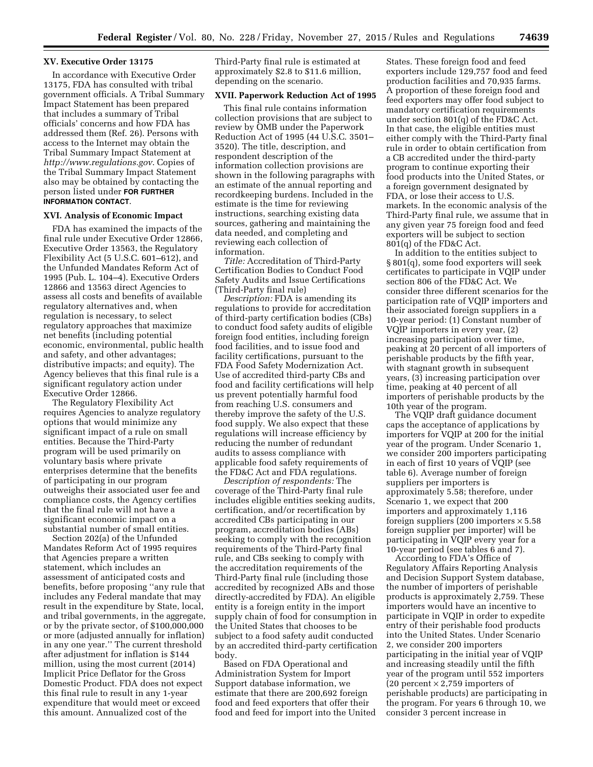#### **XV. Executive Order 13175**

In accordance with Executive Order 13175, FDA has consulted with tribal government officials. A Tribal Summary Impact Statement has been prepared that includes a summary of Tribal officials' concerns and how FDA has addressed them (Ref. 26). Persons with access to the Internet may obtain the Tribal Summary Impact Statement at *<http://www.regulations.gov>*. Copies of the Tribal Summary Impact Statement also may be obtained by contacting the person listed under **FOR FURTHER INFORMATION CONTACT**.

#### **XVI. Analysis of Economic Impact**

FDA has examined the impacts of the final rule under Executive Order 12866, Executive Order 13563, the Regulatory Flexibility Act (5 U.S.C. 601–612), and the Unfunded Mandates Reform Act of 1995 (Pub. L. 104–4). Executive Orders 12866 and 13563 direct Agencies to assess all costs and benefits of available regulatory alternatives and, when regulation is necessary, to select regulatory approaches that maximize net benefits (including potential economic, environmental, public health and safety, and other advantages; distributive impacts; and equity). The Agency believes that this final rule is a significant regulatory action under Executive Order 12866.

The Regulatory Flexibility Act requires Agencies to analyze regulatory options that would minimize any significant impact of a rule on small entities. Because the Third-Party program will be used primarily on voluntary basis where private enterprises determine that the benefits of participating in our program outweighs their associated user fee and compliance costs, the Agency certifies that the final rule will not have a significant economic impact on a substantial number of small entities.

Section 202(a) of the Unfunded Mandates Reform Act of 1995 requires that Agencies prepare a written statement, which includes an assessment of anticipated costs and benefits, before proposing ''any rule that includes any Federal mandate that may result in the expenditure by State, local, and tribal governments, in the aggregate, or by the private sector, of \$100,000,000 or more (adjusted annually for inflation) in any one year.'' The current threshold after adjustment for inflation is \$144 million, using the most current (2014) Implicit Price Deflator for the Gross Domestic Product. FDA does not expect this final rule to result in any 1-year expenditure that would meet or exceed this amount. Annualized cost of the

Third-Party final rule is estimated at approximately \$2.8 to \$11.6 million, depending on the scenario.

## **XVII. Paperwork Reduction Act of 1995**

This final rule contains information collection provisions that are subject to review by OMB under the Paperwork Reduction Act of 1995 (44 U.S.C. 3501– 3520). The title, description, and respondent description of the information collection provisions are shown in the following paragraphs with an estimate of the annual reporting and recordkeeping burdens. Included in the estimate is the time for reviewing instructions, searching existing data sources, gathering and maintaining the data needed, and completing and reviewing each collection of information.

*Title:* Accreditation of Third-Party Certification Bodies to Conduct Food Safety Audits and Issue Certifications (Third-Party final rule)

*Description:* FDA is amending its regulations to provide for accreditation of third-party certification bodies (CBs) to conduct food safety audits of eligible foreign food entities, including foreign food facilities, and to issue food and facility certifications, pursuant to the FDA Food Safety Modernization Act. Use of accredited third-party CBs and food and facility certifications will help us prevent potentially harmful food from reaching U.S. consumers and thereby improve the safety of the U.S. food supply. We also expect that these regulations will increase efficiency by reducing the number of redundant audits to assess compliance with applicable food safety requirements of the FD&C Act and FDA regulations.

*Description of respondents:* The coverage of the Third-Party final rule includes eligible entities seeking audits, certification, and/or recertification by accredited CBs participating in our program, accreditation bodies (ABs) seeking to comply with the recognition requirements of the Third-Party final rule, and CBs seeking to comply with the accreditation requirements of the Third-Party final rule (including those accredited by recognized ABs and those directly-accredited by FDA). An eligible entity is a foreign entity in the import supply chain of food for consumption in the United States that chooses to be subject to a food safety audit conducted by an accredited third-party certification body.

Based on FDA Operational and Administration System for Import Support database information, we estimate that there are 200,692 foreign food and feed exporters that offer their food and feed for import into the United

States. These foreign food and feed exporters include 129,757 food and feed production facilities and 70,935 farms. A proportion of these foreign food and feed exporters may offer food subject to mandatory certification requirements under section 801(q) of the FD&C Act. In that case, the eligible entities must either comply with the Third-Party final rule in order to obtain certification from a CB accredited under the third-party program to continue exporting their food products into the United States, or a foreign government designated by FDA, or lose their access to U.S. markets. In the economic analysis of the Third-Party final rule, we assume that in any given year 75 foreign food and feed exporters will be subject to section 801(q) of the FD&C Act.

In addition to the entities subject to § 801(q), some food exporters will seek certificates to participate in VQIP under section 806 of the FD&C Act. We consider three different scenarios for the participation rate of VQIP importers and their associated foreign suppliers in a 10-year period: (1) Constant number of VQIP importers in every year, (2) increasing participation over time, peaking at 20 percent of all importers of perishable products by the fifth year, with stagnant growth in subsequent years, (3) increasing participation over time, peaking at 40 percent of all importers of perishable products by the 10th year of the program.

The VQIP draft guidance document caps the acceptance of applications by importers for VQIP at 200 for the initial year of the program. Under Scenario 1, we consider 200 importers participating in each of first 10 years of VQIP (see table 6). Average number of foreign suppliers per importers is approximately 5.58; therefore, under Scenario 1, we expect that 200 importers and approximately 1,116 foreign suppliers (200 importers  $\times$  5.58 foreign supplier per importer) will be participating in VQIP every year for a 10-year period (see tables 6 and 7).

According to FDA's Office of Regulatory Affairs Reporting Analysis and Decision Support System database, the number of importers of perishable products is approximately 2,759. These importers would have an incentive to participate in VQIP in order to expedite entry of their perishable food products into the United States. Under Scenario 2, we consider 200 importers participating in the initial year of VQIP and increasing steadily until the fifth year of the program until 552 importers (20 percent  $\times$  2,759 importers of perishable products) are participating in the program. For years 6 through 10, we consider 3 percent increase in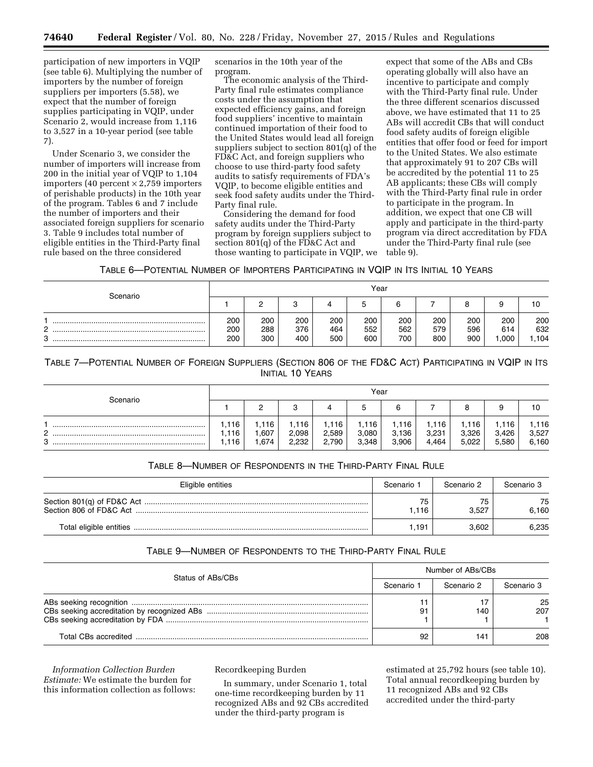participation of new importers in VQIP (see table 6). Multiplying the number of importers by the number of foreign suppliers per importers (5.58), we expect that the number of foreign supplies participating in VQIP, under Scenario 2, would increase from 1,116 to 3,527 in a 10-year period (see table 7).

Under Scenario 3, we consider the number of importers will increase from 200 in the initial year of VQIP to 1,104 importers (40 percent  $\times$  2,759 importers of perishable products) in the 10th year of the program. Tables 6 and 7 include the number of importers and their associated foreign suppliers for scenario 3. Table 9 includes total number of eligible entities in the Third-Party final rule based on the three considered

scenarios in the 10th year of the program.

The economic analysis of the Third-Party final rule estimates compliance costs under the assumption that expected efficiency gains, and foreign food suppliers' incentive to maintain continued importation of their food to the United States would lead all foreign suppliers subject to section 801(q) of the FD&C Act, and foreign suppliers who choose to use third-party food safety audits to satisfy requirements of FDA's VQIP, to become eligible entities and seek food safety audits under the Third-Party final rule.

Considering the demand for food safety audits under the Third-Party program by foreign suppliers subject to section 801(q) of the FD&C Act and those wanting to participate in VQIP, we

expect that some of the ABs and CBs operating globally will also have an incentive to participate and comply with the Third-Party final rule. Under the three different scenarios discussed above, we have estimated that 11 to 25 ABs will accredit CBs that will conduct food safety audits of foreign eligible entities that offer food or feed for import to the United States. We also estimate that approximately 91 to 207 CBs will be accredited by the potential 11 to 25 AB applicants; these CBs will comply with the Third-Party final rule in order to participate in the program. In addition, we expect that one CB will apply and participate in the third-party program via direct accreditation by FDA under the Third-Party final rule (see table 9).

TABLE 6—POTENTIAL NUMBER OF IMPORTERS PARTICIPATING IN VQIP IN ITS INITIAL 10 YEARS

| Scenario         | Year              |                   |                   |                   |                   |                   |                   |                   |                    |                    |
|------------------|-------------------|-------------------|-------------------|-------------------|-------------------|-------------------|-------------------|-------------------|--------------------|--------------------|
|                  |                   |                   |                   |                   |                   |                   |                   |                   |                    |                    |
| c<br>_<br>c<br>ັ | 200<br>200<br>200 | 200<br>288<br>300 | 200<br>376<br>400 | 200<br>464<br>500 | 200<br>552<br>600 | 200<br>562<br>700 | 200<br>579<br>800 | 200<br>596<br>900 | 200<br>614<br>,000 | 200<br>632<br>.104 |

## TABLE 7—POTENTIAL NUMBER OF FOREIGN SUPPLIERS (SECTION 806 OF THE FD&C ACT) PARTICIPATING IN VQIP IN ITS INITIAL 10 YEARS

| Scenario    | Year               |                      |                       |                         |                        |                         |                         |                         |                        |                         |
|-------------|--------------------|----------------------|-----------------------|-------------------------|------------------------|-------------------------|-------------------------|-------------------------|------------------------|-------------------------|
|             |                    |                      |                       |                         |                        | ี                       |                         |                         |                        | 10                      |
| $\sim$<br>o | .116<br>116<br>116 | .116<br>.607<br>.674 | 116<br>2,098<br>2,232 | i.116<br>2,589<br>2,790 | .116<br>3,080<br>3,348 | 116،،<br>3,136<br>3,906 | 1.116<br>3,231<br>4,464 | i.116<br>3,326<br>5.022 | .116<br>3,426<br>5,580 | 1.116<br>3,527<br>6,160 |

## TABLE 8—NUMBER OF RESPONDENTS IN THE THIRD-PARTY FINAL RULE

| Eligible entities | Scenario <sup>-</sup> | Scenario 2 | Scenario 3  |
|-------------------|-----------------------|------------|-------------|
|                   | 75<br>. 116           | 3.527      | 75<br>6.160 |
|                   | .191                  | 3.602      | 6.235       |

## TABLE 9—NUMBER OF RESPONDENTS TO THE THIRD-PARTY FINAL RULE

| Status of ABs/CBs |            | Number of ABs/CBs |            |  |  |  |  |
|-------------------|------------|-------------------|------------|--|--|--|--|
|                   | Scenario 1 | Scenario 2        | Scenario 3 |  |  |  |  |
|                   | 91         | 140               | 25<br>207  |  |  |  |  |
|                   | 92         | 141               | 208        |  |  |  |  |

*Information Collection Burden Estimate:* We estimate the burden for this information collection as follows: Recordkeeping Burden

In summary, under Scenario 1, total one-time recordkeeping burden by 11 recognized ABs and 92 CBs accredited under the third-party program is

estimated at 25,792 hours (see table 10). Total annual recordkeeping burden by 11 recognized ABs and 92 CBs accredited under the third-party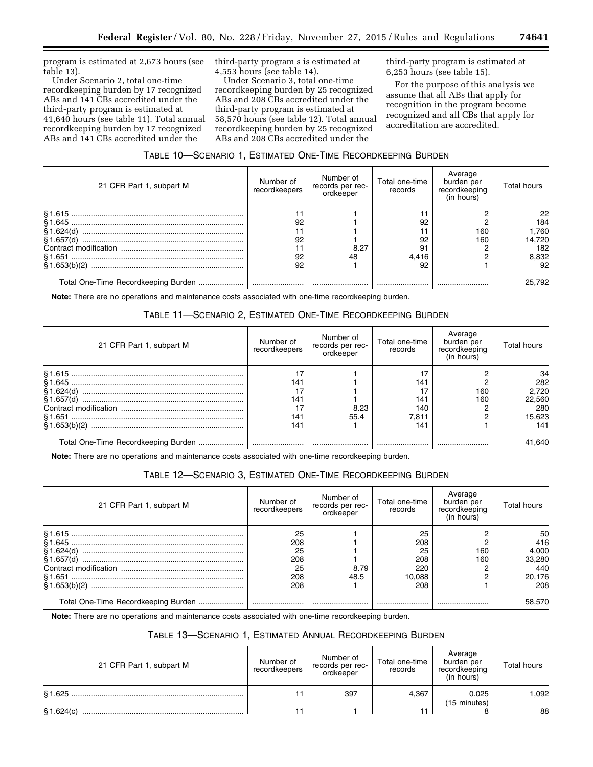program is estimated at 2,673 hours (see table 13).

Under Scenario 2, total one-time recordkeeping burden by 17 recognized ABs and 141 CBs accredited under the third-party program is estimated at 41,640 hours (see table 11). Total annual recordkeeping burden by 17 recognized ABs and 141 CBs accredited under the

third-party program s is estimated at 4,553 hours (see table 14).

Under Scenario 3, total one-time recordkeeping burden by 25 recognized ABs and 208 CBs accredited under the third-party program is estimated at 58,570 hours (see table 12). Total annual recordkeeping burden by 25 recognized ABs and 208 CBs accredited under the

third-party program is estimated at 6,253 hours (see table 15).

For the purpose of this analysis we assume that all ABs that apply for recognition in the program become recognized and all CBs that apply for accreditation are accredited.

|  |  |  |  | Table 10—Scenario 1, Estimated One-Time Recordkeeping Burden |  |
|--|--|--|--|--------------------------------------------------------------|--|
|--|--|--|--|--------------------------------------------------------------|--|

| 21 CFR Part 1, subpart M            | Number of<br>recordkeepers | Number of<br>records per rec-<br>ordkeeper | Total one-time<br>records | Average<br>burden per<br>recordkeeping<br>(in hours) | Total hours |
|-------------------------------------|----------------------------|--------------------------------------------|---------------------------|------------------------------------------------------|-------------|
|                                     |                            |                                            |                           |                                                      | 22          |
|                                     | 92                         |                                            | 92                        |                                                      | 184         |
| § 1.624(d) ……………………………………………………………… |                            |                                            |                           | 160                                                  | 1,760       |
|                                     | 92                         |                                            | 92                        | 160                                                  | 14,720      |
|                                     |                            | 8.27                                       | 91                        |                                                      | 182         |
|                                     | 92                         | 48                                         | 4.416                     |                                                      | 8,832       |
|                                     | 92                         |                                            | 92                        |                                                      |             |
| Total One-Time Recordkeeping Burden |                            |                                            |                           |                                                      | 25.792      |

**Note:** There are no operations and maintenance costs associated with one-time recordkeeping burden.

# TABLE 11—SCENARIO 2, ESTIMATED ONE-TIME RECORDKEEPING BURDEN

| 21 CFR Part 1, subpart M | Number of<br>recordkeepers | Number of<br>records per rec-<br>ordkeeper | Total one-time<br>records | Average<br>burden per<br>recordkeeping<br>(in hours) | Total hours |
|--------------------------|----------------------------|--------------------------------------------|---------------------------|------------------------------------------------------|-------------|
|                          |                            |                                            |                           |                                                      | 34          |
|                          | 141                        |                                            | 141                       |                                                      | 282         |
|                          |                            |                                            |                           | 160                                                  | 2,720       |
|                          | 141                        |                                            | 141                       | 160                                                  | 22.560      |
|                          |                            | 8.23                                       | 140                       |                                                      | 280         |
|                          | 141                        | 55.4                                       | 7.811                     |                                                      | 15,623      |
|                          | 141                        |                                            | 141                       |                                                      | 141         |
|                          |                            |                                            |                           |                                                      | 41,640      |

**Note:** There are no operations and maintenance costs associated with one-time recordkeeping burden.

## TABLE 12—SCENARIO 3, ESTIMATED ONE-TIME RECORDKEEPING BURDEN

| 21 CFR Part 1, subpart M | Number of<br>recordkeepers | Number of<br>records per rec-<br>ordkeeper | Total one-time<br>records | Average<br>burden per<br>recordkeeping<br>(in hours) | Total hours |
|--------------------------|----------------------------|--------------------------------------------|---------------------------|------------------------------------------------------|-------------|
|                          | 25                         |                                            | 25                        |                                                      | 50          |
|                          | 208                        |                                            | 208                       |                                                      | 416         |
|                          | 25                         |                                            | 25                        | 160                                                  | 4,000       |
|                          | 208                        |                                            | 208                       | 160                                                  | 33,280      |
|                          | 25                         | 8.79                                       | 220                       |                                                      | 440         |
|                          | 208                        | 48.5                                       | 10.088                    |                                                      | 20,176      |
|                          | 208                        |                                            | 208                       |                                                      | 208         |
|                          |                            |                                            |                           |                                                      | 58.570      |

**Note:** There are no operations and maintenance costs associated with one-time recordkeeping burden.

# TABLE 13—SCENARIO 1, ESTIMATED ANNUAL RECORDKEEPING BURDEN

| 21 CFR Part 1, subpart M | Number of<br>recordkeepers | Number of<br>records per rec-<br>ordkeeper | Total one-time<br>records | Average<br>burden per<br>recordkeeping<br>(in hours) | Total hours |
|--------------------------|----------------------------|--------------------------------------------|---------------------------|------------------------------------------------------|-------------|
| § 1.625                  |                            | 397                                        | 4,367                     | 0.025<br>(15 minutes)                                | 1.092       |
| \$1.624(c)               | 11                         |                                            |                           |                                                      | 88          |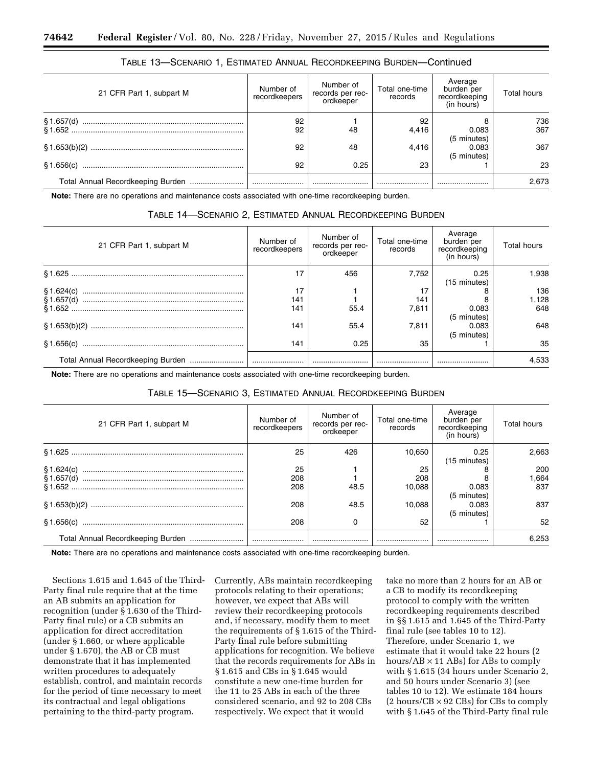| 21 CFR Part 1, subpart M | Number of<br>recordkeepers | Number of<br>records per rec-<br>ordkeeper | Total one-time<br>records | Average<br>burden per<br>recordkeeping<br>(in hours) | <b>Total hours</b> |
|--------------------------|----------------------------|--------------------------------------------|---------------------------|------------------------------------------------------|--------------------|
|                          | 92<br>92                   | 48                                         | 92<br>4,416               | 0.083                                                | 736<br>367         |
|                          | 92                         | 48                                         | 4,416                     | (5 minutes)<br>0.083                                 | 367                |
|                          | 92                         | 0.25                                       | 23                        | (5 minutes)                                          | 23                 |
|                          |                            |                                            |                           |                                                      | 2,673              |

## TABLE 13—SCENARIO 1, ESTIMATED ANNUAL RECORDKEEPING BURDEN—Continued

**Note:** There are no operations and maintenance costs associated with one-time recordkeeping burden.

# TABLE 14—SCENARIO 2, ESTIMATED ANNUAL RECORDKEEPING BURDEN

| 21 CFR Part 1, subpart M          | Number of<br>recordkeepers | Number of<br>records per rec-<br>ordkeeper | Total one-time<br>records | Average<br>burden per<br>recordkeeping<br>(in hours) | <b>Total hours</b> |
|-----------------------------------|----------------------------|--------------------------------------------|---------------------------|------------------------------------------------------|--------------------|
|                                   | 17                         | 456                                        | 7.752                     | 0.25<br>(15 minutes)                                 | 1.938              |
|                                   | 17                         |                                            | 17                        |                                                      | 136                |
|                                   | 141                        |                                            | 141                       |                                                      | 1,128              |
|                                   | 141                        | 55.4                                       | 7,811                     | 0.083                                                | 648                |
|                                   |                            |                                            |                           | (5 minutes)                                          |                    |
|                                   | 141                        | 55.4                                       | 7.811                     | 0.083                                                | 648                |
|                                   |                            |                                            |                           | (5 minutes)                                          |                    |
|                                   | 141                        | 0.25                                       | 35                        |                                                      | 35                 |
| Total Annual Recordkeeping Burden |                            |                                            |                           |                                                      | 4.533              |

**Note:** There are no operations and maintenance costs associated with one-time recordkeeping burden.

| 21 CFR Part 1, subpart M | Number of<br>recordkeepers | Number of<br>records per rec-<br>ordkeeper | Total one-time<br>records | Average<br>burden per<br>recordkeeping<br>(in hours) | <b>Total hours</b> |
|--------------------------|----------------------------|--------------------------------------------|---------------------------|------------------------------------------------------|--------------------|
|                          | 25                         | 426                                        | 10,650                    | 0.25<br>(15 minutes)                                 | 2,663              |
|                          | 25<br>208                  |                                            | 25<br>208                 |                                                      | 200<br>1,664       |
|                          | 208                        | 48.5                                       | 10,088                    | 0.083<br>(5 minutes)                                 | 837                |
|                          | 208                        | 48.5                                       | 10.088                    | 0.083<br>(5 minutes)                                 | 837                |
|                          | 208                        |                                            | 52                        |                                                      | 52                 |
|                          |                            |                                            |                           |                                                      | 6.253              |

## TABLE 15—SCENARIO 3, ESTIMATED ANNUAL RECORDKEEPING BURDEN

**Note:** There are no operations and maintenance costs associated with one-time recordkeeping burden.

Sections 1.615 and 1.645 of the Third-Party final rule require that at the time an AB submits an application for recognition (under § 1.630 of the Third-Party final rule) or a CB submits an application for direct accreditation (under § 1.660, or where applicable under § 1.670), the AB or CB must demonstrate that it has implemented written procedures to adequately establish, control, and maintain records for the period of time necessary to meet its contractual and legal obligations pertaining to the third-party program.

Currently, ABs maintain recordkeeping protocols relating to their operations; however, we expect that ABs will review their recordkeeping protocols and, if necessary, modify them to meet the requirements of § 1.615 of the Third-Party final rule before submitting applications for recognition. We believe that the records requirements for ABs in § 1.615 and CBs in § 1.645 would constitute a new one-time burden for the 11 to 25 ABs in each of the three considered scenario, and 92 to 208 CBs respectively. We expect that it would

take no more than 2 hours for an AB or a CB to modify its recordkeeping protocol to comply with the written recordkeeping requirements described in §§ 1.615 and 1.645 of the Third-Party final rule (see tables 10 to 12). Therefore, under Scenario 1, we estimate that it would take 22 hours (2 hours/ $AB \times 11$  ABs) for ABs to comply with § 1.615 (34 hours under Scenario 2, and 50 hours under Scenario 3) (see tables 10 to 12). We estimate 184 hours  $(2 \text{ hours}/\text{CB} \times 92 \text{ CBs})$  for CBs to comply with § 1.645 of the Third-Party final rule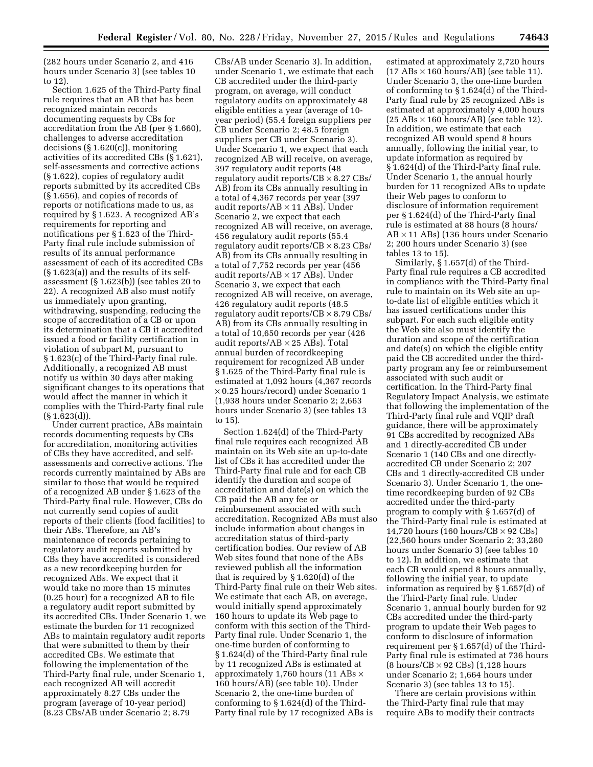(282 hours under Scenario 2, and 416 hours under Scenario 3) (see tables 10 to 12).

Section 1.625 of the Third-Party final rule requires that an AB that has been recognized maintain records documenting requests by CBs for accreditation from the AB (per § 1.660), challenges to adverse accreditation decisions (§ 1.620(c)), monitoring activities of its accredited CBs (§ 1.621), self-assessments and corrective actions (§ 1.622), copies of regulatory audit reports submitted by its accredited CBs (§ 1.656), and copies of records of reports or notifications made to us, as required by § 1.623. A recognized AB's requirements for reporting and notifications per § 1.623 of the Third-Party final rule include submission of results of its annual performance assessment of each of its accredited CBs (§ 1.623(a)) and the results of its selfassessment (§ 1.623(b)) (see tables 20 to 22). A recognized AB also must notify us immediately upon granting, withdrawing, suspending, reducing the scope of accreditation of a CB or upon its determination that a CB it accredited issued a food or facility certification in violation of subpart M, pursuant to § 1.623(c) of the Third-Party final rule. Additionally, a recognized AB must notify us within 30 days after making significant changes to its operations that would affect the manner in which it complies with the Third-Party final rule (§ 1.623(d)).

Under current practice, ABs maintain records documenting requests by CBs for accreditation, monitoring activities of CBs they have accredited, and selfassessments and corrective actions. The records currently maintained by ABs are similar to those that would be required of a recognized AB under § 1.623 of the Third-Party final rule. However, CBs do not currently send copies of audit reports of their clients (food facilities) to their ABs. Therefore, an AB's maintenance of records pertaining to regulatory audit reports submitted by CBs they have accredited is considered as a new recordkeeping burden for recognized ABs. We expect that it would take no more than 15 minutes (0.25 hour) for a recognized AB to file a regulatory audit report submitted by its accredited CBs. Under Scenario 1, we estimate the burden for 11 recognized ABs to maintain regulatory audit reports that were submitted to them by their accredited CBs. We estimate that following the implementation of the Third-Party final rule, under Scenario 1, each recognized AB will accredit approximately 8.27 CBs under the program (average of 10-year period) (8.23 CBs/AB under Scenario 2; 8.79

CBs/AB under Scenario 3). In addition, under Scenario 1, we estimate that each CB accredited under the third-party program, on average, will conduct regulatory audits on approximately 48 eligible entities a year (average of 10 year period) (55.4 foreign suppliers per CB under Scenario 2; 48.5 foreign suppliers per CB under Scenario 3). Under Scenario 1, we expect that each recognized AB will receive, on average, 397 regulatory audit reports (48 regulatory audit reports/ $CB \times 8.27$  CBs/ AB) from its CBs annually resulting in a total of 4,367 records per year (397 audit reports/ $AB \times 11$  ABs). Under Scenario 2, we expect that each recognized AB will receive, on average, 456 regulatory audit reports (55.4 regulatory audit reports/ $CB \times 8.23$  CBs/ AB) from its CBs annually resulting in a total of 7,752 records per year (456 audit reports/ $AB \times 17$  ABs). Under Scenario 3, we expect that each recognized AB will receive, on average, 426 regulatory audit reports (48.5 regulatory audit reports/ $CB \times 8.79$  CBs/ AB) from its CBs annually resulting in a total of 10,650 records per year (426 audit reports/ $AB \times 25$  ABs). Total annual burden of recordkeeping requirement for recognized AB under § 1.625 of the Third-Party final rule is estimated at 1,092 hours (4,367 records × 0.25 hours/record) under Scenario 1 (1,938 hours under Scenario 2; 2,663 hours under Scenario 3) (see tables 13 to 15).

Section 1.624(d) of the Third-Party final rule requires each recognized AB maintain on its Web site an up-to-date list of CBs it has accredited under the Third-Party final rule and for each CB identify the duration and scope of accreditation and date(s) on which the CB paid the AB any fee or reimbursement associated with such accreditation. Recognized ABs must also include information about changes in accreditation status of third-party certification bodies. Our review of AB Web sites found that none of the ABs reviewed publish all the information that is required by § 1.620(d) of the Third-Party final rule on their Web sites. We estimate that each AB, on average, would initially spend approximately 160 hours to update its Web page to conform with this section of the Third-Party final rule. Under Scenario 1, the one-time burden of conforming to § 1.624(d) of the Third-Party final rule by 11 recognized ABs is estimated at approximately 1,760 hours (11 ABs  $\times$ 160 hours/AB) (see table 10). Under Scenario 2, the one-time burden of conforming to § 1.624(d) of the Third-Party final rule by 17 recognized ABs is

estimated at approximately 2,720 hours  $(17 ABs \times 160 hours/AB)$  (see table 11). Under Scenario 3, the one-time burden of conforming to § 1.624(d) of the Third-Party final rule by 25 recognized ABs is estimated at approximately 4,000 hours  $(25 \text{ ABs} \times 160 \text{ hours/AB})$  (see table 12). In addition, we estimate that each recognized AB would spend 8 hours annually, following the initial year, to update information as required by § 1.624(d) of the Third-Party final rule. Under Scenario 1, the annual hourly burden for 11 recognized ABs to update their Web pages to conform to disclosure of information requirement per § 1.624(d) of the Third-Party final rule is estimated at 88 hours (8 hours/ AB × 11 ABs) (136 hours under Scenario 2; 200 hours under Scenario 3) (see tables 13 to 15).

Similarly, § 1.657(d) of the Third-Party final rule requires a CB accredited in compliance with the Third-Party final rule to maintain on its Web site an upto-date list of eligible entities which it has issued certifications under this subpart. For each such eligible entity the Web site also must identify the duration and scope of the certification and date(s) on which the eligible entity paid the CB accredited under the thirdparty program any fee or reimbursement associated with such audit or certification. In the Third-Party final Regulatory Impact Analysis, we estimate that following the implementation of the Third-Party final rule and VQIP draft guidance, there will be approximately 91 CBs accredited by recognized ABs and 1 directly-accredited CB under Scenario 1 (140 CBs and one directlyaccredited CB under Scenario 2; 207 CBs and 1 directly-accredited CB under Scenario 3). Under Scenario 1, the onetime recordkeeping burden of 92 CBs accredited under the third-party program to comply with § 1.657(d) of the Third-Party final rule is estimated at 14,720 hours (160 hours/ $CB \times 92$  CBs) (22,560 hours under Scenario 2; 33,280 hours under Scenario 3) (see tables 10 to 12). In addition, we estimate that each CB would spend 8 hours annually, following the initial year, to update information as required by § 1.657(d) of the Third-Party final rule. Under Scenario 1, annual hourly burden for 92 CBs accredited under the third-party program to update their Web pages to conform to disclosure of information requirement per § 1.657(d) of the Third-Party final rule is estimated at 736 hours (8 hours/ $CB \times 92$  CBs) (1,128 hours under Scenario 2; 1,664 hours under Scenario 3) (see tables 13 to 15).

There are certain provisions within the Third-Party final rule that may require ABs to modify their contracts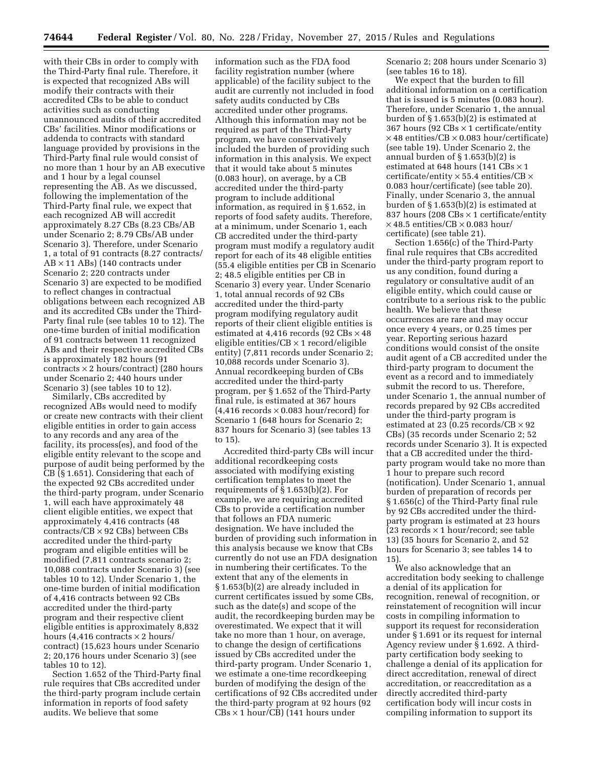with their CBs in order to comply with the Third-Party final rule. Therefore, it is expected that recognized ABs will modify their contracts with their accredited CBs to be able to conduct activities such as conducting unannounced audits of their accredited CBs' facilities. Minor modifications or addenda to contracts with standard language provided by provisions in the Third-Party final rule would consist of no more than 1 hour by an AB executive and 1 hour by a legal counsel representing the AB. As we discussed, following the implementation of the Third-Party final rule, we expect that each recognized AB will accredit approximately 8.27 CBs (8.23 CBs/AB under Scenario 2; 8.79 CBs/AB under Scenario 3). Therefore, under Scenario 1, a total of 91 contracts (8.27 contracts/ AB × 11 ABs) (140 contracts under Scenario 2; 220 contracts under Scenario 3) are expected to be modified to reflect changes in contractual obligations between each recognized AB and its accredited CBs under the Third-Party final rule (see tables 10 to 12). The one-time burden of initial modification of 91 contracts between 11 recognized ABs and their respective accredited CBs is approximately 182 hours (91  $contrast \times 2 hours/contract$  (280 hours under Scenario 2; 440 hours under Scenario 3) (see tables 10 to 12).

Similarly, CBs accredited by recognized ABs would need to modify or create new contracts with their client eligible entities in order to gain access to any records and any area of the facility, its process(es), and food of the eligible entity relevant to the scope and purpose of audit being performed by the CB (§ 1.651). Considering that each of the expected 92 CBs accredited under the third-party program, under Scenario 1, will each have approximately 48 client eligible entities, we expect that approximately 4,416 contracts (48  $controls/CB \times 92$  CBs) between CBs accredited under the third-party program and eligible entities will be modified (7,811 contracts scenario 2; 10,088 contracts under Scenario 3) (see tables 10 to 12). Under Scenario 1, the one-time burden of initial modification of 4,416 contracts between 92 CBs accredited under the third-party program and their respective client eligible entities is approximately 8,832 hours (4,416 contracts  $\times$  2 hours/ contract) (15,623 hours under Scenario 2; 20,176 hours under Scenario 3) (see tables 10 to 12).

Section 1.652 of the Third-Party final rule requires that CBs accredited under the third-party program include certain information in reports of food safety audits. We believe that some

information such as the FDA food facility registration number (where applicable) of the facility subject to the audit are currently not included in food safety audits conducted by CBs accredited under other programs. Although this information may not be required as part of the Third-Party program, we have conservatively included the burden of providing such information in this analysis. We expect that it would take about 5 minutes (0.083 hour), on average, by a CB accredited under the third-party program to include additional information, as required in § 1.652, in reports of food safety audits. Therefore, at a minimum, under Scenario 1, each CB accredited under the third-party program must modify a regulatory audit report for each of its 48 eligible entities (55.4 eligible entities per CB in Scenario 2; 48.5 eligible entities per CB in Scenario 3) every year. Under Scenario 1, total annual records of 92 CBs accredited under the third-party program modifying regulatory audit reports of their client eligible entities is estimated at 4,416 records (92 CBs × 48 eligible entities/ $CB \times 1$  record/eligible entity) (7,811 records under Scenario 2; 10,088 records under Scenario 3). Annual recordkeeping burden of CBs accredited under the third-party program, per § 1.652 of the Third-Party final rule, is estimated at 367 hours  $(4,416$  records  $\times$  0.083 hour/record) for Scenario 1 (648 hours for Scenario 2; 837 hours for Scenario 3) (see tables 13 to 15).

Accredited third-party CBs will incur additional recordkeeping costs associated with modifying existing certification templates to meet the requirements of § 1.653(b)(2). For example, we are requiring accredited CBs to provide a certification number that follows an FDA numeric designation. We have included the burden of providing such information in this analysis because we know that CBs currently do not use an FDA designation in numbering their certificates. To the extent that any of the elements in § 1.653(b)(2) are already included in current certificates issued by some CBs, such as the date(s) and scope of the audit, the recordkeeping burden may be overestimated. We expect that it will take no more than 1 hour, on average, to change the design of certifications issued by CBs accredited under the third-party program. Under Scenario 1, we estimate a one-time recordkeeping burden of modifying the design of the certifications of 92 CBs accredited under the third-party program at 92 hours (92 CBs × 1 hour/CB) (141 hours under

Scenario 2; 208 hours under Scenario 3) (see tables 16 to 18).

We expect that the burden to fill additional information on a certification that is issued is 5 minutes (0.083 hour). Therefore, under Scenario 1, the annual burden of § 1.653(b)(2) is estimated at 367 hours (92  $\text{CBs} \times 1$  certificate/entity  $\times$  48 entities/CB  $\times$  0.083 hour/certificate) (see table 19). Under Scenario 2, the annual burden of § 1.653(b)(2) is estimated at 648 hours (141 CBs × 1 certificate/entity  $\times$  55.4 entities/CB  $\times$ 0.083 hour/certificate) (see table 20). Finally, under Scenario 3, the annual burden of § 1.653(b)(2) is estimated at 837 hours (208  $CBs \times 1$  certificate/entity  $\times$  48.5 entities/CB  $\times$  0.083 hour/ certificate) (see table 21).

Section 1.656(c) of the Third-Party final rule requires that CBs accredited under the third-party program report to us any condition, found during a regulatory or consultative audit of an eligible entity, which could cause or contribute to a serious risk to the public health. We believe that these occurrences are rare and may occur once every 4 years, or 0.25 times per year. Reporting serious hazard conditions would consist of the onsite audit agent of a CB accredited under the third-party program to document the event as a record and to immediately submit the record to us. Therefore, under Scenario 1, the annual number of records prepared by 92 CBs accredited under the third-party program is estimated at 23 (0.25 records/ $CB \times 92$ CBs) (35 records under Scenario 2; 52 records under Scenario 3). It is expected that a CB accredited under the thirdparty program would take no more than 1 hour to prepare such record (notification). Under Scenario 1, annual burden of preparation of records per § 1.656(c) of the Third-Party final rule by 92 CBs accredited under the thirdparty program is estimated at 23 hours  $(23 \text{ records} \times 1 \text{ hour/record}; \text{see table})$ 13) (35 hours for Scenario 2, and 52 hours for Scenario 3; see tables 14 to 15).

We also acknowledge that an accreditation body seeking to challenge a denial of its application for recognition, renewal of recognition, or reinstatement of recognition will incur costs in compiling information to support its request for reconsideration under § 1.691 or its request for internal Agency review under § 1.692. A thirdparty certification body seeking to challenge a denial of its application for direct accreditation, renewal of direct accreditation, or reaccreditation as a directly accredited third-party certification body will incur costs in compiling information to support its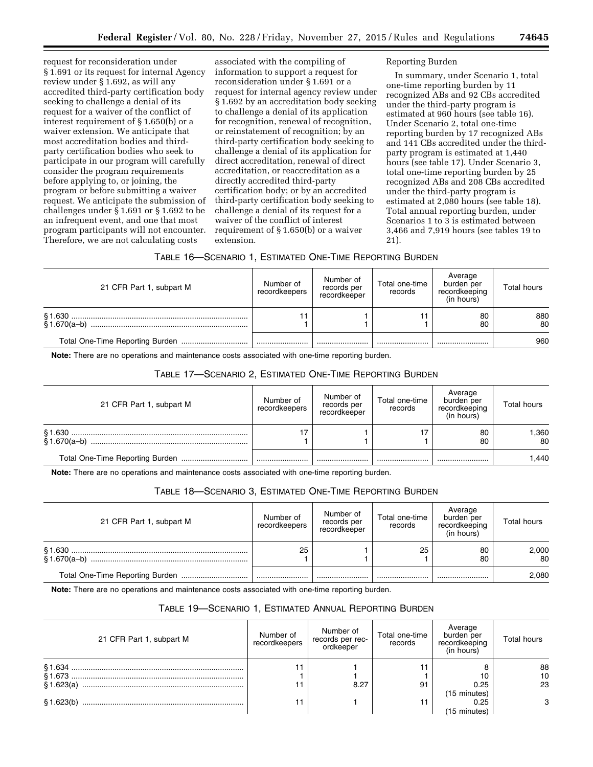request for reconsideration under § 1.691 or its request for internal Agency review under § 1.692, as will any accredited third-party certification body seeking to challenge a denial of its request for a waiver of the conflict of interest requirement of § 1.650(b) or a waiver extension. We anticipate that most accreditation bodies and thirdparty certification bodies who seek to participate in our program will carefully consider the program requirements before applying to, or joining, the program or before submitting a waiver request. We anticipate the submission of challenges under § 1.691 or § 1.692 to be an infrequent event, and one that most program participants will not encounter. Therefore, we are not calculating costs

associated with the compiling of information to support a request for reconsideration under § 1.691 or a request for internal agency review under § 1.692 by an accreditation body seeking to challenge a denial of its application for recognition, renewal of recognition, or reinstatement of recognition; by an third-party certification body seeking to challenge a denial of its application for direct accreditation, renewal of direct accreditation, or reaccreditation as a directly accredited third-party certification body; or by an accredited third-party certification body seeking to challenge a denial of its request for a waiver of the conflict of interest requirement of § 1.650(b) or a waiver extension.

## Reporting Burden

In summary, under Scenario 1, total one-time reporting burden by 11 recognized ABs and 92 CBs accredited under the third-party program is estimated at 960 hours (see table 16). Under Scenario 2, total one-time reporting burden by 17 recognized ABs and 141 CBs accredited under the thirdparty program is estimated at 1,440 hours (see table 17). Under Scenario 3, total one-time reporting burden by 25 recognized ABs and 208 CBs accredited under the third-party program is estimated at 2,080 hours (see table 18). Total annual reporting burden, under Scenarios 1 to 3 is estimated between 3,466 and 7,919 hours (see tables 19 to 21).

|  |  |  | TABLE 16—SCENARIO 1, ESTIMATED ONE-TIME REPORTING BURDEN. |
|--|--|--|-----------------------------------------------------------|
|--|--|--|-----------------------------------------------------------|

| 21 CFR Part 1, subpart M | Number of<br>recordkeepers | Number of<br>records per<br>recordkeeper | Total one-time<br>records | Average<br>burden per<br>recordkeeping<br>(in hours) | <b>Total hours</b> |
|--------------------------|----------------------------|------------------------------------------|---------------------------|------------------------------------------------------|--------------------|
|                          |                            |                                          |                           | 80<br>80                                             | 880<br>80          |
|                          |                            |                                          |                           |                                                      | 960                |

**Note:** There are no operations and maintenance costs associated with one-time reporting burden.

## TABLE 17—SCENARIO 2, ESTIMATED ONE-TIME REPORTING BURDEN

| 21 CFR Part 1, subpart M | Number of<br>recordkeepers | Number of<br>records per<br>recordkeeper | Total one-time<br>records | Average<br>burden per<br>recordkeeping<br>(in hours) | <b>Total hours</b> |
|--------------------------|----------------------------|------------------------------------------|---------------------------|------------------------------------------------------|--------------------|
|                          | 17                         |                                          |                           | 80<br>80                                             | .360<br>80         |
|                          |                            |                                          |                           |                                                      | .440               |

**Note:** There are no operations and maintenance costs associated with one-time reporting burden.

## TABLE 18—SCENARIO 3, ESTIMATED ONE-TIME REPORTING BURDEN

| 21 CFR Part 1, subpart M | Number of<br>recordkeepers | Number of<br>records per<br>recordkeeper | Total one-time<br>records | Average<br>burden per<br>recordkeeping<br>(in hours) | <b>Total hours</b> |
|--------------------------|----------------------------|------------------------------------------|---------------------------|------------------------------------------------------|--------------------|
|                          | 25                         |                                          | 25                        | 80<br>80                                             | 2,000<br>80        |
|                          |                            |                                          |                           |                                                      | 2.080              |

**Note:** There are no operations and maintenance costs associated with one-time reporting burden.

# TABLE 19—SCENARIO 1, ESTIMATED ANNUAL REPORTING BURDEN

| 21 CFR Part 1, subpart M | Number of<br>recordkeepers | Number of<br>records per rec-<br>ordkeeper | Total one-time<br>records | Average<br>burden per<br>recordkeeping<br>(in hours) | <b>Total hours</b> |
|--------------------------|----------------------------|--------------------------------------------|---------------------------|------------------------------------------------------|--------------------|
|                          |                            |                                            |                           |                                                      | 88                 |
|                          |                            |                                            |                           |                                                      | 10                 |
|                          |                            | 8.27                                       | 91                        | 0.25                                                 | 23                 |
|                          |                            |                                            |                           | (15 minutes)                                         |                    |
|                          | 11                         |                                            |                           | 0.25                                                 | 3                  |
|                          |                            |                                            |                           | (15 minutes)                                         |                    |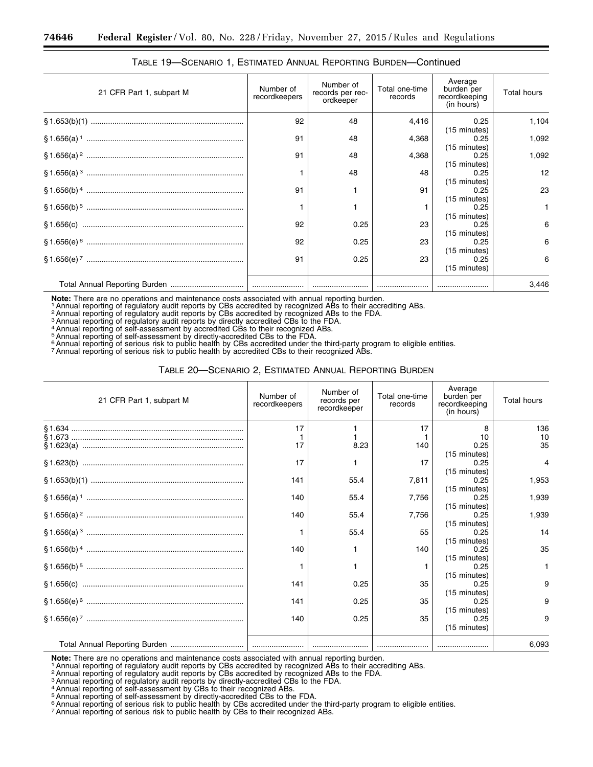| 21 CFR Part 1, subpart M | Number of<br>recordkeepers | Number of<br>records per rec-<br>ordkeeper | Total one-time<br>records | Average<br>burden per<br>recordkeeping<br>(in hours) | <b>Total hours</b> |
|--------------------------|----------------------------|--------------------------------------------|---------------------------|------------------------------------------------------|--------------------|
|                          | 92                         | 48                                         | 4,416                     | 0.25<br>(15 minutes)                                 | 1,104              |
|                          | 91                         | 48                                         | 4,368                     | 0.25<br>(15 minutes)                                 | 1,092              |
|                          | 91                         | 48                                         | 4,368                     | 0.25<br>(15 minutes)                                 | 1,092              |
|                          |                            | 48                                         | 48                        | 0.25<br>(15 minutes)                                 | 12                 |
|                          | 91                         |                                            | 91                        | 0.25<br>(15 minutes)                                 | 23                 |
|                          |                            |                                            |                           | 0.25<br>(15 minutes)                                 | $\mathbf{1}$       |
|                          | 92                         | 0.25                                       | 23                        | 0.25<br>(15 minutes)                                 | 6                  |
|                          | 92                         | 0.25                                       | 23                        | 0.25                                                 | 6                  |
|                          | 91                         | 0.25                                       | 23                        | (15 minutes)<br>0.25<br>(15 minutes)                 | 6                  |
|                          |                            |                                            |                           |                                                      | 3,446              |

# TABLE 19—SCENARIO 1, ESTIMATED ANNUAL REPORTING BURDEN—Continued

Note: There are no operations and maintenance costs associated with annual reporting burden.<br><sup>1</sup> Annual reporting of regulatory audit reports by CBs accredited by recognized ABs to their accrediting ABs.<br><sup>2</sup> Annual reporti

7Annual reporting of serious risk to public health by accredited CBs to their recognized ABs.

## TABLE 20—SCENARIO 2, ESTIMATED ANNUAL REPORTING BURDEN

| 21 CFR Part 1, subpart M | Number of<br>recordkeepers | Number of<br>records per<br>recordkeeper | Total one-time<br>records | Average<br>burden per<br>recordkeeping<br>(in hours) | <b>Total hours</b> |
|--------------------------|----------------------------|------------------------------------------|---------------------------|------------------------------------------------------|--------------------|
|                          | 17                         |                                          | 17                        |                                                      | 136                |
|                          |                            |                                          |                           | 10                                                   | 10                 |
|                          | 17                         | 8.23                                     | 140                       | 0.25                                                 | 35                 |
|                          |                            |                                          |                           | (15 minutes)                                         |                    |
|                          | 17                         |                                          | 17                        | 0.25                                                 | $\overline{4}$     |
|                          |                            |                                          |                           | (15 minutes)                                         |                    |
|                          | 141                        | 55.4                                     | 7,811                     | 0.25                                                 | 1,953              |
|                          |                            |                                          |                           | (15 minutes)                                         |                    |
|                          | 140                        | 55.4                                     | 7.756                     | 0.25                                                 | 1,939              |
|                          |                            |                                          |                           | (15 minutes)                                         |                    |
|                          | 140                        | 55.4                                     | 7,756                     | 0.25                                                 | 1,939              |
|                          |                            |                                          |                           | (15 minutes)                                         |                    |
|                          |                            | 55.4                                     | 55                        | 0.25                                                 | 14                 |
|                          |                            |                                          |                           | $(15 \text{ minutes})$                               |                    |
|                          | 140                        |                                          | 140                       | 0.25                                                 | 35                 |
|                          |                            |                                          |                           | (15 minutes)                                         |                    |
|                          |                            |                                          |                           | 0.25                                                 | $\mathbf{1}$       |
|                          |                            |                                          |                           | (15 minutes)                                         |                    |
|                          | 141                        | 0.25                                     | 35                        | 0.25                                                 | 9                  |
|                          |                            |                                          |                           | (15 minutes)                                         |                    |
|                          | 141                        | 0.25                                     | 35                        | 0.25                                                 | 9                  |
|                          |                            |                                          |                           | (15 minutes)                                         |                    |
|                          | 140                        | 0.25                                     | 35                        | 0.25                                                 | 9                  |
|                          |                            |                                          |                           | (15 minutes)                                         |                    |
|                          |                            |                                          |                           |                                                      | 6,093              |
|                          |                            |                                          |                           |                                                      |                    |

Note: There are no operations and maintenance costs associated with annual reporting burden.<br><sup>1</sup> Annual reporting of regulatory audit reports by CBs accredited by recognized ABs to their accrediting ABs.<br><sup>2</sup> Annual reporti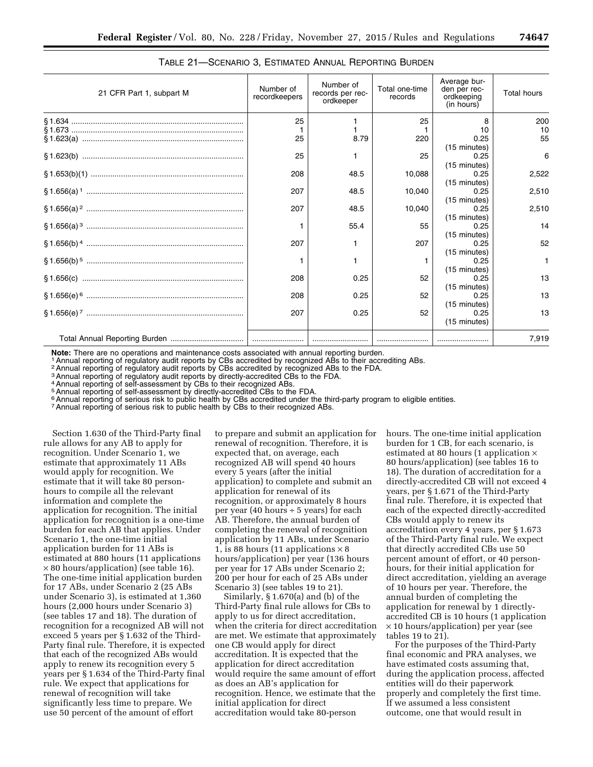| 21 CFR Part 1, subpart M | Number of<br>recordkeepers | Number of<br>records per rec-<br>ordkeeper | Total one-time<br>records | Average bur-<br>den per rec-<br>ordkeeping<br>(in hours) | <b>Total hours</b> |
|--------------------------|----------------------------|--------------------------------------------|---------------------------|----------------------------------------------------------|--------------------|
|                          | 25                         |                                            | 25                        |                                                          | 200                |
|                          |                            |                                            |                           | 10                                                       | 10                 |
|                          | 25                         | 8.79                                       | 220                       | 0.25                                                     | 55                 |
|                          |                            |                                            |                           | (15 minutes)                                             |                    |
|                          | 25                         |                                            | 25                        | 0.25                                                     | 6                  |
|                          |                            |                                            |                           | (15 minutes)                                             |                    |
|                          | 208                        | 48.5                                       | 10,088                    | 0.25                                                     | 2,522              |
|                          |                            |                                            |                           | (15 minutes)                                             |                    |
|                          | 207                        | 48.5                                       | 10.040                    | 0.25                                                     | 2,510              |
|                          |                            |                                            |                           | (15 minutes)                                             |                    |
|                          | 207                        | 48.5                                       | 10,040                    | 0.25                                                     | 2,510              |
|                          |                            |                                            |                           | (15 minutes)                                             |                    |
|                          |                            | 55.4                                       | 55                        | 0.25                                                     | 14                 |
|                          |                            |                                            |                           | (15 minutes)                                             |                    |
|                          | 207                        |                                            | 207                       | 0.25                                                     | 52                 |
|                          |                            |                                            |                           | (15 minutes)                                             |                    |
|                          |                            |                                            |                           | 0.25                                                     | $\mathbf{1}$       |
|                          |                            |                                            |                           | (15 minutes)                                             |                    |
|                          | 208                        | 0.25                                       | 52                        | 0.25                                                     | 13                 |
|                          |                            |                                            |                           | (15 minutes)                                             |                    |
|                          | 208                        | 0.25                                       | 52                        | 0.25                                                     | 13                 |
|                          |                            |                                            |                           | (15 minutes)                                             |                    |
|                          | 207                        | 0.25                                       | 52                        | 0.25                                                     | 13                 |
|                          |                            |                                            |                           | (15 minutes)                                             |                    |
|                          |                            |                                            |                           |                                                          | 7,919              |
|                          |                            |                                            |                           |                                                          |                    |

# TABLE 21—SCENARIO 3, ESTIMATED ANNUAL REPORTING BURDEN

**Note:** There are no operations and maintenance costs associated with annual reporting burden.<br><sup>1</sup> Annual reporting of regulatory audit reports by CBs accredited by recognized ABs to their accrediting ABs.

2Annual reporting of regulatory audit reports by CBs accredited by recognized ABs to the FDA.

3Annual reporting of regulatory audit reports by directly-accredited CBs to the FDA.

4Annual reporting of self-assessment by CBs to their recognized ABs.

5Annual reporting of self-assessment by directly-accredited CBs to the FDA.

6Annual reporting of serious risk to public health by CBs accredited under the third-party program to eligible entities.

<sup>7</sup> Annual reporting of serious risk to public health by CBs to their recognized ABs.

Section 1.630 of the Third-Party final rule allows for any AB to apply for recognition. Under Scenario 1, we estimate that approximately 11 ABs would apply for recognition. We estimate that it will take 80 personhours to compile all the relevant information and complete the application for recognition. The initial application for recognition is a one-time burden for each AB that applies. Under Scenario 1, the one-time initial application burden for 11 ABs is estimated at 880 hours (11 applications  $\times$  80 hours/application) (see table 16). The one-time initial application burden for 17 ABs, under Scenario 2 (25 ABs under Scenario 3), is estimated at 1,360 hours (2,000 hours under Scenario 3) (see tables 17 and 18). The duration of recognition for a recognized AB will not exceed 5 years per § 1.632 of the Third-Party final rule. Therefore, it is expected that each of the recognized ABs would apply to renew its recognition every 5 years per § 1.634 of the Third-Party final rule. We expect that applications for renewal of recognition will take significantly less time to prepare. We use 50 percent of the amount of effort

to prepare and submit an application for renewal of recognition. Therefore, it is expected that, on average, each recognized AB will spend 40 hours every 5 years (after the initial application) to complete and submit an application for renewal of its recognition, or approximately 8 hours per year (40 hours ÷ 5 years) for each AB. Therefore, the annual burden of completing the renewal of recognition application by 11 ABs, under Scenario 1, is 88 hours (11 applications  $\times$  8 hours/application) per year (136 hours per year for 17 ABs under Scenario 2; 200 per hour for each of 25 ABs under Scenario 3) (see tables 19 to 21).

Similarly, § 1.670(a) and (b) of the Third-Party final rule allows for CBs to apply to us for direct accreditation, when the criteria for direct accreditation are met. We estimate that approximately one CB would apply for direct accreditation. It is expected that the application for direct accreditation would require the same amount of effort as does an AB's application for recognition. Hence, we estimate that the initial application for direct accreditation would take 80-person

hours. The one-time initial application burden for 1 CB, for each scenario, is estimated at 80 hours (1 application × 80 hours/application) (see tables 16 to 18). The duration of accreditation for a directly-accredited CB will not exceed 4 years, per § 1.671 of the Third-Party final rule. Therefore, it is expected that each of the expected directly-accredited CBs would apply to renew its accreditation every 4 years, per § 1.673 of the Third-Party final rule. We expect that directly accredited CBs use 50 percent amount of effort, or 40 personhours, for their initial application for direct accreditation, yielding an average of 10 hours per year. Therefore, the annual burden of completing the application for renewal by 1 directlyaccredited CB is 10 hours (1 application × 10 hours/application) per year (see tables 19 to 21).

For the purposes of the Third-Party final economic and PRA analyses, we have estimated costs assuming that, during the application process, affected entities will do their paperwork properly and completely the first time. If we assumed a less consistent outcome, one that would result in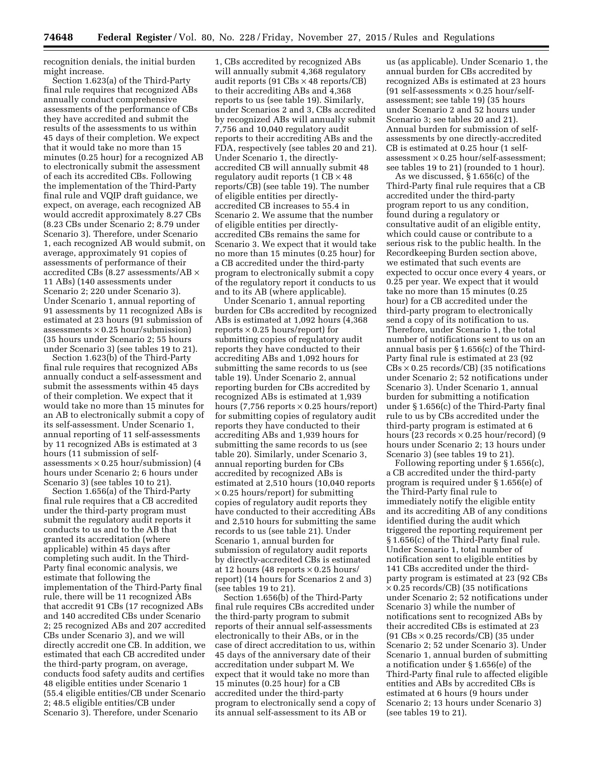recognition denials, the initial burden might increase.

Section 1.623(a) of the Third-Party final rule requires that recognized ABs annually conduct comprehensive assessments of the performance of CBs they have accredited and submit the results of the assessments to us within 45 days of their completion. We expect that it would take no more than 15 minutes (0.25 hour) for a recognized AB to electronically submit the assessment of each its accredited CBs. Following the implementation of the Third-Party final rule and VQIP draft guidance, we expect, on average, each recognized AB would accredit approximately 8.27 CBs (8.23 CBs under Scenario 2; 8.79 under Scenario 3). Therefore, under Scenario 1, each recognized AB would submit, on average, approximately 91 copies of assessments of performance of their accredited CBs (8.27 assessments/AB  $\times$ 11 ABs) (140 assessments under Scenario 2; 220 under Scenario 3). Under Scenario 1, annual reporting of 91 assessments by 11 recognized ABs is estimated at 23 hours (91 submission of assessments  $\times$  0.25 hour/submission) (35 hours under Scenario 2; 55 hours under Scenario 3) (see tables 19 to 21).

Section 1.623(b) of the Third-Party final rule requires that recognized ABs annually conduct a self-assessment and submit the assessments within 45 days of their completion. We expect that it would take no more than 15 minutes for an AB to electronically submit a copy of its self-assessment. Under Scenario 1, annual reporting of 11 self-assessments by 11 recognized ABs is estimated at 3 hours (11 submission of selfassessments  $\times$  0.25 hour/submission) (4 hours under Scenario 2; 6 hours under Scenario 3) (see tables 10 to 21).

Section 1.656(a) of the Third-Party final rule requires that a CB accredited under the third-party program must submit the regulatory audit reports it conducts to us and to the AB that granted its accreditation (where applicable) within 45 days after completing such audit. In the Third-Party final economic analysis, we estimate that following the implementation of the Third-Party final rule, there will be 11 recognized ABs that accredit 91 CBs (17 recognized ABs and 140 accredited CBs under Scenario 2; 25 recognized ABs and 207 accredited CBs under Scenario 3), and we will directly accredit one CB. In addition, we estimated that each CB accredited under the third-party program, on average, conducts food safety audits and certifies 48 eligible entities under Scenario 1 (55.4 eligible entities/CB under Scenario 2; 48.5 eligible entities/CB under Scenario 3). Therefore, under Scenario

1, CBs accredited by recognized ABs will annually submit 4,368 regulatory audit reports (91  $CBs \times 48$  reports/CB) to their accrediting ABs and 4,368 reports to us (see table 19). Similarly, under Scenarios 2 and 3, CBs accredited by recognized ABs will annually submit 7,756 and 10,040 regulatory audit reports to their accrediting ABs and the FDA, respectively (see tables 20 and 21). Under Scenario 1, the directlyaccredited CB will annually submit 48 regulatory audit reports  $(1 \text{ CB} \times 48)$ reports/CB) (see table 19). The number of eligible entities per directlyaccredited CB increases to 55.4 in Scenario 2. We assume that the number of eligible entities per directlyaccredited CBs remains the same for Scenario 3. We expect that it would take no more than 15 minutes (0.25 hour) for a CB accredited under the third-party program to electronically submit a copy of the regulatory report it conducts to us and to its AB (where applicable).

Under Scenario 1, annual reporting burden for CBs accredited by recognized ABs is estimated at 1,092 hours (4,368 reports  $\times$  0.25 hours/report) for submitting copies of regulatory audit reports they have conducted to their accrediting ABs and 1,092 hours for submitting the same records to us (see table 19). Under Scenario 2, annual reporting burden for CBs accredited by recognized ABs is estimated at 1,939 hours (7,756 reports  $\times$  0.25 hours/report) for submitting copies of regulatory audit reports they have conducted to their accrediting ABs and 1,939 hours for submitting the same records to us (see table 20). Similarly, under Scenario 3, annual reporting burden for CBs accredited by recognized ABs is estimated at 2,510 hours (10,040 reports  $\times$  0.25 hours/report) for submitting copies of regulatory audit reports they have conducted to their accrediting ABs and 2,510 hours for submitting the same records to us (see table 21). Under Scenario 1, annual burden for submission of regulatory audit reports by directly-accredited CBs is estimated at 12 hours (48 reports  $\times$  0.25 hours/ report) (14 hours for Scenarios 2 and 3) (see tables 19 to 21).

Section 1.656(b) of the Third-Party final rule requires CBs accredited under the third-party program to submit reports of their annual self-assessments electronically to their ABs, or in the case of direct accreditation to us, within 45 days of the anniversary date of their accreditation under subpart M. We expect that it would take no more than 15 minutes (0.25 hour) for a CB accredited under the third-party program to electronically send a copy of its annual self-assessment to its AB or

us (as applicable). Under Scenario 1, the annual burden for CBs accredited by recognized ABs is estimated at 23 hours  $(91 \text{ self-assessments} \times 0.25 \text{ hour/self}$ assessment; see table 19) (35 hours under Scenario 2 and 52 hours under Scenario 3; see tables 20 and 21). Annual burden for submission of selfassessments by one directly-accredited CB is estimated at 0.25 hour (1 selfassessment  $\times$  0.25 hour/self-assessment; see tables 19 to 21) (rounded to 1 hour).

As we discussed, § 1.656(c) of the Third-Party final rule requires that a CB accredited under the third-party program report to us any condition, found during a regulatory or consultative audit of an eligible entity, which could cause or contribute to a serious risk to the public health. In the Recordkeeping Burden section above, we estimated that such events are expected to occur once every 4 years, or 0.25 per year. We expect that it would take no more than 15 minutes (0.25 hour) for a CB accredited under the third-party program to electronically send a copy of its notification to us. Therefore, under Scenario 1, the total number of notifications sent to us on an annual basis per § 1.656(c) of the Third-Party final rule is estimated at 23 (92  $CBs \times 0.25$  records/CB) (35 notifications under Scenario 2; 52 notifications under Scenario 3). Under Scenario 1, annual burden for submitting a notification under § 1.656(c) of the Third-Party final rule to us by CBs accredited under the third-party program is estimated at 6 hours (23 records  $\times$  0.25 hour/record) (9 hours under Scenario 2; 13 hours under Scenario 3) (see tables 19 to 21).

Following reporting under § 1.656(c), a CB accredited under the third-party program is required under § 1.656(e) of the Third-Party final rule to immediately notify the eligible entity and its accrediting AB of any conditions identified during the audit which triggered the reporting requirement per § 1.656(c) of the Third-Party final rule. Under Scenario 1, total number of notification sent to eligible entities by 141 CBs accredited under the thirdparty program is estimated at 23 (92 CBs  $\times$  0.25 records/CB) (35 notifications under Scenario 2; 52 notifications under Scenario 3) while the number of notifications sent to recognized ABs by their accredited CBs is estimated at 23  $(91 \text{ CBs} \times 0.25 \text{ records} / \text{CB})$  (35 under Scenario 2; 52 under Scenario 3). Under Scenario 1, annual burden of submitting a notification under § 1.656(e) of the Third-Party final rule to affected eligible entities and ABs by accredited CBs is estimated at 6 hours (9 hours under Scenario 2; 13 hours under Scenario 3) (see tables 19 to 21).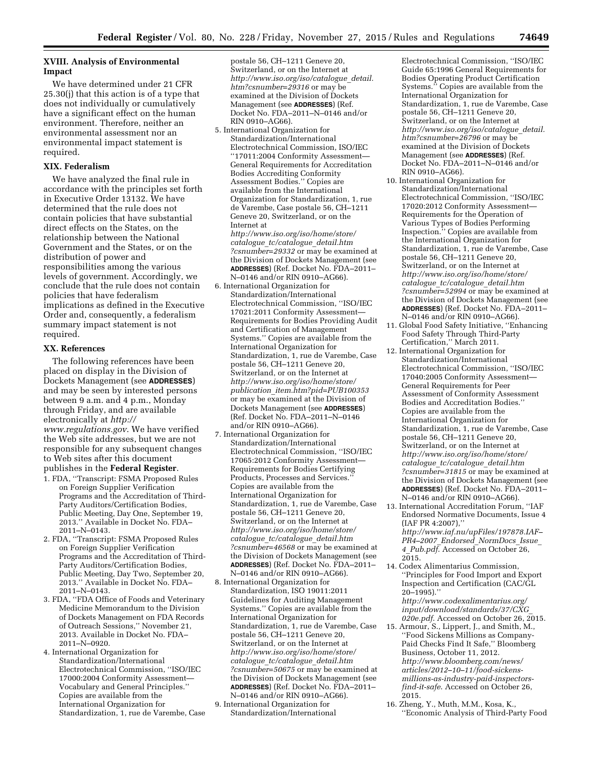## **XVIII. Analysis of Environmental Impact**

We have determined under 21 CFR 25.30(j) that this action is of a type that does not individually or cumulatively have a significant effect on the human environment. Therefore, neither an environmental assessment nor an environmental impact statement is required.

## **XIX. Federalism**

We have analyzed the final rule in accordance with the principles set forth in Executive Order 13132. We have determined that the rule does not contain policies that have substantial direct effects on the States, on the relationship between the National Government and the States, or on the distribution of power and responsibilities among the various levels of government. Accordingly, we conclude that the rule does not contain policies that have federalism implications as defined in the Executive Order and, consequently, a federalism summary impact statement is not required.

## **XX. References**

The following references have been placed on display in the Division of Dockets Management (see **ADDRESSES**) and may be seen by interested persons between 9 a.m. and 4 p.m., Monday through Friday, and are available electronically at *[http://](http://www.regulations.gov)*

*[www.regulations.gov](http://www.regulations.gov)*. We have verified the Web site addresses, but we are not responsible for any subsequent changes to Web sites after this document publishes in the **Federal Register**.

- 1. FDA, ''Transcript: FSMA Proposed Rules on Foreign Supplier Verification Programs and the Accreditation of Third-Party Auditors/Certification Bodies, Public Meeting, Day One, September 19, 2013.'' Available in Docket No. FDA– 2011–N–0143.
- 2. FDA, ''Transcript: FSMA Proposed Rules on Foreign Supplier Verification Programs and the Accreditation of Third-Party Auditors/Certification Bodies, Public Meeting, Day Two, September 20, 2013.'' Available in Docket No. FDA– 2011–N–0143.
- 3. FDA, ''FDA Office of Foods and Veterinary Medicine Memorandum to the Division of Dockets Management on FDA Records of Outreach Sessions,'' November 21, 2013. Available in Docket No. FDA– 2011–N–0920.
- 4. International Organization for Standardization/International Electrotechnical Commission, ''ISO/IEC 17000:2004 Conformity Assessment— Vocabulary and General Principles.'' Copies are available from the International Organization for Standardization, 1, rue de Varembe, Case

postale 56, CH–1211 Geneve 20, Switzerland, or on the Internet at *[http://www.iso.org/iso/catalogue](http://www.iso.org/iso/catalogue_detail.htm?csnumber=29316)*\_*detail. [htm?csnumber=29316](http://www.iso.org/iso/catalogue_detail.htm?csnumber=29316)* or may be examined at the Division of Dockets Management (see **ADDRESSES**) (Ref. Docket No. FDA–2011–N–0146 and/or RIN 0910–AG66).

- 5. International Organization for Standardization/International Electrotechnical Commission, ISO/IEC ''17011:2004 Conformity Assessment— General Requirements for Accreditation Bodies Accrediting Conformity Assessment Bodies.'' Copies are available from the International Organization for Standardization, 1, rue de Varembe, Case postale 56, CH–1211 Geneve 20, Switzerland, or on the Internet at *[http://www.iso.org/iso/home/store/](http://www.iso.org/iso/home/store/catalogue_tc/catalogue_detail.htm?csnumber=29332) catalogue*\_*[tc/catalogue](http://www.iso.org/iso/home/store/catalogue_tc/catalogue_detail.htm?csnumber=29332)*\_*detail.htm [?csnumber=29332](http://www.iso.org/iso/home/store/catalogue_tc/catalogue_detail.htm?csnumber=29332)* or may be examined at the Division of Dockets Management (see **ADDRESSES**) (Ref. Docket No. FDA–2011– N–0146 and/or RIN 0910–AG66).
- 6. International Organization for Standardization/International Electrotechnical Commission, ''ISO/IEC 17021:2011 Conformity Assessment— Requirements for Bodies Providing Audit and Certification of Management Systems.'' Copies are available from the International Organization for Standardization, 1, rue de Varembe, Case postale 56, CH–1211 Geneve 20, Switzerland, or on the Internet at *[http://www.iso.org/iso/home/store/](http://www.iso.org/iso/home/store/publication_item.htm?pid=PUB100353) publication*\_*[item.htm?pid=PUB100353](http://www.iso.org/iso/home/store/publication_item.htm?pid=PUB100353)*  or may be examined at the Division of Dockets Management (see **ADDRESSES**) (Ref. Docket No. FDA–2011–N–0146 and/or RIN 0910–AG66).
- 7. International Organization for Standardization/International Electrotechnical Commission, ''ISO/IEC 17065:2012 Conformity Assessment— Requirements for Bodies Certifying Products, Processes and Services. Copies are available from the International Organization for Standardization, 1, rue de Varembe, Case postale 56, CH–1211 Geneve 20, Switzerland, or on the Internet at *[http://www.iso.org/iso/home/store/](http://www.iso.org/iso/home/store/catalogue_tc/catalogue_detail.htm?csnumber=46568) catalogue*\_*[tc/catalogue](http://www.iso.org/iso/home/store/catalogue_tc/catalogue_detail.htm?csnumber=46568)*\_*detail.htm [?csnumber=46568](http://www.iso.org/iso/home/store/catalogue_tc/catalogue_detail.htm?csnumber=46568)* or may be examined at the Division of Dockets Management (see **ADDRESSES**) (Ref. Docket No. FDA–2011– N–0146 and/or RIN 0910–AG66).
- 8. International Organization for Standardization, ISO 19011:2011 Guidelines for Auditing Management Systems.'' Copies are available from the International Organization for Standardization, 1, rue de Varembe, Case postale 56, CH–1211 Geneve 20, Switzerland, or on the Internet at *[http://www.iso.org/iso/home/store/](http://www.iso.org/iso/home/store/catalogue_tc/catalogue_detail.htm?csnumber=50675) catalogue*\_*[tc/catalogue](http://www.iso.org/iso/home/store/catalogue_tc/catalogue_detail.htm?csnumber=50675)*\_*detail.htm [?csnumber=50675](http://www.iso.org/iso/home/store/catalogue_tc/catalogue_detail.htm?csnumber=50675)* or may be examined at the Division of Dockets Management (see **ADDRESSES**) (Ref. Docket No. FDA–2011– N–0146 and/or RIN 0910–AG66).
- 9. International Organization for Standardization/International

Electrotechnical Commission, ''ISO/IEC Guide 65:1996 General Requirements for Bodies Operating Product Certification Systems." Copies are available from the International Organization for Standardization, 1, rue de Varembe, Case postale 56, CH–1211 Geneve 20, Switzerland, or on the Internet at *[http://www.iso.org/iso/catalogue](http://www.iso.org/iso/catalogue_detail.htm?csnumber=26796)*\_*detail. [htm?csnumber=26796](http://www.iso.org/iso/catalogue_detail.htm?csnumber=26796)* or may be examined at the Division of Dockets Management (see **ADDRESSES**) (Ref. Docket No. FDA–2011–N–0146 and/or RIN 0910–AG66).

- 10. International Organization for Standardization/International Electrotechnical Commission, ''ISO/IEC 17020:2012 Conformity Assessment— Requirements for the Operation of Various Types of Bodies Performing Inspection.'' Copies are available from the International Organization for Standardization, 1, rue de Varembe, Case postale 56, CH–1211 Geneve 20, Switzerland, or on the Internet at *[http://www.iso.org/iso/home/store/](http://www.iso.org/iso/home/store/catalogue_tc/catalogue_detail.htm?csnumber=52994) catalogue*\_*[tc/catalogue](http://www.iso.org/iso/home/store/catalogue_tc/catalogue_detail.htm?csnumber=52994)*\_*detail.htm [?csnumber=52994](http://www.iso.org/iso/home/store/catalogue_tc/catalogue_detail.htm?csnumber=52994)* or may be examined at the Division of Dockets Management (see **ADDRESSES**) (Ref. Docket No. FDA–2011– N–0146 and/or RIN 0910–AG66).
- 11. Global Food Safety Initiative, ''Enhancing Food Safety Through Third-Party Certification,'' March 2011.
- 12. International Organization for Standardization/International Electrotechnical Commission, ''ISO/IEC 17040:2005 Conformity Assessment— General Requirements for Peer Assessment of Conformity Assessment Bodies and Accreditation Bodies.'' Copies are available from the International Organization for Standardization, 1, rue de Varembe, Case postale 56, CH–1211 Geneve 20, Switzerland, or on the Internet at *[http://www.iso.org/iso/home/store/](http://www.iso.org/iso/home/store/catalogue_tc/catalogue_detail.htm?csnumber=31815) catalogue*\_*[tc/catalogue](http://www.iso.org/iso/home/store/catalogue_tc/catalogue_detail.htm?csnumber=31815)*\_*detail.htm [?csnumber=31815](http://www.iso.org/iso/home/store/catalogue_tc/catalogue_detail.htm?csnumber=31815)* or may be examined at the Division of Dockets Management (see **ADDRESSES**) (Ref. Docket No. FDA–2011– N–0146 and/or RIN 0910–AG66).
- 13. International Accreditation Forum, ''IAF Endorsed Normative Documents, Issue 4 (IAF PR 4:2007),'' *[http://www.iaf.nu/upFiles/197878.IAF–](http://www.iaf.nu/upFiles/197878.IAF-PR4-2007_Endorsed_NormDocs_Issue_4_Pub.pdf) PR4–2007*\_*Endorsed*\_*[NormDocs](http://www.iaf.nu/upFiles/197878.IAF-PR4-2007_Endorsed_NormDocs_Issue_4_Pub.pdf)*\_*Issue*\_ *4*\_*[Pub.pdf](http://www.iaf.nu/upFiles/197878.IAF-PR4-2007_Endorsed_NormDocs_Issue_4_Pub.pdf)*. Accessed on October 26,  $2015.$
- 14. Codex Alimentarius Commission, ''Principles for Food Import and Export Inspection and Certification (CAC/GL 20–1995).'' *[http://www.codexalimentarius.org/](http://www.codexalimentarius.org/input/download/standards/37/CXG_020e.pdf)*

*[input/download/standards/37/CXG](http://www.codexalimentarius.org/input/download/standards/37/CXG_020e.pdf)*\_ *[020e.pdf](http://www.codexalimentarius.org/input/download/standards/37/CXG_020e.pdf)*. Accessed on October 26, 2015.

- 15. Armour, S., Lippert, J., and Smith, M., ''Food Sickens Millions as Company-Paid Checks Find It Safe,'' Bloomberg Business, October 11, 2012. *http://www.bloomberg.com/news/ articles/2012–10–11/food-sickens[millions-as-industry-paid-inspectors](http://www.bloomberg.com/news/articles/2012%E2%80%9310%E2%80%9311/food-sickens-millions-as-industry-paid-inspectors-find-it-safe)[find-it-safe](http://www.bloomberg.com/news/articles/2012%E2%80%9310%E2%80%9311/food-sickens-millions-as-industry-paid-inspectors-find-it-safe)*. Accessed on October 26, 2015.
- 16. Zheng, Y., Muth, M.M., Kosa, K., ''Economic Analysis of Third-Party Food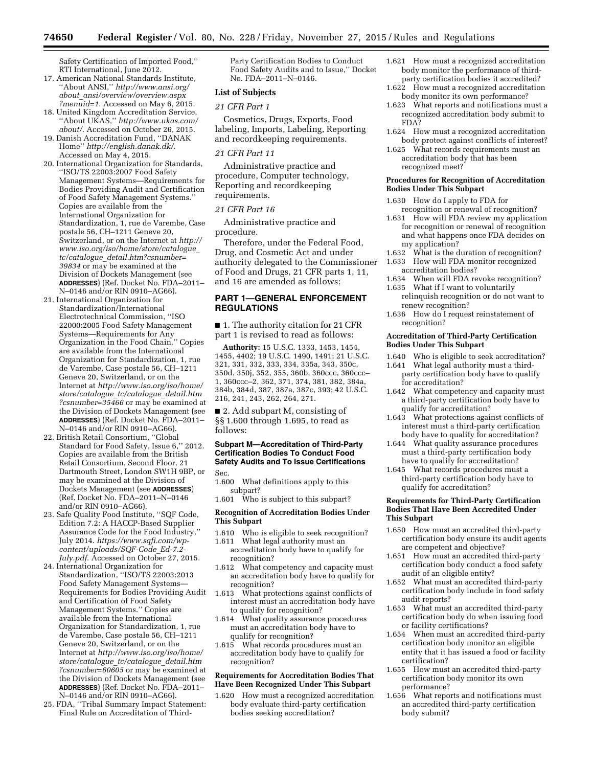Safety Certification of Imported Food,'' RTI International, June 2012.

- 17. American National Standards Institute, ''About ANSI,'' *[http://www.ansi.org/](http://www.ansi.org/about_ansi/overview/overview.aspx?menuid=1) about*\_*[ansi/overview/overview.aspx](http://www.ansi.org/about_ansi/overview/overview.aspx?menuid=1) [?menuid=1](http://www.ansi.org/about_ansi/overview/overview.aspx?menuid=1)*. Accessed on May 6, 2015.
- 18. United Kingdom Accreditation Service, ''About UKAS,'' *[http://www.ukas.com/](http://www.ukas.com/about/) [about/](http://www.ukas.com/about/)*. Accessed on October 26, 2015.
- 19. Danish Accreditation Fund, ''DANAK Home'' *<http://english.danak.dk/>*. Accessed on May 4, 2015.
- 20. International Organization for Standards, ''ISO/TS 22003:2007 Food Safety Management Systems—Requirements for Bodies Providing Audit and Certification of Food Safety Management Systems.'' Copies are available from the International Organization for Standardization, 1, rue de Varembe, Case postale 56, CH–1211 Geneve 20, Switzerland, or on the Internet at *[http://](http://www.iso.org/iso/home/store/catalogue_tc/catalogue_detail.htm?csnumber=39834) [www.iso.org/iso/home/store/catalogue](http://www.iso.org/iso/home/store/catalogue_tc/catalogue_detail.htm?csnumber=39834)*\_ *tc/catalogue*\_*[detail.htm?csnumber=](http://www.iso.org/iso/home/store/catalogue_tc/catalogue_detail.htm?csnumber=39834) [39834](http://www.iso.org/iso/home/store/catalogue_tc/catalogue_detail.htm?csnumber=39834)* or may be examined at the Division of Dockets Management (see **ADDRESSES**) (Ref. Docket No. FDA–2011– N–0146 and/or RIN 0910–AG66).
- 21. International Organization for Standardization/International Electrotechnical Commission, ''ISO 22000:2005 Food Safety Management Systems—Requirements for Any Organization in the Food Chain.'' Copies are available from the International Organization for Standardization, 1, rue de Varembe, Case postale 56, CH–1211 Geneve 20, Switzerland, or on the Internet at *[http://www.iso.org/iso/home/](http://www.iso.org/iso/home/store/catalogue_tc/catalogue_detail.htm?csnumber=35466)  [store/catalogue](http://www.iso.org/iso/home/store/catalogue_tc/catalogue_detail.htm?csnumber=35466)*\_*tc/catalogue*\_*detail.htm [?csnumber=35466](http://www.iso.org/iso/home/store/catalogue_tc/catalogue_detail.htm?csnumber=35466)* or may be examined at the Division of Dockets Management (see **ADDRESSES**) (Ref. Docket No. FDA–2011– N–0146 and/or RIN 0910–AG66).
- 22. British Retail Consortium, ''Global Standard for Food Safety, Issue 6,'' 2012. Copies are available from the British Retail Consortium, Second Floor, 21 Dartmouth Street, London SW1H 9BP, or may be examined at the Division of Dockets Management (see **ADDRESSES**) (Ref. Docket No. FDA–2011–N–0146 and/or RIN 0910–AG66).
- 23. Safe Quality Food Institute, ''SQF Code, Edition 7.2: A HACCP-Based Supplier Assurance Code for the Food Industry,'' July 2014. *[https://www.sqfi.com/wp](https://www.sqfi.com/wp-content/uploads/SQF-Code_Ed-7.2-July.pdf)[content/uploads/SQF-Code](https://www.sqfi.com/wp-content/uploads/SQF-Code_Ed-7.2-July.pdf)*\_*Ed-7.2- [July.pdf](https://www.sqfi.com/wp-content/uploads/SQF-Code_Ed-7.2-July.pdf)*. Accessed on October 27, 2015.
- 24. International Organization for Standardization, ''ISO/TS 22003:2013 Food Safety Management Systems— Requirements for Bodies Providing Audit and Certification of Food Safety Management Systems.'' Copies are available from the International Organization for Standardization, 1, rue de Varembe, Case postale 56, CH–1211 Geneve 20, Switzerland, or on the Internet at *[http://www.iso.org/iso/home/](http://www.iso.org/iso/home/store/catalogue_tc/catalogue_detail.htm?csnumber=60605)  [store/catalogue](http://www.iso.org/iso/home/store/catalogue_tc/catalogue_detail.htm?csnumber=60605)*\_*tc/catalogue*\_*detail.htm [?csnumber=60605](http://www.iso.org/iso/home/store/catalogue_tc/catalogue_detail.htm?csnumber=60605)* or may be examined at the Division of Dockets Management (see **ADDRESSES**) (Ref. Docket No. FDA–2011– N–0146 and/or RIN 0910–AG66).
- 25. FDA, ''Tribal Summary Impact Statement: Final Rule on Accreditation of Third-

Party Certification Bodies to Conduct Food Safety Audits and to Issue,'' Docket No. FDA–2011–N–0146.

## **List of Subjects**

#### *21 CFR Part 1*

Cosmetics, Drugs, Exports, Food labeling, Imports, Labeling, Reporting and recordkeeping requirements.

## *21 CFR Part 11*

Administrative practice and procedure, Computer technology, Reporting and recordkeeping requirements.

## *21 CFR Part 16*

Administrative practice and procedure.

Therefore, under the Federal Food, Drug, and Cosmetic Act and under authority delegated to the Commissioner of Food and Drugs, 21 CFR parts 1, 11, and 16 are amended as follows:

# **PART 1—GENERAL ENFORCEMENT REGULATIONS**

■ 1. The authority citation for 21 CFR part 1 is revised to read as follows:

**Authority:** 15 U.S.C. 1333, 1453, 1454, 1455, 4402; 19 U.S.C. 1490, 1491; 21 U.S.C. 321, 331, 332, 333, 334, 335a, 343, 350c, 350d, 350j, 352, 355, 360b, 360ccc, 360ccc– 1, 360ccc–2, 362, 371, 374, 381, 382, 384a, 384b, 384d, 387, 387a, 387c, 393; 42 U.S.C. 216, 241, 243, 262, 264, 271.

■ 2. Add subpart M, consisting of §§ 1.600 through 1.695, to read as follows:

## **Subpart M—Accreditation of Third-Party Certification Bodies To Conduct Food Safety Audits and To Issue Certifications**  Sec.

- 1.600 What definitions apply to this subpart?
- 1.601 Who is subject to this subpart?

### **Recognition of Accreditation Bodies Under This Subpart**

- 1.610 Who is eligible to seek recognition?
- 1.611 What legal authority must an accreditation body have to qualify for recognition?
- 1.612 What competency and capacity must an accreditation body have to qualify for recognition?
- 1.613 What protections against conflicts of interest must an accreditation body have to qualify for recognition?
- 1.614 What quality assurance procedures must an accreditation body have to qualify for recognition?
- 1.615 What records procedures must an accreditation body have to qualify for recognition?

## **Requirements for Accreditation Bodies That Have Been Recognized Under This Subpart**

1.620 How must a recognized accreditation body evaluate third-party certification bodies seeking accreditation?

- 1.621 How must a recognized accreditation body monitor the performance of thirdparty certification bodies it accredited?
- 1.622 How must a recognized accreditation body monitor its own performance?
- 1.623 What reports and notifications must a recognized accreditation body submit to FDA?
- 1.624 How must a recognized accreditation body protect against conflicts of interest?
- 1.625 What records requirements must an accreditation body that has been recognized meet?

## **Procedures for Recognition of Accreditation Bodies Under This Subpart**

- 1.630 How do I apply to FDA for recognition or renewal of recognition?
- 1.631 How will FDA review my application for recognition or renewal of recognition and what happens once FDA decides on my application?
- 1.632 What is the duration of recognition? 1.633 How will FDA monitor recognized
- accreditation bodies? 1.634 When will FDA revoke recognition?
- 1.635 What if I want to voluntarily relinquish recognition or do not want to renew recognition?
- 1.636 How do I request reinstatement of recognition?

### **Accreditation of Third-Party Certification Bodies Under This Subpart**

- 1.640 Who is eligible to seek accreditation?
- 1.641 What legal authority must a thirdparty certification body have to qualify for accreditation?
- 1.642 What competency and capacity must a third-party certification body have to qualify for accreditation?
- 1.643 What protections against conflicts of interest must a third-party certification body have to qualify for accreditation?
- 1.644 What quality assurance procedures must a third-party certification body have to qualify for accreditation?
- 1.645 What records procedures must a third-party certification body have to qualify for accreditation?

## **Requirements for Third-Party Certification Bodies That Have Been Accredited Under This Subpart**

- 1.650 How must an accredited third-party certification body ensure its audit agents are competent and objective?
- 1.651 How must an accredited third-party certification body conduct a food safety audit of an eligible entity?
- 1.652 What must an accredited third-party certification body include in food safety audit reports?
- 1.653 What must an accredited third-party certification body do when issuing food or facility certifications?
- 1.654 When must an accredited third-party certification body monitor an eligible entity that it has issued a food or facility certification?
- 1.655 How must an accredited third-party certification body monitor its own performance?
- 1.656 What reports and notifications must an accredited third-party certification body submit?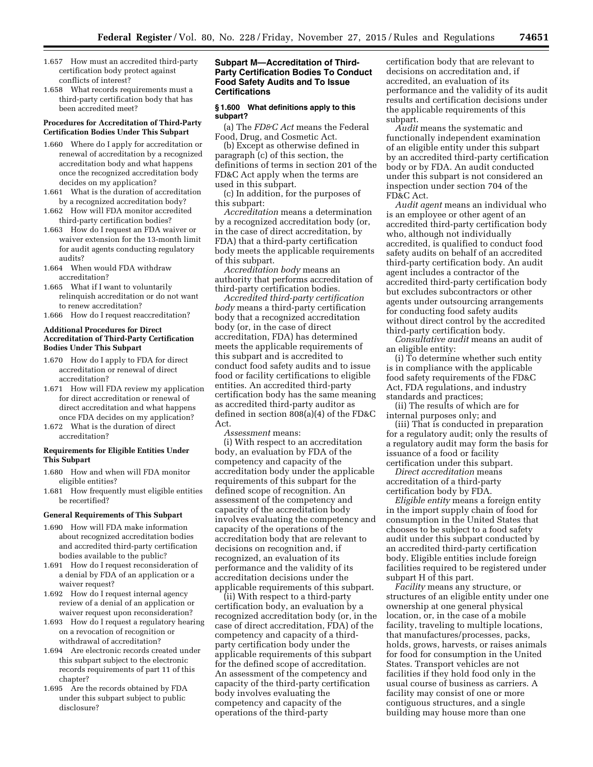- 1.657 How must an accredited third-party certification body protect against conflicts of interest?
- 1.658 What records requirements must a third-party certification body that has been accredited meet?

## **Procedures for Accreditation of Third-Party Certification Bodies Under This Subpart**

- 1.660 Where do I apply for accreditation or renewal of accreditation by a recognized accreditation body and what happens once the recognized accreditation body decides on my application?
- 1.661 What is the duration of accreditation by a recognized accreditation body?
- 1.662 How will FDA monitor accredited third-party certification bodies?
- 1.663 How do I request an FDA waiver or waiver extension for the 13-month limit for audit agents conducting regulatory audits?
- 1.664 When would FDA withdraw accreditation?
- 1.665 What if I want to voluntarily relinquish accreditation or do not want to renew accreditation?
- 1.666 How do I request reaccreditation?

## **Additional Procedures for Direct Accreditation of Third-Party Certification Bodies Under This Subpart**

- 1.670 How do I apply to FDA for direct accreditation or renewal of direct accreditation?
- 1.671 How will FDA review my application for direct accreditation or renewal of direct accreditation and what happens once FDA decides on my application?
- 1.672 What is the duration of direct accreditation?

## **Requirements for Eligible Entities Under This Subpart**

- 1.680 How and when will FDA monitor eligible entities?
- 1.681 How frequently must eligible entities be recertified?

#### **General Requirements of This Subpart**

- 1.690 How will FDA make information about recognized accreditation bodies and accredited third-party certification bodies available to the public?
- 1.691 How do I request reconsideration of a denial by FDA of an application or a waiver request?
- 1.692 How do I request internal agency review of a denial of an application or waiver request upon reconsideration?
- 1.693 How do I request a regulatory hearing on a revocation of recognition or withdrawal of accreditation?
- 1.694 Are electronic records created under this subpart subject to the electronic records requirements of part 11 of this chapter?
- 1.695 Are the records obtained by FDA under this subpart subject to public disclosure?

## **Subpart M—Accreditation of Third-Party Certification Bodies To Conduct Food Safety Audits and To Issue Certifications**

#### **§ 1.600 What definitions apply to this subpart?**

(a) The *FD&C Act* means the Federal Food, Drug, and Cosmetic Act.

(b) Except as otherwise defined in paragraph (c) of this section, the definitions of terms in section 201 of the FD&C Act apply when the terms are used in this subpart.

(c) In addition, for the purposes of this subpart:

*Accreditation* means a determination by a recognized accreditation body (or, in the case of direct accreditation, by FDA) that a third-party certification body meets the applicable requirements of this subpart.

*Accreditation body* means an authority that performs accreditation of third-party certification bodies.

*Accredited third-party certification body* means a third-party certification body that a recognized accreditation body (or, in the case of direct accreditation, FDA) has determined meets the applicable requirements of this subpart and is accredited to conduct food safety audits and to issue food or facility certifications to eligible entities. An accredited third-party certification body has the same meaning as accredited third-party auditor as defined in section 808(a)(4) of the FD&C Act.

*Assessment* means:

(i) With respect to an accreditation body, an evaluation by FDA of the competency and capacity of the accreditation body under the applicable requirements of this subpart for the defined scope of recognition. An assessment of the competency and capacity of the accreditation body involves evaluating the competency and capacity of the operations of the accreditation body that are relevant to decisions on recognition and, if recognized, an evaluation of its performance and the validity of its accreditation decisions under the applicable requirements of this subpart.

(ii) With respect to a third-party certification body, an evaluation by a recognized accreditation body (or, in the case of direct accreditation, FDA) of the competency and capacity of a thirdparty certification body under the applicable requirements of this subpart for the defined scope of accreditation. An assessment of the competency and capacity of the third-party certification body involves evaluating the competency and capacity of the operations of the third-party

certification body that are relevant to decisions on accreditation and, if accredited, an evaluation of its performance and the validity of its audit results and certification decisions under the applicable requirements of this subpart.

*Audit* means the systematic and functionally independent examination of an eligible entity under this subpart by an accredited third-party certification body or by FDA. An audit conducted under this subpart is not considered an inspection under section 704 of the FD&C Act.

*Audit agent* means an individual who is an employee or other agent of an accredited third-party certification body who, although not individually accredited, is qualified to conduct food safety audits on behalf of an accredited third-party certification body. An audit agent includes a contractor of the accredited third-party certification body but excludes subcontractors or other agents under outsourcing arrangements for conducting food safety audits without direct control by the accredited third-party certification body.

*Consultative audit* means an audit of an eligible entity:

(i) To determine whether such entity is in compliance with the applicable food safety requirements of the FD&C Act, FDA regulations, and industry standards and practices;

(ii) The results of which are for internal purposes only; and

(iii) That is conducted in preparation for a regulatory audit; only the results of a regulatory audit may form the basis for issuance of a food or facility certification under this subpart.

*Direct accreditation* means accreditation of a third-party certification body by FDA.

*Eligible entity* means a foreign entity in the import supply chain of food for consumption in the United States that chooses to be subject to a food safety audit under this subpart conducted by an accredited third-party certification body. Eligible entities include foreign facilities required to be registered under subpart H of this part.

*Facility* means any structure, or structures of an eligible entity under one ownership at one general physical location, or, in the case of a mobile facility, traveling to multiple locations, that manufactures/processes, packs, holds, grows, harvests, or raises animals for food for consumption in the United States. Transport vehicles are not facilities if they hold food only in the usual course of business as carriers. A facility may consist of one or more contiguous structures, and a single building may house more than one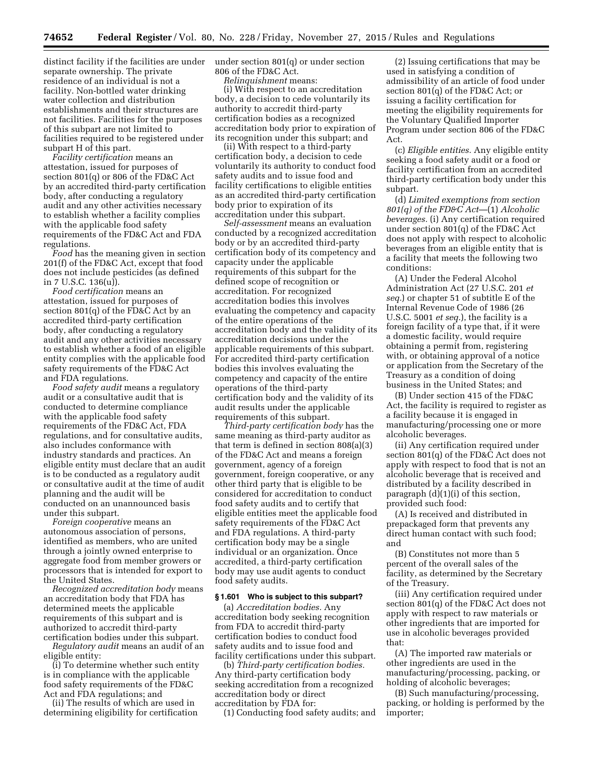distinct facility if the facilities are under separate ownership. The private residence of an individual is not a facility. Non-bottled water drinking water collection and distribution establishments and their structures are not facilities. Facilities for the purposes of this subpart are not limited to facilities required to be registered under subpart H of this part.

*Facility certification* means an attestation, issued for purposes of section 801(q) or 806 of the FD&C Act by an accredited third-party certification body, after conducting a regulatory audit and any other activities necessary to establish whether a facility complies with the applicable food safety requirements of the FD&C Act and FDA regulations.

*Food* has the meaning given in section 201(f) of the FD&C Act, except that food does not include pesticides (as defined in 7 U.S.C. 136(u)).

*Food certification* means an attestation, issued for purposes of section 801(q) of the FD&C Act by an accredited third-party certification body, after conducting a regulatory audit and any other activities necessary to establish whether a food of an eligible entity complies with the applicable food safety requirements of the FD&C Act and FDA regulations.

*Food safety audit* means a regulatory audit or a consultative audit that is conducted to determine compliance with the applicable food safety requirements of the FD&C Act, FDA regulations, and for consultative audits, also includes conformance with industry standards and practices. An eligible entity must declare that an audit is to be conducted as a regulatory audit or consultative audit at the time of audit planning and the audit will be conducted on an unannounced basis under this subpart.

*Foreign cooperative* means an autonomous association of persons, identified as members, who are united through a jointly owned enterprise to aggregate food from member growers or processors that is intended for export to the United States.

*Recognized accreditation body* means an accreditation body that FDA has determined meets the applicable requirements of this subpart and is authorized to accredit third-party certification bodies under this subpart.

*Regulatory audit* means an audit of an eligible entity:

(i) To determine whether such entity is in compliance with the applicable food safety requirements of the FD&C Act and FDA regulations; and

(ii) The results of which are used in determining eligibility for certification under section 801(q) or under section 806 of the FD&C Act.

*Relinquishment* means:

(i) With respect to an accreditation body, a decision to cede voluntarily its authority to accredit third-party certification bodies as a recognized accreditation body prior to expiration of its recognition under this subpart; and

(ii) With respect to a third-party certification body, a decision to cede voluntarily its authority to conduct food safety audits and to issue food and facility certifications to eligible entities as an accredited third-party certification body prior to expiration of its accreditation under this subpart.

*Self-assessment* means an evaluation conducted by a recognized accreditation body or by an accredited third-party certification body of its competency and capacity under the applicable requirements of this subpart for the defined scope of recognition or accreditation. For recognized accreditation bodies this involves evaluating the competency and capacity of the entire operations of the accreditation body and the validity of its accreditation decisions under the applicable requirements of this subpart. For accredited third-party certification bodies this involves evaluating the competency and capacity of the entire operations of the third-party certification body and the validity of its audit results under the applicable requirements of this subpart.

*Third-party certification body* has the same meaning as third-party auditor as that term is defined in section 808(a)(3) of the FD&C Act and means a foreign government, agency of a foreign government, foreign cooperative, or any other third party that is eligible to be considered for accreditation to conduct food safety audits and to certify that eligible entities meet the applicable food safety requirements of the FD&C Act and FDA regulations. A third-party certification body may be a single individual or an organization. Once accredited, a third-party certification body may use audit agents to conduct food safety audits.

### **§ 1.601 Who is subject to this subpart?**

(a) *Accreditation bodies.* Any accreditation body seeking recognition from FDA to accredit third-party certification bodies to conduct food safety audits and to issue food and facility certifications under this subpart.

(b) *Third-party certification bodies.*  Any third-party certification body seeking accreditation from a recognized accreditation body or direct accreditation by FDA for:

(1) Conducting food safety audits; and

(2) Issuing certifications that may be used in satisfying a condition of admissibility of an article of food under section 801(q) of the FD&C Act; or issuing a facility certification for meeting the eligibility requirements for the Voluntary Qualified Importer Program under section 806 of the FD&C Act.

(c) *Eligible entities.* Any eligible entity seeking a food safety audit or a food or facility certification from an accredited third-party certification body under this subpart.

(d) *Limited exemptions from section 801(q) of the FD&C Act*—(1) *Alcoholic beverages.* (i) Any certification required under section 801(q) of the FD&C Act does not apply with respect to alcoholic beverages from an eligible entity that is a facility that meets the following two conditions:

(A) Under the Federal Alcohol Administration Act (27 U.S.C. 201 *et seq.*) or chapter 51 of subtitle E of the Internal Revenue Code of 1986 (26 U.S.C. 5001 *et seq.*), the facility is a foreign facility of a type that, if it were a domestic facility, would require obtaining a permit from, registering with, or obtaining approval of a notice or application from the Secretary of the Treasury as a condition of doing business in the United States; and

(B) Under section 415 of the FD&C Act, the facility is required to register as a facility because it is engaged in manufacturing/processing one or more alcoholic beverages.

(ii) Any certification required under section 801(q) of the FD&C Act does not apply with respect to food that is not an alcoholic beverage that is received and distributed by a facility described in paragraph (d)(1)(i) of this section, provided such food:

(A) Is received and distributed in prepackaged form that prevents any direct human contact with such food; and

(B) Constitutes not more than 5 percent of the overall sales of the facility, as determined by the Secretary of the Treasury.

(iii) Any certification required under section 801(q) of the FD&C Act does not apply with respect to raw materials or other ingredients that are imported for use in alcoholic beverages provided that:

(A) The imported raw materials or other ingredients are used in the manufacturing/processing, packing, or holding of alcoholic beverages;

(B) Such manufacturing/processing, packing, or holding is performed by the importer;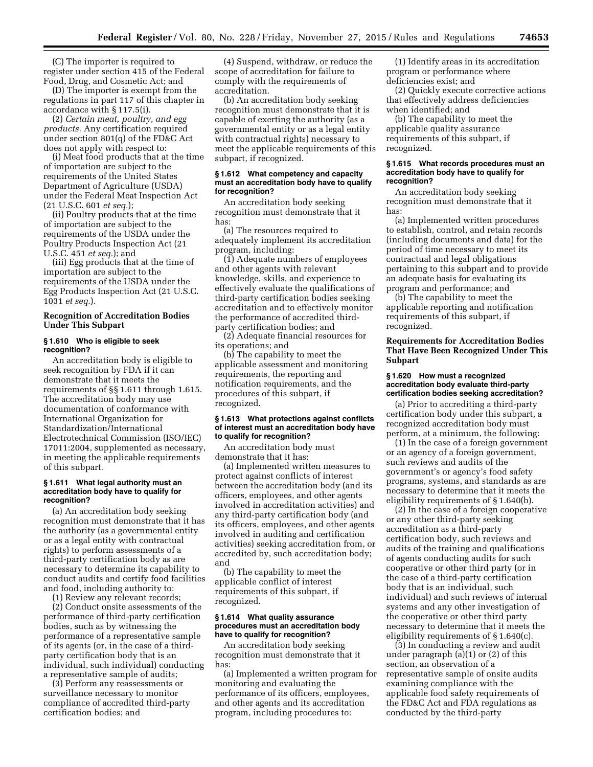(C) The importer is required to register under section 415 of the Federal Food, Drug, and Cosmetic Act; and

(D) The importer is exempt from the regulations in part 117 of this chapter in accordance with § 117.5(i).

(2) *Certain meat, poultry, and egg products.* Any certification required under section 801(q) of the FD&C Act does not apply with respect to:

(i) Meat food products that at the time of importation are subject to the requirements of the United States Department of Agriculture (USDA) under the Federal Meat Inspection Act (21 U.S.C. 601 *et seq.*);

(ii) Poultry products that at the time of importation are subject to the requirements of the USDA under the Poultry Products Inspection Act (21 U.S.C. 451 *et seq.*); and

(iii) Egg products that at the time of importation are subject to the requirements of the USDA under the Egg Products Inspection Act (21 U.S.C. 1031 *et seq.*).

## **Recognition of Accreditation Bodies Under This Subpart**

## **§ 1.610 Who is eligible to seek recognition?**

An accreditation body is eligible to seek recognition by FDA if it can demonstrate that it meets the requirements of §§ 1.611 through 1.615. The accreditation body may use documentation of conformance with International Organization for Standardization/International Electrotechnical Commission (ISO/IEC) 17011:2004, supplemented as necessary, in meeting the applicable requirements of this subpart.

### **§ 1.611 What legal authority must an accreditation body have to qualify for recognition?**

(a) An accreditation body seeking recognition must demonstrate that it has the authority (as a governmental entity or as a legal entity with contractual rights) to perform assessments of a third-party certification body as are necessary to determine its capability to conduct audits and certify food facilities and food, including authority to:

(1) Review any relevant records;

(2) Conduct onsite assessments of the performance of third-party certification bodies, such as by witnessing the performance of a representative sample of its agents (or, in the case of a thirdparty certification body that is an individual, such individual) conducting a representative sample of audits;

(3) Perform any reassessments or surveillance necessary to monitor compliance of accredited third-party certification bodies; and

(4) Suspend, withdraw, or reduce the scope of accreditation for failure to comply with the requirements of accreditation.

(b) An accreditation body seeking recognition must demonstrate that it is capable of exerting the authority (as a governmental entity or as a legal entity with contractual rights) necessary to meet the applicable requirements of this subpart, if recognized.

### **§ 1.612 What competency and capacity must an accreditation body have to qualify for recognition?**

An accreditation body seeking recognition must demonstrate that it has:

(a) The resources required to adequately implement its accreditation program, including:

(1) Adequate numbers of employees and other agents with relevant knowledge, skills, and experience to effectively evaluate the qualifications of third-party certification bodies seeking accreditation and to effectively monitor the performance of accredited thirdparty certification bodies; and

(2) Adequate financial resources for its operations; and

(b) The capability to meet the applicable assessment and monitoring requirements, the reporting and notification requirements, and the procedures of this subpart, if recognized.

### **§ 1.613 What protections against conflicts of interest must an accreditation body have to qualify for recognition?**

An accreditation body must demonstrate that it has:

(a) Implemented written measures to protect against conflicts of interest between the accreditation body (and its officers, employees, and other agents involved in accreditation activities) and any third-party certification body (and its officers, employees, and other agents involved in auditing and certification activities) seeking accreditation from, or accredited by, such accreditation body; and

(b) The capability to meet the applicable conflict of interest requirements of this subpart, if recognized.

## **§ 1.614 What quality assurance procedures must an accreditation body have to qualify for recognition?**

An accreditation body seeking recognition must demonstrate that it has:

(a) Implemented a written program for monitoring and evaluating the performance of its officers, employees, and other agents and its accreditation program, including procedures to:

(1) Identify areas in its accreditation program or performance where deficiencies exist; and

(2) Quickly execute corrective actions that effectively address deficiencies when identified; and

(b) The capability to meet the applicable quality assurance requirements of this subpart, if recognized.

#### **§ 1.615 What records procedures must an accreditation body have to qualify for recognition?**

An accreditation body seeking recognition must demonstrate that it has:

(a) Implemented written procedures to establish, control, and retain records (including documents and data) for the period of time necessary to meet its contractual and legal obligations pertaining to this subpart and to provide an adequate basis for evaluating its program and performance; and

(b) The capability to meet the applicable reporting and notification requirements of this subpart, if recognized.

## **Requirements for Accreditation Bodies That Have Been Recognized Under This Subpart**

#### **§ 1.620 How must a recognized accreditation body evaluate third-party certification bodies seeking accreditation?**

(a) Prior to accrediting a third-party certification body under this subpart, a recognized accreditation body must perform, at a minimum, the following:

(1) In the case of a foreign government or an agency of a foreign government, such reviews and audits of the government's or agency's food safety programs, systems, and standards as are necessary to determine that it meets the eligibility requirements of § 1.640(b).

(2) In the case of a foreign cooperative or any other third-party seeking accreditation as a third-party certification body, such reviews and audits of the training and qualifications of agents conducting audits for such cooperative or other third party (or in the case of a third-party certification body that is an individual, such individual) and such reviews of internal systems and any other investigation of the cooperative or other third party necessary to determine that it meets the eligibility requirements of § 1.640(c).

(3) In conducting a review and audit under paragraph (a)(1) or (2) of this section, an observation of a representative sample of onsite audits examining compliance with the applicable food safety requirements of the FD&C Act and FDA regulations as conducted by the third-party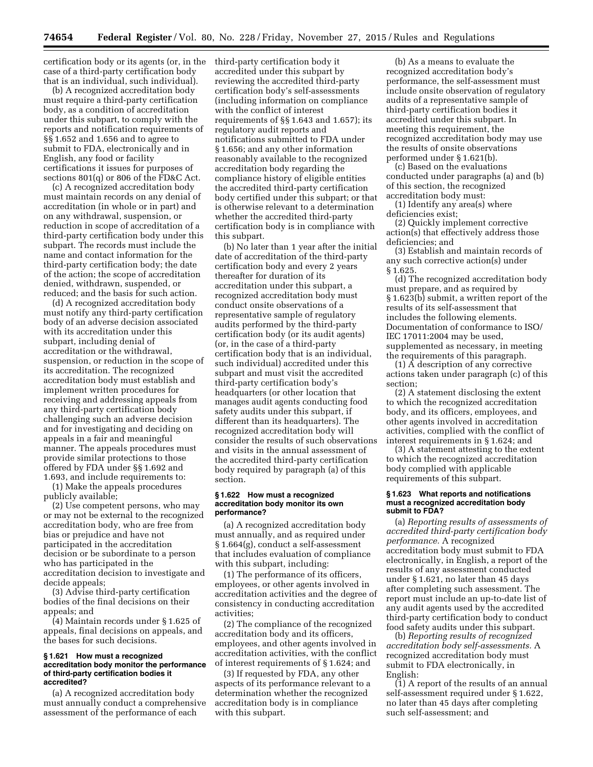certification body or its agents (or, in the case of a third-party certification body that is an individual, such individual).

(b) A recognized accreditation body must require a third-party certification body, as a condition of accreditation under this subpart, to comply with the reports and notification requirements of §§ 1.652 and 1.656 and to agree to submit to FDA, electronically and in English, any food or facility certifications it issues for purposes of sections 801(q) or 806 of the FD&C Act.

(c) A recognized accreditation body must maintain records on any denial of accreditation (in whole or in part) and on any withdrawal, suspension, or reduction in scope of accreditation of a third-party certification body under this subpart. The records must include the name and contact information for the third-party certification body; the date of the action; the scope of accreditation denied, withdrawn, suspended, or reduced; and the basis for such action.

(d) A recognized accreditation body must notify any third-party certification body of an adverse decision associated with its accreditation under this subpart, including denial of accreditation or the withdrawal, suspension, or reduction in the scope of its accreditation. The recognized accreditation body must establish and implement written procedures for receiving and addressing appeals from any third-party certification body challenging such an adverse decision and for investigating and deciding on appeals in a fair and meaningful manner. The appeals procedures must provide similar protections to those offered by FDA under §§ 1.692 and 1.693, and include requirements to:

(1) Make the appeals procedures publicly available;

(2) Use competent persons, who may or may not be external to the recognized accreditation body, who are free from bias or prejudice and have not participated in the accreditation decision or be subordinate to a person who has participated in the accreditation decision to investigate and decide appeals;

(3) Advise third-party certification bodies of the final decisions on their appeals; and

(4) Maintain records under § 1.625 of appeals, final decisions on appeals, and the bases for such decisions.

### **§ 1.621 How must a recognized accreditation body monitor the performance of third-party certification bodies it accredited?**

(a) A recognized accreditation body must annually conduct a comprehensive assessment of the performance of each

third-party certification body it accredited under this subpart by reviewing the accredited third-party certification body's self-assessments (including information on compliance with the conflict of interest requirements of §§ 1.643 and 1.657); its regulatory audit reports and notifications submitted to FDA under § 1.656; and any other information reasonably available to the recognized accreditation body regarding the compliance history of eligible entities the accredited third-party certification body certified under this subpart; or that is otherwise relevant to a determination whether the accredited third-party certification body is in compliance with this subpart.

(b) No later than 1 year after the initial date of accreditation of the third-party certification body and every 2 years thereafter for duration of its accreditation under this subpart, a recognized accreditation body must conduct onsite observations of a representative sample of regulatory audits performed by the third-party certification body (or its audit agents) (or, in the case of a third-party certification body that is an individual, such individual) accredited under this subpart and must visit the accredited third-party certification body's headquarters (or other location that manages audit agents conducting food safety audits under this subpart, if different than its headquarters). The recognized accreditation body will consider the results of such observations and visits in the annual assessment of the accredited third-party certification body required by paragraph (a) of this section.

#### **§ 1.622 How must a recognized accreditation body monitor its own performance?**

(a) A recognized accreditation body must annually, and as required under § 1.664(g), conduct a self-assessment that includes evaluation of compliance with this subpart, including:

(1) The performance of its officers, employees, or other agents involved in accreditation activities and the degree of consistency in conducting accreditation activities;

(2) The compliance of the recognized accreditation body and its officers, employees, and other agents involved in accreditation activities, with the conflict of interest requirements of § 1.624; and

(3) If requested by FDA, any other aspects of its performance relevant to a determination whether the recognized accreditation body is in compliance with this subpart.

(b) As a means to evaluate the recognized accreditation body's performance, the self-assessment must include onsite observation of regulatory audits of a representative sample of third-party certification bodies it accredited under this subpart. In meeting this requirement, the recognized accreditation body may use the results of onsite observations performed under § 1.621(b).

(c) Based on the evaluations conducted under paragraphs (a) and (b) of this section, the recognized accreditation body must:

(1) Identify any area(s) where deficiencies exist;

(2) Quickly implement corrective action(s) that effectively address those deficiencies; and

(3) Establish and maintain records of any such corrective action(s) under § 1.625.

(d) The recognized accreditation body must prepare, and as required by § 1.623(b) submit, a written report of the results of its self-assessment that includes the following elements. Documentation of conformance to ISO/ IEC 17011:2004 may be used, supplemented as necessary, in meeting the requirements of this paragraph.

(1) A description of any corrective actions taken under paragraph (c) of this section;

(2) A statement disclosing the extent to which the recognized accreditation body, and its officers, employees, and other agents involved in accreditation activities, complied with the conflict of interest requirements in § 1.624; and

(3) A statement attesting to the extent to which the recognized accreditation body complied with applicable requirements of this subpart.

## **§ 1.623 What reports and notifications must a recognized accreditation body submit to FDA?**

(a) *Reporting results of assessments of accredited third-party certification body performance.* A recognized accreditation body must submit to FDA electronically, in English, a report of the results of any assessment conducted under § 1.621, no later than 45 days after completing such assessment. The report must include an up-to-date list of any audit agents used by the accredited third-party certification body to conduct food safety audits under this subpart.

(b) *Reporting results of recognized accreditation body self-assessments.* A recognized accreditation body must submit to FDA electronically, in English:

(1) A report of the results of an annual self-assessment required under § 1.622, no later than 45 days after completing such self-assessment; and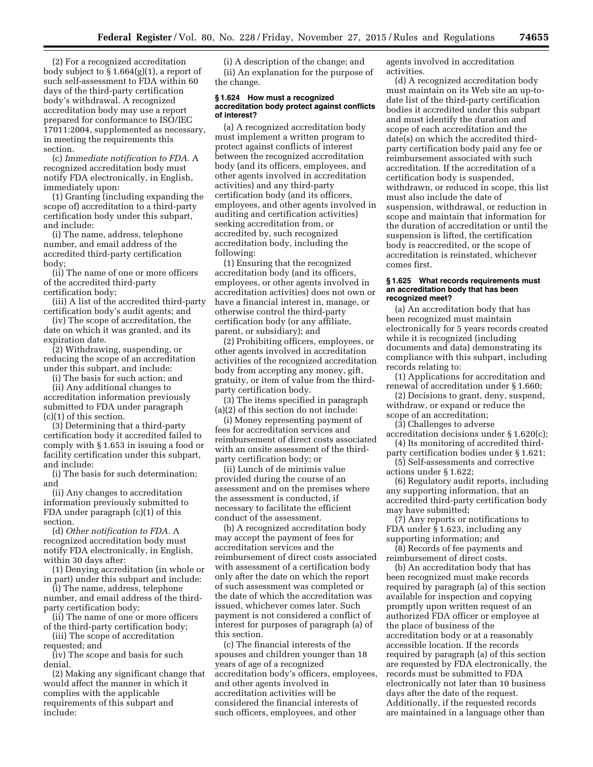(2) For a recognized accreditation body subject to § 1.664(g)(1), a report of such self-assessment to FDA within 60 days of the third-party certification body's withdrawal. A recognized accreditation body may use a report prepared for conformance to ISO/IEC 17011:2004, supplemented as necessary, in meeting the requirements this section.

(c) *Immediate notification to FDA.* A recognized accreditation body must notify FDA electronically, in English, immediately upon:

(1) Granting (including expanding the scope of) accreditation to a third-party certification body under this subpart, and include:

(i) The name, address, telephone number, and email address of the accredited third-party certification body;

(ii) The name of one or more officers of the accredited third-party certification body;

(iii) A list of the accredited third-party certification body's audit agents; and

(iv) The scope of accreditation, the date on which it was granted, and its expiration date.

(2) Withdrawing, suspending, or reducing the scope of an accreditation under this subpart, and include:

(i) The basis for such action; and

(ii) Any additional changes to accreditation information previously submitted to FDA under paragraph (c)(1) of this section.

(3) Determining that a third-party certification body it accredited failed to comply with § 1.653 in issuing a food or facility certification under this subpart, and include:

(i) The basis for such determination; and

(ii) Any changes to accreditation information previously submitted to FDA under paragraph (c)(1) of this section.

(d) *Other notification to FDA.* A recognized accreditation body must notify FDA electronically, in English, within 30 days after:

(1) Denying accreditation (in whole or in part) under this subpart and include:

(i) The name, address, telephone number, and email address of the thirdparty certification body;

(ii) The name of one or more officers of the third-party certification body;

(iii) The scope of accreditation requested; and

(iv) The scope and basis for such denial.

(2) Making any significant change that would affect the manner in which it complies with the applicable requirements of this subpart and include:

(i) A description of the change; and (ii) An explanation for the purpose of the change.

#### **§ 1.624 How must a recognized accreditation body protect against conflicts of interest?**

(a) A recognized accreditation body must implement a written program to protect against conflicts of interest between the recognized accreditation body (and its officers, employees, and other agents involved in accreditation activities) and any third-party certification body (and its officers, employees, and other agents involved in auditing and certification activities) seeking accreditation from, or accredited by, such recognized accreditation body, including the following:

(1) Ensuring that the recognized accreditation body (and its officers, employees, or other agents involved in accreditation activities) does not own or have a financial interest in, manage, or otherwise control the third-party certification body (or any affiliate, parent, or subsidiary); and

(2) Prohibiting officers, employees, or other agents involved in accreditation activities of the recognized accreditation body from accepting any money, gift, gratuity, or item of value from the thirdparty certification body.

(3) The items specified in paragraph (a)(2) of this section do not include:

(i) Money representing payment of fees for accreditation services and reimbursement of direct costs associated with an onsite assessment of the thirdparty certification body; or

(ii) Lunch of de minimis value provided during the course of an assessment and on the premises where the assessment is conducted, if necessary to facilitate the efficient conduct of the assessment.

(b) A recognized accreditation body may accept the payment of fees for accreditation services and the reimbursement of direct costs associated with assessment of a certification body only after the date on which the report of such assessment was completed or the date of which the accreditation was issued, whichever comes later. Such payment is not considered a conflict of interest for purposes of paragraph (a) of this section.

(c) The financial interests of the spouses and children younger than 18 years of age of a recognized accreditation body's officers, employees, and other agents involved in accreditation activities will be considered the financial interests of such officers, employees, and other

agents involved in accreditation activities.

(d) A recognized accreditation body must maintain on its Web site an up-todate list of the third-party certification bodies it accredited under this subpart and must identify the duration and scope of each accreditation and the date(s) on which the accredited thirdparty certification body paid any fee or reimbursement associated with such accreditation. If the accreditation of a certification body is suspended, withdrawn, or reduced in scope, this list must also include the date of suspension, withdrawal, or reduction in scope and maintain that information for the duration of accreditation or until the suspension is lifted, the certification body is reaccredited, or the scope of accreditation is reinstated, whichever comes first.

### **§ 1.625 What records requirements must an accreditation body that has been recognized meet?**

(a) An accreditation body that has been recognized must maintain electronically for 5 years records created while it is recognized (including documents and data) demonstrating its compliance with this subpart, including records relating to:

(1) Applications for accreditation and renewal of accreditation under § 1.660;

(2) Decisions to grant, deny, suspend, withdraw, or expand or reduce the scope of an accreditation;

(3) Challenges to adverse

accreditation decisions under § 1.620(c); (4) Its monitoring of accredited third-

party certification bodies under § 1.621; (5) Self-assessments and corrective

actions under § 1.622; (6) Regulatory audit reports, including

any supporting information, that an accredited third-party certification body may have submitted;

(7) Any reports or notifications to FDA under § 1.623, including any supporting information; and

(8) Records of fee payments and reimbursement of direct costs.

(b) An accreditation body that has been recognized must make records required by paragraph (a) of this section available for inspection and copying promptly upon written request of an authorized FDA officer or employee at the place of business of the accreditation body or at a reasonably accessible location. If the records required by paragraph (a) of this section are requested by FDA electronically, the records must be submitted to FDA electronically not later than 10 business days after the date of the request. Additionally, if the requested records are maintained in a language other than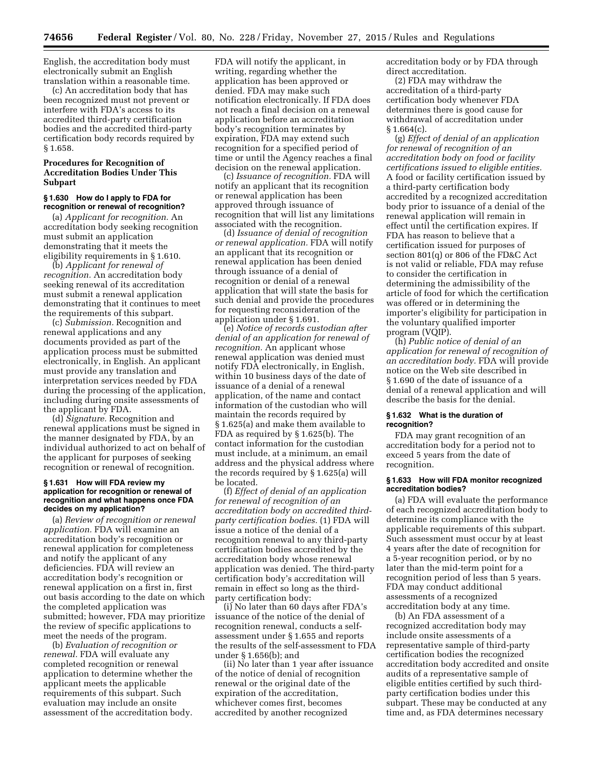English, the accreditation body must electronically submit an English translation within a reasonable time.

(c) An accreditation body that has been recognized must not prevent or interfere with FDA's access to its accredited third-party certification bodies and the accredited third-party certification body records required by § 1.658.

## **Procedures for Recognition of Accreditation Bodies Under This Subpart**

### **§ 1.630 How do I apply to FDA for recognition or renewal of recognition?**

(a) *Applicant for recognition.* An accreditation body seeking recognition must submit an application demonstrating that it meets the eligibility requirements in § 1.610.

(b) *Applicant for renewal of recognition.* An accreditation body seeking renewal of its accreditation must submit a renewal application demonstrating that it continues to meet the requirements of this subpart.

(c) *Submission.* Recognition and renewal applications and any documents provided as part of the application process must be submitted electronically, in English. An applicant must provide any translation and interpretation services needed by FDA during the processing of the application, including during onsite assessments of the applicant by FDA.

(d) *Signature.* Recognition and renewal applications must be signed in the manner designated by FDA, by an individual authorized to act on behalf of the applicant for purposes of seeking recognition or renewal of recognition.

## **§ 1.631 How will FDA review my application for recognition or renewal of recognition and what happens once FDA decides on my application?**

(a) *Review of recognition or renewal application.* FDA will examine an accreditation body's recognition or renewal application for completeness and notify the applicant of any deficiencies. FDA will review an accreditation body's recognition or renewal application on a first in, first out basis according to the date on which the completed application was submitted; however, FDA may prioritize the review of specific applications to meet the needs of the program.

(b) *Evaluation of recognition or renewal.* FDA will evaluate any completed recognition or renewal application to determine whether the applicant meets the applicable requirements of this subpart. Such evaluation may include an onsite assessment of the accreditation body.

FDA will notify the applicant, in writing, regarding whether the application has been approved or denied. FDA may make such notification electronically. If FDA does not reach a final decision on a renewal application before an accreditation body's recognition terminates by expiration, FDA may extend such recognition for a specified period of time or until the Agency reaches a final decision on the renewal application.

(c) *Issuance of recognition.* FDA will notify an applicant that its recognition or renewal application has been approved through issuance of recognition that will list any limitations associated with the recognition.

(d) *Issuance of denial of recognition or renewal application.* FDA will notify an applicant that its recognition or renewal application has been denied through issuance of a denial of recognition or denial of a renewal application that will state the basis for such denial and provide the procedures for requesting reconsideration of the application under § 1.691.

(e) *Notice of records custodian after denial of an application for renewal of recognition.* An applicant whose renewal application was denied must notify FDA electronically, in English, within 10 business days of the date of issuance of a denial of a renewal application, of the name and contact information of the custodian who will maintain the records required by § 1.625(a) and make them available to FDA as required by § 1.625(b). The contact information for the custodian must include, at a minimum, an email address and the physical address where the records required by § 1.625(a) will be located.

(f) *Effect of denial of an application for renewal of recognition of an accreditation body on accredited thirdparty certification bodies.* (1) FDA will issue a notice of the denial of a recognition renewal to any third-party certification bodies accredited by the accreditation body whose renewal application was denied. The third-party certification body's accreditation will remain in effect so long as the thirdparty certification body:

(i) No later than 60 days after FDA's issuance of the notice of the denial of recognition renewal, conducts a selfassessment under § 1.655 and reports the results of the self-assessment to FDA under § 1.656(b); and

(ii) No later than 1 year after issuance of the notice of denial of recognition renewal or the original date of the expiration of the accreditation, whichever comes first, becomes accredited by another recognized

accreditation body or by FDA through direct accreditation.

(2) FDA may withdraw the accreditation of a third-party certification body whenever FDA determines there is good cause for withdrawal of accreditation under  $§ 1.664(c).$ 

(g) *Effect of denial of an application for renewal of recognition of an accreditation body on food or facility certifications issued to eligible entities.*  A food or facility certification issued by a third-party certification body accredited by a recognized accreditation body prior to issuance of a denial of the renewal application will remain in effect until the certification expires. If FDA has reason to believe that a certification issued for purposes of section 801(q) or 806 of the FD&C Act is not valid or reliable, FDA may refuse to consider the certification in determining the admissibility of the article of food for which the certification was offered or in determining the importer's eligibility for participation in the voluntary qualified importer program (VQIP).

(h) *Public notice of denial of an application for renewal of recognition of an accreditation body.* FDA will provide notice on the Web site described in § 1.690 of the date of issuance of a denial of a renewal application and will describe the basis for the denial.

### **§ 1.632 What is the duration of recognition?**

FDA may grant recognition of an accreditation body for a period not to exceed 5 years from the date of recognition.

## **§ 1.633 How will FDA monitor recognized accreditation bodies?**

(a) FDA will evaluate the performance of each recognized accreditation body to determine its compliance with the applicable requirements of this subpart. Such assessment must occur by at least 4 years after the date of recognition for a 5-year recognition period, or by no later than the mid-term point for a recognition period of less than 5 years. FDA may conduct additional assessments of a recognized accreditation body at any time.

(b) An FDA assessment of a recognized accreditation body may include onsite assessments of a representative sample of third-party certification bodies the recognized accreditation body accredited and onsite audits of a representative sample of eligible entities certified by such thirdparty certification bodies under this subpart. These may be conducted at any time and, as FDA determines necessary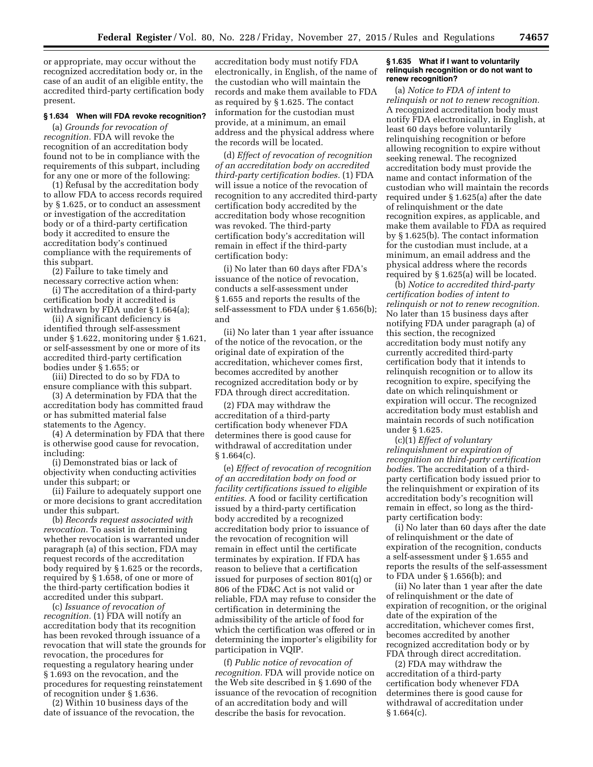or appropriate, may occur without the recognized accreditation body or, in the case of an audit of an eligible entity, the accredited third-party certification body present.

## **§ 1.634 When will FDA revoke recognition?**

(a) *Grounds for revocation of recognition.* FDA will revoke the recognition of an accreditation body found not to be in compliance with the requirements of this subpart, including for any one or more of the following:

(1) Refusal by the accreditation body to allow FDA to access records required by § 1.625, or to conduct an assessment or investigation of the accreditation body or of a third-party certification body it accredited to ensure the accreditation body's continued compliance with the requirements of this subpart.

(2) Failure to take timely and necessary corrective action when:

(i) The accreditation of a third-party certification body it accredited is withdrawn by FDA under § 1.664(a);

(ii) A significant deficiency is identified through self-assessment under § 1.622, monitoring under § 1.621, or self-assessment by one or more of its accredited third-party certification bodies under § 1.655; or

(iii) Directed to do so by FDA to ensure compliance with this subpart.

(3) A determination by FDA that the accreditation body has committed fraud or has submitted material false statements to the Agency.

(4) A determination by FDA that there is otherwise good cause for revocation, including:

(i) Demonstrated bias or lack of objectivity when conducting activities under this subpart; or

(ii) Failure to adequately support one or more decisions to grant accreditation under this subpart.

(b) *Records request associated with revocation.* To assist in determining whether revocation is warranted under paragraph (a) of this section, FDA may request records of the accreditation body required by § 1.625 or the records, required by § 1.658, of one or more of the third-party certification bodies it accredited under this subpart.

(c) *Issuance of revocation of recognition.* (1) FDA will notify an accreditation body that its recognition has been revoked through issuance of a revocation that will state the grounds for revocation, the procedures for requesting a regulatory hearing under § 1.693 on the revocation, and the procedures for requesting reinstatement of recognition under § 1.636.

(2) Within 10 business days of the date of issuance of the revocation, the

accreditation body must notify FDA electronically, in English, of the name of the custodian who will maintain the records and make them available to FDA as required by § 1.625. The contact information for the custodian must provide, at a minimum, an email address and the physical address where the records will be located.

(d) *Effect of revocation of recognition of an accreditation body on accredited third-party certification bodies.* (1) FDA will issue a notice of the revocation of recognition to any accredited third-party certification body accredited by the accreditation body whose recognition was revoked. The third-party certification body's accreditation will remain in effect if the third-party certification body:

(i) No later than 60 days after FDA's issuance of the notice of revocation, conducts a self-assessment under § 1.655 and reports the results of the self-assessment to FDA under § 1.656(b); and

(ii) No later than 1 year after issuance of the notice of the revocation, or the original date of expiration of the accreditation, whichever comes first, becomes accredited by another recognized accreditation body or by FDA through direct accreditation.

(2) FDA may withdraw the accreditation of a third-party certification body whenever FDA determines there is good cause for withdrawal of accreditation under  $§ 1.664(c).$ 

(e) *Effect of revocation of recognition of an accreditation body on food or facility certifications issued to eligible entities.* A food or facility certification issued by a third-party certification body accredited by a recognized accreditation body prior to issuance of the revocation of recognition will remain in effect until the certificate terminates by expiration. If FDA has reason to believe that a certification issued for purposes of section 801(q) or 806 of the FD&C Act is not valid or reliable, FDA may refuse to consider the certification in determining the admissibility of the article of food for which the certification was offered or in determining the importer's eligibility for participation in VQIP.

(f) *Public notice of revocation of recognition.* FDA will provide notice on the Web site described in § 1.690 of the issuance of the revocation of recognition of an accreditation body and will describe the basis for revocation.

## **§ 1.635 What if I want to voluntarily relinquish recognition or do not want to renew recognition?**

(a) *Notice to FDA of intent to relinquish or not to renew recognition.*  A recognized accreditation body must notify FDA electronically, in English, at least 60 days before voluntarily relinquishing recognition or before allowing recognition to expire without seeking renewal. The recognized accreditation body must provide the name and contact information of the custodian who will maintain the records required under § 1.625(a) after the date of relinquishment or the date recognition expires, as applicable, and make them available to FDA as required by § 1.625(b). The contact information for the custodian must include, at a minimum, an email address and the physical address where the records required by § 1.625(a) will be located.

(b) *Notice to accredited third-party certification bodies of intent to relinquish or not to renew recognition.*  No later than 15 business days after notifying FDA under paragraph (a) of this section, the recognized accreditation body must notify any currently accredited third-party certification body that it intends to relinquish recognition or to allow its recognition to expire, specifying the date on which relinquishment or expiration will occur. The recognized accreditation body must establish and maintain records of such notification under § 1.625.

(c)(1) *Effect of voluntary relinquishment or expiration of recognition on third-party certification bodies.* The accreditation of a thirdparty certification body issued prior to the relinquishment or expiration of its accreditation body's recognition will remain in effect, so long as the thirdparty certification body:

(i) No later than 60 days after the date of relinquishment or the date of expiration of the recognition, conducts a self-assessment under § 1.655 and reports the results of the self-assessment to FDA under § 1.656(b); and

(ii) No later than 1 year after the date of relinquishment or the date of expiration of recognition, or the original date of the expiration of the accreditation, whichever comes first, becomes accredited by another recognized accreditation body or by FDA through direct accreditation.

(2) FDA may withdraw the accreditation of a third-party certification body whenever FDA determines there is good cause for withdrawal of accreditation under  $§ 1.664(c).$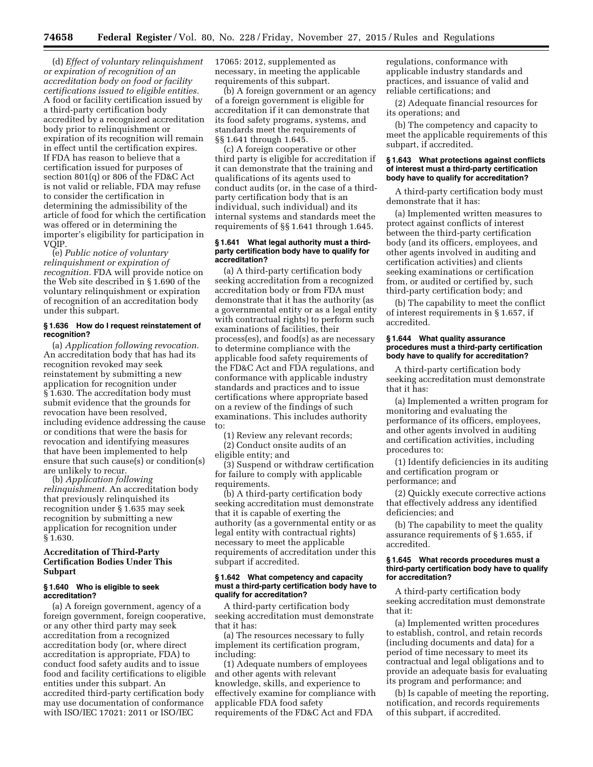(d) *Effect of voluntary relinquishment or expiration of recognition of an accreditation body on food or facility certifications issued to eligible entities.*  A food or facility certification issued by a third-party certification body accredited by a recognized accreditation body prior to relinquishment or expiration of its recognition will remain in effect until the certification expires. If FDA has reason to believe that a certification issued for purposes of section 801(q) or 806 of the FD&C Act is not valid or reliable, FDA may refuse to consider the certification in determining the admissibility of the article of food for which the certification was offered or in determining the importer's eligibility for participation in VQIP.

(e) *Public notice of voluntary relinquishment or expiration of recognition.* FDA will provide notice on the Web site described in § 1.690 of the voluntary relinquishment or expiration of recognition of an accreditation body under this subpart.

## **§ 1.636 How do I request reinstatement of recognition?**

(a) *Application following revocation.*  An accreditation body that has had its recognition revoked may seek reinstatement by submitting a new application for recognition under § 1.630. The accreditation body must submit evidence that the grounds for revocation have been resolved, including evidence addressing the cause or conditions that were the basis for revocation and identifying measures that have been implemented to help ensure that such cause(s) or condition(s) are unlikely to recur.

(b) *Application following relinquishment.* An accreditation body that previously relinquished its recognition under § 1.635 may seek recognition by submitting a new application for recognition under § 1.630.

## **Accreditation of Third-Party Certification Bodies Under This Subpart**

## **§ 1.640 Who is eligible to seek accreditation?**

(a) A foreign government, agency of a foreign government, foreign cooperative, or any other third party may seek accreditation from a recognized accreditation body (or, where direct accreditation is appropriate, FDA) to conduct food safety audits and to issue food and facility certifications to eligible entities under this subpart. An accredited third-party certification body may use documentation of conformance with ISO/IEC 17021: 2011 or ISO/IEC

17065: 2012, supplemented as necessary, in meeting the applicable requirements of this subpart.

(b) A foreign government or an agency of a foreign government is eligible for accreditation if it can demonstrate that its food safety programs, systems, and standards meet the requirements of §§ 1.641 through 1.645.

(c) A foreign cooperative or other third party is eligible for accreditation if it can demonstrate that the training and qualifications of its agents used to conduct audits (or, in the case of a thirdparty certification body that is an individual, such individual) and its internal systems and standards meet the requirements of §§ 1.641 through 1.645.

#### **§ 1.641 What legal authority must a thirdparty certification body have to qualify for accreditation?**

(a) A third-party certification body seeking accreditation from a recognized accreditation body or from FDA must demonstrate that it has the authority (as a governmental entity or as a legal entity with contractual rights) to perform such examinations of facilities, their process(es), and food(s) as are necessary to determine compliance with the applicable food safety requirements of the FD&C Act and FDA regulations, and conformance with applicable industry standards and practices and to issue certifications where appropriate based on a review of the findings of such examinations. This includes authority to:

(1) Review any relevant records; (2) Conduct onsite audits of an

eligible entity; and

(3) Suspend or withdraw certification for failure to comply with applicable requirements.

(b) A third-party certification body seeking accreditation must demonstrate that it is capable of exerting the authority (as a governmental entity or as legal entity with contractual rights) necessary to meet the applicable requirements of accreditation under this subpart if accredited.

### **§ 1.642 What competency and capacity must a third-party certification body have to qualify for accreditation?**

A third-party certification body seeking accreditation must demonstrate that it has:

(a) The resources necessary to fully implement its certification program, including:

(1) Adequate numbers of employees and other agents with relevant knowledge, skills, and experience to effectively examine for compliance with applicable FDA food safety requirements of the FD&C Act and FDA

regulations, conformance with applicable industry standards and practices, and issuance of valid and reliable certifications; and

(2) Adequate financial resources for its operations; and

(b) The competency and capacity to meet the applicable requirements of this subpart, if accredited.

### **§ 1.643 What protections against conflicts of interest must a third-party certification body have to qualify for accreditation?**

A third-party certification body must demonstrate that it has:

(a) Implemented written measures to protect against conflicts of interest between the third-party certification body (and its officers, employees, and other agents involved in auditing and certification activities) and clients seeking examinations or certification from, or audited or certified by, such third-party certification body; and

(b) The capability to meet the conflict of interest requirements in § 1.657, if accredited.

### **§ 1.644 What quality assurance procedures must a third-party certification body have to qualify for accreditation?**

A third-party certification body seeking accreditation must demonstrate that it has:

(a) Implemented a written program for monitoring and evaluating the performance of its officers, employees, and other agents involved in auditing and certification activities, including procedures to:

(1) Identify deficiencies in its auditing and certification program or performance; and

(2) Quickly execute corrective actions that effectively address any identified deficiencies; and

(b) The capability to meet the quality assurance requirements of § 1.655, if accredited.

#### **§ 1.645 What records procedures must a third-party certification body have to qualify for accreditation?**

A third-party certification body seeking accreditation must demonstrate that it:

(a) Implemented written procedures to establish, control, and retain records (including documents and data) for a period of time necessary to meet its contractual and legal obligations and to provide an adequate basis for evaluating its program and performance; and

(b) Is capable of meeting the reporting, notification, and records requirements of this subpart, if accredited.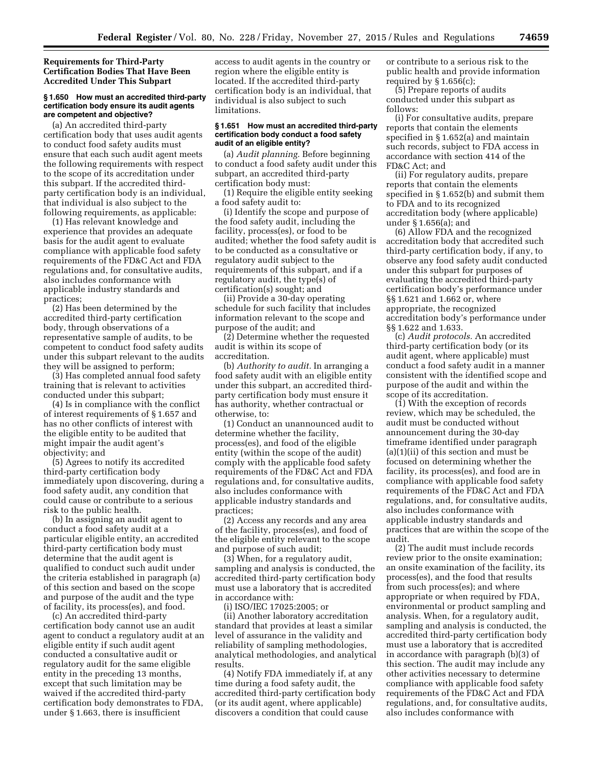**Requirements for Third-Party Certification Bodies That Have Been Accredited Under This Subpart** 

### **§ 1.650 How must an accredited third-party certification body ensure its audit agents are competent and objective?**

(a) An accredited third-party certification body that uses audit agents to conduct food safety audits must ensure that each such audit agent meets the following requirements with respect to the scope of its accreditation under this subpart. If the accredited thirdparty certification body is an individual, that individual is also subject to the following requirements, as applicable:

(1) Has relevant knowledge and experience that provides an adequate basis for the audit agent to evaluate compliance with applicable food safety requirements of the FD&C Act and FDA regulations and, for consultative audits, also includes conformance with applicable industry standards and practices;

(2) Has been determined by the accredited third-party certification body, through observations of a representative sample of audits, to be competent to conduct food safety audits under this subpart relevant to the audits they will be assigned to perform;

(3) Has completed annual food safety training that is relevant to activities conducted under this subpart;

(4) Is in compliance with the conflict of interest requirements of § 1.657 and has no other conflicts of interest with the eligible entity to be audited that might impair the audit agent's objectivity; and

(5) Agrees to notify its accredited third-party certification body immediately upon discovering, during a food safety audit, any condition that could cause or contribute to a serious risk to the public health.

(b) In assigning an audit agent to conduct a food safety audit at a particular eligible entity, an accredited third-party certification body must determine that the audit agent is qualified to conduct such audit under the criteria established in paragraph (a) of this section and based on the scope and purpose of the audit and the type of facility, its process(es), and food.

(c) An accredited third-party certification body cannot use an audit agent to conduct a regulatory audit at an eligible entity if such audit agent conducted a consultative audit or regulatory audit for the same eligible entity in the preceding 13 months, except that such limitation may be waived if the accredited third-party certification body demonstrates to FDA, under § 1.663, there is insufficient

access to audit agents in the country or region where the eligible entity is located. If the accredited third-party certification body is an individual, that individual is also subject to such limitations.

## **§ 1.651 How must an accredited third-party certification body conduct a food safety audit of an eligible entity?**

(a) *Audit planning.* Before beginning to conduct a food safety audit under this subpart, an accredited third-party certification body must:

(1) Require the eligible entity seeking a food safety audit to:

(i) Identify the scope and purpose of the food safety audit, including the facility, process(es), or food to be audited; whether the food safety audit is to be conducted as a consultative or regulatory audit subject to the requirements of this subpart, and if a regulatory audit, the type(s) of certification(s) sought; and

(ii) Provide a 30-day operating schedule for such facility that includes information relevant to the scope and purpose of the audit; and

(2) Determine whether the requested audit is within its scope of accreditation.

(b) *Authority to audit.* In arranging a food safety audit with an eligible entity under this subpart, an accredited thirdparty certification body must ensure it has authority, whether contractual or otherwise, to:

(1) Conduct an unannounced audit to determine whether the facility, process(es), and food of the eligible entity (within the scope of the audit) comply with the applicable food safety requirements of the FD&C Act and FDA regulations and, for consultative audits, also includes conformance with applicable industry standards and practices;

(2) Access any records and any area of the facility, process(es), and food of the eligible entity relevant to the scope and purpose of such audit;

(3) When, for a regulatory audit, sampling and analysis is conducted, the accredited third-party certification body must use a laboratory that is accredited in accordance with:

(i) ISO/IEC 17025:2005; or

(ii) Another laboratory accreditation standard that provides at least a similar level of assurance in the validity and reliability of sampling methodologies, analytical methodologies, and analytical results.

(4) Notify FDA immediately if, at any time during a food safety audit, the accredited third-party certification body (or its audit agent, where applicable) discovers a condition that could cause

or contribute to a serious risk to the public health and provide information required by  $\S 1.656(c)$ ;

(5) Prepare reports of audits conducted under this subpart as follows:

(i) For consultative audits, prepare reports that contain the elements specified in § 1.652(a) and maintain such records, subject to FDA access in accordance with section 414 of the FD&C Act; and

(ii) For regulatory audits, prepare reports that contain the elements specified in § 1.652(b) and submit them to FDA and to its recognized accreditation body (where applicable) under § 1.656(a); and

(6) Allow FDA and the recognized accreditation body that accredited such third-party certification body, if any, to observe any food safety audit conducted under this subpart for purposes of evaluating the accredited third-party certification body's performance under §§ 1.621 and 1.662 or, where appropriate, the recognized accreditation body's performance under §§ 1.622 and 1.633.

(c) *Audit protocols.* An accredited third-party certification body (or its audit agent, where applicable) must conduct a food safety audit in a manner consistent with the identified scope and purpose of the audit and within the scope of its accreditation.

(1) With the exception of records review, which may be scheduled, the audit must be conducted without announcement during the 30-day timeframe identified under paragraph (a)(1)(ii) of this section and must be focused on determining whether the facility, its process(es), and food are in compliance with applicable food safety requirements of the FD&C Act and FDA regulations, and, for consultative audits, also includes conformance with applicable industry standards and practices that are within the scope of the audit.

(2) The audit must include records review prior to the onsite examination; an onsite examination of the facility, its process(es), and the food that results from such process(es); and where appropriate or when required by FDA, environmental or product sampling and analysis. When, for a regulatory audit, sampling and analysis is conducted, the accredited third-party certification body must use a laboratory that is accredited in accordance with paragraph (b)(3) of this section. The audit may include any other activities necessary to determine compliance with applicable food safety requirements of the FD&C Act and FDA regulations, and, for consultative audits, also includes conformance with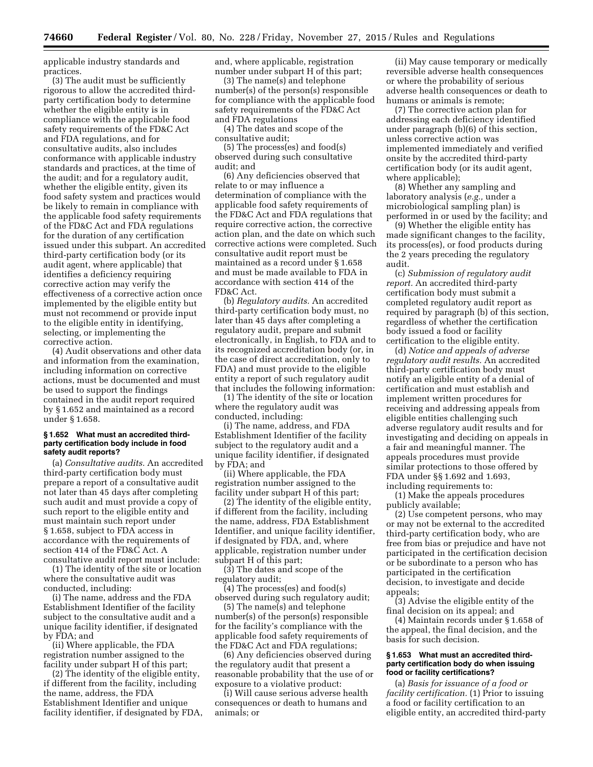applicable industry standards and practices.

(3) The audit must be sufficiently rigorous to allow the accredited thirdparty certification body to determine whether the eligible entity is in compliance with the applicable food safety requirements of the FD&C Act and FDA regulations, and for consultative audits, also includes conformance with applicable industry standards and practices, at the time of the audit; and for a regulatory audit, whether the eligible entity, given its food safety system and practices would be likely to remain in compliance with the applicable food safety requirements of the FD&C Act and FDA regulations for the duration of any certification issued under this subpart. An accredited third-party certification body (or its audit agent, where applicable) that identifies a deficiency requiring corrective action may verify the effectiveness of a corrective action once implemented by the eligible entity but must not recommend or provide input to the eligible entity in identifying, selecting, or implementing the corrective action.

(4) Audit observations and other data and information from the examination, including information on corrective actions, must be documented and must be used to support the findings contained in the audit report required by § 1.652 and maintained as a record under § 1.658.

### **§ 1.652 What must an accredited thirdparty certification body include in food safety audit reports?**

(a) *Consultative audits.* An accredited third-party certification body must prepare a report of a consultative audit not later than 45 days after completing such audit and must provide a copy of such report to the eligible entity and must maintain such report under § 1.658, subject to FDA access in accordance with the requirements of section 414 of the FD&C Act. A consultative audit report must include:

(1) The identity of the site or location where the consultative audit was conducted, including:

(i) The name, address and the FDA Establishment Identifier of the facility subject to the consultative audit and a unique facility identifier, if designated by FDA; and

(ii) Where applicable, the FDA registration number assigned to the facility under subpart H of this part;

(2) The identity of the eligible entity, if different from the facility, including the name, address, the FDA Establishment Identifier and unique facility identifier, if designated by FDA, and, where applicable, registration number under subpart H of this part;

(3) The name(s) and telephone number(s) of the person(s) responsible for compliance with the applicable food safety requirements of the FD&C Act and FDA regulations

(4) The dates and scope of the consultative audit;

(5) The process(es) and food(s) observed during such consultative audit; and

(6) Any deficiencies observed that relate to or may influence a determination of compliance with the applicable food safety requirements of the FD&C Act and FDA regulations that require corrective action, the corrective action plan, and the date on which such corrective actions were completed. Such consultative audit report must be maintained as a record under § 1.658 and must be made available to FDA in accordance with section 414 of the FD&C Act.

(b) *Regulatory audits.* An accredited third-party certification body must, no later than 45 days after completing a regulatory audit, prepare and submit electronically, in English, to FDA and to its recognized accreditation body (or, in the case of direct accreditation, only to FDA) and must provide to the eligible entity a report of such regulatory audit that includes the following information:

(1) The identity of the site or location where the regulatory audit was conducted, including:

(i) The name, address, and FDA Establishment Identifier of the facility subject to the regulatory audit and a unique facility identifier, if designated by FDA; and

(ii) Where applicable, the FDA registration number assigned to the facility under subpart H of this part;

(2) The identity of the eligible entity, if different from the facility, including the name, address, FDA Establishment Identifier, and unique facility identifier, if designated by FDA, and, where applicable, registration number under subpart H of this part;

(3) The dates and scope of the regulatory audit;

(4) The process(es) and food(s) observed during such regulatory audit;

(5) The name(s) and telephone number(s) of the person(s) responsible for the facility's compliance with the applicable food safety requirements of the FD&C Act and FDA regulations;

(6) Any deficiencies observed during the regulatory audit that present a reasonable probability that the use of or exposure to a violative product:

(i) Will cause serious adverse health consequences or death to humans and animals; or

(ii) May cause temporary or medically reversible adverse health consequences or where the probability of serious adverse health consequences or death to humans or animals is remote;

(7) The corrective action plan for addressing each deficiency identified under paragraph (b)(6) of this section, unless corrective action was implemented immediately and verified onsite by the accredited third-party certification body (or its audit agent, where applicable);

(8) Whether any sampling and laboratory analysis (*e.g.,* under a microbiological sampling plan) is performed in or used by the facility; and

(9) Whether the eligible entity has made significant changes to the facility, its process(es), or food products during the 2 years preceding the regulatory audit.

(c) *Submission of regulatory audit report.* An accredited third-party certification body must submit a completed regulatory audit report as required by paragraph (b) of this section, regardless of whether the certification body issued a food or facility certification to the eligible entity.

(d) *Notice and appeals of adverse regulatory audit results.* An accredited third-party certification body must notify an eligible entity of a denial of certification and must establish and implement written procedures for receiving and addressing appeals from eligible entities challenging such adverse regulatory audit results and for investigating and deciding on appeals in a fair and meaningful manner. The appeals procedures must provide similar protections to those offered by FDA under §§ 1.692 and 1.693, including requirements to:

(1) Make the appeals procedures publicly available;

(2) Use competent persons, who may or may not be external to the accredited third-party certification body, who are free from bias or prejudice and have not participated in the certification decision or be subordinate to a person who has participated in the certification decision, to investigate and decide appeals;

(3) Advise the eligible entity of the final decision on its appeal; and

(4) Maintain records under § 1.658 of the appeal, the final decision, and the basis for such decision.

## **§ 1.653 What must an accredited thirdparty certification body do when issuing food or facility certifications?**

(a) *Basis for issuance of a food or facility certification.* (1) Prior to issuing a food or facility certification to an eligible entity, an accredited third-party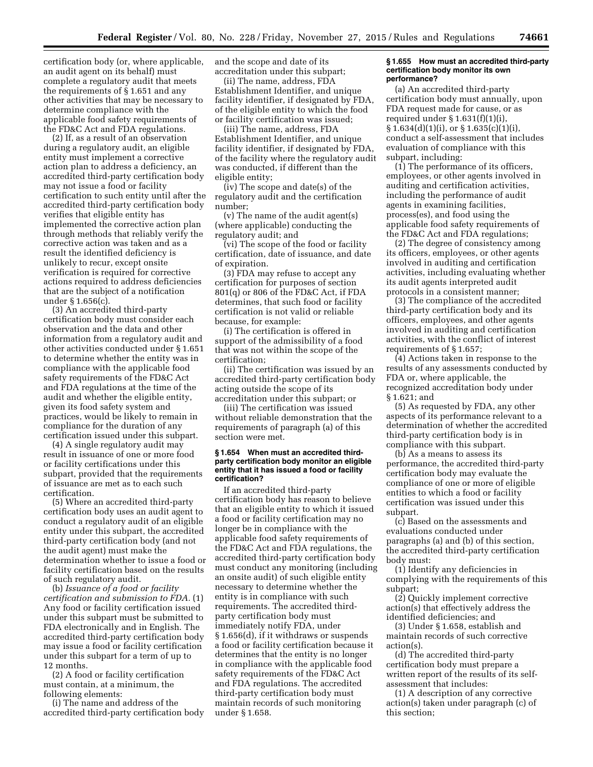certification body (or, where applicable, an audit agent on its behalf) must complete a regulatory audit that meets the requirements of § 1.651 and any other activities that may be necessary to determine compliance with the applicable food safety requirements of the FD&C Act and FDA regulations.

(2) If, as a result of an observation during a regulatory audit, an eligible entity must implement a corrective action plan to address a deficiency, an accredited third-party certification body may not issue a food or facility certification to such entity until after the accredited third-party certification body verifies that eligible entity has implemented the corrective action plan through methods that reliably verify the corrective action was taken and as a result the identified deficiency is unlikely to recur, except onsite verification is required for corrective actions required to address deficiencies that are the subject of a notification under § 1.656(c).

(3) An accredited third-party certification body must consider each observation and the data and other information from a regulatory audit and other activities conducted under § 1.651 to determine whether the entity was in compliance with the applicable food safety requirements of the FD&C Act and FDA regulations at the time of the audit and whether the eligible entity, given its food safety system and practices, would be likely to remain in compliance for the duration of any certification issued under this subpart.

(4) A single regulatory audit may result in issuance of one or more food or facility certifications under this subpart, provided that the requirements of issuance are met as to each such certification.

(5) Where an accredited third-party certification body uses an audit agent to conduct a regulatory audit of an eligible entity under this subpart, the accredited third-party certification body (and not the audit agent) must make the determination whether to issue a food or facility certification based on the results of such regulatory audit.

(b) *Issuance of a food or facility certification and submission to FDA.* (1) Any food or facility certification issued under this subpart must be submitted to FDA electronically and in English. The accredited third-party certification body may issue a food or facility certification under this subpart for a term of up to 12 months.

(2) A food or facility certification must contain, at a minimum, the following elements:

(i) The name and address of the accredited third-party certification body and the scope and date of its accreditation under this subpart;

(ii) The name, address, FDA Establishment Identifier, and unique facility identifier, if designated by FDA, of the eligible entity to which the food or facility certification was issued;

(iii) The name, address, FDA Establishment Identifier, and unique facility identifier, if designated by FDA, of the facility where the regulatory audit was conducted, if different than the eligible entity;

(iv) The scope and date(s) of the regulatory audit and the certification number;

(v) The name of the audit agent(s) (where applicable) conducting the regulatory audit; and

(vi) The scope of the food or facility certification, date of issuance, and date of expiration.

(3) FDA may refuse to accept any certification for purposes of section 801(q) or 806 of the FD&C Act, if FDA determines, that such food or facility certification is not valid or reliable because, for example:

(i) The certification is offered in support of the admissibility of a food that was not within the scope of the certification;

(ii) The certification was issued by an accredited third-party certification body acting outside the scope of its accreditation under this subpart; or

(iii) The certification was issued without reliable demonstration that the requirements of paragraph (a) of this section were met.

## **§ 1.654 When must an accredited thirdparty certification body monitor an eligible entity that it has issued a food or facility certification?**

If an accredited third-party certification body has reason to believe that an eligible entity to which it issued a food or facility certification may no longer be in compliance with the applicable food safety requirements of the FD&C Act and FDA regulations, the accredited third-party certification body must conduct any monitoring (including an onsite audit) of such eligible entity necessary to determine whether the entity is in compliance with such requirements. The accredited thirdparty certification body must immediately notify FDA, under § 1.656(d), if it withdraws or suspends a food or facility certification because it determines that the entity is no longer in compliance with the applicable food safety requirements of the FD&C Act and FDA regulations. The accredited third-party certification body must maintain records of such monitoring under § 1.658.

#### **§ 1.655 How must an accredited third-party certification body monitor its own performance?**

(a) An accredited third-party certification body must annually, upon FDA request made for cause, or as required under  $\S 1.631(f)(1)(i)$ , § 1.634(d)(1)(i), or § 1.635(c)(1)(i), conduct a self-assessment that includes evaluation of compliance with this subpart, including:

(1) The performance of its officers, employees, or other agents involved in auditing and certification activities, including the performance of audit agents in examining facilities, process(es), and food using the applicable food safety requirements of the FD&C Act and FDA regulations;

(2) The degree of consistency among its officers, employees, or other agents involved in auditing and certification activities, including evaluating whether its audit agents interpreted audit protocols in a consistent manner;

(3) The compliance of the accredited third-party certification body and its officers, employees, and other agents involved in auditing and certification activities, with the conflict of interest requirements of § 1.657;

(4) Actions taken in response to the results of any assessments conducted by FDA or, where applicable, the recognized accreditation body under § 1.621; and

(5) As requested by FDA, any other aspects of its performance relevant to a determination of whether the accredited third-party certification body is in compliance with this subpart.

(b) As a means to assess its performance, the accredited third-party certification body may evaluate the compliance of one or more of eligible entities to which a food or facility certification was issued under this subpart.

(c) Based on the assessments and evaluations conducted under paragraphs (a) and (b) of this section, the accredited third-party certification body must:

(1) Identify any deficiencies in complying with the requirements of this subpart;

(2) Quickly implement corrective action(s) that effectively address the identified deficiencies; and

(3) Under § 1.658, establish and maintain records of such corrective action(s).

(d) The accredited third-party certification body must prepare a written report of the results of its selfassessment that includes:

(1) A description of any corrective action(s) taken under paragraph (c) of this section;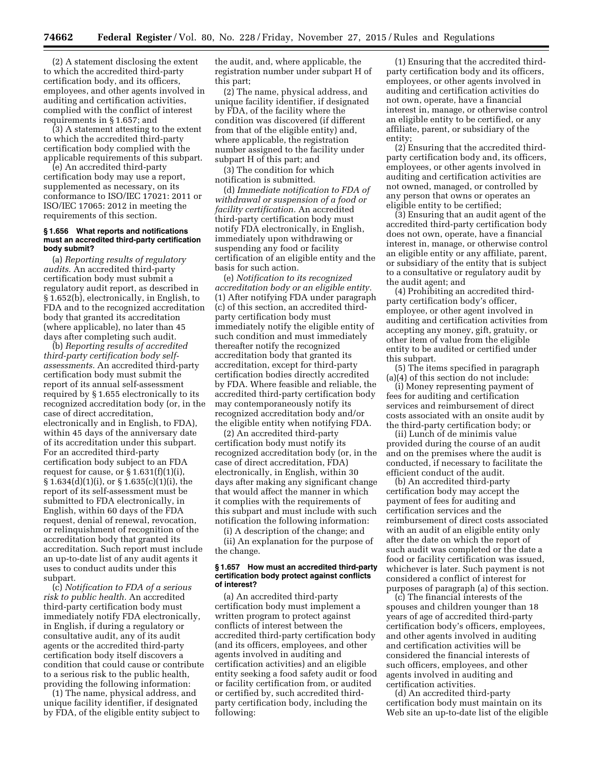(2) A statement disclosing the extent to which the accredited third-party certification body, and its officers, employees, and other agents involved in auditing and certification activities, complied with the conflict of interest requirements in § 1.657; and

(3) A statement attesting to the extent to which the accredited third-party certification body complied with the applicable requirements of this subpart.

(e) An accredited third-party certification body may use a report, supplemented as necessary, on its conformance to ISO/IEC 17021: 2011 or ISO/IEC 17065: 2012 in meeting the requirements of this section.

## **§ 1.656 What reports and notifications must an accredited third-party certification body submit?**

(a) *Reporting results of regulatory audits.* An accredited third-party certification body must submit a regulatory audit report, as described in § 1.652(b), electronically, in English, to FDA and to the recognized accreditation body that granted its accreditation (where applicable), no later than 45 days after completing such audit.

(b) *Reporting results of accredited third-party certification body selfassessments.* An accredited third-party certification body must submit the report of its annual self-assessment required by § 1.655 electronically to its recognized accreditation body (or, in the case of direct accreditation, electronically and in English, to FDA), within 45 days of the anniversary date of its accreditation under this subpart. For an accredited third-party certification body subject to an FDA request for cause, or  $\S 1.631(f)(1)(i)$ , § 1.634(d)(1)(i), or § 1.635(c)(1)(i), the report of its self-assessment must be submitted to FDA electronically, in English, within 60 days of the FDA request, denial of renewal, revocation, or relinquishment of recognition of the accreditation body that granted its accreditation. Such report must include an up-to-date list of any audit agents it uses to conduct audits under this subpart.

(c) *Notification to FDA of a serious risk to public health.* An accredited third-party certification body must immediately notify FDA electronically, in English, if during a regulatory or consultative audit, any of its audit agents or the accredited third-party certification body itself discovers a condition that could cause or contribute to a serious risk to the public health, providing the following information:

(1) The name, physical address, and unique facility identifier, if designated by FDA, of the eligible entity subject to the audit, and, where applicable, the registration number under subpart H of this part;

(2) The name, physical address, and unique facility identifier, if designated by FDA, of the facility where the condition was discovered (if different from that of the eligible entity) and, where applicable, the registration number assigned to the facility under subpart H of this part; and

(3) The condition for which notification is submitted.

(d) *Immediate notification to FDA of withdrawal or suspension of a food or facility certification.* An accredited third-party certification body must notify FDA electronically, in English, immediately upon withdrawing or suspending any food or facility certification of an eligible entity and the basis for such action.

(e) *Notification to its recognized accreditation body or an eligible entity.*  (1) After notifying FDA under paragraph (c) of this section, an accredited thirdparty certification body must immediately notify the eligible entity of such condition and must immediately thereafter notify the recognized accreditation body that granted its accreditation, except for third-party certification bodies directly accredited by FDA. Where feasible and reliable, the accredited third-party certification body may contemporaneously notify its recognized accreditation body and/or the eligible entity when notifying FDA.

(2) An accredited third-party certification body must notify its recognized accreditation body (or, in the case of direct accreditation, FDA) electronically, in English, within 30 days after making any significant change that would affect the manner in which it complies with the requirements of this subpart and must include with such notification the following information:

(i) A description of the change; and (ii) An explanation for the purpose of the change.

#### **§ 1.657 How must an accredited third-party certification body protect against conflicts of interest?**

(a) An accredited third-party certification body must implement a written program to protect against conflicts of interest between the accredited third-party certification body (and its officers, employees, and other agents involved in auditing and certification activities) and an eligible entity seeking a food safety audit or food or facility certification from, or audited or certified by, such accredited thirdparty certification body, including the following:

(1) Ensuring that the accredited thirdparty certification body and its officers, employees, or other agents involved in auditing and certification activities do not own, operate, have a financial interest in, manage, or otherwise control an eligible entity to be certified, or any affiliate, parent, or subsidiary of the entity;

(2) Ensuring that the accredited thirdparty certification body and, its officers, employees, or other agents involved in auditing and certification activities are not owned, managed, or controlled by any person that owns or operates an eligible entity to be certified;

(3) Ensuring that an audit agent of the accredited third-party certification body does not own, operate, have a financial interest in, manage, or otherwise control an eligible entity or any affiliate, parent, or subsidiary of the entity that is subject to a consultative or regulatory audit by the audit agent; and

(4) Prohibiting an accredited thirdparty certification body's officer, employee, or other agent involved in auditing and certification activities from accepting any money, gift, gratuity, or other item of value from the eligible entity to be audited or certified under this subpart.

(5) The items specified in paragraph (a)(4) of this section do not include:

(i) Money representing payment of fees for auditing and certification services and reimbursement of direct costs associated with an onsite audit by the third-party certification body; or

(ii) Lunch of de minimis value provided during the course of an audit and on the premises where the audit is conducted, if necessary to facilitate the efficient conduct of the audit.

(b) An accredited third-party certification body may accept the payment of fees for auditing and certification services and the reimbursement of direct costs associated with an audit of an eligible entity only after the date on which the report of such audit was completed or the date a food or facility certification was issued, whichever is later. Such payment is not considered a conflict of interest for purposes of paragraph (a) of this section.

(c) The financial interests of the spouses and children younger than 18 years of age of accredited third-party certification body's officers, employees, and other agents involved in auditing and certification activities will be considered the financial interests of such officers, employees, and other agents involved in auditing and certification activities.

(d) An accredited third-party certification body must maintain on its Web site an up-to-date list of the eligible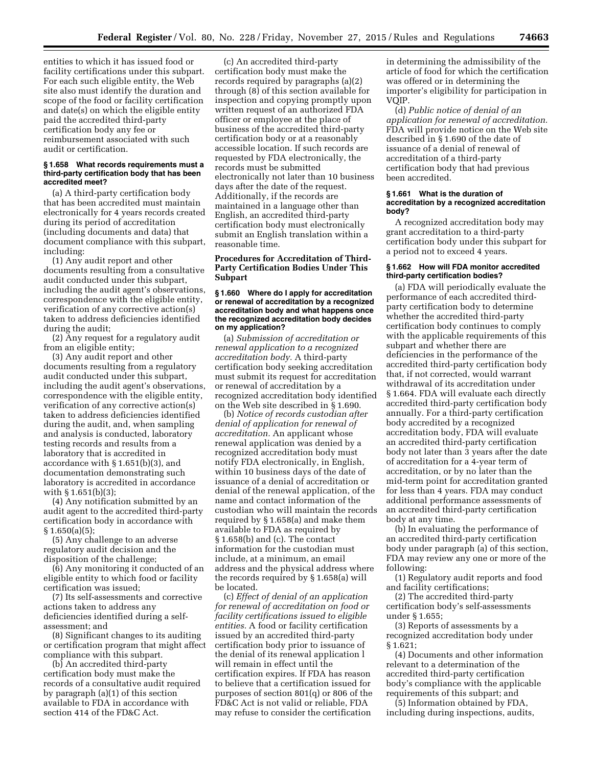entities to which it has issued food or facility certifications under this subpart. For each such eligible entity, the Web site also must identify the duration and scope of the food or facility certification and date(s) on which the eligible entity paid the accredited third-party certification body any fee or reimbursement associated with such audit or certification.

#### **§ 1.658 What records requirements must a third-party certification body that has been accredited meet?**

(a) A third-party certification body that has been accredited must maintain electronically for 4 years records created during its period of accreditation (including documents and data) that document compliance with this subpart, including:

(1) Any audit report and other documents resulting from a consultative audit conducted under this subpart, including the audit agent's observations, correspondence with the eligible entity, verification of any corrective action(s) taken to address deficiencies identified during the audit;

(2) Any request for a regulatory audit from an eligible entity;

(3) Any audit report and other documents resulting from a regulatory audit conducted under this subpart, including the audit agent's observations, correspondence with the eligible entity, verification of any corrective action(s) taken to address deficiencies identified during the audit, and, when sampling and analysis is conducted, laboratory testing records and results from a laboratory that is accredited in accordance with § 1.651(b)(3), and documentation demonstrating such laboratory is accredited in accordance with § 1.651(b)(3);

(4) Any notification submitted by an audit agent to the accredited third-party certification body in accordance with  $§ 1.650(a)(5);$ 

(5) Any challenge to an adverse regulatory audit decision and the disposition of the challenge;

(6) Any monitoring it conducted of an eligible entity to which food or facility certification was issued;

(7) Its self-assessments and corrective actions taken to address any deficiencies identified during a selfassessment; and

(8) Significant changes to its auditing or certification program that might affect compliance with this subpart.

(b) An accredited third-party certification body must make the records of a consultative audit required by paragraph (a)(1) of this section available to FDA in accordance with section 414 of the FD&C Act.

(c) An accredited third-party certification body must make the records required by paragraphs (a)(2) through (8) of this section available for inspection and copying promptly upon written request of an authorized FDA officer or employee at the place of business of the accredited third-party certification body or at a reasonably accessible location. If such records are requested by FDA electronically, the records must be submitted electronically not later than 10 business days after the date of the request. Additionally, if the records are maintained in a language other than English, an accredited third-party certification body must electronically submit an English translation within a reasonable time.

## **Procedures for Accreditation of Third-Party Certification Bodies Under This Subpart**

#### **§ 1.660 Where do I apply for accreditation or renewal of accreditation by a recognized accreditation body and what happens once the recognized accreditation body decides on my application?**

(a) *Submission of accreditation or renewal application to a recognized accreditation body.* A third-party certification body seeking accreditation must submit its request for accreditation or renewal of accreditation by a recognized accreditation body identified on the Web site described in § 1.690.

(b) *Notice of records custodian after denial of application for renewal of accreditation.* An applicant whose renewal application was denied by a recognized accreditation body must notify FDA electronically, in English, within 10 business days of the date of issuance of a denial of accreditation or denial of the renewal application, of the name and contact information of the custodian who will maintain the records required by § 1.658(a) and make them available to FDA as required by § 1.658(b) and (c). The contact information for the custodian must include, at a minimum, an email address and the physical address where the records required by § 1.658(a) will be located.

(c) *Effect of denial of an application for renewal of accreditation on food or facility certifications issued to eligible entities.* A food or facility certification issued by an accredited third-party certification body prior to issuance of the denial of its renewal application l will remain in effect until the certification expires. If FDA has reason to believe that a certification issued for purposes of section 801(q) or 806 of the FD&C Act is not valid or reliable, FDA may refuse to consider the certification

in determining the admissibility of the article of food for which the certification was offered or in determining the importer's eligibility for participation in VQIP.

(d) *Public notice of denial of an application for renewal of accreditation.*  FDA will provide notice on the Web site described in § 1.690 of the date of issuance of a denial of renewal of accreditation of a third-party certification body that had previous been accredited.

#### **§ 1.661 What is the duration of accreditation by a recognized accreditation body?**

A recognized accreditation body may grant accreditation to a third-party certification body under this subpart for a period not to exceed 4 years.

## **§ 1.662 How will FDA monitor accredited third-party certification bodies?**

(a) FDA will periodically evaluate the performance of each accredited thirdparty certification body to determine whether the accredited third-party certification body continues to comply with the applicable requirements of this subpart and whether there are deficiencies in the performance of the accredited third-party certification body that, if not corrected, would warrant withdrawal of its accreditation under § 1.664. FDA will evaluate each directly accredited third-party certification body annually. For a third-party certification body accredited by a recognized accreditation body, FDA will evaluate an accredited third-party certification body not later than 3 years after the date of accreditation for a 4-year term of accreditation, or by no later than the mid-term point for accreditation granted for less than 4 years. FDA may conduct additional performance assessments of an accredited third-party certification body at any time.

(b) In evaluating the performance of an accredited third-party certification body under paragraph (a) of this section, FDA may review any one or more of the following:

(1) Regulatory audit reports and food and facility certifications;

(2) The accredited third-party certification body's self-assessments under § 1.655;

(3) Reports of assessments by a recognized accreditation body under § 1.621;

(4) Documents and other information relevant to a determination of the accredited third-party certification body's compliance with the applicable requirements of this subpart; and

(5) Information obtained by FDA, including during inspections, audits,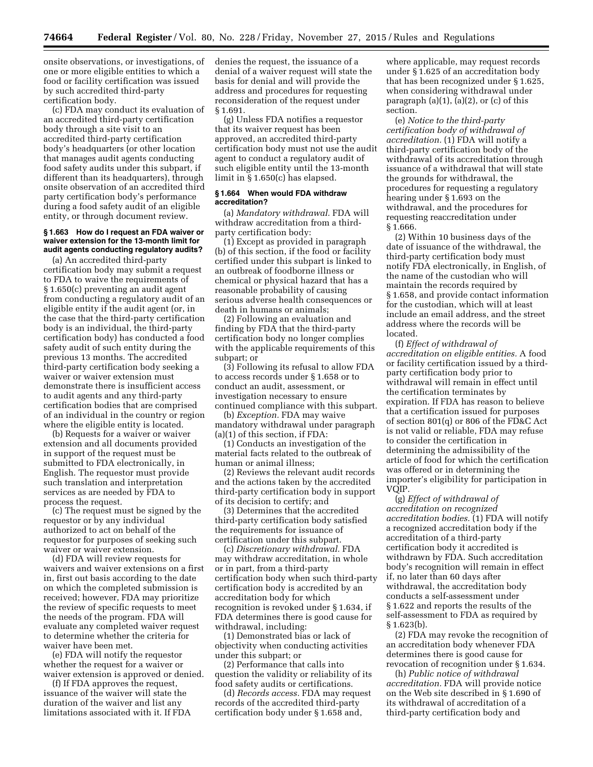onsite observations, or investigations, of one or more eligible entities to which a food or facility certification was issued by such accredited third-party certification body.

(c) FDA may conduct its evaluation of an accredited third-party certification body through a site visit to an accredited third-party certification body's headquarters (or other location that manages audit agents conducting food safety audits under this subpart, if different than its headquarters), through onsite observation of an accredited third party certification body's performance during a food safety audit of an eligible entity, or through document review.

## **§ 1.663 How do I request an FDA waiver or waiver extension for the 13-month limit for audit agents conducting regulatory audits?**

(a) An accredited third-party certification body may submit a request to FDA to waive the requirements of § 1.650(c) preventing an audit agent from conducting a regulatory audit of an eligible entity if the audit agent (or, in the case that the third-party certification body is an individual, the third-party certification body) has conducted a food safety audit of such entity during the previous 13 months. The accredited third-party certification body seeking a waiver or waiver extension must demonstrate there is insufficient access to audit agents and any third-party certification bodies that are comprised of an individual in the country or region where the eligible entity is located.

(b) Requests for a waiver or waiver extension and all documents provided in support of the request must be submitted to FDA electronically, in English. The requestor must provide such translation and interpretation services as are needed by FDA to process the request.

(c) The request must be signed by the requestor or by any individual authorized to act on behalf of the requestor for purposes of seeking such waiver or waiver extension.

(d) FDA will review requests for waivers and waiver extensions on a first in, first out basis according to the date on which the completed submission is received; however, FDA may prioritize the review of specific requests to meet the needs of the program. FDA will evaluate any completed waiver request to determine whether the criteria for waiver have been met.

(e) FDA will notify the requestor whether the request for a waiver or waiver extension is approved or denied.

(f) If FDA approves the request, issuance of the waiver will state the duration of the waiver and list any limitations associated with it. If FDA denies the request, the issuance of a denial of a waiver request will state the basis for denial and will provide the address and procedures for requesting reconsideration of the request under § 1.691.

(g) Unless FDA notifies a requestor that its waiver request has been approved, an accredited third-party certification body must not use the audit agent to conduct a regulatory audit of such eligible entity until the 13-month limit in § 1.650(c) has elapsed.

#### **§ 1.664 When would FDA withdraw accreditation?**

(a) *Mandatory withdrawal.* FDA will withdraw accreditation from a thirdparty certification body:

(1) Except as provided in paragraph (b) of this section, if the food or facility certified under this subpart is linked to an outbreak of foodborne illness or chemical or physical hazard that has a reasonable probability of causing serious adverse health consequences or death in humans or animals;

(2) Following an evaluation and finding by FDA that the third-party certification body no longer complies with the applicable requirements of this subpart; or

(3) Following its refusal to allow FDA to access records under § 1.658 or to conduct an audit, assessment, or investigation necessary to ensure continued compliance with this subpart.

(b) *Exception.* FDA may waive mandatory withdrawal under paragraph (a)(1) of this section, if FDA:

(1) Conducts an investigation of the material facts related to the outbreak of human or animal illness;

(2) Reviews the relevant audit records and the actions taken by the accredited third-party certification body in support of its decision to certify; and

(3) Determines that the accredited third-party certification body satisfied the requirements for issuance of certification under this subpart.

(c) *Discretionary withdrawal.* FDA may withdraw accreditation, in whole or in part, from a third-party certification body when such third-party certification body is accredited by an accreditation body for which recognition is revoked under § 1.634, if FDA determines there is good cause for withdrawal, including:

(1) Demonstrated bias or lack of objectivity when conducting activities under this subpart; or

(2) Performance that calls into question the validity or reliability of its food safety audits or certifications.

(d) *Records access.* FDA may request records of the accredited third-party certification body under § 1.658 and,

where applicable, may request records under § 1.625 of an accreditation body that has been recognized under § 1.625, when considering withdrawal under paragraph  $(a)(1)$ ,  $(a)(2)$ , or  $(c)$  of this section.

(e) *Notice to the third-party certification body of withdrawal of accreditation.* (1) FDA will notify a third-party certification body of the withdrawal of its accreditation through issuance of a withdrawal that will state the grounds for withdrawal, the procedures for requesting a regulatory hearing under § 1.693 on the withdrawal, and the procedures for requesting reaccreditation under § 1.666.

(2) Within 10 business days of the date of issuance of the withdrawal, the third-party certification body must notify FDA electronically, in English, of the name of the custodian who will maintain the records required by § 1.658, and provide contact information for the custodian, which will at least include an email address, and the street address where the records will be located.

(f) *Effect of withdrawal of accreditation on eligible entities.* A food or facility certification issued by a thirdparty certification body prior to withdrawal will remain in effect until the certification terminates by expiration. If FDA has reason to believe that a certification issued for purposes of section 801(q) or 806 of the FD&C Act is not valid or reliable, FDA may refuse to consider the certification in determining the admissibility of the article of food for which the certification was offered or in determining the importer's eligibility for participation in VQIP.

(g) *Effect of withdrawal of accreditation on recognized accreditation bodies.* (1) FDA will notify a recognized accreditation body if the accreditation of a third-party certification body it accredited is withdrawn by FDA. Such accreditation body's recognition will remain in effect if, no later than 60 days after withdrawal, the accreditation body conducts a self-assessment under § 1.622 and reports the results of the self-assessment to FDA as required by  $§ 1.623(b).$ 

(2) FDA may revoke the recognition of an accreditation body whenever FDA determines there is good cause for revocation of recognition under § 1.634.

(h) *Public notice of withdrawal accreditation.* FDA will provide notice on the Web site described in § 1.690 of its withdrawal of accreditation of a third-party certification body and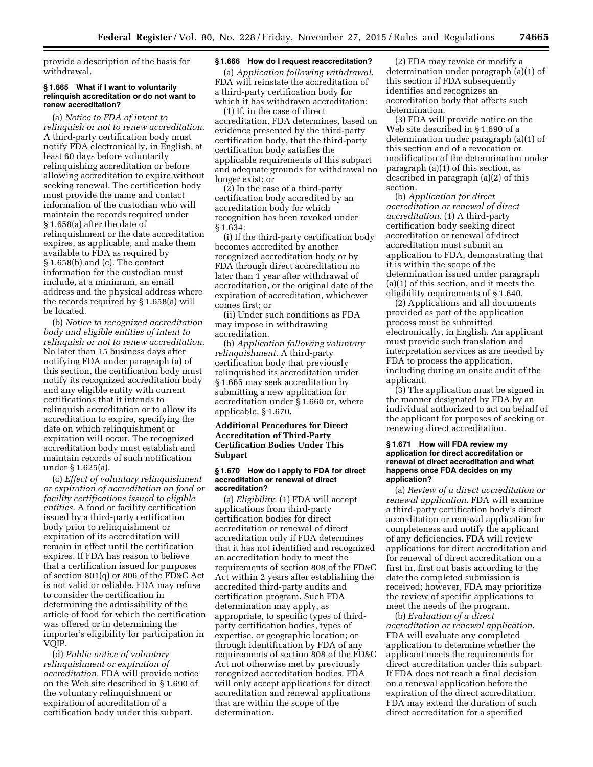provide a description of the basis for withdrawal.

## **§ 1.665 What if I want to voluntarily relinquish accreditation or do not want to renew accreditation?**

(a) *Notice to FDA of intent to relinquish or not to renew accreditation.*  A third-party certification body must notify FDA electronically, in English, at least 60 days before voluntarily relinquishing accreditation or before allowing accreditation to expire without seeking renewal. The certification body must provide the name and contact information of the custodian who will maintain the records required under § 1.658(a) after the date of relinquishment or the date accreditation expires, as applicable, and make them available to FDA as required by § 1.658(b) and (c). The contact information for the custodian must include, at a minimum, an email address and the physical address where the records required by § 1.658(a) will be located.

(b) *Notice to recognized accreditation body and eligible entities of intent to relinquish or not to renew accreditation.*  No later than 15 business days after notifying FDA under paragraph (a) of this section, the certification body must notify its recognized accreditation body and any eligible entity with current certifications that it intends to relinquish accreditation or to allow its accreditation to expire, specifying the date on which relinquishment or expiration will occur. The recognized accreditation body must establish and maintain records of such notification under § 1.625(a).

(c) *Effect of voluntary relinquishment or expiration of accreditation on food or facility certifications issued to eligible entities.* A food or facility certification issued by a third-party certification body prior to relinquishment or expiration of its accreditation will remain in effect until the certification expires. If FDA has reason to believe that a certification issued for purposes of section 801(q) or 806 of the FD&C Act is not valid or reliable, FDA may refuse to consider the certification in determining the admissibility of the article of food for which the certification was offered or in determining the importer's eligibility for participation in VQIP.

(d) *Public notice of voluntary relinquishment or expiration of accreditation.* FDA will provide notice on the Web site described in § 1.690 of the voluntary relinquishment or expiration of accreditation of a certification body under this subpart.

### **§ 1.666 How do I request reaccreditation?**

(a) *Application following withdrawal.*  FDA will reinstate the accreditation of a third-party certification body for which it has withdrawn accreditation:

(1) If, in the case of direct accreditation, FDA determines, based on evidence presented by the third-party certification body, that the third-party certification body satisfies the applicable requirements of this subpart and adequate grounds for withdrawal no longer exist; or

(2) In the case of a third-party certification body accredited by an accreditation body for which recognition has been revoked under § 1.634:

(i) If the third-party certification body becomes accredited by another recognized accreditation body or by FDA through direct accreditation no later than 1 year after withdrawal of accreditation, or the original date of the expiration of accreditation, whichever comes first; or

(ii) Under such conditions as FDA may impose in withdrawing accreditation.

(b) *Application following voluntary relinquishment.* A third-party certification body that previously relinquished its accreditation under § 1.665 may seek accreditation by submitting a new application for accreditation under § 1.660 or, where applicable, § 1.670.

## **Additional Procedures for Direct Accreditation of Third-Party Certification Bodies Under This Subpart**

#### **§ 1.670 How do I apply to FDA for direct accreditation or renewal of direct accreditation?**

(a) *Eligibility.* (1) FDA will accept applications from third-party certification bodies for direct accreditation or renewal of direct accreditation only if FDA determines that it has not identified and recognized an accreditation body to meet the requirements of section 808 of the FD&C Act within 2 years after establishing the accredited third-party audits and certification program. Such FDA determination may apply, as appropriate, to specific types of thirdparty certification bodies, types of expertise, or geographic location; or through identification by FDA of any requirements of section 808 of the FD&C Act not otherwise met by previously recognized accreditation bodies. FDA will only accept applications for direct accreditation and renewal applications that are within the scope of the determination.

(2) FDA may revoke or modify a determination under paragraph (a)(1) of this section if FDA subsequently identifies and recognizes an accreditation body that affects such determination.

(3) FDA will provide notice on the Web site described in § 1.690 of a determination under paragraph (a)(1) of this section and of a revocation or modification of the determination under paragraph (a)(1) of this section, as described in paragraph (a)(2) of this section.

(b) *Application for direct accreditation or renewal of direct accreditation.* (1) A third-party certification body seeking direct accreditation or renewal of direct accreditation must submit an application to FDA, demonstrating that it is within the scope of the determination issued under paragraph (a)(1) of this section, and it meets the eligibility requirements of § 1.640.

(2) Applications and all documents provided as part of the application process must be submitted electronically, in English. An applicant must provide such translation and interpretation services as are needed by FDA to process the application, including during an onsite audit of the applicant.

(3) The application must be signed in the manner designated by FDA by an individual authorized to act on behalf of the applicant for purposes of seeking or renewing direct accreditation.

## **§ 1.671 How will FDA review my application for direct accreditation or renewal of direct accreditation and what happens once FDA decides on my application?**

(a) *Review of a direct accreditation or renewal application.* FDA will examine a third-party certification body's direct accreditation or renewal application for completeness and notify the applicant of any deficiencies. FDA will review applications for direct accreditation and for renewal of direct accreditation on a first in, first out basis according to the date the completed submission is received; however, FDA may prioritize the review of specific applications to meet the needs of the program.

(b) *Evaluation of a direct accreditation or renewal application.*  FDA will evaluate any completed application to determine whether the applicant meets the requirements for direct accreditation under this subpart. If FDA does not reach a final decision on a renewal application before the expiration of the direct accreditation, FDA may extend the duration of such direct accreditation for a specified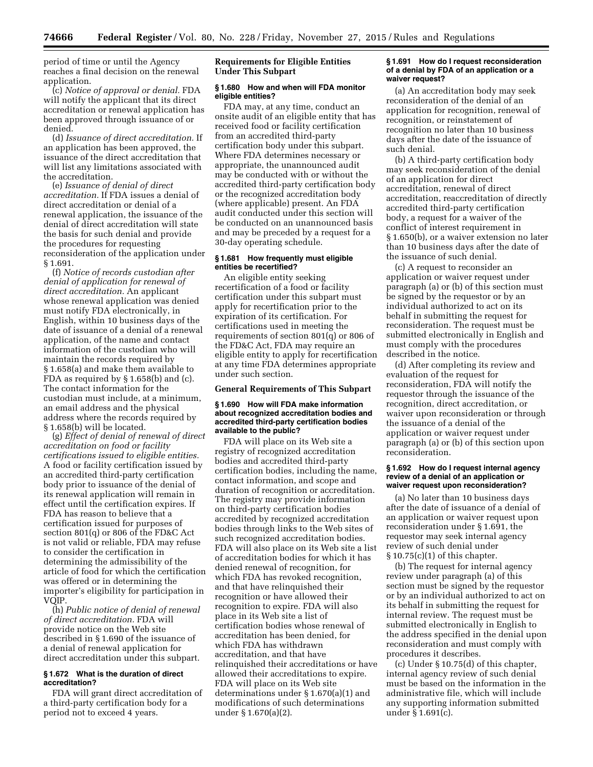period of time or until the Agency reaches a final decision on the renewal application.

(c) *Notice of approval or denial.* FDA will notify the applicant that its direct accreditation or renewal application has been approved through issuance of or denied.

(d) *Issuance of direct accreditation.* If an application has been approved, the issuance of the direct accreditation that will list any limitations associated with the accreditation.

(e) *Issuance of denial of direct accreditation.* If FDA issues a denial of direct accreditation or denial of a renewal application, the issuance of the denial of direct accreditation will state the basis for such denial and provide the procedures for requesting reconsideration of the application under § 1.691.

(f) *Notice of records custodian after denial of application for renewal of direct accreditation.* An applicant whose renewal application was denied must notify FDA electronically, in English, within 10 business days of the date of issuance of a denial of a renewal application, of the name and contact information of the custodian who will maintain the records required by § 1.658(a) and make them available to FDA as required by § 1.658(b) and (c). The contact information for the custodian must include, at a minimum, an email address and the physical address where the records required by § 1.658(b) will be located.

(g) *Effect of denial of renewal of direct accreditation on food or facility certifications issued to eligible entities.*  A food or facility certification issued by an accredited third-party certification body prior to issuance of the denial of its renewal application will remain in effect until the certification expires. If FDA has reason to believe that a certification issued for purposes of section 801(q) or 806 of the FD&C Act is not valid or reliable, FDA may refuse to consider the certification in determining the admissibility of the article of food for which the certification was offered or in determining the importer's eligibility for participation in VQIP.

(h) *Public notice of denial of renewal of direct accreditation.* FDA will provide notice on the Web site described in § 1.690 of the issuance of a denial of renewal application for direct accreditation under this subpart.

## **§ 1.672 What is the duration of direct accreditation?**

FDA will grant direct accreditation of a third-party certification body for a period not to exceed 4 years.

## **Requirements for Eligible Entities Under This Subpart**

### **§ 1.680 How and when will FDA monitor eligible entities?**

FDA may, at any time, conduct an onsite audit of an eligible entity that has received food or facility certification from an accredited third-party certification body under this subpart. Where FDA determines necessary or appropriate, the unannounced audit may be conducted with or without the accredited third-party certification body or the recognized accreditation body (where applicable) present. An FDA audit conducted under this section will be conducted on an unannounced basis and may be preceded by a request for a 30-day operating schedule.

## **§ 1.681 How frequently must eligible entities be recertified?**

An eligible entity seeking recertification of a food or facility certification under this subpart must apply for recertification prior to the expiration of its certification. For certifications used in meeting the requirements of section 801(q) or 806 of the FD&C Act, FDA may require an eligible entity to apply for recertification at any time FDA determines appropriate under such section.

## **General Requirements of This Subpart**

## **§ 1.690 How will FDA make information about recognized accreditation bodies and accredited third-party certification bodies available to the public?**

FDA will place on its Web site a registry of recognized accreditation bodies and accredited third-party certification bodies, including the name, contact information, and scope and duration of recognition or accreditation. The registry may provide information on third-party certification bodies accredited by recognized accreditation bodies through links to the Web sites of such recognized accreditation bodies. FDA will also place on its Web site a list of accreditation bodies for which it has denied renewal of recognition, for which FDA has revoked recognition, and that have relinquished their recognition or have allowed their recognition to expire. FDA will also place in its Web site a list of certification bodies whose renewal of accreditation has been denied, for which FDA has withdrawn accreditation, and that have relinquished their accreditations or have allowed their accreditations to expire. FDA will place on its Web site determinations under § 1.670(a)(1) and modifications of such determinations under § 1.670(a)(2).

#### **§ 1.691 How do I request reconsideration of a denial by FDA of an application or a waiver request?**

(a) An accreditation body may seek reconsideration of the denial of an application for recognition, renewal of recognition, or reinstatement of recognition no later than 10 business days after the date of the issuance of such denial.

(b) A third-party certification body may seek reconsideration of the denial of an application for direct accreditation, renewal of direct accreditation, reaccreditation of directly accredited third-party certification body, a request for a waiver of the conflict of interest requirement in § 1.650(b), or a waiver extension no later than 10 business days after the date of the issuance of such denial.

(c) A request to reconsider an application or waiver request under paragraph (a) or (b) of this section must be signed by the requestor or by an individual authorized to act on its behalf in submitting the request for reconsideration. The request must be submitted electronically in English and must comply with the procedures described in the notice.

(d) After completing its review and evaluation of the request for reconsideration, FDA will notify the requestor through the issuance of the recognition, direct accreditation, or waiver upon reconsideration or through the issuance of a denial of the application or waiver request under paragraph (a) or (b) of this section upon reconsideration.

## **§ 1.692 How do I request internal agency review of a denial of an application or waiver request upon reconsideration?**

(a) No later than 10 business days after the date of issuance of a denial of an application or waiver request upon reconsideration under § 1.691, the requestor may seek internal agency review of such denial under  $§ 10.75(c)(1)$  of this chapter.

(b) The request for internal agency review under paragraph (a) of this section must be signed by the requestor or by an individual authorized to act on its behalf in submitting the request for internal review. The request must be submitted electronically in English to the address specified in the denial upon reconsideration and must comply with procedures it describes.

(c) Under § 10.75(d) of this chapter, internal agency review of such denial must be based on the information in the administrative file, which will include any supporting information submitted under § 1.691(c).